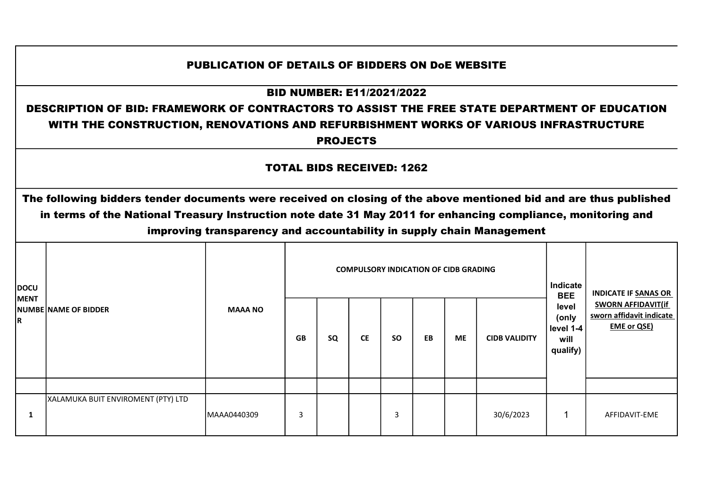## PUBLICATION OF DETAILS OF BIDDERS ON DoE WEBSITE

## BID NUMBER: E11/2021/2022

## DESCRIPTION OF BID: FRAMEWORK OF CONTRACTORS TO ASSIST THE FREE STATE DEPARTMENT OF EDUCATION WITH THE CONSTRUCTION, RENOVATIONS AND REFURBISHMENT WORKS OF VARIOUS INFRASTRUCTURE

PROJECTS

## TOTAL BIDS RECEIVED: 1262

The following bidders tender documents were received on closing of the above mentioned bid and are thus published in terms of the National Treasury Instruction note date 31 May 2011 for enhancing compliance, monitoring and improving transparency and accountability in supply chain Management

| <b>DOCU</b>       |                                    |                |           |    |           |           | <b>COMPULSORY INDICATION OF CIDB GRADING</b> |           |                      | Indicate<br><b>BEE</b>                          | <b>INDICATE IF SANAS OR</b>                                                 |
|-------------------|------------------------------------|----------------|-----------|----|-----------|-----------|----------------------------------------------|-----------|----------------------|-------------------------------------------------|-----------------------------------------------------------------------------|
| <b>MENT</b><br>R. | <b>NUMBE NAME OF BIDDER</b>        | <b>MAAA NO</b> | <b>GB</b> | SQ | <b>CE</b> | <b>SO</b> | EB                                           | <b>ME</b> | <b>CIDB VALIDITY</b> | level<br>(only<br>level 1-4<br>will<br>qualify) | <b>SWORN AFFIDAVIT(if</b><br>sworn affidavit indicate<br><b>EME or QSE)</b> |
|                   |                                    |                |           |    |           |           |                                              |           |                      |                                                 |                                                                             |
| л.                | XALAMUKA BUIT ENVIROMENT (PTY) LTD | MAAA0440309    | 3         |    |           | 3         |                                              |           | 30/6/2023            |                                                 | AFFIDAVIT-EME                                                               |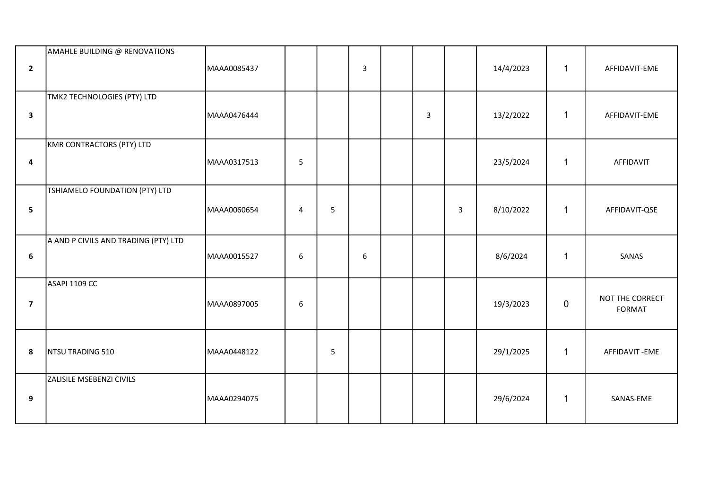| $\overline{2}$          | AMAHLE BUILDING @ RENOVATIONS        | MAAA0085437 |                |   | $\mathsf{3}$ |   |              | 14/4/2023 | 1            | AFFIDAVIT-EME             |
|-------------------------|--------------------------------------|-------------|----------------|---|--------------|---|--------------|-----------|--------------|---------------------------|
| $\mathbf{3}$            | TMK2 TECHNOLOGIES (PTY) LTD          | MAAA0476444 |                |   |              | 3 |              | 13/2/2022 | $\mathbf{1}$ | AFFIDAVIT-EME             |
| $\overline{\mathbf{4}}$ | KMR CONTRACTORS (PTY) LTD            | MAAA0317513 | 5              |   |              |   |              | 23/5/2024 | $\mathbf{1}$ | AFFIDAVIT                 |
| 5                       | TSHIAMELO FOUNDATION (PTY) LTD       | MAAA0060654 | $\overline{4}$ | 5 |              |   | $\mathbf{3}$ | 8/10/2022 | $\mathbf{1}$ | AFFIDAVIT-QSE             |
| $6\phantom{1}$          | A AND P CIVILS AND TRADING (PTY) LTD | MAAA0015527 | 6              |   | 6            |   |              | 8/6/2024  | $\mathbf{1}$ | SANAS                     |
| $\overline{\mathbf{z}}$ | ASAPI 1109 CC                        | MAAA0897005 | $\sqrt{6}$     |   |              |   |              | 19/3/2023 | $\mathbf 0$  | NOT THE CORRECT<br>FORMAT |
| 8                       | NTSU TRADING 510                     | MAAA0448122 |                | 5 |              |   |              | 29/1/2025 | $\mathbf{1}$ | AFFIDAVIT-EME             |
| 9                       | ZALISILE MSEBENZI CIVILS             | MAAA0294075 |                |   |              |   |              | 29/6/2024 | $\mathbf{1}$ | SANAS-EME                 |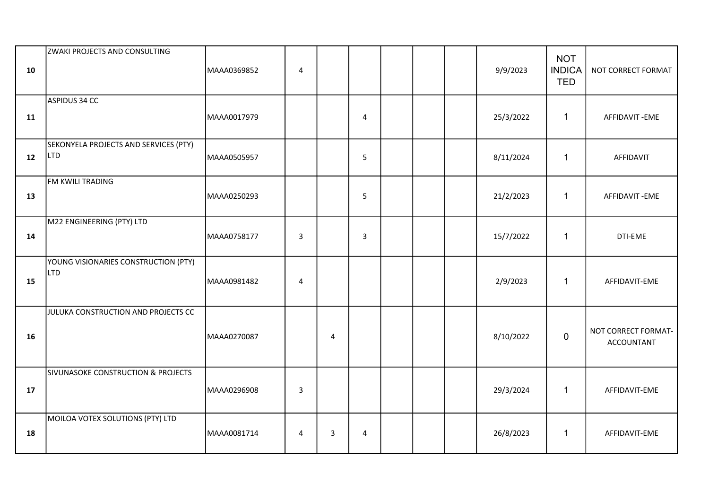| 10 | ZWAKI PROJECTS AND CONSULTING                       | MAAA0369852 | $\sqrt{4}$     |                |                         |  | 9/9/2023  | <b>NOT</b><br><b>INDICA</b><br><b>TED</b> | NOT CORRECT FORMAT                       |
|----|-----------------------------------------------------|-------------|----------------|----------------|-------------------------|--|-----------|-------------------------------------------|------------------------------------------|
| 11 | ASPIDUS 34 CC                                       | MAAA0017979 |                |                | $\overline{\mathbf{4}}$ |  | 25/3/2022 | $\mathbf{1}$                              | AFFIDAVIT-EME                            |
| 12 | SEKONYELA PROJECTS AND SERVICES (PTY)<br><b>LTD</b> | MAAA0505957 |                |                | 5                       |  | 8/11/2024 | $\mathbf{1}$                              | AFFIDAVIT                                |
| 13 | FM KWILI TRADING                                    | MAAA0250293 |                |                | 5                       |  | 21/2/2023 | $\mathbf{1}$                              | AFFIDAVIT-EME                            |
| 14 | M22 ENGINEERING (PTY) LTD                           | MAAA0758177 | $\overline{3}$ |                | $\overline{3}$          |  | 15/7/2022 | $\mathbf{1}$                              | DTI-EME                                  |
| 15 | YOUNG VISIONARIES CONSTRUCTION (PTY)<br><b>LTD</b>  | MAAA0981482 | $\overline{4}$ |                |                         |  | 2/9/2023  | $\mathbf{1}$                              | AFFIDAVIT-EME                            |
| 16 | JULUKA CONSTRUCTION AND PROJECTS CC                 | MAAA0270087 |                | $\overline{4}$ |                         |  | 8/10/2022 | $\pmb{0}$                                 | NOT CORRECT FORMAT-<br><b>ACCOUNTANT</b> |
| 17 | SIVUNASOKE CONSTRUCTION & PROJECTS                  | MAAA0296908 | $\mathbf{3}$   |                |                         |  | 29/3/2024 | $\mathbf{1}$                              | AFFIDAVIT-EME                            |
| 18 | MOILOA VOTEX SOLUTIONS (PTY) LTD                    | MAAA0081714 | 4              | $\overline{3}$ | 4                       |  | 26/8/2023 | $\mathbf{1}$                              | AFFIDAVIT-EME                            |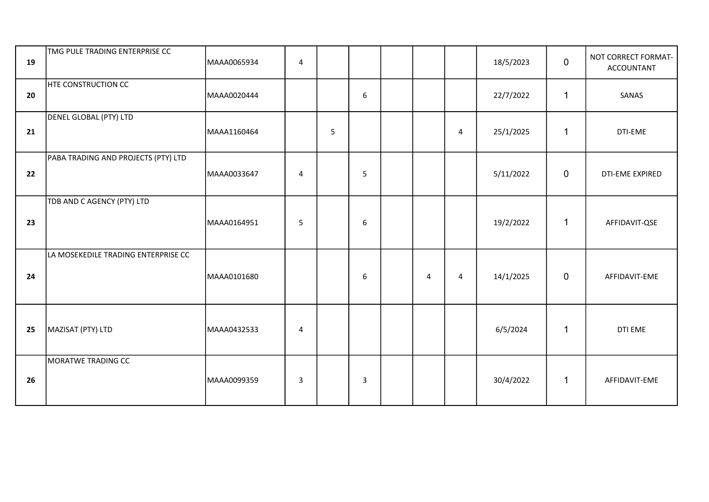| 19 | TMG PULE TRADING ENTERPRISE CC      | MAAA0065934 | $\overline{4}$ |   |                  |   |   | 18/5/2023 | $\mathbf 0$    | NOT CORRECT FORMAT-<br><b>ACCOUNTANT</b> |
|----|-------------------------------------|-------------|----------------|---|------------------|---|---|-----------|----------------|------------------------------------------|
| 20 | <b>HTE CONSTRUCTION CC</b>          | MAAA0020444 |                |   | $\boldsymbol{6}$ |   |   | 22/7/2022 | $\mathbf 1$    | SANAS                                    |
| 21 | DENEL GLOBAL (PTY) LTD              | MAAA1160464 |                | 5 |                  |   | 4 | 25/1/2025 | $\mathbf{1}$   | DTI-EME                                  |
| 22 | PABA TRADING AND PROJECTS (PTY) LTD | MAAA0033647 | $\overline{4}$ |   | 5                |   |   | 5/11/2022 | $\mathbf 0$    | DTI-EME EXPIRED                          |
| 23 | TDB AND C AGENCY (PTY) LTD          | MAAA0164951 | 5              |   | 6                |   |   | 19/2/2022 | $\mathbf{1}$   | AFFIDAVIT-QSE                            |
| 24 | LA MOSEKEDILE TRADING ENTERPRISE CC | MAAA0101680 |                |   | 6                | 4 | 4 | 14/1/2025 | $\overline{0}$ | AFFIDAVIT-EME                            |
| 25 | MAZISAT (PTY) LTD                   | MAAA0432533 | 4              |   |                  |   |   | 6/5/2024  | $\mathbf 1$    | DTI EME                                  |
| 26 | MORATWE TRADING CC                  | MAAA0099359 | 3              |   | 3                |   |   | 30/4/2022 | $\mathbf{1}$   | AFFIDAVIT-EME                            |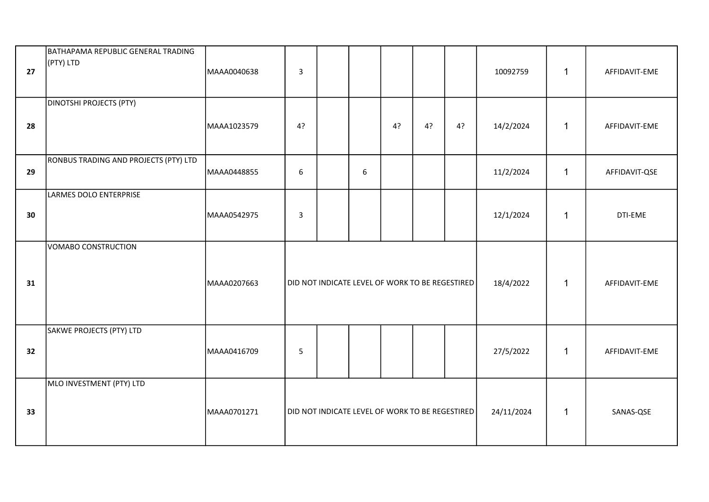| 27 | BATHAPAMA REPUBLIC GENERAL TRADING<br>(PTY) LTD | MAAA0040638 | $\mathbf{3}$   |                                                 |   |    |    |    | 10092759   | 1            | AFFIDAVIT-EME |
|----|-------------------------------------------------|-------------|----------------|-------------------------------------------------|---|----|----|----|------------|--------------|---------------|
| 28 | <b>DINOTSHI PROJECTS (PTY)</b>                  | MAAA1023579 | 4?             |                                                 |   | 4? | 4? | 4? | 14/2/2024  | 1            | AFFIDAVIT-EME |
| 29 | RONBUS TRADING AND PROJECTS (PTY) LTD           | MAAA0448855 | 6              |                                                 | 6 |    |    |    | 11/2/2024  | $\mathbf{1}$ | AFFIDAVIT-QSE |
| 30 | LARMES DOLO ENTERPRISE                          | MAAA0542975 | $\overline{3}$ |                                                 |   |    |    |    | 12/1/2024  | 1            | DTI-EME       |
| 31 | VOMABO CONSTRUCTION                             | MAAA0207663 |                | DID NOT INDICATE LEVEL OF WORK TO BE REGESTIRED |   |    |    |    | 18/4/2022  | $\mathbf{1}$ | AFFIDAVIT-EME |
| 32 | SAKWE PROJECTS (PTY) LTD                        | MAAA0416709 | $\overline{5}$ |                                                 |   |    |    |    | 27/5/2022  | $\mathbf{1}$ | AFFIDAVIT-EME |
| 33 | MLO INVESTMENT (PTY) LTD                        | MAAA0701271 |                | DID NOT INDICATE LEVEL OF WORK TO BE REGESTIRED |   |    |    |    | 24/11/2024 | $\mathbf{1}$ | SANAS-QSE     |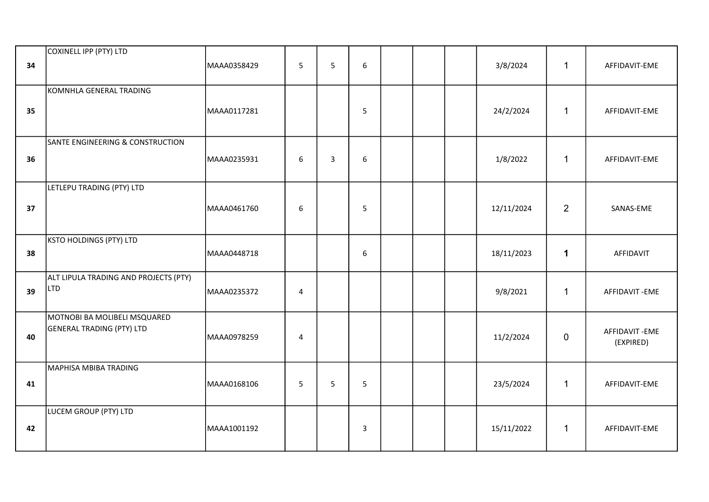| 34 | COXINELL IPP (PTY) LTD                                           | MAAA0358429 | 5              | 5              | 6              |  | 3/8/2024   | $\mathbf{1}$   | AFFIDAVIT-EME              |
|----|------------------------------------------------------------------|-------------|----------------|----------------|----------------|--|------------|----------------|----------------------------|
| 35 | KOMNHLA GENERAL TRADING                                          | MAAA0117281 |                |                | 5              |  | 24/2/2024  | $\mathbf{1}$   | AFFIDAVIT-EME              |
| 36 | SANTE ENGINEERING & CONSTRUCTION                                 | MAAA0235931 | 6              | $\overline{3}$ | 6              |  | 1/8/2022   | $\mathbf{1}$   | AFFIDAVIT-EME              |
| 37 | LETLEPU TRADING (PTY) LTD                                        | MAAA0461760 | 6              |                | 5              |  | 12/11/2024 | $\overline{2}$ | SANAS-EME                  |
| 38 | <b>KSTO HOLDINGS (PTY) LTD</b>                                   | MAAA0448718 |                |                | 6              |  | 18/11/2023 | $\mathbf{1}$   | AFFIDAVIT                  |
| 39 | ALT LIPULA TRADING AND PROJECTS (PTY)<br>LTD                     | MAAA0235372 | $\pmb{4}$      |                |                |  | 9/8/2021   | $\mathbf{1}$   | AFFIDAVIT-EME              |
| 40 | MOTNOBI BA MOLIBELI MSQUARED<br><b>GENERAL TRADING (PTY) LTD</b> | MAAA0978259 | $\overline{4}$ |                |                |  | 11/2/2024  | $\pmb{0}$      | AFFIDAVIT-EME<br>(EXPIRED) |
| 41 | MAPHISA MBIBA TRADING                                            | MAAA0168106 | 5              | 5              | 5              |  | 23/5/2024  | $\mathbf 1$    | AFFIDAVIT-EME              |
| 42 | LUCEM GROUP (PTY) LTD                                            | MAAA1001192 |                |                | $\overline{3}$ |  | 15/11/2022 | $\mathbf{1}$   | AFFIDAVIT-EME              |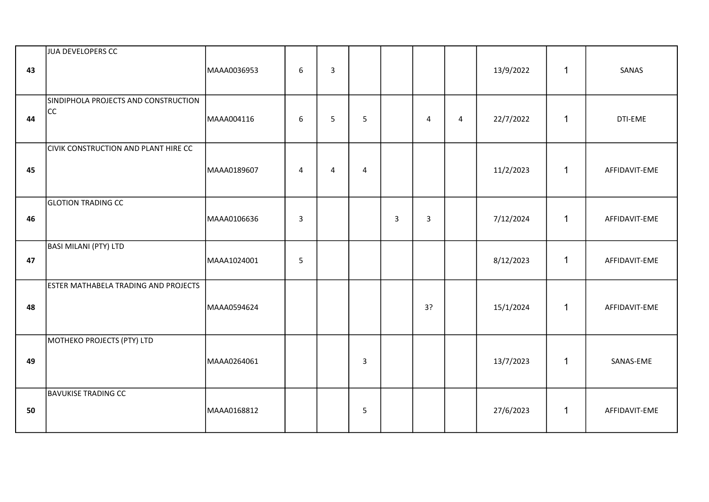| 43 | JUA DEVELOPERS CC                           | MAAA0036953 | $\boldsymbol{6}$ | $\mathsf{3}$   |                |   |                         |                | 13/9/2022 | $\mathbf{1}$ | SANAS         |
|----|---------------------------------------------|-------------|------------------|----------------|----------------|---|-------------------------|----------------|-----------|--------------|---------------|
| 44 | SINDIPHOLA PROJECTS AND CONSTRUCTION<br>CC  | MAAA004116  | 6                | 5              | 5              |   | $\overline{\mathbf{4}}$ | $\overline{4}$ | 22/7/2022 | $\mathbf{1}$ | DTI-EME       |
| 45 | <b>CIVIK CONSTRUCTION AND PLANT HIRE CC</b> | MAAA0189607 | $\overline{4}$   | $\overline{4}$ | $\overline{4}$ |   |                         |                | 11/2/2023 | $\mathbf{1}$ | AFFIDAVIT-EME |
| 46 | <b>GLOTION TRADING CC</b>                   | MAAA0106636 | $\mathbf{3}$     |                |                | 3 | $\overline{3}$          |                | 7/12/2024 | $\mathbf{1}$ | AFFIDAVIT-EME |
| 47 | BASI MILANI (PTY) LTD                       | MAAA1024001 | 5                |                |                |   |                         |                | 8/12/2023 | $\mathbf{1}$ | AFFIDAVIT-EME |
| 48 | <b>ESTER MATHABELA TRADING AND PROJECTS</b> | MAAA0594624 |                  |                |                |   | 3?                      |                | 15/1/2024 | $\mathbf{1}$ | AFFIDAVIT-EME |
| 49 | MOTHEKO PROJECTS (PTY) LTD                  | MAAA0264061 |                  |                | $\overline{3}$ |   |                         |                | 13/7/2023 | $\mathbf{1}$ | SANAS-EME     |
| 50 | <b>BAVUKISE TRADING CC</b>                  | MAAA0168812 |                  |                | 5              |   |                         |                | 27/6/2023 | $\mathbf{1}$ | AFFIDAVIT-EME |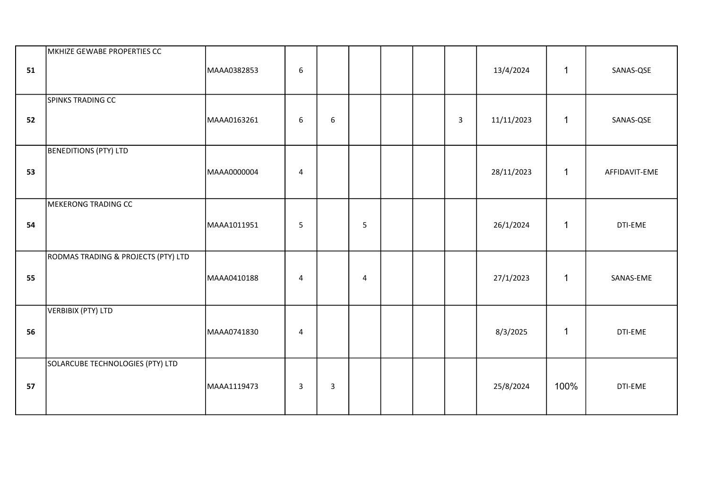| 51 | MKHIZE GEWABE PROPERTIES CC         | MAAA0382853 | 6                       |                |                |  |   | 13/4/2024  | $\mathbf{1}$ | SANAS-QSE     |
|----|-------------------------------------|-------------|-------------------------|----------------|----------------|--|---|------------|--------------|---------------|
| 52 | SPINKS TRADING CC                   | MAAA0163261 | 6                       | 6              |                |  | 3 | 11/11/2023 | $\mathbf{1}$ | SANAS-QSE     |
| 53 | <b>BENEDITIONS (PTY) LTD</b>        | MAAA0000004 | $\overline{\mathbf{4}}$ |                |                |  |   | 28/11/2023 | $\mathbf{1}$ | AFFIDAVIT-EME |
| 54 | <b>MEKERONG TRADING CC</b>          | MAAA1011951 | 5                       |                | 5              |  |   | 26/1/2024  | $\mathbf{1}$ | DTI-EME       |
| 55 | RODMAS TRADING & PROJECTS (PTY) LTD | MAAA0410188 | 4                       |                | $\overline{4}$ |  |   | 27/1/2023  | $\mathbf{1}$ | SANAS-EME     |
| 56 | <b>VERBIBIX (PTY) LTD</b>           | MAAA0741830 | $\overline{\mathbf{4}}$ |                |                |  |   | 8/3/2025   | $\mathbf{1}$ | DTI-EME       |
| 57 | SOLARCUBE TECHNOLOGIES (PTY) LTD    | MAAA1119473 | $\mathbf{3}$            | $\overline{3}$ |                |  |   | 25/8/2024  | 100%         | DTI-EME       |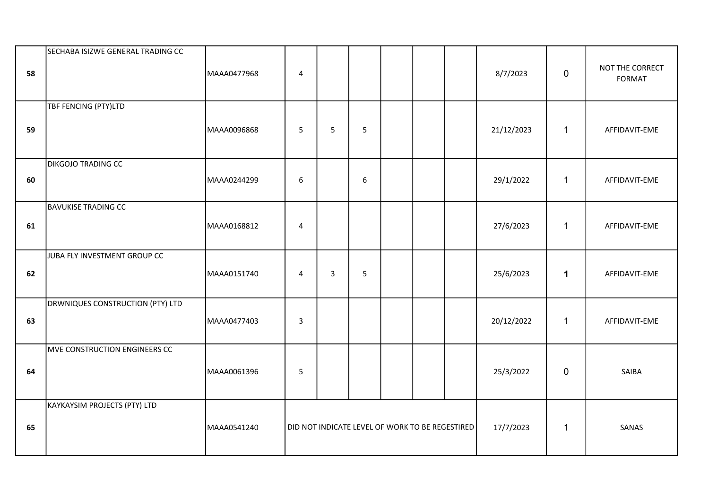| 58 | SECHABA ISIZWE GENERAL TRADING CC   | MAAA0477968 | 4                                               |              |   |  | 8/7/2023   | $\mathbf 0$  | NOT THE CORRECT<br><b>FORMAT</b> |
|----|-------------------------------------|-------------|-------------------------------------------------|--------------|---|--|------------|--------------|----------------------------------|
| 59 | TBF FENCING (PTY)LTD                | MAAA0096868 | 5                                               | 5            | 5 |  | 21/12/2023 | $\mathbf{1}$ | AFFIDAVIT-EME                    |
| 60 | <b>DIKGOJO TRADING CC</b>           | MAAA0244299 | 6                                               |              | 6 |  | 29/1/2022  | $\mathbf{1}$ | AFFIDAVIT-EME                    |
| 61 | <b>BAVUKISE TRADING CC</b>          | MAAA0168812 | 4                                               |              |   |  | 27/6/2023  | $\mathbf{1}$ | AFFIDAVIT-EME                    |
| 62 | JUBA FLY INVESTMENT GROUP CC        | MAAA0151740 | $\overline{4}$                                  | $\mathbf{3}$ | 5 |  | 25/6/2023  | $\mathbf 1$  | AFFIDAVIT-EME                    |
| 63 | DRWNIQUES CONSTRUCTION (PTY) LTD    | MAAA0477403 | $\overline{3}$                                  |              |   |  | 20/12/2022 | $\mathbf{1}$ | AFFIDAVIT-EME                    |
| 64 | MVE CONSTRUCTION ENGINEERS CC       | MAAA0061396 | $5\phantom{.0}$                                 |              |   |  | 25/3/2022  | $\mathbf 0$  | SAIBA                            |
| 65 | <b>KAYKAYSIM PROJECTS (PTY) LTD</b> | MAAA0541240 | DID NOT INDICATE LEVEL OF WORK TO BE REGESTIRED |              |   |  | 17/7/2023  | $\mathbf 1$  | SANAS                            |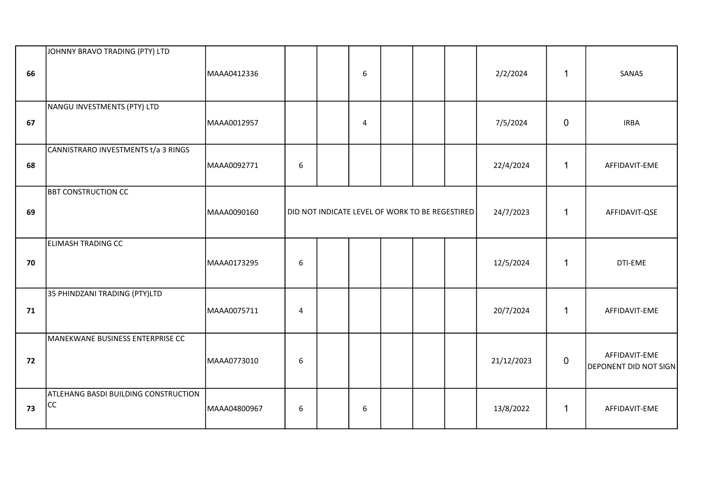| 66 | JOHNNY BRAVO TRADING (PTY) LTD                    | MAAA0412336  |                  |                                                 | 6 |  | 2/2/2024   | $\mathbf{1}$ | SANAS                                         |
|----|---------------------------------------------------|--------------|------------------|-------------------------------------------------|---|--|------------|--------------|-----------------------------------------------|
| 67 | NANGU INVESTMENTS (PTY) LTD                       | MAAA0012957  |                  |                                                 | 4 |  | 7/5/2024   | 0            | <b>IRBA</b>                                   |
| 68 | CANNISTRARO INVESTMENTS t/a 3 RINGS               | MAAA0092771  | $\boldsymbol{6}$ |                                                 |   |  | 22/4/2024  | $\mathbf 1$  | AFFIDAVIT-EME                                 |
| 69 | <b>BBT CONSTRUCTION CC</b>                        | MAAA0090160  |                  | DID NOT INDICATE LEVEL OF WORK TO BE REGESTIRED |   |  | 24/7/2023  | $\mathbf{1}$ | AFFIDAVIT-QSE                                 |
| 70 | ELIMASH TRADING CC                                | MAAA0173295  | $\boldsymbol{6}$ |                                                 |   |  | 12/5/2024  | $\mathbf{1}$ | DTI-EME                                       |
| 71 | 35 PHINDZANI TRADING (PTY)LTD                     | MAAA0075711  | $\overline{4}$   |                                                 |   |  | 20/7/2024  | $\mathbf{1}$ | AFFIDAVIT-EME                                 |
| 72 | MANEKWANE BUSINESS ENTERPRISE CC                  | MAAA0773010  | 6                |                                                 |   |  | 21/12/2023 | $\mathbf 0$  | AFFIDAVIT-EME<br><b>DEPONENT DID NOT SIGN</b> |
| 73 | ATLEHANG BASDI BUILDING CONSTRUCTION<br><b>CC</b> | MAAA04800967 | 6                |                                                 | 6 |  | 13/8/2022  | $\mathbf{1}$ | AFFIDAVIT-EME                                 |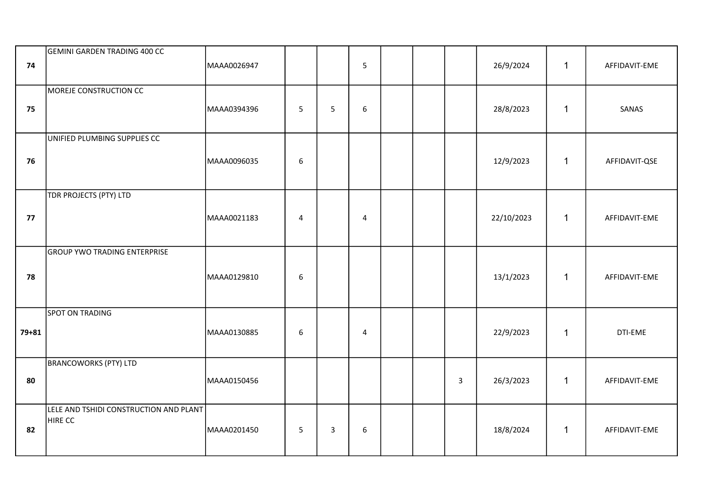| 74        | GEMINI GARDEN TRADING 400 CC                             | MAAA0026947 |                  |                | 5                       |  |              | 26/9/2024  | $\mathbf{1}$ | AFFIDAVIT-EME |
|-----------|----------------------------------------------------------|-------------|------------------|----------------|-------------------------|--|--------------|------------|--------------|---------------|
| 75        | MOREJE CONSTRUCTION CC                                   | MAAA0394396 | $5\phantom{.}$   | 5              | 6                       |  |              | 28/8/2023  | $\mathbf{1}$ | SANAS         |
| 76        | UNIFIED PLUMBING SUPPLIES CC                             | MAAA0096035 | $\boldsymbol{6}$ |                |                         |  |              | 12/9/2023  | $\mathbf{1}$ | AFFIDAVIT-QSE |
| 77        | TDR PROJECTS (PTY) LTD                                   | MAAA0021183 | $\sqrt{4}$       |                | $\overline{\mathbf{4}}$ |  |              | 22/10/2023 | $\mathbf{1}$ | AFFIDAVIT-EME |
| 78        | <b>GROUP YWO TRADING ENTERPRISE</b>                      | MAAA0129810 | 6                |                |                         |  |              | 13/1/2023  | $\mathbf{1}$ | AFFIDAVIT-EME |
| $79 + 81$ | <b>SPOT ON TRADING</b>                                   | MAAA0130885 | $\boldsymbol{6}$ |                | $\overline{4}$          |  |              | 22/9/2023  | $\mathbf{1}$ | DTI-EME       |
| 80        | <b>BRANCOWORKS (PTY) LTD</b>                             | MAAA0150456 |                  |                |                         |  | $\mathbf{3}$ | 26/3/2023  | $\mathbf{1}$ | AFFIDAVIT-EME |
| 82        | LELE AND TSHIDI CONSTRUCTION AND PLANT<br><b>HIRE CC</b> | MAAA0201450 | 5                | $\overline{3}$ | 6                       |  |              | 18/8/2024  | $\mathbf{1}$ | AFFIDAVIT-EME |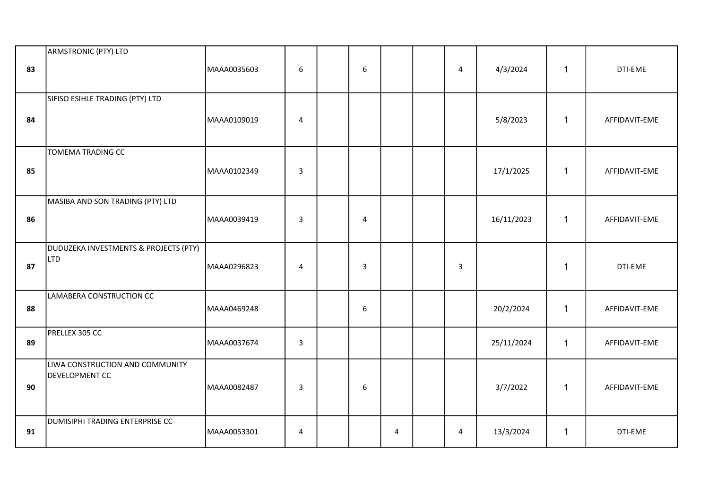| 83 | ARMSTRONIC (PTY) LTD                              | MAAA0035603 | $\boldsymbol{6}$ | $\boldsymbol{6}$ |   | $\overline{a}$ | 4/3/2024   | $\mathbf{1}$ | DTI-EME       |
|----|---------------------------------------------------|-------------|------------------|------------------|---|----------------|------------|--------------|---------------|
| 84 | SIFISO ESIHLE TRADING (PTY) LTD                   | MAAA0109019 | $\overline{4}$   |                  |   |                | 5/8/2023   | $\mathbf{1}$ | AFFIDAVIT-EME |
| 85 | TOMEMA TRADING CC                                 | MAAA0102349 | $\overline{3}$   |                  |   |                | 17/1/2025  | $\mathbf{1}$ | AFFIDAVIT-EME |
| 86 | MASIBA AND SON TRADING (PTY) LTD                  | MAAA0039419 | $\mathbf{3}$     | $\overline{4}$   |   |                | 16/11/2023 | $\mathbf{1}$ | AFFIDAVIT-EME |
| 87 | DUDUZEKA INVESTMENTS & PROJECTS (PTY)<br>LTD      | MAAA0296823 | $\overline{4}$   | $\overline{3}$   |   | $\mathsf{3}$   |            | $\mathbf{1}$ | DTI-EME       |
| 88 | LAMABERA CONSTRUCTION CC                          | MAAA0469248 |                  | 6                |   |                | 20/2/2024  | $\mathbf{1}$ | AFFIDAVIT-EME |
| 89 | PRELLEX 305 CC                                    | MAAA0037674 | $\mathbf{3}$     |                  |   |                | 25/11/2024 | $\mathbf{1}$ | AFFIDAVIT-EME |
| 90 | LIWA CONSTRUCTION AND COMMUNITY<br>DEVELOPMENT CC | MAAA0082487 | $\mathbf{3}$     | 6                |   |                | 3/7/2022   | $\mathbf{1}$ | AFFIDAVIT-EME |
| 91 | DUMISIPHI TRADING ENTERPRISE CC                   | MAAA0053301 | $\overline{a}$   |                  | 4 | 4              | 13/3/2024  | $\mathbf{1}$ | DTI-EME       |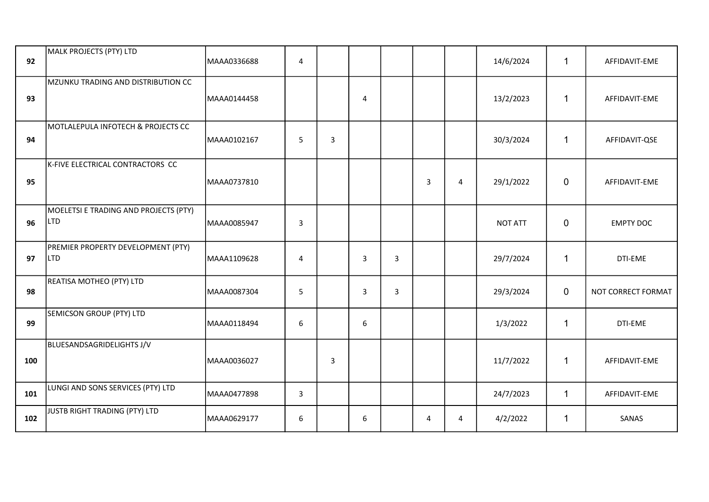| 92  | MALK PROJECTS (PTY) LTD                             | MAAA0336688 | $\overline{4}$ |                |                |                |   |   | 14/6/2024      | $\mathbf{1}$   | AFFIDAVIT-EME      |
|-----|-----------------------------------------------------|-------------|----------------|----------------|----------------|----------------|---|---|----------------|----------------|--------------------|
| 93  | MZUNKU TRADING AND DISTRIBUTION CC                  | MAAA0144458 |                |                | 4              |                |   |   | 13/2/2023      | $\mathbf 1$    | AFFIDAVIT-EME      |
| 94  | MOTLALEPULA INFOTECH & PROJECTS CC                  | MAAA0102167 | 5              | $\overline{3}$ |                |                |   |   | 30/3/2024      | $\mathbf{1}$   | AFFIDAVIT-QSE      |
| 95  | K-FIVE ELECTRICAL CONTRACTORS CC                    | MAAA0737810 |                |                |                |                | 3 | 4 | 29/1/2022      | $\mathbf 0$    | AFFIDAVIT-EME      |
| 96  | MOELETSI E TRADING AND PROJECTS (PTY)<br><b>LTD</b> | MAAA0085947 | 3              |                |                |                |   |   | <b>NOT ATT</b> | $\mathbf 0$    | <b>EMPTY DOC</b>   |
| 97  | PREMIER PROPERTY DEVELOPMENT (PTY)<br><b>LTD</b>    | MAAA1109628 | $\overline{4}$ |                | $\overline{3}$ | $\overline{3}$ |   |   | 29/7/2024      | $\mathbf{1}$   | DTI-EME            |
| 98  | REATISA MOTHEO (PTY) LTD                            | MAAA0087304 | 5              |                | 3              | 3              |   |   | 29/3/2024      | $\overline{0}$ | NOT CORRECT FORMAT |
| 99  | SEMICSON GROUP (PTY) LTD                            | MAAA0118494 | 6              |                | 6              |                |   |   | 1/3/2022       | $\mathbf{1}$   | DTI-EME            |
| 100 | BLUESANDSAGRIDELIGHTS J/V                           | MAAA0036027 |                | $\overline{3}$ |                |                |   |   | 11/7/2022      | $\mathbf{1}$   | AFFIDAVIT-EME      |
| 101 | LUNGI AND SONS SERVICES (PTY) LTD                   | MAAA0477898 | 3              |                |                |                |   |   | 24/7/2023      | $\mathbf{1}$   | AFFIDAVIT-EME      |
| 102 | JUSTB RIGHT TRADING (PTY) LTD                       | MAAA0629177 | 6              |                | 6              |                | 4 | 4 | 4/2/2022       | $\mathbf{1}$   | SANAS              |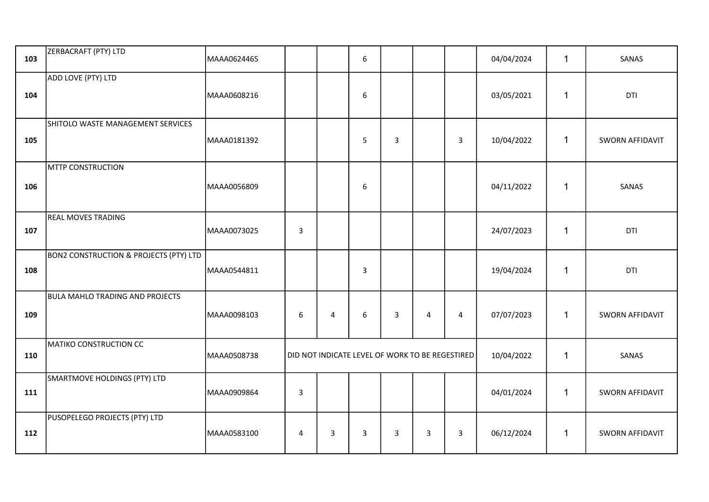| 103 | ZERBACRAFT (PTY) LTD                              | MAAA0624465 |                |   | 6            |              |                                                 |                | 04/04/2024 | $\mathbf{1}$ | SANAS                  |
|-----|---------------------------------------------------|-------------|----------------|---|--------------|--------------|-------------------------------------------------|----------------|------------|--------------|------------------------|
| 104 | ADD LOVE (PTY) LTD                                | MAAA0608216 |                |   | 6            |              |                                                 |                | 03/05/2021 | $\mathbf 1$  | DTI                    |
| 105 | SHITOLO WASTE MANAGEMENT SERVICES                 | MAAA0181392 |                |   | 5            | $\mathbf{3}$ |                                                 | $\overline{3}$ | 10/04/2022 | $\mathbf{1}$ | SWORN AFFIDAVIT        |
| 106 | <b>MTTP CONSTRUCTION</b>                          | MAAA0056809 |                |   | 6            |              |                                                 |                | 04/11/2022 | 1            | SANAS                  |
| 107 | <b>REAL MOVES TRADING</b>                         | MAAA0073025 | $\overline{3}$ |   |              |              |                                                 |                | 24/07/2023 | $\mathbf{1}$ | DTI                    |
| 108 | <b>BON2 CONSTRUCTION &amp; PROJECTS (PTY) LTD</b> | MAAA0544811 |                |   | $\mathbf{3}$ |              |                                                 |                | 19/04/2024 | 1            | DTI                    |
| 109 | <b>BULA MAHLO TRADING AND PROJECTS</b>            | MAAA0098103 | $\sqrt{6}$     | 4 | 6            | $\mathbf{3}$ | $\overline{4}$                                  | $\overline{4}$ | 07/07/2023 | $\mathbf{1}$ | <b>SWORN AFFIDAVIT</b> |
| 110 | MATIKO CONSTRUCTION CC                            | MAAA0508738 |                |   |              |              | DID NOT INDICATE LEVEL OF WORK TO BE REGESTIRED |                | 10/04/2022 | 1            | SANAS                  |
| 111 | SMARTMOVE HOLDINGS (PTY) LTD                      | MAAA0909864 | $\mathsf 3$    |   |              |              |                                                 |                | 04/01/2024 | $\mathbf{1}$ | SWORN AFFIDAVIT        |
| 112 | PUSOPELEGO PROJECTS (PTY) LTD                     | MAAA0583100 | 4              | 3 | 3            | 3            | 3                                               | $\mathbf{3}$   | 06/12/2024 | $\mathbf{1}$ | SWORN AFFIDAVIT        |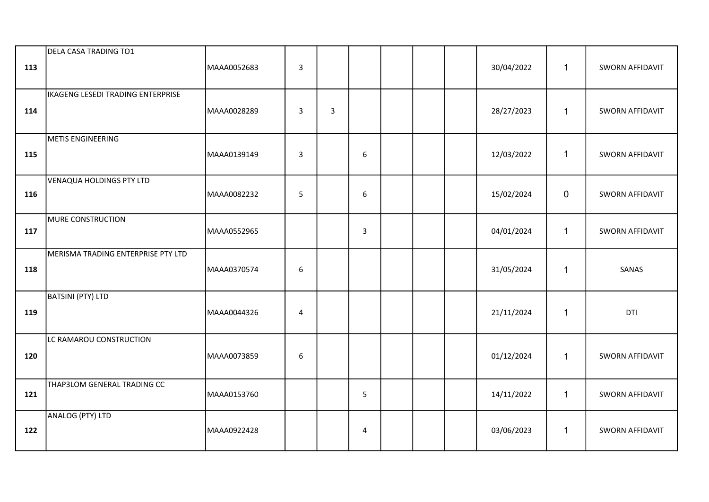| 113 | DELA CASA TRADING TO1              | MAAA0052683 | $\overline{3}$ |   |                         |  | 30/04/2022 | $\mathbf{1}$ | SWORN AFFIDAVIT |
|-----|------------------------------------|-------------|----------------|---|-------------------------|--|------------|--------------|-----------------|
| 114 | IKAGENG LESEDI TRADING ENTERPRISE  | MAAA0028289 | $\overline{3}$ | 3 |                         |  | 28/27/2023 | $\mathbf{1}$ | SWORN AFFIDAVIT |
| 115 | METIS ENGINEERING                  | MAAA0139149 | $\mathbf{3}$   |   | 6                       |  | 12/03/2022 | $\mathbf{1}$ | SWORN AFFIDAVIT |
| 116 | <b>VENAQUA HOLDINGS PTY LTD</b>    | MAAA0082232 | $5\phantom{.}$ |   | 6                       |  | 15/02/2024 | $\mathbf 0$  | SWORN AFFIDAVIT |
| 117 | MURE CONSTRUCTION                  | MAAA0552965 |                |   | $\mathbf{3}$            |  | 04/01/2024 | $\mathbf{1}$ | SWORN AFFIDAVIT |
| 118 | MERISMA TRADING ENTERPRISE PTY LTD | MAAA0370574 | 6              |   |                         |  | 31/05/2024 | $\mathbf{1}$ | SANAS           |
| 119 | BATSINI (PTY) LTD                  | MAAA0044326 | 4              |   |                         |  | 21/11/2024 | $\mathbf{1}$ | DTI             |
| 120 | LC RAMAROU CONSTRUCTION            | MAAA0073859 | 6              |   |                         |  | 01/12/2024 | $\mathbf{1}$ | SWORN AFFIDAVIT |
| 121 | THAP3LOM GENERAL TRADING CC        | MAAA0153760 |                |   | 5                       |  | 14/11/2022 | $\mathbf{1}$ | SWORN AFFIDAVIT |
| 122 | ANALOG (PTY) LTD                   | MAAA0922428 |                |   | $\overline{\mathbf{4}}$ |  | 03/06/2023 | $\mathbf{1}$ | SWORN AFFIDAVIT |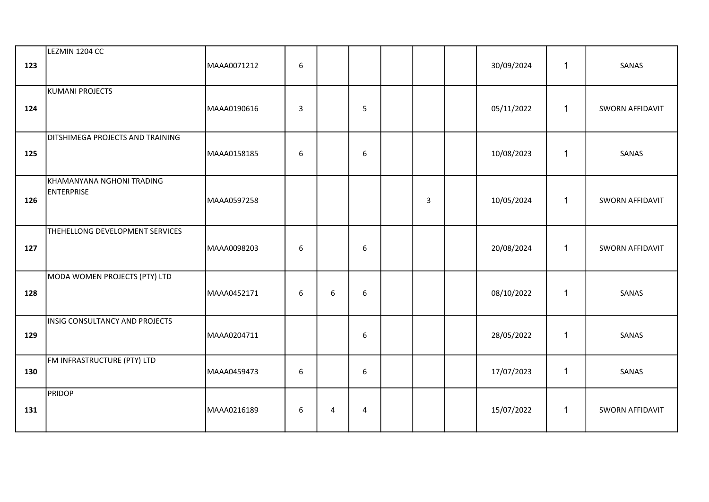| 123 | LEZMIN 1204 CC                                 | MAAA0071212 | $6\phantom{1}$          |   |                  |   | 30/09/2024 | $\mathbf{1}$ | SANAS           |
|-----|------------------------------------------------|-------------|-------------------------|---|------------------|---|------------|--------------|-----------------|
| 124 | KUMANI PROJECTS                                | MAAA0190616 | $\overline{\mathbf{3}}$ |   | 5                |   | 05/11/2022 | $\mathbf{1}$ | SWORN AFFIDAVIT |
| 125 | DITSHIMEGA PROJECTS AND TRAINING               | MAAA0158185 | $6\phantom{1}$          |   | $\boldsymbol{6}$ |   | 10/08/2023 | $\mathbf{1}$ | SANAS           |
| 126 | KHAMANYANA NGHONI TRADING<br><b>ENTERPRISE</b> | MAAA0597258 |                         |   |                  | 3 | 10/05/2024 | $\mathbf{1}$ | SWORN AFFIDAVIT |
| 127 | THEHELLONG DEVELOPMENT SERVICES                | MAAA0098203 | $\boldsymbol{6}$        |   | $6\phantom{1}$   |   | 20/08/2024 | $\mathbf{1}$ | SWORN AFFIDAVIT |
| 128 | MODA WOMEN PROJECTS (PTY) LTD                  | MAAA0452171 | 6                       | 6 | $6\,$            |   | 08/10/2022 | $\mathbf{1}$ | SANAS           |
| 129 | INSIG CONSULTANCY AND PROJECTS                 | MAAA0204711 |                         |   | 6                |   | 28/05/2022 | $\mathbf{1}$ | SANAS           |
| 130 | FM INFRASTRUCTURE (PTY) LTD                    | MAAA0459473 | 6                       |   | 6                |   | 17/07/2023 | $\mathbf{1}$ | SANAS           |
| 131 | <b>PRIDOP</b>                                  | MAAA0216189 | 6                       | 4 | $\overline{4}$   |   | 15/07/2022 | $\mathbf{1}$ | SWORN AFFIDAVIT |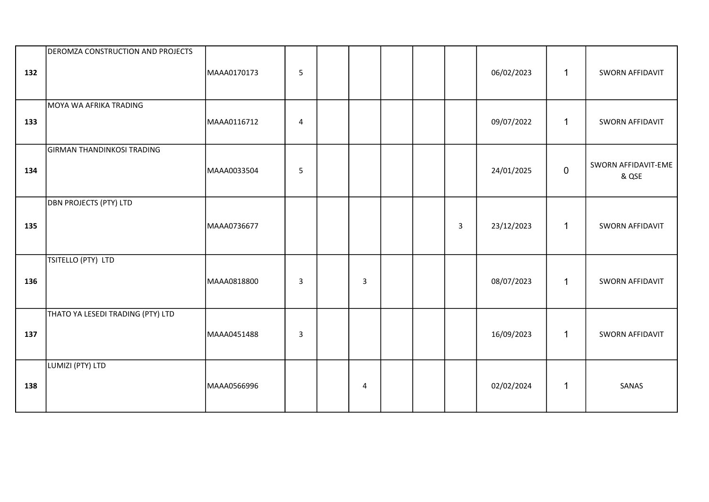| 132 | DEROMZA CONSTRUCTION AND PROJECTS | MAAA0170173 | 5              |                |  |                | 06/02/2023 | $\mathbf{1}$ | <b>SWORN AFFIDAVIT</b>       |
|-----|-----------------------------------|-------------|----------------|----------------|--|----------------|------------|--------------|------------------------------|
| 133 | MOYA WA AFRIKA TRADING            | MAAA0116712 | $\overline{4}$ |                |  |                | 09/07/2022 | $\mathbf 1$  | SWORN AFFIDAVIT              |
| 134 | <b>GIRMAN THANDINKOSI TRADING</b> | MAAA0033504 | $\overline{5}$ |                |  |                | 24/01/2025 | $\mathbf 0$  | SWORN AFFIDAVIT-EME<br>& QSE |
| 135 | <b>DBN PROJECTS (PTY) LTD</b>     | MAAA0736677 |                |                |  | $\overline{3}$ | 23/12/2023 | $\mathbf{1}$ | SWORN AFFIDAVIT              |
| 136 | TSITELLO (PTY) LTD                | MAAA0818800 | 3              | $\overline{3}$ |  |                | 08/07/2023 | $\mathbf{1}$ | SWORN AFFIDAVIT              |
| 137 | THATO YA LESEDI TRADING (PTY) LTD | MAAA0451488 | 3              |                |  |                | 16/09/2023 | $\mathbf{1}$ | SWORN AFFIDAVIT              |
| 138 | LUMIZI (PTY) LTD                  | MAAA0566996 |                | $\overline{4}$ |  |                | 02/02/2024 | $\mathbf 1$  | SANAS                        |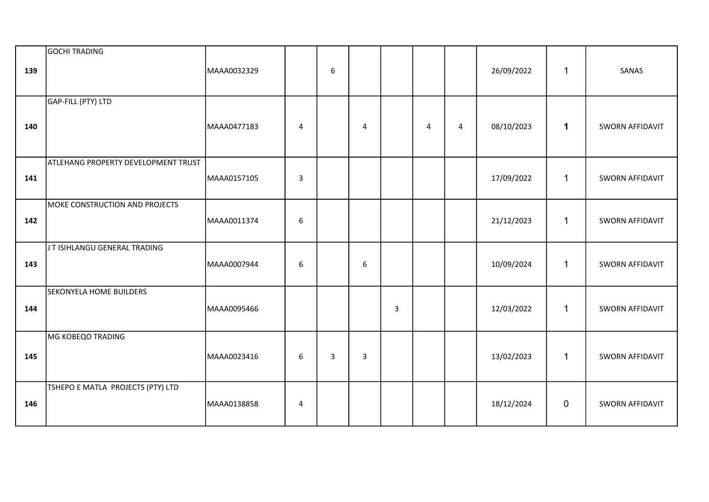| 139 | GOCHI TRADING                              | MAAA0032329 |                  | 6              |                |   |   |   | 26/09/2022 | $\mathbf{1}$ | SANAS                  |
|-----|--------------------------------------------|-------------|------------------|----------------|----------------|---|---|---|------------|--------------|------------------------|
| 140 | GAP-FILL (PTY) LTD                         | MAAA0477183 | 4                |                | $\overline{4}$ |   | 4 | 4 | 08/10/2023 | $\mathbf 1$  | <b>SWORN AFFIDAVIT</b> |
| 141 | <b>ATLEHANG PROPERTY DEVELOPMENT TRUST</b> | MAAA0157105 | $\mathbf{3}$     |                |                |   |   |   | 17/09/2022 | $\mathbf{1}$ | <b>SWORN AFFIDAVIT</b> |
| 142 | MOKE CONSTRUCTION AND PROJECTS             | MAAA0011374 | $\boldsymbol{6}$ |                |                |   |   |   | 21/12/2023 | $\mathbf{1}$ | <b>SWORN AFFIDAVIT</b> |
| 143 | J T ISIHLANGU GENERAL TRADING              | MAAA0007944 | 6                |                | 6              |   |   |   | 10/09/2024 | $\mathbf 1$  | SWORN AFFIDAVIT        |
| 144 | <b>SEKONYELA HOME BUILDERS</b>             | MAAA0095466 |                  |                |                | 3 |   |   | 12/03/2022 | $\mathbf{1}$ | SWORN AFFIDAVIT        |
| 145 | MG KOBEQO TRADING                          | MAAA0023416 | 6                | $\overline{3}$ | $\overline{3}$ |   |   |   | 13/02/2023 | $\mathbf 1$  | <b>SWORN AFFIDAVIT</b> |
| 146 | TSHEPO E MATLA PROJECTS (PTY) LTD          | MAAA0138858 | $\overline{4}$   |                |                |   |   |   | 18/12/2024 | 0            | SWORN AFFIDAVIT        |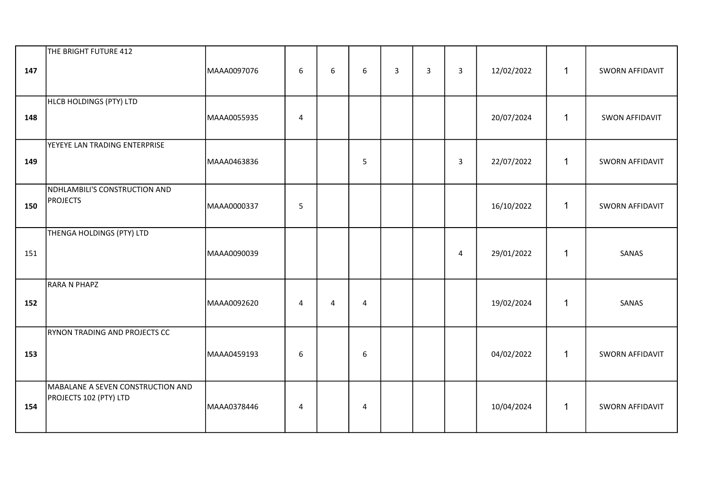| 147 | THE BRIGHT FUTURE 412                                       | MAAA0097076 | 6              | 6              | 6              | $\overline{3}$ | 3 | $\overline{3}$ | 12/02/2022 | $\mathbf{1}$ | SWORN AFFIDAVIT |
|-----|-------------------------------------------------------------|-------------|----------------|----------------|----------------|----------------|---|----------------|------------|--------------|-----------------|
| 148 | HLCB HOLDINGS (PTY) LTD                                     | MAAA0055935 | $\overline{4}$ |                |                |                |   |                | 20/07/2024 | $\mathbf{1}$ | SWON AFFIDAVIT  |
| 149 | YEYEYE LAN TRADING ENTERPRISE                               | MAAA0463836 |                |                | 5              |                |   | $\overline{3}$ | 22/07/2022 | $\mathbf{1}$ | SWORN AFFIDAVIT |
| 150 | NDHLAMBILI'S CONSTRUCTION AND<br><b>PROJECTS</b>            | MAAA0000337 | 5              |                |                |                |   |                | 16/10/2022 | $\mathbf{1}$ | SWORN AFFIDAVIT |
| 151 | THENGA HOLDINGS (PTY) LTD                                   | MAAA0090039 |                |                |                |                |   | $\overline{4}$ | 29/01/2022 | $\mathbf{1}$ | SANAS           |
| 152 | RARA N PHAPZ                                                | MAAA0092620 | $\overline{4}$ | $\overline{4}$ | $\overline{4}$ |                |   |                | 19/02/2024 | 1            | SANAS           |
| 153 | RYNON TRADING AND PROJECTS CC                               | MAAA0459193 | 6              |                | 6              |                |   |                | 04/02/2022 | $\mathbf{1}$ | SWORN AFFIDAVIT |
| 154 | MABALANE A SEVEN CONSTRUCTION AND<br>PROJECTS 102 (PTY) LTD | MAAA0378446 | 4              |                | 4              |                |   |                | 10/04/2024 | $\mathbf{1}$ | SWORN AFFIDAVIT |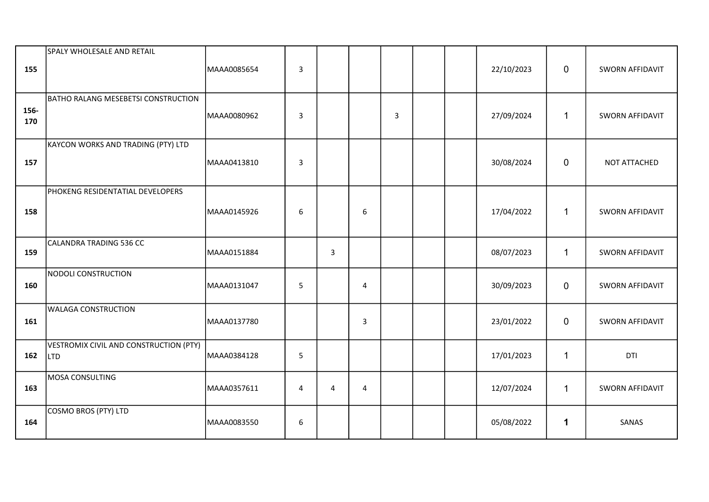| 155         | SPALY WHOLESALE AND RETAIL                           | MAAA0085654 | $\overline{3}$ |   |                |   |  | 22/10/2023 | $\mathbf 0$  | SWORN AFFIDAVIT        |
|-------------|------------------------------------------------------|-------------|----------------|---|----------------|---|--|------------|--------------|------------------------|
| 156-<br>170 | <b>BATHO RALANG MESEBETSI CONSTRUCTION</b>           | MAAA0080962 | $\overline{3}$ |   |                | 3 |  | 27/09/2024 | $\mathbf{1}$ | SWORN AFFIDAVIT        |
| 157         | KAYCON WORKS AND TRADING (PTY) LTD                   | MAAA0413810 | $\overline{3}$ |   |                |   |  | 30/08/2024 | $\mathbf 0$  | NOT ATTACHED           |
| 158         | PHOKENG RESIDENTATIAL DEVELOPERS                     | MAAA0145926 | 6              |   | 6              |   |  | 17/04/2022 | $\mathbf{1}$ | SWORN AFFIDAVIT        |
| 159         | CALANDRA TRADING 536 CC                              | MAAA0151884 |                | 3 |                |   |  | 08/07/2023 | $\mathbf{1}$ | SWORN AFFIDAVIT        |
| 160         | <b>NODOLI CONSTRUCTION</b>                           | MAAA0131047 | 5              |   | $\overline{4}$ |   |  | 30/09/2023 | $\mathbf 0$  | <b>SWORN AFFIDAVIT</b> |
| 161         | <b>WALAGA CONSTRUCTION</b>                           | MAAA0137780 |                |   | $\mathsf{3}$   |   |  | 23/01/2022 | $\mathbf 0$  | SWORN AFFIDAVIT        |
| 162         | VESTROMIX CIVIL AND CONSTRUCTION (PTY)<br><b>LTD</b> | MAAA0384128 | 5              |   |                |   |  | 17/01/2023 | $\mathbf{1}$ | DTI                    |
| 163         | MOSA CONSULTING                                      | MAAA0357611 | $\overline{4}$ | 4 | $\overline{4}$ |   |  | 12/07/2024 | $\mathbf{1}$ | SWORN AFFIDAVIT        |
| 164         | COSMO BROS (PTY) LTD                                 | MAAA0083550 | 6              |   |                |   |  | 05/08/2022 | $\mathbf 1$  | SANAS                  |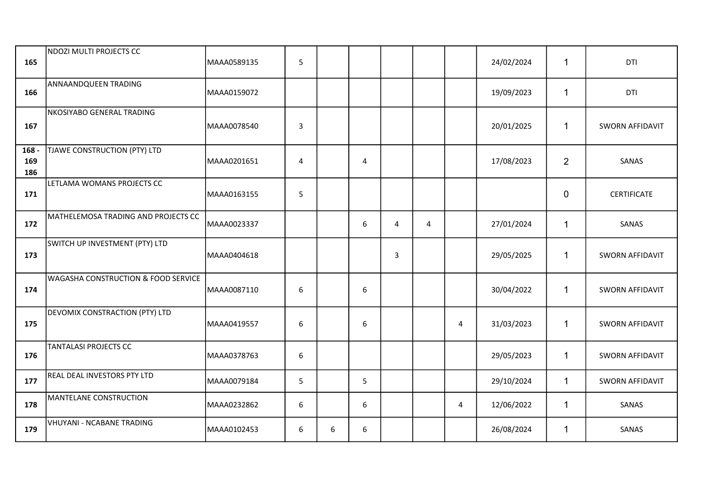| 165                   | NDOZI MULTI PROJECTS CC                        | MAAA0589135 | 5 |   |   |                |                |                | 24/02/2024 | $\mathbf 1$    | DTI                    |
|-----------------------|------------------------------------------------|-------------|---|---|---|----------------|----------------|----------------|------------|----------------|------------------------|
| 166                   | ANNAANDQUEEN TRADING                           | MAAA0159072 |   |   |   |                |                |                | 19/09/2023 | $\mathbf{1}$   | DTI                    |
| 167                   | NKOSIYABO GENERAL TRADING                      | MAAA0078540 | 3 |   |   |                |                |                | 20/01/2025 | $\mathbf{1}$   | <b>SWORN AFFIDAVIT</b> |
| $168 -$<br>169<br>186 | TJAWE CONSTRUCTION (PTY) LTD                   | MAAA0201651 | 4 |   | 4 |                |                |                | 17/08/2023 | $\overline{2}$ | SANAS                  |
| 171                   | LETLAMA WOMANS PROJECTS CC                     | MAAA0163155 | 5 |   |   |                |                |                |            | $\mathbf 0$    | CERTIFICATE            |
| 172                   | MATHELEMOSA TRADING AND PROJECTS CC            | MAAA0023337 |   |   | 6 | $\overline{4}$ | $\overline{4}$ |                | 27/01/2024 | $\mathbf{1}$   | SANAS                  |
| 173                   | SWITCH UP INVESTMENT (PTY) LTD                 | MAAA0404618 |   |   |   | 3              |                |                | 29/05/2025 | $\mathbf 1$    | <b>SWORN AFFIDAVIT</b> |
| 174                   | <b>WAGASHA CONSTRUCTION &amp; FOOD SERVICE</b> | MAAA0087110 | 6 |   | 6 |                |                |                | 30/04/2022 | $\mathbf{1}$   | <b>SWORN AFFIDAVIT</b> |
| 175                   | <b>DEVOMIX CONSTRACTION (PTY) LTD</b>          | MAAA0419557 | 6 |   | 6 |                |                | 4              | 31/03/2023 | $\mathbf 1$    | <b>SWORN AFFIDAVIT</b> |
| 176                   | <b>TANTALASI PROJECTS CC</b>                   | MAAA0378763 | 6 |   |   |                |                |                | 29/05/2023 | $\mathbf{1}$   | <b>SWORN AFFIDAVIT</b> |
| 177                   | REAL DEAL INVESTORS PTY LTD                    | MAAA0079184 | 5 |   | 5 |                |                |                | 29/10/2024 | $\mathbf{1}$   | <b>SWORN AFFIDAVIT</b> |
| 178                   | MANTELANE CONSTRUCTION                         | MAAA0232862 | 6 |   | 6 |                |                | $\overline{4}$ | 12/06/2022 | $\mathbf{1}$   | SANAS                  |
| 179                   | <b>VHUYANI - NCABANE TRADING</b>               | MAAA0102453 | 6 | 6 | 6 |                |                |                | 26/08/2024 | $\mathbf 1$    | SANAS                  |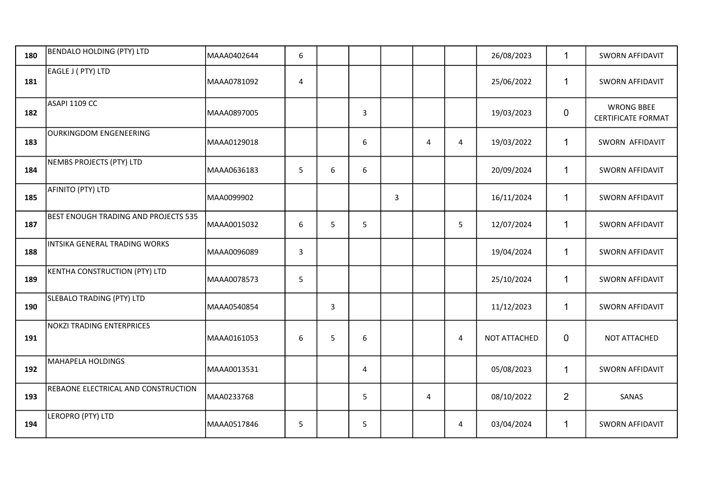| 180 | BENDALO HOLDING (PTY) LTD            | MAAA0402644 | 6                       |                |   |   |                         |                | 26/08/2023   | $\mathbf{1}$   | <b>SWORN AFFIDAVIT</b>                         |
|-----|--------------------------------------|-------------|-------------------------|----------------|---|---|-------------------------|----------------|--------------|----------------|------------------------------------------------|
| 181 | EAGLE J (PTY) LTD                    | MAAA0781092 | $\overline{\mathbf{4}}$ |                |   |   |                         |                | 25/06/2022   | $\mathbf{1}$   | <b>SWORN AFFIDAVIT</b>                         |
| 182 | ASAPI 1109 CC                        | MAAA0897005 |                         |                | 3 |   |                         |                | 19/03/2023   | $\mathbf 0$    | <b>WRONG BBEE</b><br><b>CERTIFICATE FORMAT</b> |
| 183 | OURKINGDOM ENGENEERING               | MAAA0129018 |                         |                | 6 |   | $\overline{\mathbf{4}}$ | $\pmb{4}$      | 19/03/2022   | $\mathbf{1}$   | SWORN AFFIDAVIT                                |
| 184 | NEMBS PROJECTS (PTY) LTD             | MAAA0636183 | 5                       | 6              | 6 |   |                         |                | 20/09/2024   | $\mathbf{1}$   | <b>SWORN AFFIDAVIT</b>                         |
| 185 | AFINITO (PTY) LTD                    | MAA0099902  |                         |                |   | 3 |                         |                | 16/11/2024   | $\mathbf{1}$   | <b>SWORN AFFIDAVIT</b>                         |
| 187 | BEST ENOUGH TRADING AND PROJECTS 535 | MAAA0015032 | 6                       | 5              | 5 |   |                         | 5              | 12/07/2024   | $\mathbf 1$    | <b>SWORN AFFIDAVIT</b>                         |
| 188 | INTSIKA GENERAL TRADING WORKS        | MAAA0096089 | 3                       |                |   |   |                         |                | 19/04/2024   | $\mathbf{1}$   | <b>SWORN AFFIDAVIT</b>                         |
| 189 | <b>KENTHA CONSTRUCTION (PTY) LTD</b> | MAAA0078573 | 5                       |                |   |   |                         |                | 25/10/2024   | $\mathbf{1}$   | <b>SWORN AFFIDAVIT</b>                         |
| 190 | SLEBALO TRADING (PTY) LTD            | MAAA0540854 |                         | $\overline{3}$ |   |   |                         |                | 11/12/2023   | $\mathbf{1}$   | <b>SWORN AFFIDAVIT</b>                         |
| 191 | NOKZI TRADING ENTERPRICES            | MAAA0161053 | 6                       | 5              | 6 |   |                         | $\overline{4}$ | NOT ATTACHED | 0              | NOT ATTACHED                                   |
| 192 | MAHAPELA HOLDINGS                    | MAAA0013531 |                         |                | 4 |   |                         |                | 05/08/2023   | $\mathbf{1}$   | <b>SWORN AFFIDAVIT</b>                         |
| 193 | REBAONE ELECTRICAL AND CONSTRUCTION  | MAA0233768  |                         |                | 5 |   | 4                       |                | 08/10/2022   | $\overline{2}$ | SANAS                                          |
| 194 | LEROPRO (PTY) LTD                    | MAAA0517846 | 5                       |                | 5 |   |                         | 4              | 03/04/2024   | $\mathbf{1}$   | <b>SWORN AFFIDAVIT</b>                         |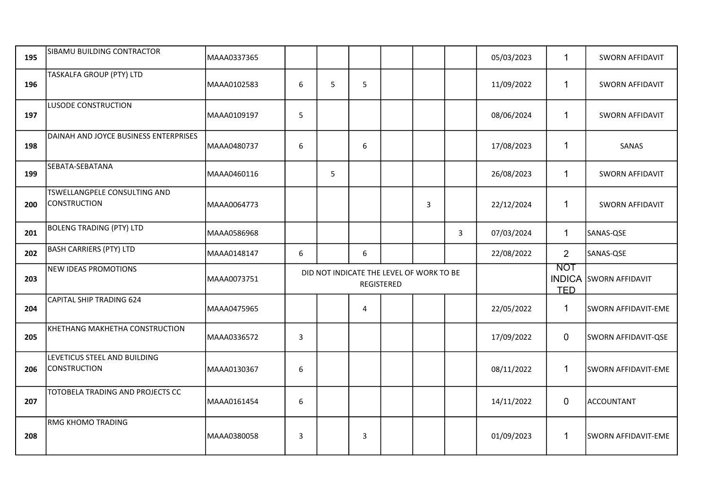| 195 | SIBAMU BUILDING CONTRACTOR                          | MAAA0337365 |                  |                                          |                   |   |   | 05/03/2023 | $\mathbf 1$                               | <b>SWORN AFFIDAVIT</b> |
|-----|-----------------------------------------------------|-------------|------------------|------------------------------------------|-------------------|---|---|------------|-------------------------------------------|------------------------|
| 196 | TASKALFA GROUP (PTY) LTD                            | MAAA0102583 | 6                | 5                                        | 5                 |   |   | 11/09/2022 | $\mathbf{1}$                              | SWORN AFFIDAVIT        |
| 197 | LUSODE CONSTRUCTION                                 | MAAA0109197 | 5                |                                          |                   |   |   | 08/06/2024 | $\mathbf{1}$                              | <b>SWORN AFFIDAVIT</b> |
| 198 | DAINAH AND JOYCE BUSINESS ENTERPRISES               | MAAA0480737 | 6                |                                          | 6                 |   |   | 17/08/2023 | $\mathbf 1$                               | SANAS                  |
| 199 | SEBATA-SEBATANA                                     | MAAA0460116 |                  | 5                                        |                   |   |   | 26/08/2023 | $\mathbf{1}$                              | <b>SWORN AFFIDAVIT</b> |
| 200 | TSWELLANGPELE CONSULTING AND<br><b>CONSTRUCTION</b> | MAAA0064773 |                  |                                          |                   | 3 |   | 22/12/2024 | $\mathbf 1$                               | <b>SWORN AFFIDAVIT</b> |
| 201 | <b>BOLENG TRADING (PTY) LTD</b>                     | MAAA0586968 |                  |                                          |                   |   | 3 | 07/03/2024 | $\mathbf{1}$                              | SANAS-QSE              |
| 202 | <b>BASH CARRIERS (PTY) LTD</b>                      | MAAA0148147 | 6                |                                          | 6                 |   |   | 22/08/2022 | $\overline{2}$                            | SANAS-QSE              |
| 203 | <b>NEW IDEAS PROMOTIONS</b>                         | MAAA0073751 |                  | DID NOT INDICATE THE LEVEL OF WORK TO BE | <b>REGISTERED</b> |   |   |            | <b>NOT</b><br><b>INDICA</b><br><b>TED</b> | <b>SWORN AFFIDAVIT</b> |
| 204 | <b>CAPITAL SHIP TRADING 624</b>                     | MAAA0475965 |                  |                                          | 4                 |   |   | 22/05/2022 | 1                                         | SWORN AFFIDAVIT-EME    |
| 205 | KHETHANG MAKHETHA CONSTRUCTION                      | MAAA0336572 | 3                |                                          |                   |   |   | 17/09/2022 | $\mathbf 0$                               | SWORN AFFIDAVIT-QSE    |
| 206 | LEVETICUS STEEL AND BUILDING<br><b>CONSTRUCTION</b> | MAAA0130367 | $\boldsymbol{6}$ |                                          |                   |   |   | 08/11/2022 | $\mathbf 1$                               | SWORN AFFIDAVIT-EME    |
| 207 | TOTOBELA TRADING AND PROJECTS CC                    | MAAA0161454 | 6                |                                          |                   |   |   | 14/11/2022 | $\mathbf 0$                               | <b>ACCOUNTANT</b>      |
| 208 | <b>RMG KHOMO TRADING</b>                            | MAAA0380058 | 3                |                                          | 3                 |   |   | 01/09/2023 | 1                                         | SWORN AFFIDAVIT-EME    |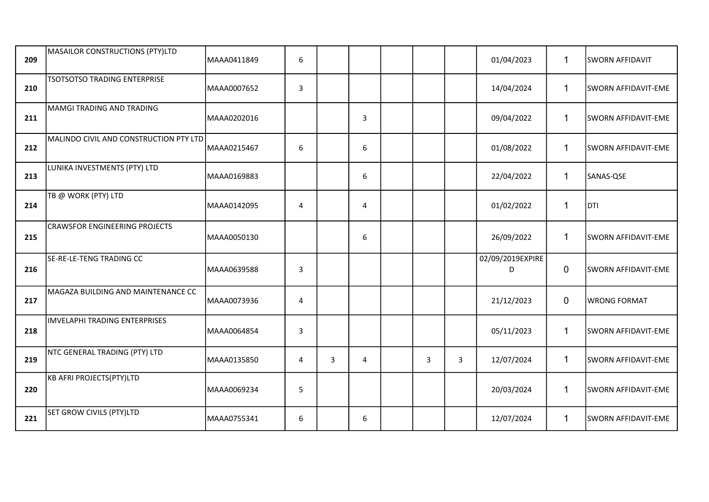| 209 | MASAILOR CONSTRUCTIONS (PTY)LTD        | MAAA0411849 | 6 |   |   |   |   | 01/04/2023            | $\mathbf{1}$ | <b>SWORN AFFIDAVIT</b> |
|-----|----------------------------------------|-------------|---|---|---|---|---|-----------------------|--------------|------------------------|
| 210 | <b>TSOTSOTSO TRADING ENTERPRISE</b>    | MAAA0007652 | 3 |   |   |   |   | 14/04/2024            | 1            | SWORN AFFIDAVIT-EME    |
| 211 | MAMGI TRADING AND TRADING              | MAAA0202016 |   |   | 3 |   |   | 09/04/2022            | $\mathbf{1}$ | SWORN AFFIDAVIT-EME    |
| 212 | MALINDO CIVIL AND CONSTRUCTION PTY LTD | MAAA0215467 | 6 |   | 6 |   |   | 01/08/2022            | $\mathbf{1}$ | SWORN AFFIDAVIT-EME    |
| 213 | LUNIKA INVESTMENTS (PTY) LTD           | MAAA0169883 |   |   | 6 |   |   | 22/04/2022            | $\mathbf{1}$ | SANAS-QSE              |
| 214 | TB @ WORK (PTY) LTD                    | MAAA0142095 | 4 |   | 4 |   |   | 01/02/2022            | $\mathbf{1}$ | <b>DTI</b>             |
| 215 | <b>CRAWSFOR ENGINEERING PROJECTS</b>   | MAAA0050130 |   |   | 6 |   |   | 26/09/2022            | $\mathbf{1}$ | SWORN AFFIDAVIT-EME    |
| 216 | SE-RE-LE-TENG TRADING CC               | MAAA0639588 | 3 |   |   |   |   | 02/09/2019EXPIRE<br>D | 0            | SWORN AFFIDAVIT-EME    |
| 217 | MAGAZA BUILDING AND MAINTENANCE CC     | MAAA0073936 | 4 |   |   |   |   | 21/12/2023            | $\mathbf 0$  | <b>WRONG FORMAT</b>    |
| 218 | IMVELAPHI TRADING ENTERPRISES          | MAAA0064854 | 3 |   |   |   |   | 05/11/2023            | $\mathbf{1}$ | SWORN AFFIDAVIT-EME    |
| 219 | NTC GENERAL TRADING (PTY) LTD          | MAAA0135850 | 4 | 3 | 4 | 3 | 3 | 12/07/2024            | $\mathbf{1}$ | SWORN AFFIDAVIT-EME    |
| 220 | KB AFRI PROJECTS(PTY)LTD               | MAAA0069234 | 5 |   |   |   |   | 20/03/2024            | $\mathbf{1}$ | SWORN AFFIDAVIT-EME    |
| 221 | SET GROW CIVILS (PTY)LTD               | MAAA0755341 | 6 |   | 6 |   |   | 12/07/2024            | $\mathbf{1}$ | SWORN AFFIDAVIT-EME    |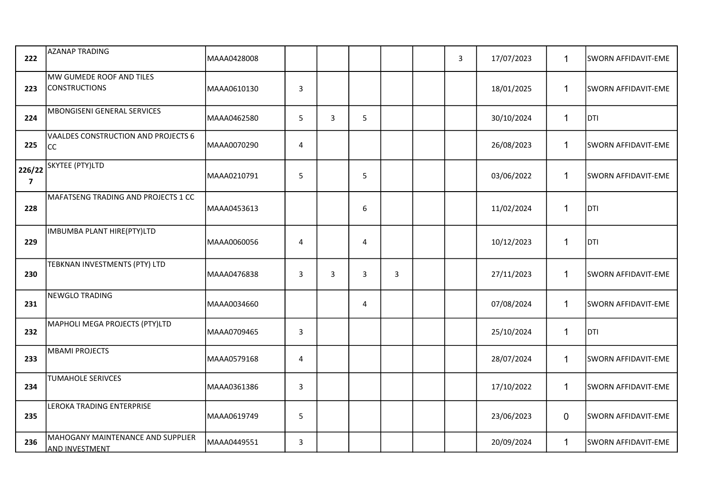| 222                      | <b>AZANAP TRADING</b>                                      | MAAA0428008  |              |   |   |   | $\mathbf{3}$ | 17/07/2023 | $\mathbf{1}$ | <b>SWORN AFFIDAVIT-EME</b> |
|--------------------------|------------------------------------------------------------|--------------|--------------|---|---|---|--------------|------------|--------------|----------------------------|
| 223                      | MW GUMEDE ROOF AND TILES<br><b>CONSTRUCTIONS</b>           | MAAA0610130  | $\mathbf{3}$ |   |   |   |              | 18/01/2025 | $\mathbf{1}$ | <b>SWORN AFFIDAVIT-EME</b> |
| 224                      | MBONGISENI GENERAL SERVICES                                | lMAAA0462580 | 5            | 3 | 5 |   |              | 30/10/2024 | $\mathbf{1}$ | DTI                        |
| 225                      | VAALDES CONSTRUCTION AND PROJECTS 6<br><sub>CC</sub>       | MAAA0070290  | 4            |   |   |   |              | 26/08/2023 | $\mathbf{1}$ | SWORN AFFIDAVIT-EME        |
| 226/22<br>$\overline{7}$ | SKYTEE (PTY)LTD                                            | MAAA0210791  | 5            |   | 5 |   |              | 03/06/2022 | $\mathbf{1}$ | <b>SWORN AFFIDAVIT-EME</b> |
| 228                      | MAFATSENG TRADING AND PROJECTS 1 CC                        | MAAA0453613  |              |   | 6 |   |              | 11/02/2024 | $\mathbf{1}$ | <b>DTI</b>                 |
| 229                      | IMBUMBA PLANT HIRE(PTY)LTD                                 | MAAA0060056  | 4            |   | 4 |   |              | 10/12/2023 | $\mathbf{1}$ | <b>DTI</b>                 |
| 230                      | TEBKNAN INVESTMENTS (PTY) LTD                              | MAAA0476838  | $\mathbf{3}$ | 3 | 3 | 3 |              | 27/11/2023 | $\mathbf{1}$ | <b>SWORN AFFIDAVIT-EME</b> |
| 231                      | <b>NEWGLO TRADING</b>                                      | MAAA0034660  |              |   | 4 |   |              | 07/08/2024 | $\mathbf{1}$ | SWORN AFFIDAVIT-EME        |
| 232                      | MAPHOLI MEGA PROJECTS (PTY)LTD                             | MAAA0709465  | $\mathbf{3}$ |   |   |   |              | 25/10/2024 | $\mathbf{1}$ | DTI                        |
| 233                      | <b>MBAMI PROJECTS</b>                                      | MAAA0579168  | 4            |   |   |   |              | 28/07/2024 | $\mathbf{1}$ | SWORN AFFIDAVIT-EME        |
| 234                      | TUMAHOLE SERIVCES                                          | MAAA0361386  | $\mathbf{3}$ |   |   |   |              | 17/10/2022 | $\mathbf{1}$ | SWORN AFFIDAVIT-EME        |
| 235                      | LEROKA TRADING ENTERPRISE                                  | MAAA0619749  | 5            |   |   |   |              | 23/06/2023 | 0            | SWORN AFFIDAVIT-EME        |
| 236                      | MAHOGANY MAINTENANCE AND SUPPLIER<br><b>AND INVESTMENT</b> | MAAA0449551  | $\mathbf{3}$ |   |   |   |              | 20/09/2024 | $\mathbf{1}$ | SWORN AFFIDAVIT-EME        |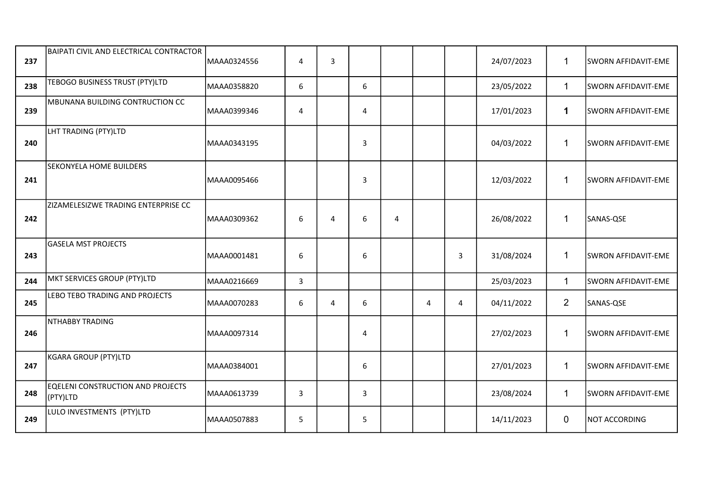| 237 | BAIPATI CIVIL AND ELECTRICAL CONTRACTOR       | MAAA0324556 | 4            | 3              |                |   |   |   | 24/07/2023 | $\mathbf{1}$   | SWORN AFFIDAVIT-EME |
|-----|-----------------------------------------------|-------------|--------------|----------------|----------------|---|---|---|------------|----------------|---------------------|
| 238 | TEBOGO BUSINESS TRUST (PTY)LTD                | MAAA0358820 | 6            |                | 6              |   |   |   | 23/05/2022 | $\mathbf{1}$   | SWORN AFFIDAVIT-EME |
| 239 | MBUNANA BUILDING CONTRUCTION CC               | MAAA0399346 | 4            |                | 4              |   |   |   | 17/01/2023 | $\mathbf 1$    | SWORN AFFIDAVIT-EME |
| 240 | LHT TRADING (PTY)LTD                          | MAAA0343195 |              |                | 3              |   |   |   | 04/03/2022 | $\mathbf 1$    | SWORN AFFIDAVIT-EME |
| 241 | <b>SEKONYELA HOME BUILDERS</b>                | MAAA0095466 |              |                | 3              |   |   |   | 12/03/2022 | $\mathbf 1$    | SWORN AFFIDAVIT-EME |
| 242 | ZIZAMELESIZWE TRADING ENTERPRISE CC           | MAAA0309362 | 6            | $\overline{4}$ | 6              | 4 |   |   | 26/08/2022 | $\mathbf{1}$   | SANAS-QSE           |
| 243 | <b>GASELA MST PROJECTS</b>                    | MAAA0001481 | 6            |                | 6              |   |   | 3 | 31/08/2024 | 1              | SWRON AFFIDAVIT-EME |
| 244 | MKT SERVICES GROUP (PTY)LTD                   | MAAA0216669 | $\mathbf{3}$ |                |                |   |   |   | 25/03/2023 | $\mathbf 1$    | SWORN AFFIDAVIT-EME |
| 245 | LEBO TEBO TRADING AND PROJECTS                | MAAA0070283 | 6            | $\overline{4}$ | 6              |   | 4 | 4 | 04/11/2022 | $\overline{2}$ | SANAS-QSE           |
| 246 | NTHABBY TRADING                               | MAAA0097314 |              |                | $\overline{4}$ |   |   |   | 27/02/2023 | 1              | SWORN AFFIDAVIT-EME |
| 247 | KGARA GROUP (PTY)LTD                          | MAAA0384001 |              |                | 6              |   |   |   | 27/01/2023 | $\mathbf{1}$   | SWORN AFFIDAVIT-EME |
| 248 | EQELENI CONSTRUCTION AND PROJECTS<br>(PTY)LTD | MAAA0613739 | 3            |                | 3              |   |   |   | 23/08/2024 | $\mathbf 1$    | SWORN AFFIDAVIT-EME |
| 249 | LULO INVESTMENTS (PTY)LTD                     | MAAA0507883 | 5            |                | 5              |   |   |   | 14/11/2023 | $\mathbf 0$    | NOT ACCORDING       |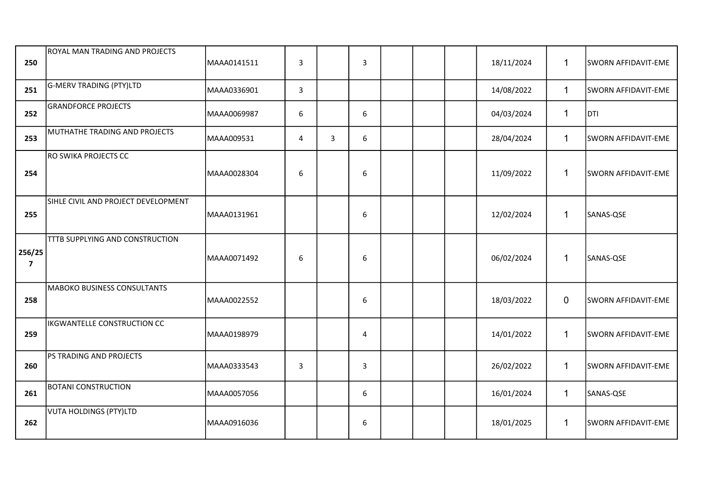| 250                               | <b>ROYAL MAN TRADING AND PROJECTS</b> | MAAA0141511 | $\overline{3}$   |   | $\overline{3}$ |  | 18/11/2024 | $\mathbf{1}$ | SWORN AFFIDAVIT-EME        |
|-----------------------------------|---------------------------------------|-------------|------------------|---|----------------|--|------------|--------------|----------------------------|
| 251                               | G-MERV TRADING (PTY)LTD               | MAAA0336901 | 3                |   |                |  | 14/08/2022 | $\mathbf{1}$ | SWORN AFFIDAVIT-EME        |
| 252                               | <b>GRANDFORCE PROJECTS</b>            | MAAA0069987 | $\boldsymbol{6}$ |   | 6              |  | 04/03/2024 | $\mathbf{1}$ | <b>DTI</b>                 |
| 253                               | MUTHATHE TRADING AND PROJECTS         | MAAA009531  | 4                | 3 | 6              |  | 28/04/2024 | $\mathbf{1}$ | SWORN AFFIDAVIT-EME        |
| 254                               | <b>RO SWIKA PROJECTS CC</b>           | MAAA0028304 | 6                |   | 6              |  | 11/09/2022 | $\mathbf{1}$ | SWORN AFFIDAVIT-EME        |
| 255                               | SIHLE CIVIL AND PROJECT DEVELOPMENT   | MAAA0131961 |                  |   | 6              |  | 12/02/2024 | $\mathbf{1}$ | SANAS-QSE                  |
| 256/25<br>$\overline{\mathbf{z}}$ | TTTB SUPPLYING AND CONSTRUCTION       | MAAA0071492 | 6                |   | 6              |  | 06/02/2024 | $\mathbf{1}$ | SANAS-QSE                  |
| 258                               | <b>MABOKO BUSINESS CONSULTANTS</b>    | MAAA0022552 |                  |   | 6              |  | 18/03/2022 | $\mathbf 0$  | <b>SWORN AFFIDAVIT-EME</b> |
| 259                               | IKGWANTELLE CONSTRUCTION CC           | MAAA0198979 |                  |   | $\overline{4}$ |  | 14/01/2022 | $\mathbf 1$  | SWORN AFFIDAVIT-EME        |
| 260                               | PS TRADING AND PROJECTS               | MAAA0333543 | $\mathbf{3}$     |   | 3              |  | 26/02/2022 | $\mathbf 1$  | SWORN AFFIDAVIT-EME        |
| 261                               | <b>BOTANI CONSTRUCTION</b>            | MAAA0057056 |                  |   | 6              |  | 16/01/2024 | $\mathbf{1}$ | SANAS-QSE                  |
| 262                               | VUTA HOLDINGS (PTY)LTD                | MAAA0916036 |                  |   | 6              |  | 18/01/2025 | $\mathbf{1}$ | SWORN AFFIDAVIT-EME        |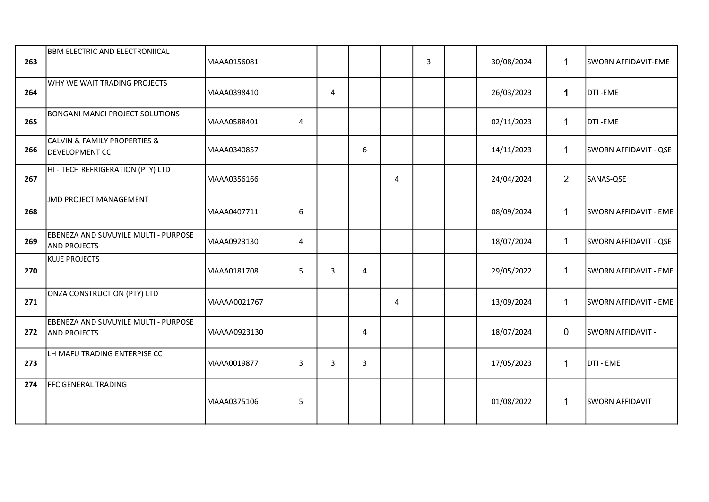| 263 | BBM ELECTRIC AND ELECTRONIICAL                                       | MAAA0156081  |   |                |   |                | 3 | 30/08/2024 | $\mathbf{1}$   | SWORN AFFIDAVIT-EME      |
|-----|----------------------------------------------------------------------|--------------|---|----------------|---|----------------|---|------------|----------------|--------------------------|
| 264 | WHY WE WAIT TRADING PROJECTS                                         | MAAA0398410  |   | $\overline{4}$ |   |                |   | 26/03/2023 | $\mathbf 1$    | DTI-EME                  |
| 265 | <b>BONGANI MANCI PROJECT SOLUTIONS</b>                               | MAAA0588401  | 4 |                |   |                |   | 02/11/2023 | $\mathbf{1}$   | DTI-EME                  |
| 266 | <b>CALVIN &amp; FAMILY PROPERTIES &amp;</b><br><b>DEVELOPMENT CC</b> | MAAA0340857  |   |                | 6 |                |   | 14/11/2023 | $\mathbf{1}$   | SWORN AFFIDAVIT - QSE    |
| 267 | HI - TECH REFRIGERATION (PTY) LTD                                    | MAAA0356166  |   |                |   | 4              |   | 24/04/2024 | $\overline{2}$ | SANAS-QSE                |
| 268 | <b>JMD PROJECT MANAGEMENT</b>                                        | MAAA0407711  | 6 |                |   |                |   | 08/09/2024 | $\mathbf{1}$   | SWORN AFFIDAVIT - EME    |
| 269 | EBENEZA AND SUVUYILE MULTI - PURPOSE<br><b>AND PROJECTS</b>          | MAAA0923130  | 4 |                |   |                |   | 18/07/2024 | $\mathbf{1}$   | SWORN AFFIDAVIT - QSE    |
| 270 | <b>KUJE PROJECTS</b>                                                 | MAAA0181708  | 5 | 3              | 4 |                |   | 29/05/2022 | $\mathbf{1}$   | SWORN AFFIDAVIT - EME    |
| 271 | <b>ONZA CONSTRUCTION (PTY) LTD</b>                                   | MAAAA0021767 |   |                |   | $\overline{4}$ |   | 13/09/2024 | $\mathbf{1}$   | SWORN AFFIDAVIT - EME    |
| 272 | EBENEZA AND SUVUYILE MULTI - PURPOSE<br><b>AND PROJECTS</b>          | MAAAA0923130 |   |                | 4 |                |   | 18/07/2024 | $\overline{0}$ | <b>SWORN AFFIDAVIT -</b> |
| 273 | LH MAFU TRADING ENTERPISE CC                                         | MAAA0019877  | 3 | $\overline{3}$ | 3 |                |   | 17/05/2023 | $\mathbf{1}$   | DTI - EME                |
| 274 | FFC GENERAL TRADING                                                  | MAAA0375106  | 5 |                |   |                |   | 01/08/2022 | $\mathbf{1}$   | <b>SWORN AFFIDAVIT</b>   |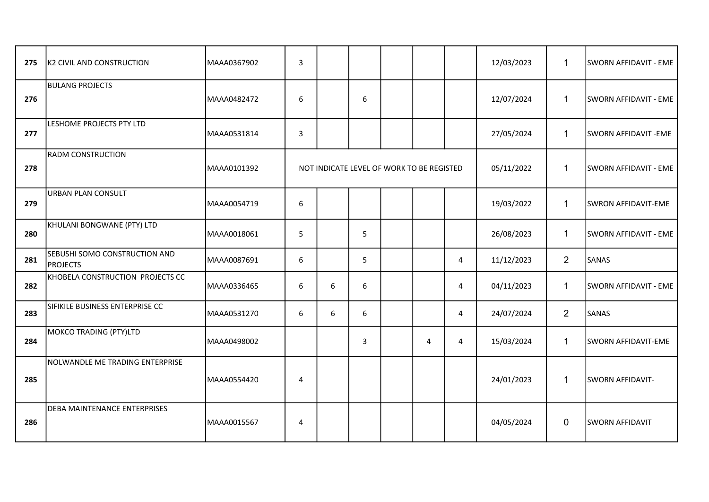| 275 | K2 CIVIL AND CONSTRUCTION                        | MAAA0367902 | $\overline{3}$   |   |                                           |   |   | 12/03/2023 | $\mathbf{1}$   | SWORN AFFIDAVIT - EME   |
|-----|--------------------------------------------------|-------------|------------------|---|-------------------------------------------|---|---|------------|----------------|-------------------------|
| 276 | <b>BULANG PROJECTS</b>                           | MAAA0482472 | $\boldsymbol{6}$ |   | 6                                         |   |   | 12/07/2024 | $\mathbf{1}$   | SWORN AFFIDAVIT - EME   |
| 277 | LESHOME PROJECTS PTY LTD                         | MAAA0531814 | $\overline{3}$   |   |                                           |   |   | 27/05/2024 | $\mathbf{1}$   | SWORN AFFIDAVIT -EME    |
| 278 | <b>RADM CONSTRUCTION</b>                         | MAAA0101392 |                  |   | NOT INDICATE LEVEL OF WORK TO BE REGISTED |   |   | 05/11/2022 | $\mathbf{1}$   | SWORN AFFIDAVIT - EME   |
| 279 | <b>URBAN PLAN CONSULT</b>                        | MAAA0054719 | 6                |   |                                           |   |   | 19/03/2022 | $\mathbf{1}$   | SWRON AFFIDAVIT-EME     |
| 280 | KHULANI BONGWANE (PTY) LTD                       | MAAA0018061 | 5                |   | 5                                         |   |   | 26/08/2023 | $\mathbf{1}$   | SWORN AFFIDAVIT - EME   |
| 281 | SEBUSHI SOMO CONSTRUCTION AND<br><b>PROJECTS</b> | MAAA0087691 | 6                |   | 5                                         |   | 4 | 11/12/2023 | $\overline{2}$ | SANAS                   |
| 282 | KHOBELA CONSTRUCTION PROJECTS CC                 | MAAA0336465 | 6                | 6 | 6                                         |   | 4 | 04/11/2023 | $\mathbf{1}$   | SWORN AFFIDAVIT - EME   |
| 283 | SIFIKILE BUSINESS ENTERPRISE CC                  | MAAA0531270 | 6                | 6 | 6                                         |   | 4 | 24/07/2024 | $\overline{2}$ | SANAS                   |
| 284 | <b>MOKCO TRADING (PTY)LTD</b>                    | MAAA0498002 |                  |   | 3                                         | 4 | 4 | 15/03/2024 | $\mathbf{1}$   | SWORN AFFIDAVIT-EME     |
| 285 | NOLWANDLE ME TRADING ENTERPRISE                  | MAAA0554420 | 4                |   |                                           |   |   | 24/01/2023 | $\mathbf{1}$   | <b>SWORN AFFIDAVIT-</b> |
| 286 | <b>DEBA MAINTENANCE ENTERPRISES</b>              | MAAA0015567 | $\overline{4}$   |   |                                           |   |   | 04/05/2024 | $\overline{0}$ | <b>SWORN AFFIDAVIT</b>  |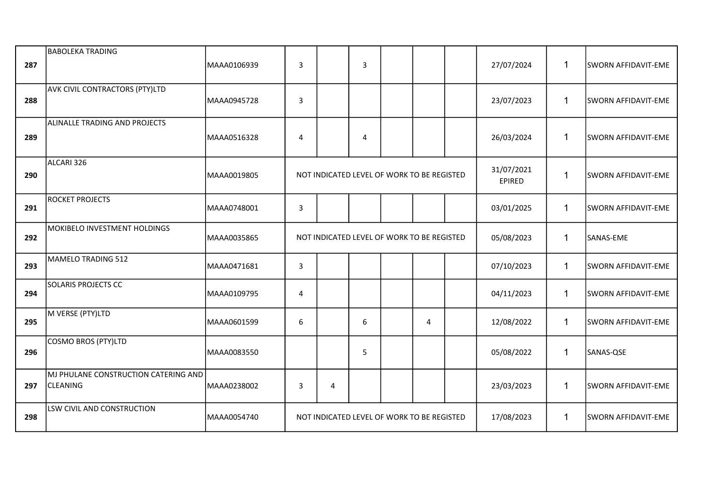| 287 | <b>BABOLEKA TRADING</b>                                 | MAAA0106939 | 3              |                                            | $\overline{3}$ |   | 27/07/2024                  | $\mathbf{1}$ | SWORN AFFIDAVIT-EME        |
|-----|---------------------------------------------------------|-------------|----------------|--------------------------------------------|----------------|---|-----------------------------|--------------|----------------------------|
| 288 | <b>AVK CIVIL CONTRACTORS (PTY)LTD</b>                   | MAAA0945728 | $\mathsf{3}$   |                                            |                |   | 23/07/2023                  | $\mathbf{1}$ | SWORN AFFIDAVIT-EME        |
| 289 | ALINALLE TRADING AND PROJECTS                           | MAAA0516328 | 4              |                                            | $\overline{4}$ |   | 26/03/2024                  | $\mathbf{1}$ | SWORN AFFIDAVIT-EME        |
| 290 | ALCARI 326                                              | MAAA0019805 |                | NOT INDICATED LEVEL OF WORK TO BE REGISTED |                |   | 31/07/2021<br><b>EPIRED</b> | $\mathbf{1}$ | SWORN AFFIDAVIT-EME        |
| 291 | <b>ROCKET PROJECTS</b>                                  | MAAA0748001 | $\mathsf{3}$   |                                            |                |   | 03/01/2025                  | $\mathbf{1}$ | SWORN AFFIDAVIT-EME        |
| 292 | MOKIBELO INVESTMENT HOLDINGS                            | MAAA0035865 |                | NOT INDICATED LEVEL OF WORK TO BE REGISTED |                |   | 05/08/2023                  | $\mathbf{1}$ | SANAS-EME                  |
| 293 | MAMELO TRADING 512                                      | MAAA0471681 | $\overline{3}$ |                                            |                |   | 07/10/2023                  | $\mathbf{1}$ | SWORN AFFIDAVIT-EME        |
| 294 | <b>SOLARIS PROJECTS CC</b>                              | MAAA0109795 | 4              |                                            |                |   | 04/11/2023                  | $\mathbf{1}$ | <b>SWORN AFFIDAVIT-EME</b> |
| 295 | M VERSE (PTY)LTD                                        | MAAA0601599 | 6              |                                            | 6              | 4 | 12/08/2022                  | $\mathbf{1}$ | <b>SWORN AFFIDAVIT-EME</b> |
| 296 | COSMO BROS (PTY)LTD                                     | MAAA0083550 |                |                                            | 5              |   | 05/08/2022                  | $\mathbf{1}$ | SANAS-QSE                  |
| 297 | MJ PHULANE CONSTRUCTION CATERING AND<br><b>CLEANING</b> | MAAA0238002 | 3              | 4                                          |                |   | 23/03/2023                  | $\mathbf{1}$ | SWORN AFFIDAVIT-EME        |
| 298 | LSW CIVIL AND CONSTRUCTION                              | MAAA0054740 |                | NOT INDICATED LEVEL OF WORK TO BE REGISTED |                |   | 17/08/2023                  | $\mathbf{1}$ | <b>SWORN AFFIDAVIT-EME</b> |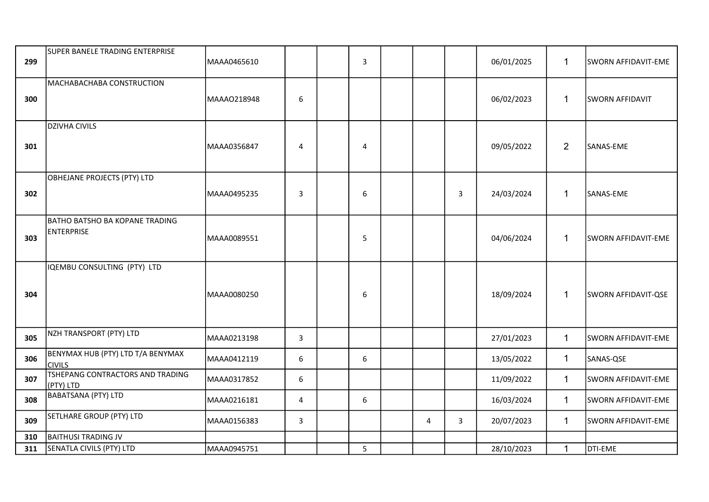| 299 | SUPER BANELE TRADING ENTERPRISE                            | MAAA0465610 |                | $\mathbf{3}$   |   |                | 06/01/2025 | $\mathbf{1}$   | SWORN AFFIDAVIT-EME        |
|-----|------------------------------------------------------------|-------------|----------------|----------------|---|----------------|------------|----------------|----------------------------|
| 300 | MACHABACHABA CONSTRUCTION                                  | MAAA0218948 | 6              |                |   |                | 06/02/2023 | $\mathbf{1}$   | <b>SWORN AFFIDAVIT</b>     |
| 301 | <b>DZIVHA CIVILS</b>                                       | MAAA0356847 | $\overline{4}$ | $\overline{4}$ |   |                | 09/05/2022 | $\overline{2}$ | SANAS-EME                  |
| 302 | OBHEJANE PROJECTS (PTY) LTD                                | MAAA0495235 | $\mathbf{3}$   | 6              |   | $\overline{3}$ | 24/03/2024 | $\mathbf{1}$   | SANAS-EME                  |
| 303 | <b>BATHO BATSHO BA KOPANE TRADING</b><br><b>ENTERPRISE</b> | MAAA0089551 |                | 5              |   |                | 04/06/2024 | $\mathbf{1}$   | SWORN AFFIDAVIT-EME        |
| 304 | IQEMBU CONSULTING (PTY) LTD                                | MAAA0080250 |                | 6              |   |                | 18/09/2024 | $\mathbf{1}$   | <b>SWORN AFFIDAVIT-QSE</b> |
| 305 | NZH TRANSPORT (PTY) LTD                                    | MAAA0213198 | 3              |                |   |                | 27/01/2023 | $\mathbf{1}$   | SWORN AFFIDAVIT-EME        |
| 306 | BENYMAX HUB (PTY) LTD T/A BENYMAX<br><b>CIVILS</b>         | MAAA0412119 | 6              | 6              |   |                | 13/05/2022 | $\mathbf{1}$   | SANAS-QSE                  |
| 307 | TSHEPANG CONTRACTORS AND TRADING<br>(PTY) LTD              | MAAA0317852 | 6              |                |   |                | 11/09/2022 | $\mathbf{1}$   | SWORN AFFIDAVIT-EME        |
| 308 | <b>BABATSANA (PTY) LTD</b>                                 | MAAA0216181 | 4              | $6\phantom{1}$ |   |                | 16/03/2024 | $\mathbf{1}$   | <b>SWORN AFFIDAVIT-EME</b> |
| 309 | SETLHARE GROUP (PTY) LTD                                   | MAAA0156383 | 3              |                | 4 | $\overline{3}$ | 20/07/2023 | $\mathbf{1}$   | SWORN AFFIDAVIT-EME        |
| 310 | <b>BAITHUSI TRADING JV</b>                                 |             |                |                |   |                |            |                |                            |
| 311 | SENATLA CIVILS (PTY) LTD                                   | MAAA0945751 |                | 5              |   |                | 28/10/2023 | $\mathbf{1}$   | DTI-EME                    |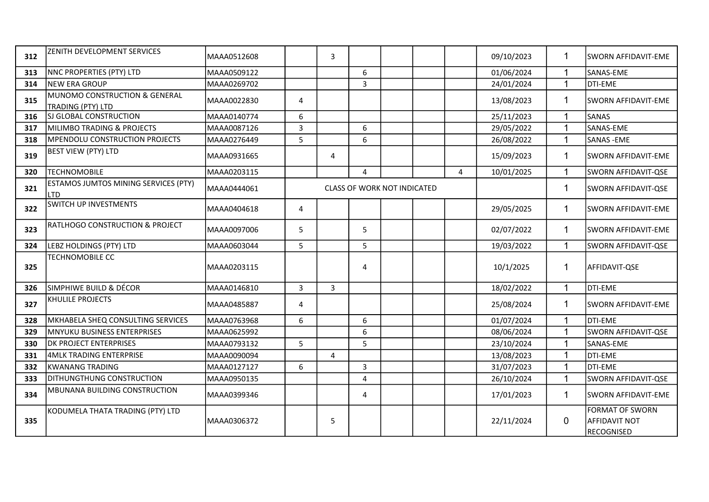| 312 | ZENITH DEVELOPMENT SERVICES                               | MAAA0512608 |   | 3 |                                    |  |   | 09/10/2023 | $\mathbf 1$             | <b>SWORN AFFIDAVIT-EME</b>                                   |
|-----|-----------------------------------------------------------|-------------|---|---|------------------------------------|--|---|------------|-------------------------|--------------------------------------------------------------|
| 313 | NNC PROPERTIES (PTY) LTD                                  | MAAA0509122 |   |   | 6                                  |  |   | 01/06/2024 |                         | SANAS-EME                                                    |
| 314 | <b>NEW ERA GROUP</b>                                      | MAAA0269702 |   |   | $\overline{3}$                     |  |   | 24/01/2024 | $\overline{1}$          | DTI-EME                                                      |
| 315 | MUNOMO CONSTRUCTION & GENERAL<br>TRADING (PTY) LTD        | MAAA0022830 | 4 |   |                                    |  |   | 13/08/2023 | 1                       | <b>SWORN AFFIDAVIT-EME</b>                                   |
| 316 | SJ GLOBAL CONSTRUCTION                                    | MAAA0140774 | 6 |   |                                    |  |   | 25/11/2023 |                         | <b>SANAS</b>                                                 |
| 317 | MILIMBO TRADING & PROJECTS                                | MAAA0087126 | 3 |   | 6                                  |  |   | 29/05/2022 |                         | SANAS-EME                                                    |
| 318 | <b>MPENDOLU CONSTRUCTION PROJECTS</b>                     | MAAA0276449 | 5 |   | 6                                  |  |   | 26/08/2022 |                         | <b>SANAS - EME</b>                                           |
| 319 | <b>BEST VIEW (PTY) LTD</b>                                | MAAA0931665 |   | 4 |                                    |  |   | 15/09/2023 | $\mathbf 1$             | SWORN AFFIDAVIT-EME                                          |
| 320 | <b>TECHNOMOBILE</b>                                       | MAAA0203115 |   |   | 4                                  |  | 4 | 10/01/2025 | 1                       | SWORN AFFIDAVIT-QSE                                          |
| 321 | <b>ESTAMOS JUMTOS MINING SERVICES (PTY)</b><br><b>LTD</b> | MAAA0444061 |   |   | <b>CLASS OF WORK NOT INDICATED</b> |  |   |            | 1                       | SWORN AFFIDAVIT-QSE                                          |
| 322 | <b>SWITCH UP INVESTMENTS</b>                              | MAAA0404618 | 4 |   |                                    |  |   | 29/05/2025 | 1                       | <b>SWORN AFFIDAVIT-EME</b>                                   |
| 323 | RATLHOGO CONSTRUCTION & PROJECT                           | MAAA0097006 | 5 |   | 5                                  |  |   | 02/07/2022 | $\mathbf{1}$            | SWORN AFFIDAVIT-EME                                          |
| 324 | LEBZ HOLDINGS (PTY) LTD                                   | MAAA0603044 | 5 |   | 5                                  |  |   | 19/03/2022 |                         | SWORN AFFIDAVIT-QSE                                          |
| 325 | <b>TECHNOMOBILE CC</b>                                    | MAAA0203115 |   |   | 4                                  |  |   | 10/1/2025  | $\overline{1}$          | AFFIDAVIT-QSE                                                |
| 326 | SIMPHIWE BUILD & DÉCOR                                    | MAAA0146810 | 3 | 3 |                                    |  |   | 18/02/2022 | 1                       | DTI-EME                                                      |
| 327 | KHULILE PROJECTS                                          | MAAA0485887 | 4 |   |                                    |  |   | 25/08/2024 | 1                       | SWORN AFFIDAVIT-EME                                          |
| 328 | MKHABELA SHEQ CONSULTING SERVICES                         | MAAA0763968 | 6 |   | 6                                  |  |   | 01/07/2024 | $\overline{\mathbf{A}}$ | DTI-EME                                                      |
| 329 | MNYUKU BUSINESS ENTERPRISES                               | MAAA0625992 |   |   | 6                                  |  |   | 08/06/2024 |                         | SWORN AFFIDAVIT-QSE                                          |
| 330 | <b>DK PROJECT ENTERPRISES</b>                             | MAAA0793132 | 5 |   | 5                                  |  |   | 23/10/2024 | $\overline{\mathbf{A}}$ | SANAS-EME                                                    |
| 331 | <b>4MLK TRADING ENTERPRISE</b>                            | MAAA0090094 |   | 4 |                                    |  |   | 13/08/2023 |                         | DTI-EME                                                      |
| 332 | KWANANG TRADING                                           | MAAA0127127 | 6 |   | 3                                  |  |   | 31/07/2023 | 1                       | DTI-EME                                                      |
| 333 | DITHUNGTHUNG CONSTRUCTION                                 | MAAA0950135 |   |   | $\overline{4}$                     |  |   | 26/10/2024 | 1                       | SWORN AFFIDAVIT-QSE                                          |
| 334 | MBUNANA BUILDING CONSTRUCTION                             | MAAA0399346 |   |   | 4                                  |  |   | 17/01/2023 | $\mathbf 1$             | lsworn affidavit-eme                                         |
| 335 | KODUMELA THATA TRADING (PTY) LTD                          | MAAA0306372 |   | 5 |                                    |  |   | 22/11/2024 | $\overline{0}$          | <b>FORMAT OF SWORN</b><br><b>AFFIDAVIT NOT</b><br>RECOGNISED |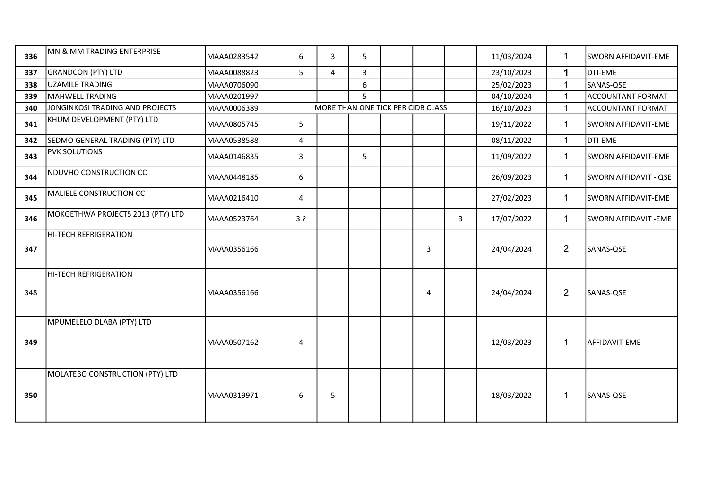| 336 | MN & MM TRADING ENTERPRISE        | MAAA0283542 | 6     | 3 | 5 |                                   |   |   | 11/03/2024 | $\mathbf{1}$   | SWORN AFFIDAVIT-EME      |
|-----|-----------------------------------|-------------|-------|---|---|-----------------------------------|---|---|------------|----------------|--------------------------|
| 337 | <b>GRANDCON (PTY) LTD</b>         | MAAA0088823 | 5     | 4 | 3 |                                   |   |   | 23/10/2023 | 1              | DTI-EME                  |
| 338 | <b>UZAMILE TRADING</b>            | MAAA0706090 |       |   | 6 |                                   |   |   | 25/02/2023 | $\mathbf{1}$   | SANAS-QSE                |
| 339 | <b>MAHWELL TRADING</b>            | MAAA0201997 |       |   | 5 |                                   |   |   | 04/10/2024 | $\mathbf 1$    | <b>ACCOUNTANT FORMAT</b> |
| 340 | JONGINKOSI TRADING AND PROJECTS   | MAAA0006389 |       |   |   | MORE THAN ONE TICK PER CIDB CLASS |   |   | 16/10/2023 | 1              | <b>ACCOUNTANT FORMAT</b> |
| 341 | KHUM DEVELOPMENT (PTY) LTD        | MAAA0805745 | 5     |   |   |                                   |   |   | 19/11/2022 | $\mathbf 1$    | SWORN AFFIDAVIT-EME      |
| 342 | SEDMO GENERAL TRADING (PTY) LTD   | MAAA0538588 | 4     |   |   |                                   |   |   | 08/11/2022 | $\mathbf 1$    | <b>DTI-EME</b>           |
| 343 | PVK SOLUTIONS                     | MAAA0146835 | 3     |   | 5 |                                   |   |   | 11/09/2022 | $\overline{1}$ | SWORN AFFIDAVIT-EME      |
| 344 | NDUVHO CONSTRUCTION CC            | MAAA0448185 | 6     |   |   |                                   |   |   | 26/09/2023 | $\mathbf{1}$   | SWORN AFFIDAVIT - QSE    |
| 345 | MALIELE CONSTRUCTION CC           | MAAA0216410 | 4     |   |   |                                   |   |   | 27/02/2023 | $\overline{1}$ | SWORN AFFIDAVIT-EME      |
| 346 | MOKGETHWA PROJECTS 2013 (PTY) LTD | MAAA0523764 | $3$ ? |   |   |                                   |   | 3 | 17/07/2022 | $\mathbf{1}$   | SWORN AFFIDAVIT - EME    |
| 347 | <b>HI-TECH REFRIGERATION</b>      | MAAA0356166 |       |   |   |                                   | 3 |   | 24/04/2024 | $\overline{2}$ | SANAS-QSE                |
| 348 | HI-TECH REFRIGERATION             | MAAA0356166 |       |   |   |                                   | 4 |   | 24/04/2024 | $\overline{2}$ | SANAS-QSE                |
| 349 | MPUMELELO DLABA (PTY) LTD         | MAAA0507162 | 4     |   |   |                                   |   |   | 12/03/2023 | 1              | AFFIDAVIT-EME            |
| 350 | MOLATEBO CONSTRUCTION (PTY) LTD   | MAAA0319971 | 6     | 5 |   |                                   |   |   | 18/03/2022 | 1              | SANAS-QSE                |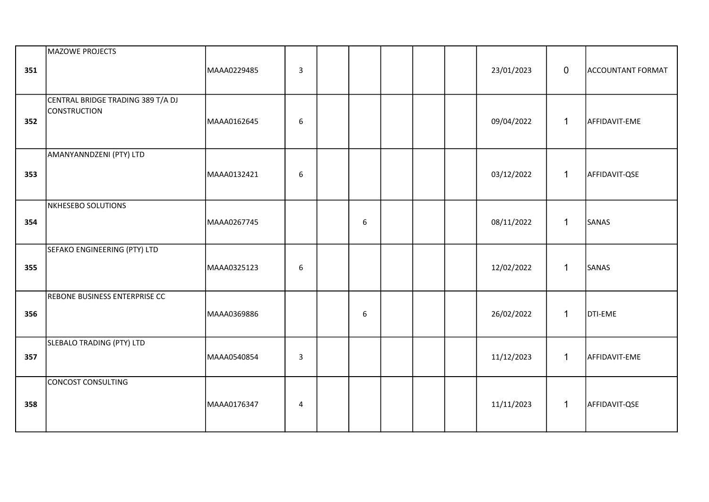| 351 | MAZOWE PROJECTS                                          | MAAA0229485 | $\overline{\mathbf{3}}$ |   |  | 23/01/2023 | $\mathbf 0$  | <b>ACCOUNTANT FORMAT</b> |
|-----|----------------------------------------------------------|-------------|-------------------------|---|--|------------|--------------|--------------------------|
| 352 | CENTRAL BRIDGE TRADING 389 T/A DJ<br><b>CONSTRUCTION</b> | MAAA0162645 | 6                       |   |  | 09/04/2022 | $\mathbf{1}$ | AFFIDAVIT-EME            |
| 353 | AMANYANNDZENI (PTY) LTD                                  | MAAA0132421 | 6                       |   |  | 03/12/2022 | $\mathbf{1}$ | AFFIDAVIT-QSE            |
| 354 | NKHESEBO SOLUTIONS                                       | MAAA0267745 |                         | 6 |  | 08/11/2022 | $\mathbf{1}$ | SANAS                    |
| 355 | SEFAKO ENGINEERING (PTY) LTD                             | MAAA0325123 | 6                       |   |  | 12/02/2022 | $\mathbf{1}$ | SANAS                    |
| 356 | REBONE BUSINESS ENTERPRISE CC                            | MAAA0369886 |                         | 6 |  | 26/02/2022 | $\mathbf{1}$ | DTI-EME                  |
| 357 | SLEBALO TRADING (PTY) LTD                                | MAAA0540854 | $\overline{3}$          |   |  | 11/12/2023 | $\mathbf{1}$ | AFFIDAVIT-EME            |
| 358 | CONCOST CONSULTING                                       | MAAA0176347 | 4                       |   |  | 11/11/2023 | $\mathbf{1}$ | AFFIDAVIT-QSE            |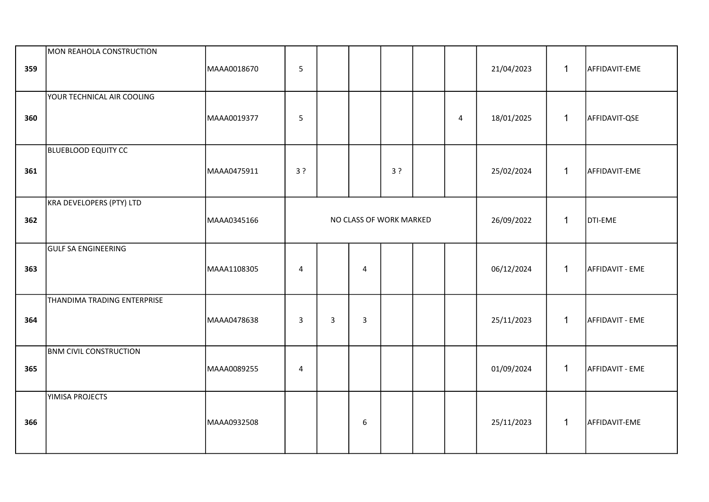| 359 | MON REAHOLA CONSTRUCTION      | MAAA0018670 | 5              |   |                         |    |                | 21/04/2023 | $\mathbf{1}$ | AFFIDAVIT-EME   |
|-----|-------------------------------|-------------|----------------|---|-------------------------|----|----------------|------------|--------------|-----------------|
| 360 | YOUR TECHNICAL AIR COOLING    | MAAA0019377 | 5              |   |                         |    | $\overline{4}$ | 18/01/2025 | $\mathbf{1}$ | AFFIDAVIT-QSE   |
| 361 | <b>BLUEBLOOD EQUITY CC</b>    | MAAA0475911 | 3?             |   |                         | 3? |                | 25/02/2024 | $\mathbf{1}$ | AFFIDAVIT-EME   |
| 362 | KRA DEVELOPERS (PTY) LTD      | MAAA0345166 |                |   | NO CLASS OF WORK MARKED |    |                | 26/09/2022 | $\mathbf{1}$ | DTI-EME         |
| 363 | <b>GULF SA ENGINEERING</b>    | MAAA1108305 | $\overline{4}$ |   | 4                       |    |                | 06/12/2024 | $\mathbf{1}$ | AFFIDAVIT - EME |
| 364 | THANDIMA TRADING ENTERPRISE   | MAAA0478638 | $\overline{3}$ | 3 | 3                       |    |                | 25/11/2023 | $\mathbf{1}$ | AFFIDAVIT - EME |
| 365 | <b>BNM CIVIL CONSTRUCTION</b> | MAAA0089255 | $\sqrt{4}$     |   |                         |    |                | 01/09/2024 | $\mathbf{1}$ | AFFIDAVIT - EME |
| 366 | YIMISA PROJECTS               | MAAA0932508 |                |   | 6                       |    |                | 25/11/2023 | $\mathbf{1}$ | AFFIDAVIT-EME   |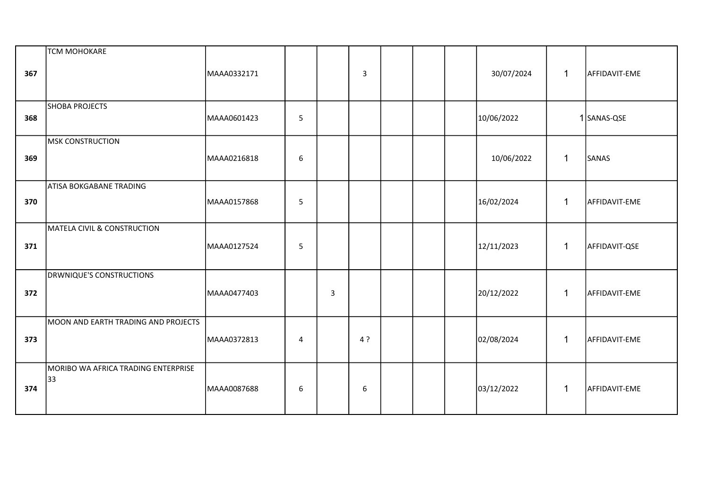| 367 | <b>TCM MOHOKARE</b>                       | MAAA0332171 |                |   | 3   |  | 30/07/2024 | $\mathbf 1$  | AFFIDAVIT-EME |
|-----|-------------------------------------------|-------------|----------------|---|-----|--|------------|--------------|---------------|
| 368 | <b>SHOBA PROJECTS</b>                     | MAAA0601423 | $5\phantom{.}$ |   |     |  | 10/06/2022 |              | 1 SANAS-QSE   |
| 369 | MSK CONSTRUCTION                          | MAAA0216818 | 6              |   |     |  | 10/06/2022 | $\mathbf{1}$ | SANAS         |
| 370 | <b>ATISA BOKGABANE TRADING</b>            | MAAA0157868 | $\overline{5}$ |   |     |  | 16/02/2024 | $\mathbf 1$  | AFFIDAVIT-EME |
| 371 | MATELA CIVIL & CONSTRUCTION               | MAAA0127524 | 5              |   |     |  | 12/11/2023 | $\mathbf{1}$ | AFFIDAVIT-QSE |
| 372 | <b>DRWNIQUE'S CONSTRUCTIONS</b>           | MAAA0477403 |                | 3 |     |  | 20/12/2022 | $\mathbf{1}$ | AFFIDAVIT-EME |
| 373 | MOON AND EARTH TRADING AND PROJECTS       | MAAA0372813 | 4              |   | 4 ? |  | 02/08/2024 | $\mathbf{1}$ | AFFIDAVIT-EME |
| 374 | MORIBO WA AFRICA TRADING ENTERPRISE<br>33 | MAAA0087688 | 6              |   | 6   |  | 03/12/2022 | $\mathbf{1}$ | AFFIDAVIT-EME |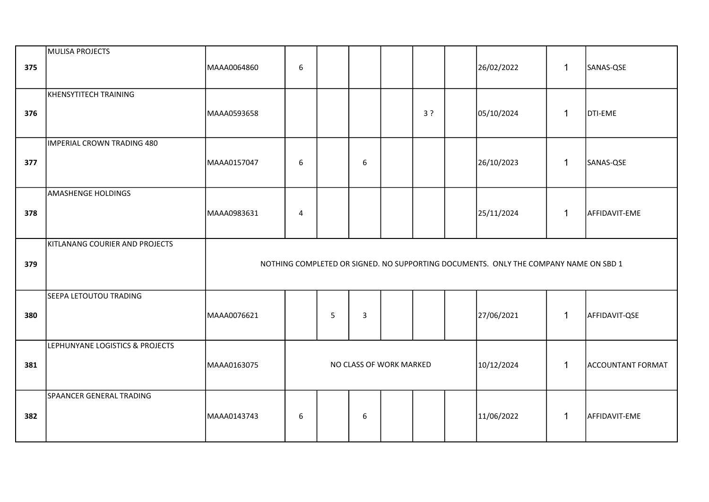| 375 | MULISA PROJECTS                 | MAAA0064860                                                                          | 6                                                                                 |   |   |  |    |  | 26/02/2022 | $\mathbf{1}$ | SANAS-QSE     |
|-----|---------------------------------|--------------------------------------------------------------------------------------|-----------------------------------------------------------------------------------|---|---|--|----|--|------------|--------------|---------------|
| 376 | KHENSYTITECH TRAINING           | MAAA0593658                                                                          |                                                                                   |   |   |  | 3? |  | 05/10/2024 | $\mathbf{1}$ | DTI-EME       |
| 377 | IMPERIAL CROWN TRADING 480      | MAAA0157047                                                                          | 6                                                                                 |   | 6 |  |    |  | 26/10/2023 | $\mathbf{1}$ | SANAS-QSE     |
| 378 | <b>AMASHENGE HOLDINGS</b>       | MAAA0983631                                                                          | 4                                                                                 |   |   |  |    |  | 25/11/2024 | $\mathbf{1}$ | AFFIDAVIT-EME |
| 379 | KITLANANG COURIER AND PROJECTS  | NOTHING COMPLETED OR SIGNED. NO SUPPORTING DOCUMENTS. ONLY THE COMPANY NAME ON SBD 1 |                                                                                   |   |   |  |    |  |            |              |               |
| 380 | SEEPA LETOUTOU TRADING          | MAAA0076621                                                                          |                                                                                   | 5 | 3 |  |    |  | 27/06/2021 | $\mathbf{1}$ | AFFIDAVIT-QSE |
| 381 | LEPHUNYANE LOGISTICS & PROJECTS | MAAA0163075                                                                          | NO CLASS OF WORK MARKED<br>$\mathbf{1}$<br>10/12/2024<br><b>ACCOUNTANT FORMAT</b> |   |   |  |    |  |            |              |               |
| 382 | SPAANCER GENERAL TRADING        | MAAA0143743                                                                          | 6                                                                                 |   | 6 |  |    |  | 11/06/2022 | $\mathbf{1}$ | AFFIDAVIT-EME |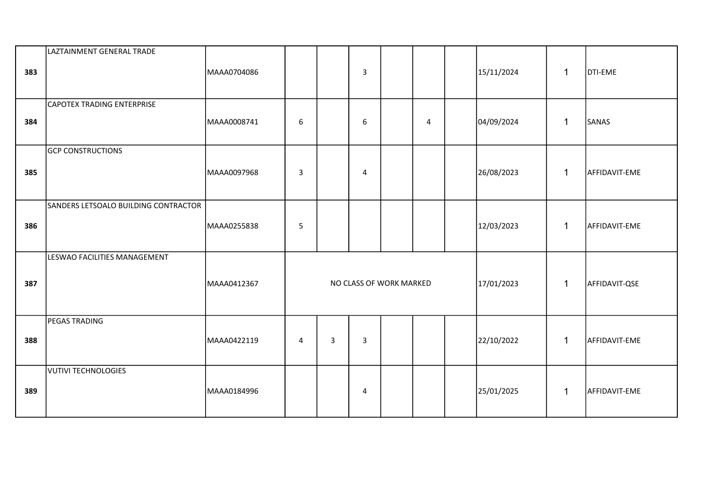| 383 | LAZTAINMENT GENERAL TRADE            | MAAA0704086 |                |   | 3              |                         |   | 15/11/2024 | $\mathbf{1}$ | DTI-EME       |
|-----|--------------------------------------|-------------|----------------|---|----------------|-------------------------|---|------------|--------------|---------------|
| 384 | <b>CAPOTEX TRADING ENTERPRISE</b>    | MAAA0008741 | 6              |   | 6              |                         | 4 | 04/09/2024 | $\mathbf{1}$ | SANAS         |
| 385 | <b>GCP CONSTRUCTIONS</b>             | MAAA0097968 | $\overline{3}$ |   | $\overline{4}$ |                         |   | 26/08/2023 | $\mathbf{1}$ | AFFIDAVIT-EME |
| 386 | SANDERS LETSOALO BUILDING CONTRACTOR | MAAA0255838 | 5              |   |                |                         |   | 12/03/2023 | $\mathbf{1}$ | AFFIDAVIT-EME |
| 387 | LESWAO FACILITIES MANAGEMENT         | MAAA0412367 |                |   |                | NO CLASS OF WORK MARKED |   | 17/01/2023 | $\mathbf{1}$ | AFFIDAVIT-QSE |
| 388 | PEGAS TRADING                        | MAAA0422119 | 4              | 3 | $\mathbf{3}$   |                         |   | 22/10/2022 | $\mathbf{1}$ | AFFIDAVIT-EME |
| 389 | VUTIVI TECHNOLOGIES                  | MAAA0184996 |                |   | $\overline{4}$ |                         |   | 25/01/2025 | $\mathbf{1}$ | AFFIDAVIT-EME |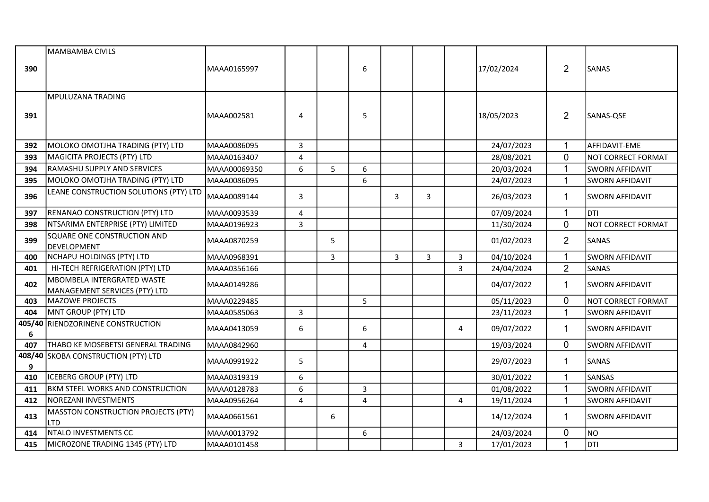|             | MAMBAMBA CIVILS                                   |              |                         |   |              |   |   |                |            |                |                        |
|-------------|---------------------------------------------------|--------------|-------------------------|---|--------------|---|---|----------------|------------|----------------|------------------------|
| 390         |                                                   | MAAA0165997  |                         |   | 6            |   |   |                | 17/02/2024 | $\overline{2}$ | <b>SANAS</b>           |
|             |                                                   |              |                         |   |              |   |   |                |            |                |                        |
|             | MPULUZANA TRADING                                 |              |                         |   |              |   |   |                |            |                |                        |
|             |                                                   |              |                         |   |              |   |   |                |            |                |                        |
| 391         |                                                   | MAAA002581   | $\overline{4}$          |   | 5            |   |   |                | 18/05/2023 | $\overline{2}$ | SANAS-QSE              |
|             |                                                   |              |                         |   |              |   |   |                |            |                |                        |
| 392         | MOLOKO OMOTJHA TRADING (PTY) LTD                  | MAAA0086095  | 3                       |   |              |   |   |                | 24/07/2023 | $\mathbf{1}$   | AFFIDAVIT-EME          |
| 393         | MAGICITA PROJECTS (PTY) LTD                       | MAAA0163407  | $\overline{\mathbf{4}}$ |   |              |   |   |                | 28/08/2021 | 0              | NOT CORRECT FORMAT     |
| 394         | RAMASHU SUPPLY AND SERVICES                       | MAAA00069350 | 6                       | 5 | 6            |   |   |                | 20/03/2024 | $\mathbf{1}$   | <b>SWORN AFFIDAVIT</b> |
| 395         | MOLOKO OMOTJHA TRADING (PTY) LTD                  | MAAA0086095  |                         |   | 6            |   |   |                | 24/07/2023 | $\mathbf{1}$   | <b>SWORN AFFIDAVIT</b> |
| 396         | LEANE CONSTRUCTION SOLUTIONS (PTY) LTD            | MAAA0089144  | $\mathsf{3}$            |   |              | 3 | 3 |                | 26/03/2023 | $\mathbf{1}$   | <b>SWORN AFFIDAVIT</b> |
| 397         | RENANAO CONSTRUCTION (PTY) LTD                    | MAAA0093539  | $\overline{4}$          |   |              |   |   |                | 07/09/2024 | $\mathbf{1}$   | DTI                    |
| 398         | NTSARIMA ENTERPRISE (PTY) LIMITED                 | MAAA0196923  | $\overline{3}$          |   |              |   |   |                | 11/30/2024 | $\pmb{0}$      | NOT CORRECT FORMAT     |
| 399         | SQUARE ONE CONSTRUCTION AND<br>DEVELOPMENT        | MAAA0870259  |                         | 5 |              |   |   |                | 01/02/2023 | $\overline{2}$ | SANAS                  |
| 400         | NCHAPU HOLDINGS (PTY) LTD                         | MAAA0968391  |                         | 3 |              | 3 | 3 | 3              | 04/10/2024 | $\mathbf 1$    | <b>SWORN AFFIDAVIT</b> |
| 401         | HI-TECH REFRIGERATION (PTY) LTD                   | MAAA0356166  |                         |   |              |   |   | 3              | 24/04/2024 | $\overline{2}$ | SANAS                  |
| 402         | MBOMBELA INTERGRATED WASTE                        | MAAA0149286  |                         |   |              |   |   |                | 04/07/2022 | $\mathbf 1$    | <b>SWORN AFFIDAVIT</b> |
|             | MANAGEMENT SERVICES (PTY) LTD                     |              |                         |   |              |   |   |                |            |                |                        |
| 403         | MAZOWE PROJECTS                                   | MAAA0229485  |                         |   | 5            |   |   |                | 05/11/2023 | $\mathbf 0$    | NOT CORRECT FORMAT     |
| 404         | MNT GROUP (PTY) LTD                               | MAAA0585063  | $\mathsf{3}$            |   |              |   |   |                | 23/11/2023 | $\mathbf{1}$   | <b>SWORN AFFIDAVIT</b> |
| 405/40<br>6 | RIENDZORINENE CONSTRUCTION                        | MAAA0413059  | 6                       |   | 6            |   |   | 4              | 09/07/2022 | $\mathbf{1}$   | <b>SWORN AFFIDAVIT</b> |
| 407         | THABO KE MOSEBETSI GENERAL TRADING                | MAAA0842960  |                         |   | 4            |   |   |                | 19/03/2024 | $\mathbf 0$    | <b>SWORN AFFIDAVIT</b> |
| 9           | 408/40 SKOBA CONSTRUCTION (PTY) LTD               | MAAA0991922  | 5                       |   |              |   |   |                | 29/07/2023 | $\mathbf{1}$   | SANAS                  |
| 410         | ICEBERG GROUP (PTY) LTD                           | MAAA0319319  | $\boldsymbol{6}$        |   |              |   |   |                | 30/01/2022 | $\mathbf{1}$   | SANSAS                 |
| 411         | <b>BKM STEEL WORKS AND CONSTRUCTION</b>           | MAAA0128783  | 6                       |   | $\mathsf{3}$ |   |   |                | 01/08/2022 | $\mathbf 1$    | <b>SWORN AFFIDAVIT</b> |
| 412         | NOREZANI INVESTMENTS                              | MAAA0956264  | 4                       |   | 4            |   |   | 4              | 19/11/2024 | $\mathbf{1}$   | <b>SWORN AFFIDAVIT</b> |
| 413         | MASSTON CONSTRUCTION PROJECTS (PTY)<br><b>LTD</b> | MAAA0661561  |                         | 6 |              |   |   |                | 14/12/2024 | $\mathbf{1}$   | <b>SWORN AFFIDAVIT</b> |
| 414         | NTALO INVESTMENTS CC                              | MAAA0013792  |                         |   | 6            |   |   |                | 24/03/2024 | 0              | <b>NO</b>              |
| 415         | MICROZONE TRADING 1345 (PTY) LTD                  | MAAA0101458  |                         |   |              |   |   | $\overline{3}$ | 17/01/2023 | $\mathbf{1}$   | DTI                    |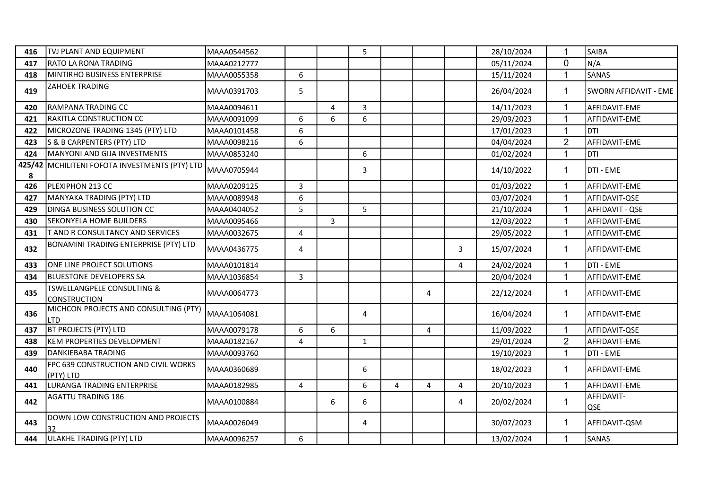| 416 | TVJ PLANT AND EQUIPMENT                                      | MAAA0544562  |   |                       | 5            |   |   |   | 28/10/2024 |                | <b>SAIBA</b>          |
|-----|--------------------------------------------------------------|--------------|---|-----------------------|--------------|---|---|---|------------|----------------|-----------------------|
| 417 | <b>RATO LA RONA TRADING</b>                                  | MAAA0212777  |   |                       |              |   |   |   | 05/11/2024 | $\overline{0}$ | N/A                   |
| 418 | MINTIRHO BUSINESS ENTERPRISE                                 | MAAA0055358  | 6 |                       |              |   |   |   | 15/11/2024 | $\overline{1}$ | <b>SANAS</b>          |
| 419 | <b>ZAHOEK TRADING</b>                                        | MAAA0391703  | 5 |                       |              |   |   |   | 26/04/2024 | $\mathbf 1$    | SWORN AFFIDAVIT - EME |
| 420 | RAMPANA TRADING CC                                           | MAAA0094611  |   | $\boldsymbol{\Delta}$ | 3            |   |   |   | 14/11/2023 | 1              | AFFIDAVIT-EME         |
| 421 | RAKITLA CONSTRUCTION CC                                      | MAAA0091099  | 6 | 6                     | 6            |   |   |   | 29/09/2023 | 1              | AFFIDAVIT-EME         |
| 422 | MICROZONE TRADING 1345 (PTY) LTD                             | MAAA0101458  | 6 |                       |              |   |   |   | 17/01/2023 | $\mathbf 1$    | DTI                   |
| 423 | S & B CARPENTERS (PTY) LTD                                   | MAAA0098216  | 6 |                       |              |   |   |   | 04/04/2024 | $\overline{2}$ | AFFIDAVIT-EME         |
| 424 | MANYONI AND GIJA INVESTMENTS                                 | MAAA0853240  |   |                       | 6            |   |   |   | 01/02/2024 | $\mathbf{1}$   | DTI                   |
| 8   | 425/42 MCHILITENI FOFOTA INVESTMENTS (PTY) LTD               | MAAA0705944  |   |                       | 3            |   |   |   | 14/10/2022 | 1              | DTI - EME             |
| 426 | PLEXIPHON 213 CC                                             | MAAA0209125  | 3 |                       |              |   |   |   | 01/03/2022 |                | AFFIDAVIT-EME         |
| 427 | MANYAKA TRADING (PTY) LTD                                    | MAAA0089948  | 6 |                       |              |   |   |   | 03/07/2024 | $\overline{1}$ | AFFIDAVIT-QSE         |
| 429 | <b>DINGA BUSINESS SOLUTION CC</b>                            | MAAA0404052  | 5 |                       | 5            |   |   |   | 21/10/2024 | 1              | AFFIDAVIT - QSE       |
| 430 | <b>SEKONYELA HOME BUILDERS</b>                               | MAAA0095466  |   | $\overline{3}$        |              |   |   |   | 12/03/2022 | $\mathbf{1}$   | AFFIDAVIT-EME         |
| 431 | <b>T AND R CONSULTANCY AND SERVICES</b>                      | MAAA0032675  | 4 |                       |              |   |   |   | 29/05/2022 | 1              | AFFIDAVIT-EME         |
| 432 | BONAMINI TRADING ENTERPRISE (PTY) LTD                        | MAAA0436775  | 4 |                       |              |   |   | 3 | 15/07/2024 | $\mathbf{1}$   | AFFIDAVIT-EME         |
| 433 | ONE LINE PROJECT SOLUTIONS                                   | MAAA0101814  |   |                       |              |   |   | 4 | 24/02/2024 |                | DTI - EME             |
| 434 | <b>BLUESTONE DEVELOPERS SA</b>                               | MAAA1036854  | 3 |                       |              |   |   |   | 20/04/2024 |                | AFFIDAVIT-EME         |
| 435 | <b>TSWELLANGPELE CONSULTING &amp;</b><br><b>CONSTRUCTION</b> | MAAA0064773  |   |                       |              |   | 4 |   | 22/12/2024 | 1              | AFFIDAVIT-EME         |
| 436 | MICHCON PROJECTS AND CONSULTING (PTY)<br>LTD                 | MAAA1064081  |   |                       | 4            |   |   |   | 16/04/2024 | $\mathbf{1}$   | AFFIDAVIT-EME         |
| 437 | <b>BT PROJECTS (PTY) LTD</b>                                 | MAAA0079178  | 6 | 6                     |              |   | 4 |   | 11/09/2022 | $\mathbf{1}$   | AFFIDAVIT-QSE         |
| 438 | KEM PROPERTIES DEVELOPMENT                                   | MAAA0182167  | 4 |                       | $\mathbf{1}$ |   |   |   | 29/01/2024 | $\overline{2}$ | AFFIDAVIT-EME         |
| 439 | DANKIEBABA TRADING                                           | MAAA0093760  |   |                       |              |   |   |   | 19/10/2023 | $\mathbf{1}$   | DTI - EME             |
| 440 | FPC 639 CONSTRUCTION AND CIVIL WORKS<br>(PTY) LTD            | MAAA0360689  |   |                       | 6            |   |   |   | 18/02/2023 | $\mathbf 1$    | AFFIDAVIT-EME         |
| 441 | LURANGA TRADING ENTERPRISE                                   | MAAA0182985  | 4 |                       | 6            | 4 | 4 | 4 | 20/10/2023 | $\overline{1}$ | AFFIDAVIT-EME         |
| 442 | AGATTU TRADING 186                                           | IMAAA0100884 |   | 6                     | 6            |   |   | 4 | 20/02/2024 | $\mathbf{1}$   | AFFIDAVIT-<br>QSE     |
| 443 | DOWN LOW CONSTRUCTION AND PROJECTS<br>32                     | MAAA0026049  |   |                       | 4            |   |   |   | 30/07/2023 | $\mathbf 1$    | AFFIDAVIT-QSM         |
| 444 | ULAKHE TRADING (PTY) LTD                                     | MAAA0096257  | 6 |                       |              |   |   |   | 13/02/2024 |                | <b>SANAS</b>          |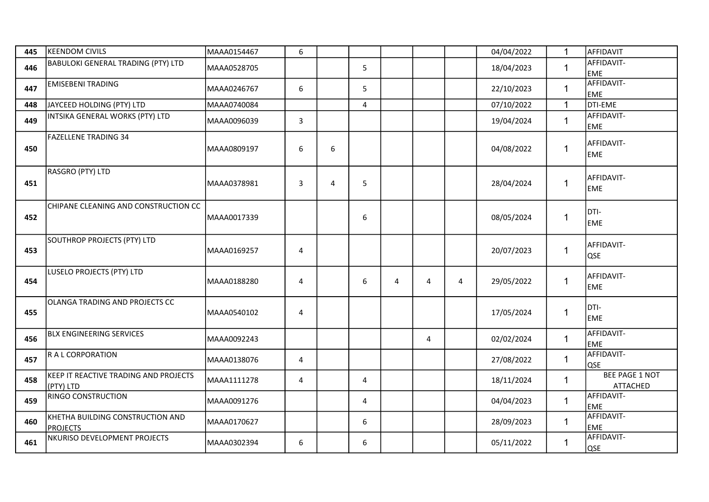| 445 | <b>KEENDOM CIVILS</b>                              | MAAA0154467 | 6 |   |   |   |   |   | 04/04/2022 | 1            | AFFIDAVIT                                |
|-----|----------------------------------------------------|-------------|---|---|---|---|---|---|------------|--------------|------------------------------------------|
| 446 | <b>BABULOKI GENERAL TRADING (PTY) LTD</b>          | MAAA0528705 |   |   | 5 |   |   |   | 18/04/2023 | $\mathbf{1}$ | AFFIDAVIT-<br><b>EME</b>                 |
| 447 | <b>EMISEBENI TRADING</b>                           | MAAA0246767 | 6 |   | 5 |   |   |   | 22/10/2023 | $\mathbf{1}$ | AFFIDAVIT-<br><b>EME</b>                 |
| 448 | JAYCEED HOLDING (PTY) LTD                          | MAAA0740084 |   |   | 4 |   |   |   | 07/10/2022 | $\mathbf{1}$ | DTI-EME                                  |
| 449 | INTSIKA GENERAL WORKS (PTY) LTD                    | MAAA0096039 | 3 |   |   |   |   |   | 19/04/2024 | $\mathbf{1}$ | AFFIDAVIT-<br><b>EME</b>                 |
| 450 | <b>FAZELLENE TRADING 34</b>                        | MAAA0809197 | 6 | 6 |   |   |   |   | 04/08/2022 | $\mathbf{1}$ | AFFIDAVIT-<br><b>EME</b>                 |
| 451 | RASGRO (PTY) LTD                                   | MAAA0378981 | 3 | 4 | 5 |   |   |   | 28/04/2024 | $\mathbf{1}$ | AFFIDAVIT-<br><b>EME</b>                 |
| 452 | CHIPANE CLEANING AND CONSTRUCTION CC               | MAAA0017339 |   |   | 6 |   |   |   | 08/05/2024 | 1            | DTI-<br><b>EME</b>                       |
| 453 | SOUTHROP PROJECTS (PTY) LTD                        | MAAA0169257 | 4 |   |   |   |   |   | 20/07/2023 | $\mathbf 1$  | AFFIDAVIT-<br><b>QSE</b>                 |
| 454 | LUSELO PROJECTS (PTY) LTD                          | MAAA0188280 | 4 |   | 6 | 4 | 4 | 4 | 29/05/2022 | $\mathbf{1}$ | AFFIDAVIT-<br><b>EME</b>                 |
| 455 | OLANGA TRADING AND PROJECTS CC                     | MAAA0540102 | 4 |   |   |   |   |   | 17/05/2024 | $\mathbf 1$  | DTI-<br><b>EME</b>                       |
| 456 | <b>BLX ENGINEERING SERVICES</b>                    | MAAA0092243 |   |   |   |   | 4 |   | 02/02/2024 | $\mathbf{1}$ | AFFIDAVIT-<br><b>EME</b>                 |
| 457 | R A L CORPORATION                                  | MAAA0138076 | 4 |   |   |   |   |   | 27/08/2022 | $\mathbf{1}$ | AFFIDAVIT-<br><b>QSE</b>                 |
| 458 | KEEP IT REACTIVE TRADING AND PROJECTS<br>(PTY) LTD | MAAA1111278 | 4 |   | 4 |   |   |   | 18/11/2024 | 1            | <b>BEE PAGE 1 NOT</b><br><b>ATTACHED</b> |
| 459 | <b>RINGO CONSTRUCTION</b>                          | MAAA0091276 |   |   | 4 |   |   |   | 04/04/2023 | $\mathbf{1}$ | AFFIDAVIT-<br><b>EME</b>                 |
| 460 | KHETHA BUILDING CONSTRUCTION AND<br>PROJECTS       | MAAA0170627 |   |   | 6 |   |   |   | 28/09/2023 | $\mathbf{1}$ | AFFIDAVIT-<br><b>EME</b>                 |
| 461 | NKURISO DEVELOPMENT PROJECTS                       | MAAA0302394 | 6 |   | 6 |   |   |   | 05/11/2022 | $\mathbf{1}$ | AFFIDAVIT-<br><b>QSE</b>                 |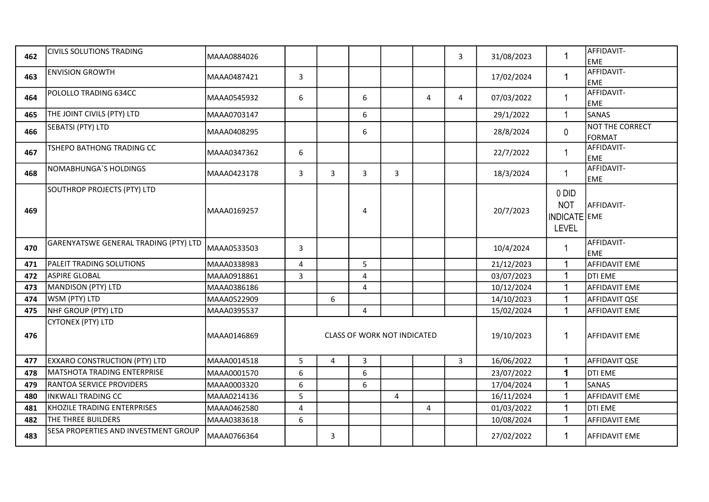| 462 | <b>CIVILS SOLUTIONS TRADING</b>       | MAAA0884026  |   |                |                                    |                |                | $\mathbf{3}$   | 31/08/2023 | $\mathbf{1}$                                        | AFFIDAVIT-<br><b>EME</b>         |
|-----|---------------------------------------|--------------|---|----------------|------------------------------------|----------------|----------------|----------------|------------|-----------------------------------------------------|----------------------------------|
| 463 | <b>ENVISION GROWTH</b>                | lMAAA0487421 | 3 |                |                                    |                |                |                | 17/02/2024 | $\mathbf{1}$                                        | AFFIDAVIT-<br><b>EME</b>         |
| 464 | POLOLLO TRADING 634CC                 | MAAA0545932  | 6 |                | 6                                  |                | 4              | $\overline{4}$ | 07/03/2022 | $\mathbf{1}$                                        | AFFIDAVIT-<br><b>EME</b>         |
| 465 | THE JOINT CIVILS (PTY) LTD            | MAAA0703147  |   |                | 6                                  |                |                |                | 29/1/2022  | $\mathbf{1}$                                        | <b>SANAS</b>                     |
| 466 | SEBATSI (PTY) LTD                     | MAAA0408295  |   |                | 6                                  |                |                |                | 28/8/2024  | 0                                                   | NOT THE CORRECT<br><b>FORMAT</b> |
| 467 | TSHEPO BATHONG TRADING CC             | MAAA0347362  | 6 |                |                                    |                |                |                | 22/7/2022  | $\mathbf{1}$                                        | AFFIDAVIT-<br><b>EME</b>         |
| 468 | NOMABHUNGA'S HOLDINGS                 | MAAA0423178  | 3 | $\overline{3}$ | 3                                  | 3              |                |                | 18/3/2024  | $\mathbf{1}$                                        | AFFIDAVIT-<br><b>EME</b>         |
| 469 | SOUTHROP PROJECTS (PTY) LTD           | MAAA0169257  |   |                | 4                                  |                |                |                | 20/7/2023  | 0 DID<br><b>NOT</b><br>INDICATE EME<br><b>LEVEL</b> | AFFIDAVIT-                       |
| 470 | GARENYATSWE GENERAL TRADING (PTY) LTD | MAAA0533503  | 3 |                |                                    |                |                |                | 10/4/2024  | $\mathbf{1}$                                        | AFFIDAVIT-<br><b>EME</b>         |
| 471 | <b>PALEIT TRADING SOLUTIONS</b>       | MAAA0338983  | 4 |                | 5                                  |                |                |                | 21/12/2023 | $\mathbf{1}$                                        | <b>AFFIDAVIT EME</b>             |
| 472 | <b>ASPIRE GLOBAL</b>                  | MAAA0918861  | 3 |                | 4                                  |                |                |                | 03/07/2023 | $\mathbf{1}$                                        | <b>DTI EME</b>                   |
| 473 | MANDISON (PTY) LTD                    | MAAA0386186  |   |                | 4                                  |                |                |                | 10/12/2024 | $\mathbf{1}$                                        | <b>AFFIDAVIT EME</b>             |
| 474 | WSM (PTY) LTD                         | MAAA0522909  |   | 6              |                                    |                |                |                | 14/10/2023 | $\mathbf{1}$                                        | AFFIDAVIT QSE                    |
| 475 | NHF GROUP (PTY) LTD                   | MAAA0395537  |   |                | 4                                  |                |                |                | 15/02/2024 | $\mathbf{1}$                                        | <b>AFFIDAVIT EME</b>             |
| 476 | CYTONEX (PTY) LTD                     | lMAAA0146869 |   |                | <b>CLASS OF WORK NOT INDICATED</b> |                |                |                | 19/10/2023 | 1                                                   | <b>AFFIDAVIT EME</b>             |
| 477 | <b>EXXARO CONSTRUCTION (PTY) LTD</b>  | MAAA0014518  | 5 | $\overline{4}$ | 3                                  |                |                | $\overline{3}$ | 16/06/2022 | $\mathbf{1}$                                        | AFFIDAVIT QSE                    |
| 478 | MATSHOTA TRADING ENTERPRISE           | MAAA0001570  | 6 |                | 6                                  |                |                |                | 23/07/2022 | $\mathbf 1$                                         | <b>DTI EME</b>                   |
| 479 | <b>RANTOA SERVICE PROVIDERS</b>       | MAAA0003320  | 6 |                | 6                                  |                |                |                | 17/04/2024 | $\mathbf{1}$                                        | SANAS                            |
| 480 | INKWALI TRADING CC                    | MAAA0214136  | 5 |                |                                    | $\overline{4}$ |                |                | 16/11/2024 | $\mathbf{1}$                                        | <b>AFFIDAVIT EME</b>             |
| 481 | KHOZILE TRADING ENTERPRISES           | MAAA0462580  | 4 |                |                                    |                | $\overline{4}$ |                | 01/03/2022 | $\mathbf{1}$                                        | DTI EME                          |
| 482 | <b>THE THREE BUILDERS</b>             | MAAA0383618  | 6 |                |                                    |                |                |                | 10/08/2024 | $\mathbf{1}$                                        | <b>AFFIDAVIT EME</b>             |
| 483 | SESA PROPERTIES AND INVESTMENT GROUP  | MAAA0766364  |   | 3              |                                    |                |                |                | 27/02/2022 | 1                                                   | <b>AFFIDAVIT EME</b>             |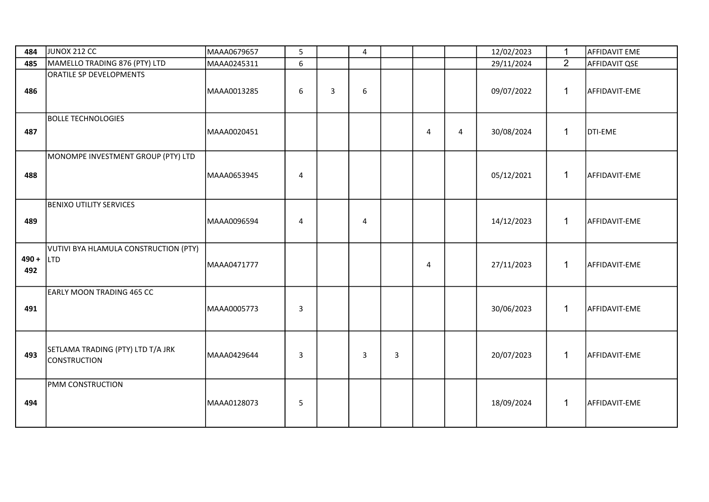| 484            | JUNOX 212 CC                                             | MAAA0679657 | 5                |   | 4              |   |                         |                | 12/02/2023 | $\mathbf{1}$   | <b>AFFIDAVIT EME</b> |
|----------------|----------------------------------------------------------|-------------|------------------|---|----------------|---|-------------------------|----------------|------------|----------------|----------------------|
| 485            | MAMELLO TRADING 876 (PTY) LTD                            | MAAA0245311 | 6                |   |                |   |                         |                | 29/11/2024 | $\overline{2}$ | AFFIDAVIT QSE        |
| 486            | ORATILE SP DEVELOPMENTS                                  | MAAA0013285 | $\boldsymbol{6}$ | 3 | 6              |   |                         |                | 09/07/2022 | $\mathbf{1}$   | AFFIDAVIT-EME        |
| 487            | <b>BOLLE TECHNOLOGIES</b>                                | MAAA0020451 |                  |   |                |   | $\overline{\mathbf{4}}$ | $\overline{4}$ | 30/08/2024 | $\mathbf{1}$   | DTI-EME              |
| 488            | MONOMPE INVESTMENT GROUP (PTY) LTD                       | MAAA0653945 | $\overline{4}$   |   |                |   |                         |                | 05/12/2021 | $\mathbf{1}$   | AFFIDAVIT-EME        |
| 489            | <b>BENIXO UTILITY SERVICES</b>                           | MAAA0096594 | $\overline{4}$   |   | $\overline{4}$ |   |                         |                | 14/12/2023 | $\mathbf{1}$   | AFFIDAVIT-EME        |
| $490 +$<br>492 | VUTIVI BYA HLAMULA CONSTRUCTION (PTY)<br>L <sub>TD</sub> | MAAA0471777 |                  |   |                |   | $\overline{4}$          |                | 27/11/2023 | $\mathbf{1}$   | AFFIDAVIT-EME        |
| 491            | <b>EARLY MOON TRADING 465 CC</b>                         | MAAA0005773 | 3                |   |                |   |                         |                | 30/06/2023 | $\mathbf{1}$   | AFFIDAVIT-EME        |
| 493            | SETLAMA TRADING (PTY) LTD T/A JRK<br><b>CONSTRUCTION</b> | MAAA0429644 | $\mathbf{3}$     |   | 3              | 3 |                         |                | 20/07/2023 | $\mathbf{1}$   | AFFIDAVIT-EME        |
| 494            | <b>PMM CONSTRUCTION</b>                                  | MAAA0128073 | 5                |   |                |   |                         |                | 18/09/2024 | $\mathbf{1}$   | AFFIDAVIT-EME        |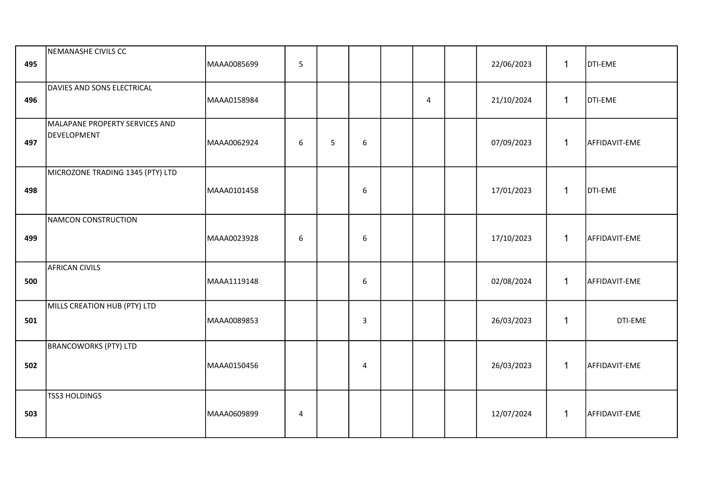| 495 | NEMANASHE CIVILS CC                           | MAAA0085699 | 5 |   |                  |                | 22/06/2023 | $\mathbf{1}$ | DTI-EME       |
|-----|-----------------------------------------------|-------------|---|---|------------------|----------------|------------|--------------|---------------|
| 496 | DAVIES AND SONS ELECTRICAL                    | MAAA0158984 |   |   |                  | $\overline{4}$ | 21/10/2024 | $\mathbf{1}$ | DTI-EME       |
| 497 | MALAPANE PROPERTY SERVICES AND<br>DEVELOPMENT | MAAA0062924 | 6 | 5 | $\boldsymbol{6}$ |                | 07/09/2023 | $\mathbf{1}$ | AFFIDAVIT-EME |
| 498 | MICROZONE TRADING 1345 (PTY) LTD              | MAAA0101458 |   |   | 6                |                | 17/01/2023 | $\mathbf{1}$ | DTI-EME       |
| 499 | NAMCON CONSTRUCTION                           | MAAA0023928 | 6 |   | 6                |                | 17/10/2023 | $\mathbf{1}$ | AFFIDAVIT-EME |
| 500 | AFRICAN CIVILS                                | MAAA1119148 |   |   | $6\phantom{1}$   |                | 02/08/2024 | $\mathbf{1}$ | AFFIDAVIT-EME |
| 501 | MILLS CREATION HUB (PTY) LTD                  | MAAA0089853 |   |   | 3                |                | 26/03/2023 | $\mathbf{1}$ | DTI-EME       |
| 502 | <b>BRANCOWORKS (PTY) LTD</b>                  | MAAA0150456 |   |   | $\overline{4}$   |                | 26/03/2023 | $\mathbf{1}$ | AFFIDAVIT-EME |
| 503 | <b>TSS3 HOLDINGS</b>                          | MAAA0609899 | 4 |   |                  |                | 12/07/2024 | $\mathbf{1}$ | AFFIDAVIT-EME |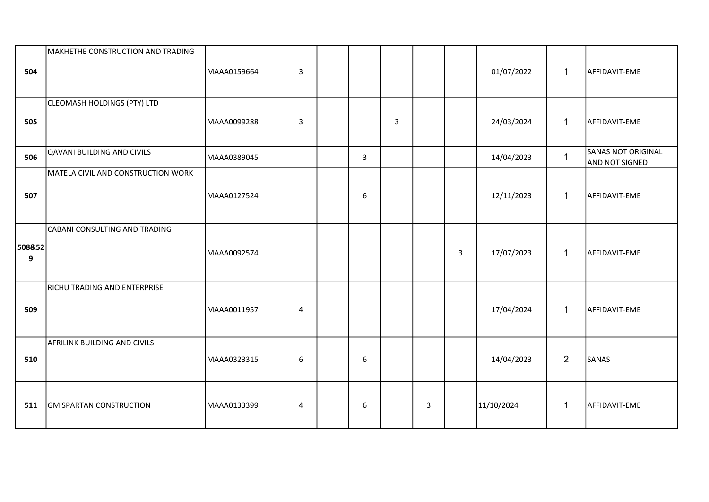| 504         | MAKHETHE CONSTRUCTION AND TRADING  | MAAA0159664 | $\overline{\mathbf{3}}$ |                |                |   |              | 01/07/2022 | $\mathbf{1}$   | AFFIDAVIT-EME                                      |
|-------------|------------------------------------|-------------|-------------------------|----------------|----------------|---|--------------|------------|----------------|----------------------------------------------------|
| 505         | CLEOMASH HOLDINGS (PTY) LTD        | MAAA0099288 | $\overline{3}$          |                | $\overline{3}$ |   |              | 24/03/2024 | $\mathbf{1}$   | AFFIDAVIT-EME                                      |
| 506         | QAVANI BUILDING AND CIVILS         | MAAA0389045 |                         | $\overline{3}$ |                |   |              | 14/04/2023 | $\mathbf{1}$   | <b>SANAS NOT ORIGINAL</b><br><b>AND NOT SIGNED</b> |
| 507         | MATELA CIVIL AND CONSTRUCTION WORK | MAAA0127524 |                         | 6              |                |   |              | 12/11/2023 | $\mathbf{1}$   | AFFIDAVIT-EME                                      |
| 508&52<br>9 | CABANI CONSULTING AND TRADING      | MAAA0092574 |                         |                |                |   | $\mathbf{3}$ | 17/07/2023 | $\mathbf{1}$   | AFFIDAVIT-EME                                      |
| 509         | RICHU TRADING AND ENTERPRISE       | MAAA0011957 | $\overline{4}$          |                |                |   |              | 17/04/2024 | $\mathbf{1}$   | AFFIDAVIT-EME                                      |
| 510         | AFRILINK BUILDING AND CIVILS       | MAAA0323315 | 6                       | 6              |                |   |              | 14/04/2023 | $\overline{2}$ | <b>SANAS</b>                                       |
| 511         | <b>GM SPARTAN CONSTRUCTION</b>     | MAAA0133399 | 4                       | 6              |                | 3 |              | 11/10/2024 | $\mathbf{1}$   | AFFIDAVIT-EME                                      |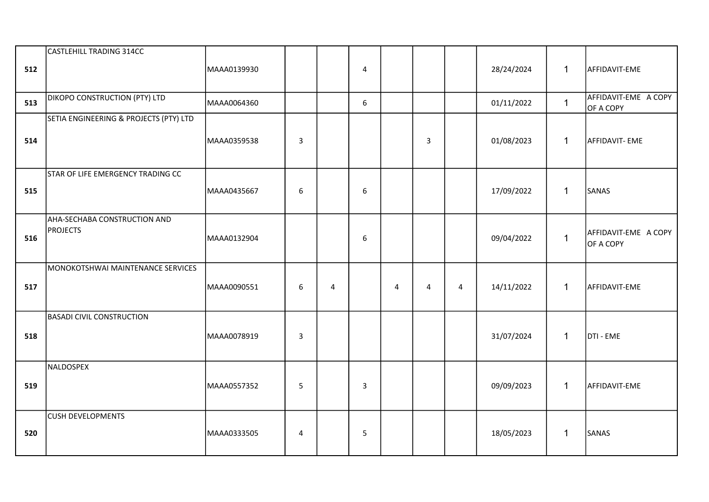| 512 | CASTLEHILL TRADING 314CC                        | MAAA0139930 |              |                | 4              |   |   |                | 28/24/2024 | $\mathbf{1}$ | AFFIDAVIT-EME                     |
|-----|-------------------------------------------------|-------------|--------------|----------------|----------------|---|---|----------------|------------|--------------|-----------------------------------|
| 513 | DIKOPO CONSTRUCTION (PTY) LTD                   | MAAA0064360 |              |                | 6              |   |   |                | 01/11/2022 | $\mathbf{1}$ | AFFIDAVIT-EME A COPY<br>OF A COPY |
| 514 | SETIA ENGINEERING & PROJECTS (PTY) LTD          | MAAA0359538 | $\mathbf{3}$ |                |                |   | 3 |                | 01/08/2023 | $\mathbf{1}$ | AFFIDAVIT- EME                    |
| 515 | STAR OF LIFE EMERGENCY TRADING CC               | MAAA0435667 | 6            |                | 6              |   |   |                | 17/09/2022 | $\mathbf{1}$ | SANAS                             |
| 516 | AHA-SECHABA CONSTRUCTION AND<br><b>PROJECTS</b> | MAAA0132904 |              |                | 6              |   |   |                | 09/04/2022 | $\mathbf{1}$ | AFFIDAVIT-EME A COPY<br>OF A COPY |
| 517 | MONOKOTSHWAI MAINTENANCE SERVICES               | MAAA0090551 | 6            | $\overline{4}$ |                | 4 | 4 | $\overline{4}$ | 14/11/2022 | $\mathbf{1}$ | AFFIDAVIT-EME                     |
| 518 | <b>BASADI CIVIL CONSTRUCTION</b>                | MAAA0078919 | $\mathbf{3}$ |                |                |   |   |                | 31/07/2024 | $\mathbf{1}$ | DTI - EME                         |
| 519 | NALDOSPEX                                       | MAAA0557352 | 5            |                | $\overline{3}$ |   |   |                | 09/09/2023 | $\mathbf{1}$ | AFFIDAVIT-EME                     |
| 520 | <b>CUSH DEVELOPMENTS</b>                        | MAAA0333505 | 4            |                | 5              |   |   |                | 18/05/2023 | $\mathbf{1}$ | SANAS                             |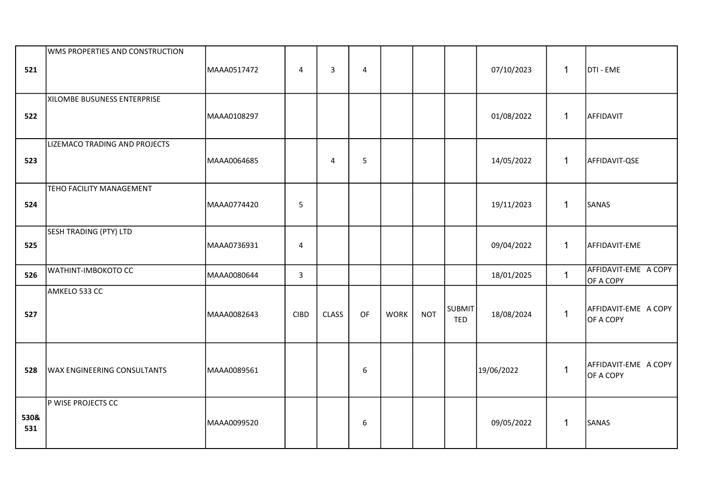| 521         | WMS PROPERTIES AND CONSTRUCTION    | MAAA0517472 | 4              | 3            | $\overline{4}$   |             |            |                             | 07/10/2023 | $\mathbf{1}$ | DTI - EME                         |
|-------------|------------------------------------|-------------|----------------|--------------|------------------|-------------|------------|-----------------------------|------------|--------------|-----------------------------------|
| 522         | XILOMBE BUSUNESS ENTERPRISE        | MAAA0108297 |                |              |                  |             |            |                             | 01/08/2022 | $\mathbf{1}$ | AFFIDAVIT                         |
| 523         | LIZEMACO TRADING AND PROJECTS      | MAAA0064685 |                | 4            | 5                |             |            |                             | 14/05/2022 | $\mathbf{1}$ | AFFIDAVIT-QSE                     |
| 524         | TEHO FACILITY MANAGEMENT           | MAAA0774420 | 5              |              |                  |             |            |                             | 19/11/2023 | $\mathbf{1}$ | SANAS                             |
| 525         | SESH TRADING (PTY) LTD             | MAAA0736931 | $\overline{4}$ |              |                  |             |            |                             | 09/04/2022 | $\mathbf{1}$ | AFFIDAVIT-EME                     |
| 526         | WATHINT-IMBOKOTO CC                | MAAA0080644 | $\overline{3}$ |              |                  |             |            |                             | 18/01/2025 | $\mathbf{1}$ | AFFIDAVIT-EME A COPY<br>OF A COPY |
| 527         | AMKELO 533 CC                      | MAAA0082643 | <b>CIBD</b>    | <b>CLASS</b> | OF               | <b>WORK</b> | <b>NOT</b> | <b>SUBMIT</b><br><b>TED</b> | 18/08/2024 | $\mathbf{1}$ | AFFIDAVIT-EME A COPY<br>OF A COPY |
| 528         | <b>WAX ENGINEERING CONSULTANTS</b> | MAAA0089561 |                |              | $\boldsymbol{6}$ |             |            |                             | 19/06/2022 | $\mathbf{1}$ | AFFIDAVIT-EME A COPY<br>OF A COPY |
| 530&<br>531 | P WISE PROJECTS CC                 | MAAA0099520 |                |              | 6                |             |            |                             | 09/05/2022 | $\mathbf{1}$ | SANAS                             |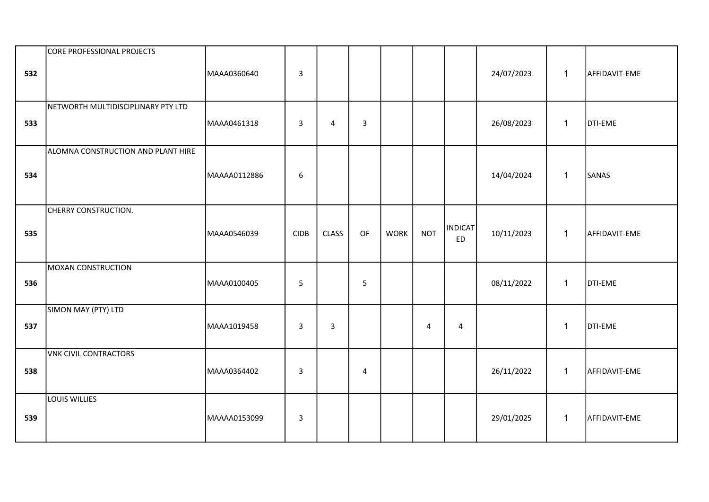| 532 | CORE PROFESSIONAL PROJECTS         | MAAA0360640  | $\mathbf{3}$     |              |              |             |            |                             | 24/07/2023 | $\mathbf{1}$ | AFFIDAVIT-EME  |
|-----|------------------------------------|--------------|------------------|--------------|--------------|-------------|------------|-----------------------------|------------|--------------|----------------|
| 533 | NETWORTH MULTIDISCIPLINARY PTY LTD | MAAA0461318  | $\mathbf{3}$     | 4            | $\mathbf{3}$ |             |            |                             | 26/08/2023 | $\mathbf{1}$ | <b>DTI-EME</b> |
| 534 | ALOMNA CONSTRUCTION AND PLANT HIRE | MAAAA0112886 | $\boldsymbol{6}$ |              |              |             |            |                             | 14/04/2024 | $\mathbf 1$  | SANAS          |
| 535 | CHERRY CONSTRUCTION.               | MAAA0546039  | <b>CIDB</b>      | <b>CLASS</b> | OF           | <b>WORK</b> | <b>NOT</b> | <b>INDICAT</b><br><b>ED</b> | 10/11/2023 | $\mathbf{1}$ | AFFIDAVIT-EME  |
| 536 | <b>MOXAN CONSTRUCTION</b>          | MAAA0100405  | $\overline{5}$   |              | 5            |             |            |                             | 08/11/2022 | $\mathbf{1}$ | DTI-EME        |
| 537 | SIMON MAY (PTY) LTD                | MAAA1019458  | $\mathbf{3}$     | 3            |              |             | 4          | $\overline{4}$              |            | $\mathbf 1$  | <b>DTI-EME</b> |
| 538 | <b>VNK CIVIL CONTRACTORS</b>       | MAAA0364402  | $\mathbf{3}$     |              | $\sqrt{4}$   |             |            |                             | 26/11/2022 | $\mathbf{1}$ | AFFIDAVIT-EME  |
| 539 | LOUIS WILLIES                      | MAAAA0153099 | $\overline{3}$   |              |              |             |            |                             | 29/01/2025 | $\mathbf 1$  | AFFIDAVIT-EME  |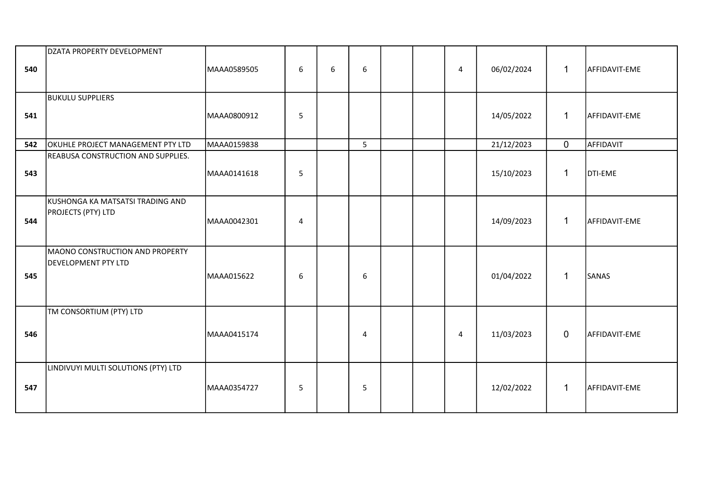| 540 | DZATA PROPERTY DEVELOPMENT                                    | MAAA0589505 | $6\phantom{1}$ | 6 | 6 |  | $\overline{4}$ | 06/02/2024 | $\mathbf{1}$ | AFFIDAVIT-EME |
|-----|---------------------------------------------------------------|-------------|----------------|---|---|--|----------------|------------|--------------|---------------|
| 541 | <b>BUKULU SUPPLIERS</b>                                       | MAAA0800912 | 5              |   |   |  |                | 14/05/2022 | $\mathbf{1}$ | AFFIDAVIT-EME |
| 542 | OKUHLE PROJECT MANAGEMENT PTY LTD                             | MAAA0159838 |                |   | 5 |  |                | 21/12/2023 | $\mathbf 0$  | AFFIDAVIT     |
| 543 | REABUSA CONSTRUCTION AND SUPPLIES.                            | MAAA0141618 | 5              |   |   |  |                | 15/10/2023 | $\mathbf{1}$ | DTI-EME       |
| 544 | KUSHONGA KA MATSATSI TRADING AND<br>PROJECTS (PTY) LTD        | MAAA0042301 | $\overline{4}$ |   |   |  |                | 14/09/2023 | $\mathbf{1}$ | AFFIDAVIT-EME |
| 545 | MAONO CONSTRUCTION AND PROPERTY<br><b>DEVELOPMENT PTY LTD</b> | MAAA015622  | 6              |   | 6 |  |                | 01/04/2022 | $\mathbf{1}$ | SANAS         |
| 546 | TM CONSORTIUM (PTY) LTD                                       | MAAA0415174 |                |   | 4 |  | 4              | 11/03/2023 | $\mathbf 0$  | AFFIDAVIT-EME |
| 547 | LINDIVUYI MULTI SOLUTIONS (PTY) LTD                           | MAAA0354727 | 5              |   | 5 |  |                | 12/02/2022 | $\mathbf{1}$ | AFFIDAVIT-EME |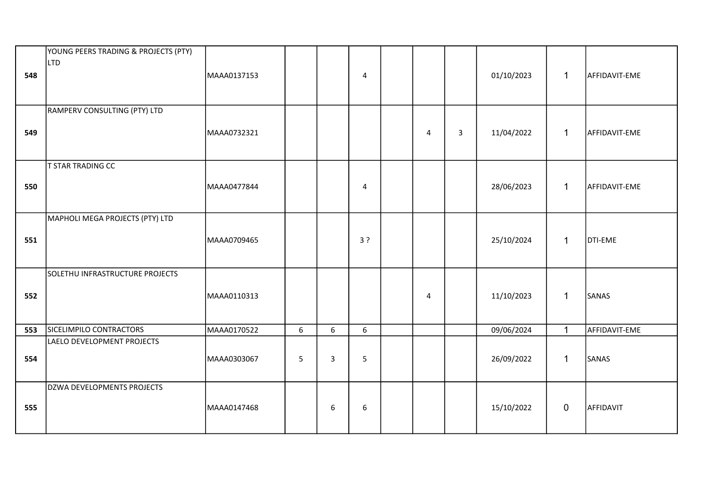| 548 | YOUNG PEERS TRADING & PROJECTS (PTY)<br>LTD | MAAA0137153 |   |   | 4              |                |              | 01/10/2023 | $\mathbf 1$  | AFFIDAVIT-EME |
|-----|---------------------------------------------|-------------|---|---|----------------|----------------|--------------|------------|--------------|---------------|
| 549 | RAMPERV CONSULTING (PTY) LTD                | MAAA0732321 |   |   |                | $\overline{4}$ | $\mathbf{3}$ | 11/04/2022 | $\mathbf{1}$ | AFFIDAVIT-EME |
| 550 | <b>T STAR TRADING CC</b>                    | MAAA0477844 |   |   | $\overline{4}$ |                |              | 28/06/2023 | $\mathbf{1}$ | AFFIDAVIT-EME |
| 551 | MAPHOLI MEGA PROJECTS (PTY) LTD             | MAAA0709465 |   |   | 3?             |                |              | 25/10/2024 | $\mathbf{1}$ | DTI-EME       |
| 552 | SOLETHU INFRASTRUCTURE PROJECTS             | MAAA0110313 |   |   |                | $\overline{4}$ |              | 11/10/2023 | $\mathbf{1}$ | SANAS         |
| 553 | SICELIMPILO CONTRACTORS                     | MAAA0170522 | 6 | 6 | 6              |                |              | 09/06/2024 | $\mathbf{1}$ | AFFIDAVIT-EME |
| 554 | LAELO DEVELOPMENT PROJECTS                  | MAAA0303067 | 5 | 3 | 5              |                |              | 26/09/2022 | $\mathbf{1}$ | SANAS         |
| 555 | DZWA DEVELOPMENTS PROJECTS                  | MAAA0147468 |   | 6 | 6              |                |              | 15/10/2022 | $\mathbf 0$  | AFFIDAVIT     |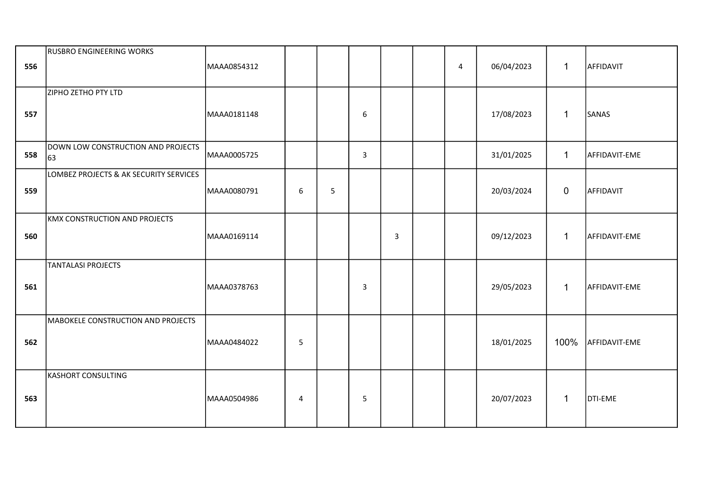| 556 | <b>RUSBRO ENGINEERING WORKS</b>          | MAAA0854312 |   |   |                  |                | $\overline{4}$ | 06/04/2023 | $\mathbf{1}$   | AFFIDAVIT     |
|-----|------------------------------------------|-------------|---|---|------------------|----------------|----------------|------------|----------------|---------------|
| 557 | ZIPHO ZETHO PTY LTD                      | MAAA0181148 |   |   | $\boldsymbol{6}$ |                |                | 17/08/2023 | $\mathbf{1}$   | SANAS         |
| 558 | DOWN LOW CONSTRUCTION AND PROJECTS<br>63 | MAAA0005725 |   |   | $\mathbf{3}$     |                |                | 31/01/2025 | $\mathbf{1}$   | AFFIDAVIT-EME |
| 559 | LOMBEZ PROJECTS & AK SECURITY SERVICES   | MAAA0080791 | 6 | 5 |                  |                |                | 20/03/2024 | $\overline{0}$ | AFFIDAVIT     |
| 560 | <b>KMX CONSTRUCTION AND PROJECTS</b>     | MAAA0169114 |   |   |                  | $\overline{3}$ |                | 09/12/2023 | $\mathbf{1}$   | AFFIDAVIT-EME |
| 561 | <b>TANTALASI PROJECTS</b>                | MAAA0378763 |   |   | 3                |                |                | 29/05/2023 | $\mathbf{1}$   | AFFIDAVIT-EME |
| 562 | MABOKELE CONSTRUCTION AND PROJECTS       | MAAA0484022 | 5 |   |                  |                |                | 18/01/2025 | 100%           | AFFIDAVIT-EME |
| 563 | KASHORT CONSULTING                       | MAAA0504986 | 4 |   | 5                |                |                | 20/07/2023 | $\mathbf{1}$   | DTI-EME       |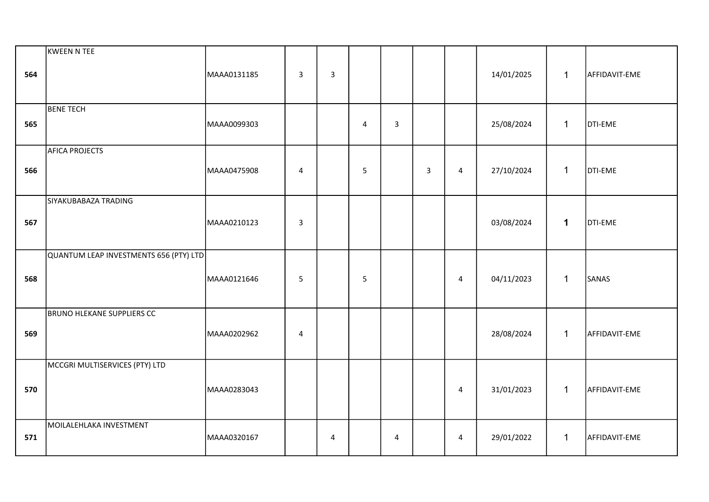| 564 | KWEEN N TEE                            | MAAA0131185 | $\overline{3}$ | 3 |            |                         |                |                | 14/01/2025 | $\mathbf{1}$ | AFFIDAVIT-EME |
|-----|----------------------------------------|-------------|----------------|---|------------|-------------------------|----------------|----------------|------------|--------------|---------------|
| 565 | <b>BENE TECH</b>                       | MAAA0099303 |                |   | $\sqrt{4}$ | 3                       |                |                | 25/08/2024 | $\mathbf{1}$ | DTI-EME       |
| 566 | <b>AFICA PROJECTS</b>                  | MAAA0475908 | $\overline{4}$ |   | 5          |                         | $\overline{3}$ | $\overline{4}$ | 27/10/2024 | $\mathbf{1}$ | DTI-EME       |
| 567 | SIYAKUBABAZA TRADING                   | MAAA0210123 | $\mathsf{3}$   |   |            |                         |                |                | 03/08/2024 | $\mathbf 1$  | DTI-EME       |
| 568 | QUANTUM LEAP INVESTMENTS 656 (PTY) LTD | MAAA0121646 | 5              |   | 5          |                         |                | 4              | 04/11/2023 | $\mathbf{1}$ | SANAS         |
| 569 | BRUNO HLEKANE SUPPLIERS CC             | MAAA0202962 | $\overline{4}$ |   |            |                         |                |                | 28/08/2024 | $\mathbf{1}$ | AFFIDAVIT-EME |
| 570 | MCCGRI MULTISERVICES (PTY) LTD         | MAAA0283043 |                |   |            |                         |                | $\overline{4}$ | 31/01/2023 | $\mathbf{1}$ | AFFIDAVIT-EME |
| 571 | MOILALEHLAKA INVESTMENT                | MAAA0320167 |                | 4 |            | $\overline{\mathbf{4}}$ |                | $\overline{4}$ | 29/01/2022 | $\mathbf{1}$ | AFFIDAVIT-EME |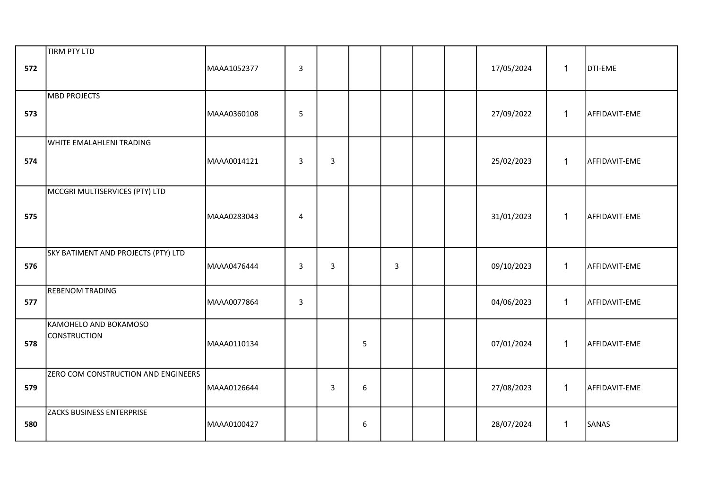| 572 | <b>TIRM PTY LTD</b>                          | MAAA1052377 | $\mathsf{3}$   |              |   |   |  | 17/05/2024 | $\mathbf 1$  | DTI-EME       |
|-----|----------------------------------------------|-------------|----------------|--------------|---|---|--|------------|--------------|---------------|
| 573 | MBD PROJECTS                                 | MAAA0360108 | 5              |              |   |   |  | 27/09/2022 | $\mathbf{1}$ | AFFIDAVIT-EME |
| 574 | <b>WHITE EMALAHLENI TRADING</b>              | MAAA0014121 | $\overline{3}$ | 3            |   |   |  | 25/02/2023 | $\mathbf{1}$ | AFFIDAVIT-EME |
| 575 | MCCGRI MULTISERVICES (PTY) LTD               | MAAA0283043 | 4              |              |   |   |  | 31/01/2023 | $\mathbf{1}$ | AFFIDAVIT-EME |
| 576 | SKY BATIMENT AND PROJECTS (PTY) LTD          | MAAA0476444 | $\overline{3}$ | 3            |   | 3 |  | 09/10/2023 | $\mathbf{1}$ | AFFIDAVIT-EME |
| 577 | <b>REBENOM TRADING</b>                       | MAAA0077864 | $\overline{3}$ |              |   |   |  | 04/06/2023 | $\mathbf{1}$ | AFFIDAVIT-EME |
| 578 | KAMOHELO AND BOKAMOSO<br><b>CONSTRUCTION</b> | MAAA0110134 |                |              | 5 |   |  | 07/01/2024 | $\mathbf{1}$ | AFFIDAVIT-EME |
| 579 | ZERO COM CONSTRUCTION AND ENGINEERS          | MAAA0126644 |                | $\mathbf{3}$ | 6 |   |  | 27/08/2023 | $\mathbf{1}$ | AFFIDAVIT-EME |
| 580 | ZACKS BUSINESS ENTERPRISE                    | MAAA0100427 |                |              | 6 |   |  | 28/07/2024 | $\mathbf{1}$ | SANAS         |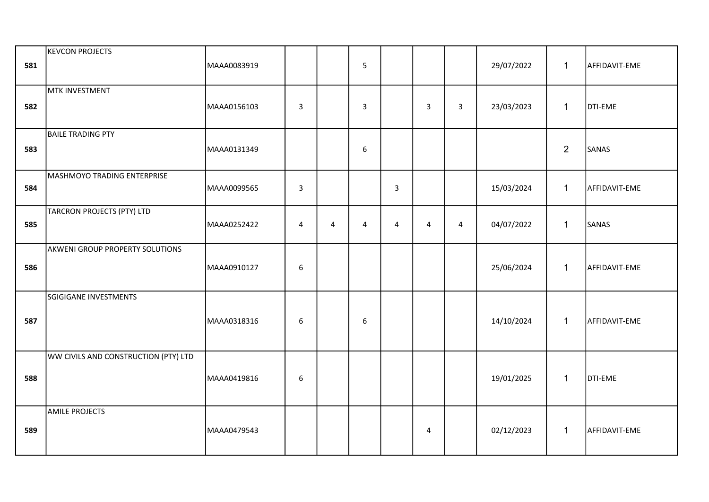| 581 | <b>KEVCON PROJECTS</b>               | MAAA0083919 |                         |                | 5              |                |                |   | 29/07/2022 | $\mathbf{1}$   | AFFIDAVIT-EME |
|-----|--------------------------------------|-------------|-------------------------|----------------|----------------|----------------|----------------|---|------------|----------------|---------------|
| 582 | MTK INVESTMENT                       | MAAA0156103 | $\overline{\mathbf{3}}$ |                | $\overline{3}$ |                | 3              | 3 | 23/03/2023 | $\mathbf{1}$   | DTI-EME       |
| 583 | <b>BAILE TRADING PTY</b>             | MAAA0131349 |                         |                | 6              |                |                |   |            | $\overline{2}$ | SANAS         |
| 584 | MASHMOYO TRADING ENTERPRISE          | MAAA0099565 | 3                       |                |                | 3              |                |   | 15/03/2024 | $\mathbf{1}$   | AFFIDAVIT-EME |
| 585 | TARCRON PROJECTS (PTY) LTD           | MAAA0252422 | 4                       | $\overline{4}$ | 4              | $\overline{4}$ | $\overline{4}$ | 4 | 04/07/2022 | $\mathbf{1}$   | SANAS         |
| 586 | AKWENI GROUP PROPERTY SOLUTIONS      | MAAA0910127 | $\boldsymbol{6}$        |                |                |                |                |   | 25/06/2024 | $\mathbf{1}$   | AFFIDAVIT-EME |
| 587 | SGIGIGANE INVESTMENTS                | MAAA0318316 | 6                       |                | 6              |                |                |   | 14/10/2024 | $\mathbf{1}$   | AFFIDAVIT-EME |
| 588 | WW CIVILS AND CONSTRUCTION (PTY) LTD | MAAA0419816 | 6                       |                |                |                |                |   | 19/01/2025 | $\mathbf{1}$   | DTI-EME       |
| 589 | <b>AMILE PROJECTS</b>                | MAAA0479543 |                         |                |                |                | $\overline{4}$ |   | 02/12/2023 | $\mathbf{1}$   | AFFIDAVIT-EME |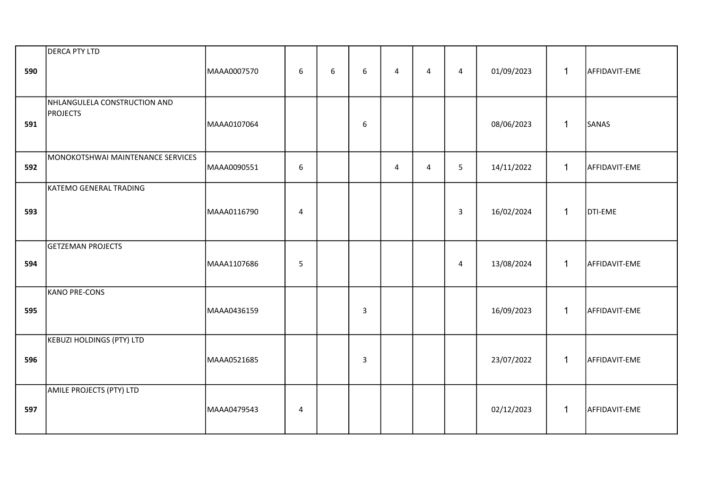| 590 | <b>DERCA PTY LTD</b>                            | MAAA0007570 | $\boldsymbol{6}$ | 6 | 6            | 4 | $\overline{4}$ | $\overline{4}$ | 01/09/2023 | $\mathbf 1$  | AFFIDAVIT-EME |
|-----|-------------------------------------------------|-------------|------------------|---|--------------|---|----------------|----------------|------------|--------------|---------------|
| 591 | NHLANGULELA CONSTRUCTION AND<br><b>PROJECTS</b> | MAAA0107064 |                  |   | 6            |   |                |                | 08/06/2023 | $\mathbf{1}$ | SANAS         |
| 592 | MONOKOTSHWAI MAINTENANCE SERVICES               | MAAA0090551 | $\boldsymbol{6}$ |   |              | 4 | $\overline{4}$ | 5              | 14/11/2022 | $\mathbf{1}$ | AFFIDAVIT-EME |
| 593 | KATEMO GENERAL TRADING                          | MAAA0116790 | $\overline{4}$   |   |              |   |                | $\mathbf{3}$   | 16/02/2024 | $\mathbf{1}$ | DTI-EME       |
| 594 | <b>GETZEMAN PROJECTS</b>                        | MAAA1107686 | 5                |   |              |   |                | 4              | 13/08/2024 | $\mathbf{1}$ | AFFIDAVIT-EME |
| 595 | KANO PRE-CONS                                   | MAAA0436159 |                  |   | 3            |   |                |                | 16/09/2023 | $\mathbf{1}$ | AFFIDAVIT-EME |
| 596 | <b>KEBUZI HOLDINGS (PTY) LTD</b>                | MAAA0521685 |                  |   | $\mathsf{3}$ |   |                |                | 23/07/2022 | $\mathbf{1}$ | AFFIDAVIT-EME |
| 597 | AMILE PROJECTS (PTY) LTD                        | MAAA0479543 | 4                |   |              |   |                |                | 02/12/2023 | $\mathbf{1}$ | AFFIDAVIT-EME |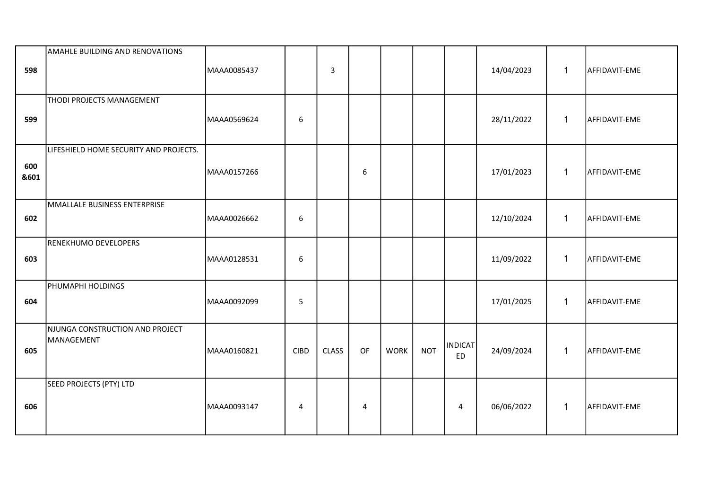| 598         | <b>AMAHLE BUILDING AND RENOVATIONS</b>        | MAAA0085437 |                  | $\overline{3}$ |    |             |            |                             | 14/04/2023 | $\mathbf{1}$ | AFFIDAVIT-EME |
|-------------|-----------------------------------------------|-------------|------------------|----------------|----|-------------|------------|-----------------------------|------------|--------------|---------------|
| 599         | <b>THODI PROJECTS MANAGEMENT</b>              | MAAA0569624 | $\boldsymbol{6}$ |                |    |             |            |                             | 28/11/2022 | $\mathbf{1}$ | AFFIDAVIT-EME |
| 600<br>&601 | LIFESHIELD HOME SECURITY AND PROJECTS.        | MAAA0157266 |                  |                | 6  |             |            |                             | 17/01/2023 | $\mathbf{1}$ | AFFIDAVIT-EME |
| 602         | MMALLALE BUSINESS ENTERPRISE                  | MAAA0026662 | 6                |                |    |             |            |                             | 12/10/2024 | $\mathbf{1}$ | AFFIDAVIT-EME |
| 603         | RENEKHUMO DEVELOPERS                          | MAAA0128531 | $\boldsymbol{6}$ |                |    |             |            |                             | 11/09/2022 | $\mathbf{1}$ | AFFIDAVIT-EME |
| 604         | PHUMAPHI HOLDINGS                             | MAAA0092099 | 5                |                |    |             |            |                             | 17/01/2025 | $\mathbf{1}$ | AFFIDAVIT-EME |
| 605         | NJUNGA CONSTRUCTION AND PROJECT<br>MANAGEMENT | MAAA0160821 | <b>CIBD</b>      | <b>CLASS</b>   | OF | <b>WORK</b> | <b>NOT</b> | <b>INDICAT</b><br><b>ED</b> | 24/09/2024 | $\mathbf{1}$ | AFFIDAVIT-EME |
| 606         | <b>SEED PROJECTS (PTY) LTD</b>                | MAAA0093147 | 4                |                | 4  |             |            | $\overline{4}$              | 06/06/2022 | $\mathbf{1}$ | AFFIDAVIT-EME |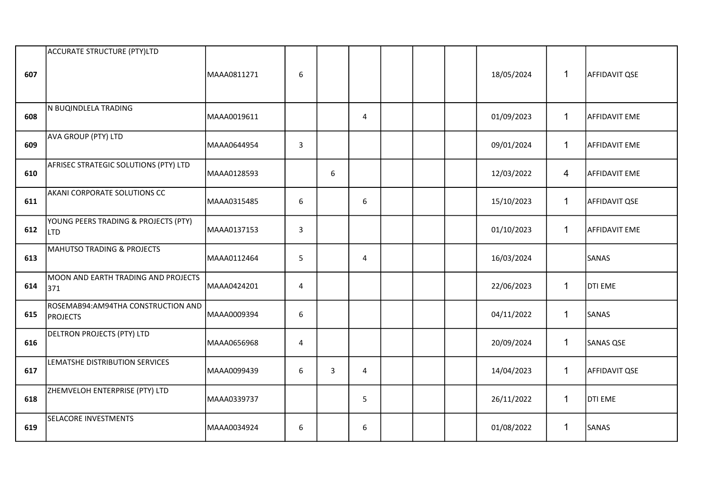|     | ACCURATE STRUCTURE (PTY)LTD                        |             |                  |   |                |  |            |              |                      |
|-----|----------------------------------------------------|-------------|------------------|---|----------------|--|------------|--------------|----------------------|
| 607 |                                                    | MAAA0811271 | $\boldsymbol{6}$ |   |                |  | 18/05/2024 | $\mathbf{1}$ | <b>AFFIDAVIT QSE</b> |
|     |                                                    |             |                  |   |                |  |            |              |                      |
| 608 | N BUQINDLELA TRADING                               | MAAA0019611 |                  |   | 4              |  | 01/09/2023 | $\mathbf{1}$ | <b>AFFIDAVIT EME</b> |
| 609 | AVA GROUP (PTY) LTD                                | MAAA0644954 | $\overline{3}$   |   |                |  | 09/01/2024 | $\mathbf{1}$ | <b>AFFIDAVIT EME</b> |
| 610 | AFRISEC STRATEGIC SOLUTIONS (PTY) LTD              | MAAA0128593 |                  | 6 |                |  | 12/03/2022 | 4            | AFFIDAVIT EME        |
| 611 | AKANI CORPORATE SOLUTIONS CC                       | MAAA0315485 | 6                |   | 6              |  | 15/10/2023 | $\mathbf{1}$ | <b>AFFIDAVIT QSE</b> |
| 612 | YOUNG PEERS TRADING & PROJECTS (PTY)<br><b>LTD</b> | MAAA0137153 | $\overline{3}$   |   |                |  | 01/10/2023 | $\mathbf{1}$ | <b>AFFIDAVIT EME</b> |
| 613 | <b>MAHUTSO TRADING &amp; PROJECTS</b>              | MAAA0112464 | 5                |   | $\overline{4}$ |  | 16/03/2024 |              | SANAS                |
| 614 | MOON AND EARTH TRADING AND PROJECTS<br>371         | MAAA0424201 | 4                |   |                |  | 22/06/2023 | $\mathbf{1}$ | DTI EME              |
| 615 | ROSEMAB94:AM94THA CONSTRUCTION AND<br>PROJECTS     | MAAA0009394 | 6                |   |                |  | 04/11/2022 | $\mathbf{1}$ | SANAS                |
| 616 | DELTRON PROJECTS (PTY) LTD                         | MAAA0656968 | 4                |   |                |  | 20/09/2024 | $\mathbf{1}$ | SANAS QSE            |
| 617 | LEMATSHE DISTRIBUTION SERVICES                     | MAAA0099439 | 6                | 3 | $\overline{4}$ |  | 14/04/2023 | $\mathbf{1}$ | <b>AFFIDAVIT QSE</b> |
| 618 | ZHEMVELOH ENTERPRISE (PTY) LTD                     | MAAA0339737 |                  |   | 5              |  | 26/11/2022 | $\mathbf{1}$ | DTI EME              |
| 619 | <b>SELACORE INVESTMENTS</b>                        | MAAA0034924 | 6                |   | 6              |  | 01/08/2022 | $\mathbf{1}$ | SANAS                |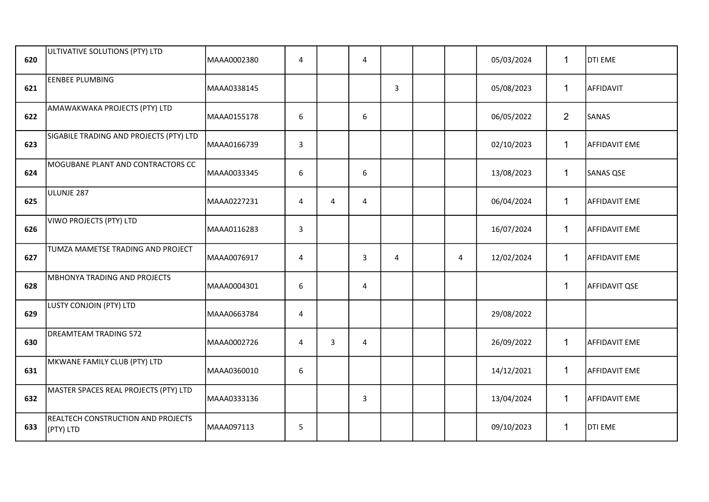| 620 | ULTIVATIVE SOLUTIONS (PTY) LTD                  | MAAA0002380 | $\overline{4}$ |   | $\overline{\mathbf{4}}$ |                |   | 05/03/2024 | $\mathbf{1}$   | <b>DTI EME</b>       |
|-----|-------------------------------------------------|-------------|----------------|---|-------------------------|----------------|---|------------|----------------|----------------------|
| 621 | <b>EENBEE PLUMBING</b>                          | MAAA0338145 |                |   |                         | 3              |   | 05/08/2023 | $\mathbf{1}$   | AFFIDAVIT            |
| 622 | AMAWAKWAKA PROJECTS (PTY) LTD                   | MAAA0155178 | 6              |   | 6                       |                |   | 06/05/2022 | $\overline{2}$ | SANAS                |
| 623 | SIGABILE TRADING AND PROJECTS (PTY) LTD         | MAAA0166739 | 3              |   |                         |                |   | 02/10/2023 | $\mathbf{1}$   | <b>AFFIDAVIT EME</b> |
| 624 | MOGUBANE PLANT AND CONTRACTORS CC               | MAAA0033345 | 6              |   | $\boldsymbol{6}$        |                |   | 13/08/2023 | $\mathbf{1}$   | <b>SANAS QSE</b>     |
| 625 | ULUNJE 287                                      | MAAA0227231 | $\overline{4}$ | 4 | 4                       |                |   | 06/04/2024 | $\mathbf{1}$   | AFFIDAVIT EME        |
| 626 | VIWO PROJECTS (PTY) LTD                         | MAAA0116283 | $\mathbf{3}$   |   |                         |                |   | 16/07/2024 | $\mathbf{1}$   | <b>AFFIDAVIT EME</b> |
| 627 | TUMZA MAMETSE TRADING AND PROJECT               | MAAA0076917 | 4              |   | 3                       | $\overline{4}$ | 4 | 12/02/2024 | $\mathbf{1}$   | <b>AFFIDAVIT EME</b> |
| 628 | MBHONYA TRADING AND PROJECTS                    | MAAA0004301 | 6              |   | 4                       |                |   |            | $\mathbf{1}$   | <b>AFFIDAVIT QSE</b> |
| 629 | LUSTY CONJOIN (PTY) LTD                         | MAAA0663784 | $\overline{4}$ |   |                         |                |   | 29/08/2022 |                |                      |
| 630 | <b>DREAMTEAM TRADING 572</b>                    | MAAA0002726 | 4              | 3 | 4                       |                |   | 26/09/2022 | $\mathbf{1}$   | <b>AFFIDAVIT EME</b> |
| 631 | MKWANE FAMILY CLUB (PTY) LTD                    | MAAA0360010 | 6              |   |                         |                |   | 14/12/2021 | $\mathbf{1}$   | AFFIDAVIT EME        |
| 632 | MASTER SPACES REAL PROJECTS (PTY) LTD           | MAAA0333136 |                |   | 3                       |                |   | 13/04/2024 | $\mathbf{1}$   | AFFIDAVIT EME        |
| 633 | REALTECH CONSTRUCTION AND PROJECTS<br>(PTY) LTD | MAAA097113  | 5              |   |                         |                |   | 09/10/2023 | $\mathbf{1}$   | DTI EME              |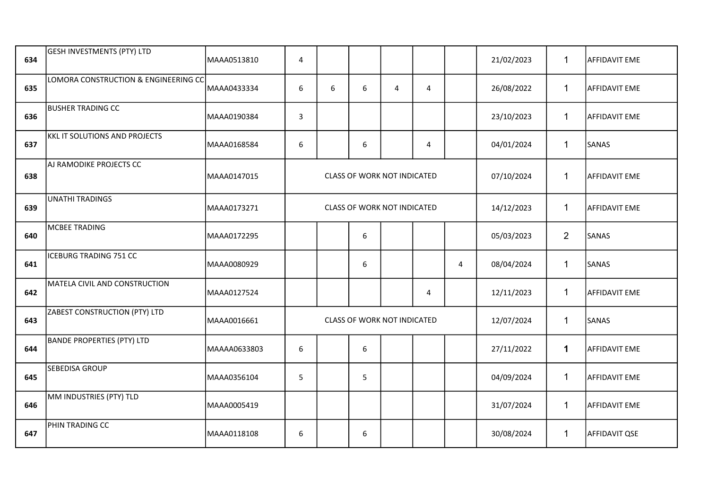| 634 | <b>GESH INVESTMENTS (PTY) LTD</b>    | MAAA0513810  | 4            |   |                                    |                |                |   | 21/02/2023 | $\mathbf{1}$   | <b>AFFIDAVIT EME</b> |
|-----|--------------------------------------|--------------|--------------|---|------------------------------------|----------------|----------------|---|------------|----------------|----------------------|
| 635 | LOMORA CONSTRUCTION & ENGINEERING CC | MAAA0433334  | 6            | 6 | 6                                  | $\overline{4}$ | 4              |   | 26/08/2022 | $\mathbf{1}$   | <b>AFFIDAVIT EME</b> |
| 636 | <b>BUSHER TRADING CC</b>             | MAAA0190384  | $\mathbf{3}$ |   |                                    |                |                |   | 23/10/2023 | $\mathbf{1}$   | <b>AFFIDAVIT EME</b> |
| 637 | <b>KKL IT SOLUTIONS AND PROJECTS</b> | MAAA0168584  | 6            |   | 6                                  |                | $\overline{4}$ |   | 04/01/2024 | $\mathbf{1}$   | SANAS                |
| 638 | AJ RAMODIKE PROJECTS CC              | MAAA0147015  |              |   | <b>CLASS OF WORK NOT INDICATED</b> |                |                |   | 07/10/2024 | $\mathbf{1}$   | <b>AFFIDAVIT EME</b> |
| 639 | <b>UNATHI TRADINGS</b>               | MAAA0173271  |              |   | CLASS OF WORK NOT INDICATED        |                |                |   | 14/12/2023 | $\mathbf{1}$   | <b>AFFIDAVIT EME</b> |
| 640 | <b>MCBEE TRADING</b>                 | MAAA0172295  |              |   | 6                                  |                |                |   | 05/03/2023 | $\overline{2}$ | SANAS                |
| 641 | <b>ICEBURG TRADING 751 CC</b>        | MAAA0080929  |              |   | 6                                  |                |                | 4 | 08/04/2024 | $\mathbf{1}$   | SANAS                |
| 642 | MATELA CIVIL AND CONSTRUCTION        | MAAA0127524  |              |   |                                    |                | 4              |   | 12/11/2023 | $\mathbf{1}$   | <b>AFFIDAVIT EME</b> |
| 643 | ZABEST CONSTRUCTION (PTY) LTD        | MAAA0016661  |              |   | CLASS OF WORK NOT INDICATED        |                |                |   | 12/07/2024 | $\mathbf{1}$   | SANAS                |
| 644 | <b>BANDE PROPERTIES (PTY) LTD</b>    | MAAAA0633803 | 6            |   | 6                                  |                |                |   | 27/11/2022 | $\mathbf 1$    | <b>AFFIDAVIT EME</b> |
| 645 | SEBEDISA GROUP                       | MAAA0356104  | 5            |   | 5                                  |                |                |   | 04/09/2024 | $\mathbf{1}$   | <b>AFFIDAVIT EME</b> |
| 646 | MM INDUSTRIES (PTY) TLD              | MAAA0005419  |              |   |                                    |                |                |   | 31/07/2024 | $\mathbf{1}$   | <b>AFFIDAVIT EME</b> |
| 647 | PHIN TRADING CC                      | MAAA0118108  | 6            |   | 6                                  |                |                |   | 30/08/2024 | $\mathbf{1}$   | <b>AFFIDAVIT QSE</b> |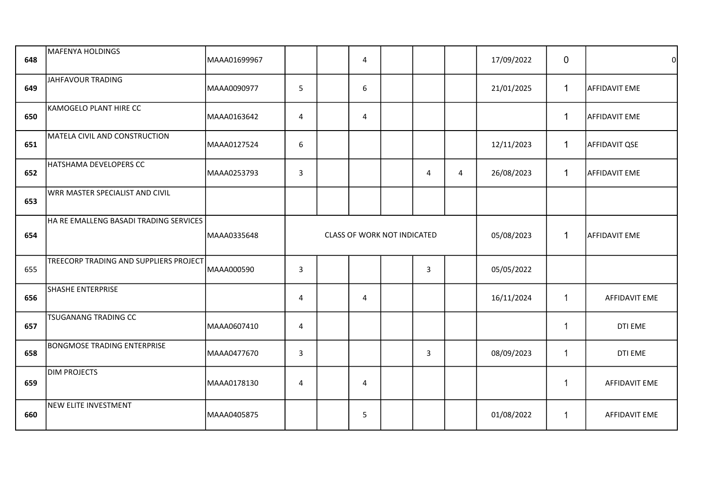| 648 | MAFENYA HOLDINGS                       | MAAA01699967 |                  | 4              |                             |                |                | 17/09/2022 | $\mathbf{0}$   | 0                    |
|-----|----------------------------------------|--------------|------------------|----------------|-----------------------------|----------------|----------------|------------|----------------|----------------------|
| 649 | JAHFAVOUR TRADING                      | MAAA0090977  | 5                | 6              |                             |                |                | 21/01/2025 | $\mathbf{1}$   | <b>AFFIDAVIT EME</b> |
| 650 | KAMOGELO PLANT HIRE CC                 | MAAA0163642  | $\sqrt{4}$       | $\overline{4}$ |                             |                |                |            | $\mathbf 1$    | <b>AFFIDAVIT EME</b> |
| 651 | MATELA CIVIL AND CONSTRUCTION          | MAAA0127524  | $\boldsymbol{6}$ |                |                             |                |                | 12/11/2023 | $\mathbf 1$    | AFFIDAVIT QSE        |
| 652 | HATSHAMA DEVELOPERS CC                 | MAAA0253793  | $\mathbf{3}$     |                |                             | 4              | $\overline{4}$ | 26/08/2023 | $\mathbf{1}$   | <b>AFFIDAVIT EME</b> |
| 653 | WRR MASTER SPECIALIST AND CIVIL        |              |                  |                |                             |                |                |            |                |                      |
| 654 | HA RE EMALLENG BASADI TRADING SERVICES | MAAA0335648  |                  |                | CLASS OF WORK NOT INDICATED |                |                | 05/08/2023 | $\mathbf{1}$   | <b>AFFIDAVIT EME</b> |
| 655 | TREECORP TRADING AND SUPPLIERS PROJECT | MAAA000590   | 3                |                |                             | $\overline{3}$ |                | 05/05/2022 |                |                      |
| 656 | SHASHE ENTERPRISE                      |              | $\overline{4}$   | 4              |                             |                |                | 16/11/2024 | 1              | AFFIDAVIT EME        |
| 657 | <b>TSUGANANG TRADING CC</b>            | MAAA0607410  | 4                |                |                             |                |                |            | -1             | DTI EME              |
| 658 | <b>BONGMOSE TRADING ENTERPRISE</b>     | MAAA0477670  | $\mathbf{3}$     |                |                             | 3              |                | 08/09/2023 | $\overline{1}$ | DTI EME              |
| 659 | <b>DIM PROJECTS</b>                    | MAAA0178130  | 4                | 4              |                             |                |                |            |                | AFFIDAVIT EME        |
| 660 | <b>NEW ELITE INVESTMENT</b>            | MAAA0405875  |                  | 5              |                             |                |                | 01/08/2022 | -1             | AFFIDAVIT EME        |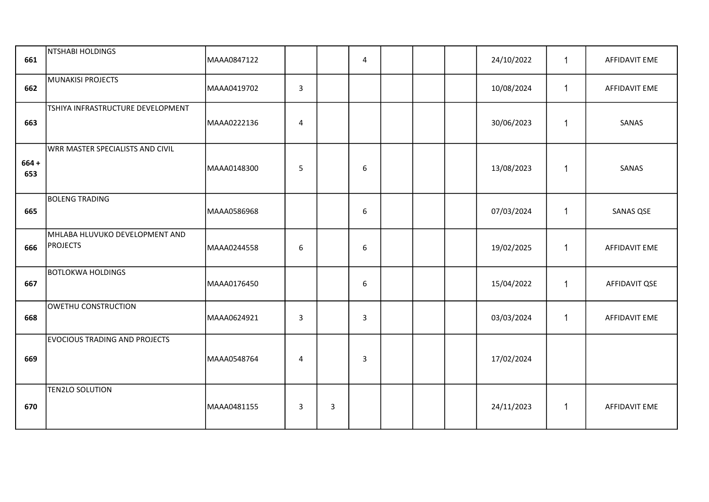| 661            | NTSHABI HOLDINGS                                  | MAAA0847122 |                  |   | 4 |  | 24/10/2022 |                | AFFIDAVIT EME        |
|----------------|---------------------------------------------------|-------------|------------------|---|---|--|------------|----------------|----------------------|
| 662            | MUNAKISI PROJECTS                                 | MAAA0419702 | $\overline{3}$   |   |   |  | 10/08/2024 | 1              | AFFIDAVIT EME        |
| 663            | TSHIYA INFRASTRUCTURE DEVELOPMENT                 | MAAA0222136 | 4                |   |   |  | 30/06/2023 | $\overline{1}$ | SANAS                |
| $664 +$<br>653 | WRR MASTER SPECIALISTS AND CIVIL                  | MAAA0148300 | 5                |   | 6 |  | 13/08/2023 | $\overline{1}$ | SANAS                |
| 665            | <b>BOLENG TRADING</b>                             | MAAA0586968 |                  |   | 6 |  | 07/03/2024 | -1             | <b>SANAS QSE</b>     |
| 666            | MHLABA HLUVUKO DEVELOPMENT AND<br><b>PROJECTS</b> | MAAA0244558 | $\boldsymbol{6}$ |   | 6 |  | 19/02/2025 | $\overline{1}$ | AFFIDAVIT EME        |
| 667            | <b>BOTLOKWA HOLDINGS</b>                          | MAAA0176450 |                  |   | 6 |  | 15/04/2022 | 1              | AFFIDAVIT QSE        |
| 668            | OWETHU CONSTRUCTION                               | MAAA0624921 | 3                |   | 3 |  | 03/03/2024 | $\overline{1}$ | <b>AFFIDAVIT EME</b> |
| 669            | <b>EVOCIOUS TRADING AND PROJECTS</b>              | MAAA0548764 | $\overline{4}$   |   | 3 |  | 17/02/2024 |                |                      |
| 670            | <b>TEN2LO SOLUTION</b>                            | MAAA0481155 | $\mathsf{3}$     | 3 |   |  | 24/11/2023 | -1             | AFFIDAVIT EME        |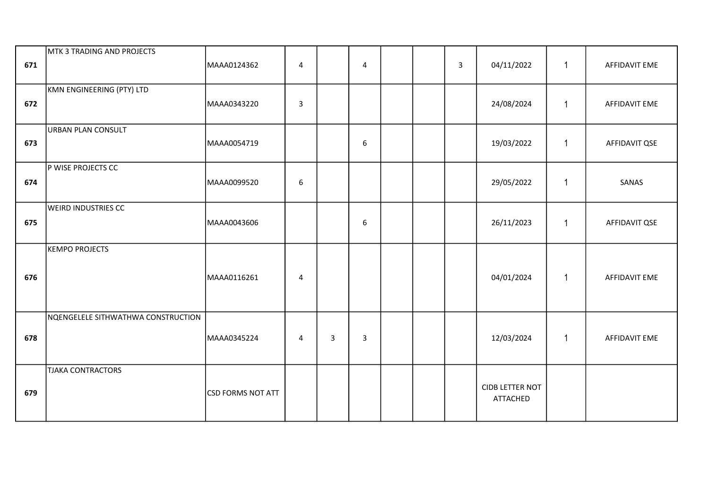| 671 | MTK 3 TRADING AND PROJECTS         | MAAA0124362              | $\overline{\mathbf{4}}$ |   | $\overline{4}$   |  | $\mathbf{3}$ | 04/11/2022                                | 1              | AFFIDAVIT EME        |
|-----|------------------------------------|--------------------------|-------------------------|---|------------------|--|--------------|-------------------------------------------|----------------|----------------------|
| 672 | KMN ENGINEERING (PTY) LTD          | MAAA0343220              | $\mathsf{3}$            |   |                  |  |              | 24/08/2024                                | $\mathbf{1}$   | AFFIDAVIT EME        |
| 673 | URBAN PLAN CONSULT                 | MAAA0054719              |                         |   | $\boldsymbol{6}$ |  |              | 19/03/2022                                | 1              | AFFIDAVIT QSE        |
| 674 | P WISE PROJECTS CC                 | MAAA0099520              | $\boldsymbol{6}$        |   |                  |  |              | 29/05/2022                                | $\overline{1}$ | SANAS                |
| 675 | <b>WEIRD INDUSTRIES CC</b>         | MAAA0043606              |                         |   | $\boldsymbol{6}$ |  |              | 26/11/2023                                | 1              | AFFIDAVIT QSE        |
| 676 | KEMPO PROJECTS                     | MAAA0116261              | 4                       |   |                  |  |              | 04/01/2024                                | 1              | <b>AFFIDAVIT EME</b> |
| 678 | NQENGELELE SITHWATHWA CONSTRUCTION | MAAA0345224              | $\overline{4}$          | 3 | 3                |  |              | 12/03/2024                                | 1              | <b>AFFIDAVIT EME</b> |
| 679 | <b>TJAKA CONTRACTORS</b>           | <b>CSD FORMS NOT ATT</b> |                         |   |                  |  |              | <b>CIDB LETTER NOT</b><br><b>ATTACHED</b> |                |                      |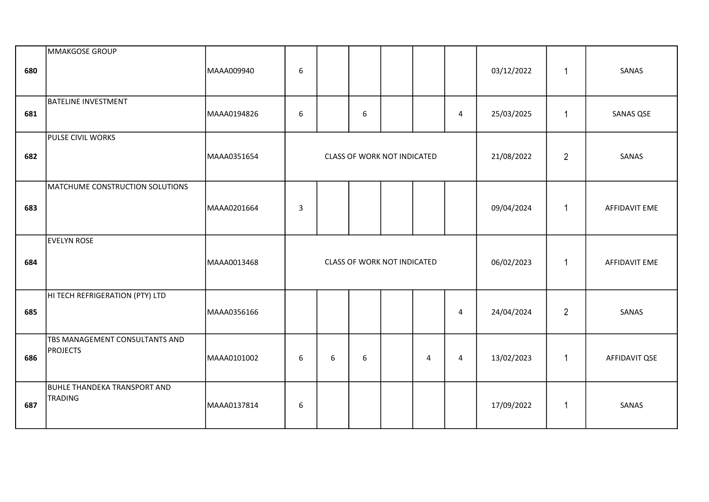| 680 | MMAKGOSE GROUP                                        | MAAA009940  | 6                |   |                  |                                    |   |                         | 03/12/2022 | $\overline{1}$ | SANAS         |
|-----|-------------------------------------------------------|-------------|------------------|---|------------------|------------------------------------|---|-------------------------|------------|----------------|---------------|
| 681 | <b>BATELINE INVESTMENT</b>                            | MAAA0194826 | $\boldsymbol{6}$ |   | 6                |                                    |   | $\overline{\mathbf{4}}$ | 25/03/2025 | $\overline{1}$ | SANAS QSE     |
| 682 | PULSE CIVIL WORKS                                     | MAAA0351654 |                  |   |                  | <b>CLASS OF WORK NOT INDICATED</b> |   |                         | 21/08/2022 | $\overline{2}$ | SANAS         |
| 683 | MATCHUME CONSTRUCTION SOLUTIONS                       | MAAA0201664 | 3                |   |                  |                                    |   |                         | 09/04/2024 | $\mathbf 1$    | AFFIDAVIT EME |
| 684 | EVELYN ROSE                                           | MAAA0013468 |                  |   |                  | <b>CLASS OF WORK NOT INDICATED</b> |   |                         | 06/02/2023 | $\overline{1}$ | AFFIDAVIT EME |
| 685 | HI TECH REFRIGERATION (PTY) LTD                       | MAAA0356166 |                  |   |                  |                                    |   | $\overline{4}$          | 24/04/2024 | $\overline{2}$ | SANAS         |
| 686 | TBS MANAGEMENT CONSULTANTS AND<br><b>PROJECTS</b>     | MAAA0101002 | $\boldsymbol{6}$ | 6 | $\boldsymbol{6}$ |                                    | 4 | 4                       | 13/02/2023 | $\overline{1}$ | AFFIDAVIT QSE |
| 687 | <b>BUHLE THANDEKA TRANSPORT AND</b><br><b>TRADING</b> | MAAA0137814 | $\boldsymbol{6}$ |   |                  |                                    |   |                         | 17/09/2022 | $\overline{1}$ | SANAS         |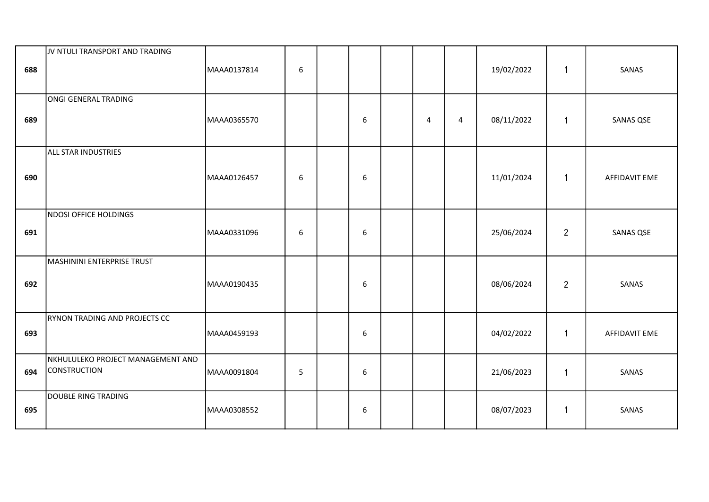| 688 | JV NTULI TRANSPORT AND TRADING                           | MAAA0137814 | $\boldsymbol{6}$ |                  |   |   | 19/02/2022 | $\mathbf{1}$   | SANAS                |
|-----|----------------------------------------------------------|-------------|------------------|------------------|---|---|------------|----------------|----------------------|
| 689 | ONGI GENERAL TRADING                                     | MAAA0365570 |                  | 6                | 4 | 4 | 08/11/2022 | $\mathbf{1}$   | SANAS QSE            |
| 690 | <b>ALL STAR INDUSTRIES</b>                               | MAAA0126457 | 6                | $\boldsymbol{6}$ |   |   | 11/01/2024 | $\mathbf{1}$   | AFFIDAVIT EME        |
| 691 | NDOSI OFFICE HOLDINGS                                    | MAAA0331096 | 6                | 6                |   |   | 25/06/2024 | $\overline{2}$ | SANAS QSE            |
| 692 | MASHININI ENTERPRISE TRUST                               | MAAA0190435 |                  | 6                |   |   | 08/06/2024 | $\overline{2}$ | SANAS                |
| 693 | <b>RYNON TRADING AND PROJECTS CC</b>                     | MAAA0459193 |                  | 6                |   |   | 04/02/2022 | $\mathbf{1}$   | <b>AFFIDAVIT EME</b> |
| 694 | NKHULULEKO PROJECT MANAGEMENT AND<br><b>CONSTRUCTION</b> | MAAA0091804 | 5                | 6                |   |   | 21/06/2023 | $\mathbf{1}$   | SANAS                |
| 695 | DOUBLE RING TRADING                                      | MAAA0308552 |                  | 6                |   |   | 08/07/2023 | $\mathbf{1}$   | SANAS                |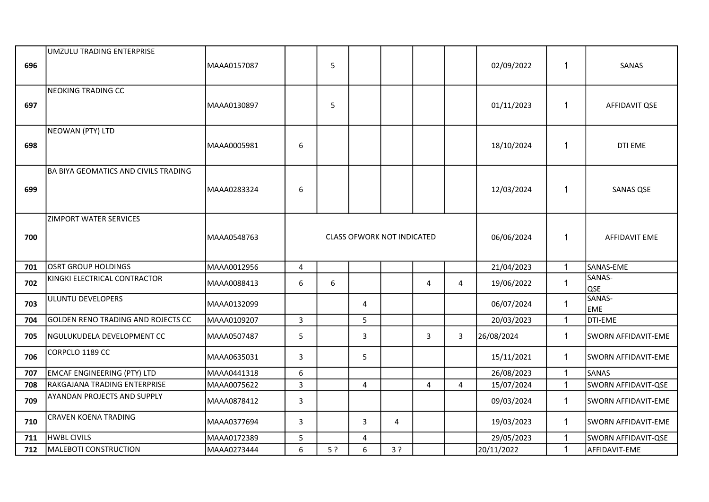| 696 | UMZULU TRADING ENTERPRISE                   | MAAA0157087  |                  | 5  |                                   |                |              |                | 02/09/2022 | 1            | SANAS                |
|-----|---------------------------------------------|--------------|------------------|----|-----------------------------------|----------------|--------------|----------------|------------|--------------|----------------------|
| 697 | NEOKING TRADING CC                          | MAAA0130897  |                  | 5  |                                   |                |              |                | 01/11/2023 | $\mathbf{1}$ | AFFIDAVIT QSE        |
| 698 | NEOWAN (PTY) LTD                            | MAAA0005981  | 6                |    |                                   |                |              |                | 18/10/2024 | $\mathbf 1$  | DTI EME              |
| 699 | <b>BA BIYA GEOMATICS AND CIVILS TRADING</b> | lMAAA0283324 | $\boldsymbol{6}$ |    |                                   |                |              |                | 12/03/2024 | $\mathbf{1}$ | SANAS QSE            |
| 700 | <b>ZIMPORT WATER SERVICES</b>               | MAAA0548763  |                  |    | <b>CLASS OFWORK NOT INDICATED</b> | 06/06/2024     | $\mathbf{1}$ | AFFIDAVIT EME  |            |              |                      |
| 701 | OSRT GROUP HOLDINGS                         | MAAA0012956  | 4                |    |                                   |                |              |                | 21/04/2023 | $\mathbf 1$  | SANAS-EME            |
| 702 | KINGKI ELECTRICAL CONTRACTOR                | MAAA0088413  | 6                | 6  |                                   |                | 4            | 4              | 19/06/2022 | $\mathbf 1$  | SANAS-<br><b>QSE</b> |
| 703 | ULUNTU DEVELOPERS                           | MAAA0132099  |                  |    | 4                                 |                |              |                | 06/07/2024 | $\mathbf{1}$ | SANAS-<br><b>EME</b> |
| 704 | GOLDEN RENO TRADING AND ROJECTS CC          | MAAA0109207  | $\overline{3}$   |    | 5                                 |                |              |                | 20/03/2023 | $\mathbf{1}$ | DTI-EME              |
| 705 | NGULUKUDELA DEVELOPMENT CC                  | MAAA0507487  | 5                |    | 3                                 |                | 3            | 3              | 26/08/2024 | $\mathbf{1}$ | SWORN AFFIDAVIT-EME  |
| 706 | CORPCLO 1189 CC                             | MAAA0635031  | 3                |    | 5                                 |                |              |                | 15/11/2021 | $\mathbf{1}$ | SWORN AFFIDAVIT-EME  |
| 707 | <b>EMCAF ENGINEERING (PTY) LTD</b>          | MAAA0441318  | 6                |    |                                   |                |              |                | 26/08/2023 | $\mathbf{1}$ | SANAS                |
| 708 | RAKGAJANA TRADING ENTERPRISE                | MAAA0075622  | $\mathsf{3}$     |    | 4                                 |                | 4            | $\overline{4}$ | 15/07/2024 | $\mathbf{1}$ | SWORN AFFIDAVIT-QSE  |
| 709 | <b>AYANDAN PROJECTS AND SUPPLY</b>          | MAAA0878412  | 3                |    |                                   |                |              |                | 09/03/2024 | $\mathbf{1}$ | SWORN AFFIDAVIT-EME  |
| 710 | <b>CRAVEN KOENA TRADING</b>                 | MAAA0377694  | 3                |    | 3                                 | $\overline{4}$ |              |                | 19/03/2023 | 1.           | SWORN AFFIDAVIT-EME  |
| 711 | <b>HWBL CIVILS</b>                          | MAAA0172389  | 5                |    | 4                                 |                |              |                | 29/05/2023 | $\mathbf{1}$ | SWORN AFFIDAVIT-QSE  |
| 712 | MALEBOTI CONSTRUCTION                       | MAAA0273444  | 6                | 5? | 6                                 | 3?             |              |                | 20/11/2022 | $\mathbf{1}$ | AFFIDAVIT-EME        |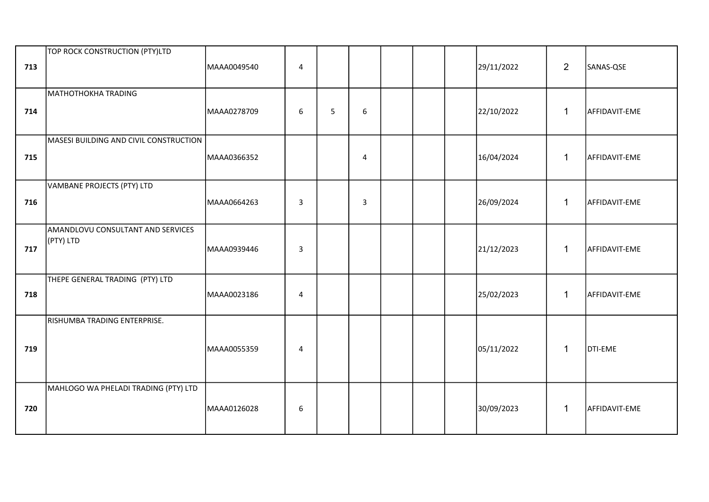| 713 | TOP ROCK CONSTRUCTION (PTY)LTD                 | MAAA0049540 | $\overline{4}$   |   |                |  | 29/11/2022 | $\overline{2}$ | SANAS-QSE      |
|-----|------------------------------------------------|-------------|------------------|---|----------------|--|------------|----------------|----------------|
| 714 | MATHOTHOKHA TRADING                            | MAAA0278709 | 6                | 5 | 6              |  | 22/10/2022 | $\mathbf{1}$   | AFFIDAVIT-EME  |
| 715 | MASESI BUILDING AND CIVIL CONSTRUCTION         | MAAA0366352 |                  |   | $\overline{4}$ |  | 16/04/2024 | $\mathbf{1}$   | AFFIDAVIT-EME  |
| 716 | VAMBANE PROJECTS (PTY) LTD                     | MAAA0664263 | $\overline{3}$   |   | 3              |  | 26/09/2024 | $\mathbf{1}$   | AFFIDAVIT-EME  |
| 717 | AMANDLOVU CONSULTANT AND SERVICES<br>(PTY) LTD | MAAA0939446 | 3                |   |                |  | 21/12/2023 | $\mathbf{1}$   | AFFIDAVIT-EME  |
| 718 | THEPE GENERAL TRADING (PTY) LTD                | MAAA0023186 | $\overline{4}$   |   |                |  | 25/02/2023 | $\mathbf{1}$   | AFFIDAVIT-EME  |
| 719 | RISHUMBA TRADING ENTERPRISE.                   | MAAA0055359 | 4                |   |                |  | 05/11/2022 | 1              | <b>DTI-EME</b> |
| 720 | MAHLOGO WA PHELADI TRADING (PTY) LTD           | MAAA0126028 | $\boldsymbol{6}$ |   |                |  | 30/09/2023 | $\mathbf{1}$   | AFFIDAVIT-EME  |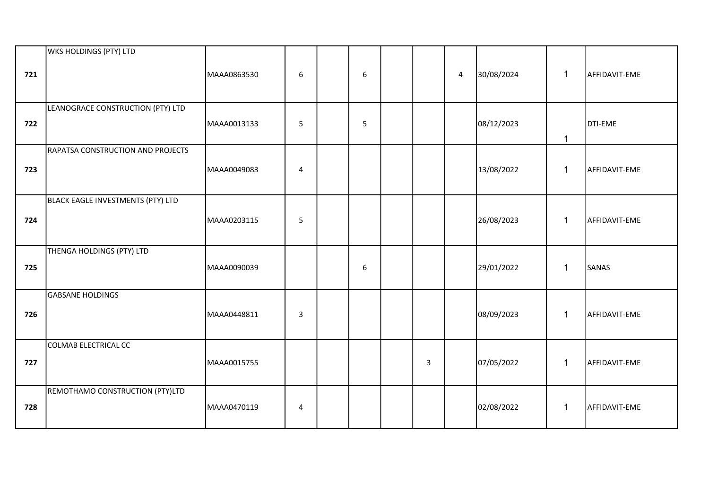| 721 | WKS HOLDINGS (PTY) LTD            | MAAA0863530 | 6              | 6                |   | 4 | 30/08/2024 | $\mathbf{1}$ | AFFIDAVIT-EME |
|-----|-----------------------------------|-------------|----------------|------------------|---|---|------------|--------------|---------------|
| 722 | LEANOGRACE CONSTRUCTION (PTY) LTD | MAAA0013133 | 5              | 5                |   |   | 08/12/2023 | $\mathbf{1}$ | DTI-EME       |
| 723 | RAPATSA CONSTRUCTION AND PROJECTS | MAAA0049083 | $\overline{4}$ |                  |   |   | 13/08/2022 | $\mathbf{1}$ | AFFIDAVIT-EME |
| 724 | BLACK EAGLE INVESTMENTS (PTY) LTD | MAAA0203115 | 5              |                  |   |   | 26/08/2023 | $\mathbf{1}$ | AFFIDAVIT-EME |
| 725 | THENGA HOLDINGS (PTY) LTD         | MAAA0090039 |                | $\boldsymbol{6}$ |   |   | 29/01/2022 | $\mathbf{1}$ | SANAS         |
| 726 | <b>GABSANE HOLDINGS</b>           | MAAA0448811 | $\mathbf{3}$   |                  |   |   | 08/09/2023 | $\mathbf{1}$ | AFFIDAVIT-EME |
| 727 | COLMAB ELECTRICAL CC              | MAAA0015755 |                |                  | 3 |   | 07/05/2022 | $\mathbf{1}$ | AFFIDAVIT-EME |
| 728 | REMOTHAMO CONSTRUCTION (PTY)LTD   | MAAA0470119 | 4              |                  |   |   | 02/08/2022 | $\mathbf{1}$ | AFFIDAVIT-EME |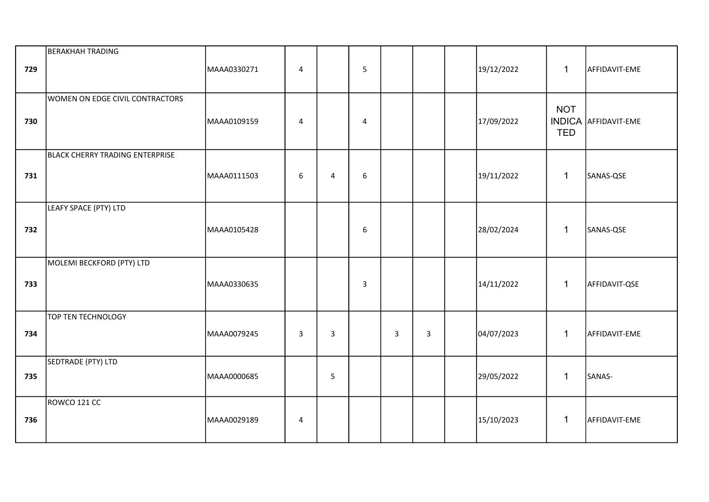| 729 | <b>BERAKHAH TRADING</b>                | MAAA0330271 | 4            |                | 5 |   |   | 19/12/2022 | $\mathbf{1}$             | AFFIDAVIT-EME               |
|-----|----------------------------------------|-------------|--------------|----------------|---|---|---|------------|--------------------------|-----------------------------|
| 730 | WOMEN ON EDGE CIVIL CONTRACTORS        | MAAA0109159 | 4            |                | 4 |   |   | 17/09/2022 | <b>NOT</b><br><b>TED</b> | <b>INDICA</b> AFFIDAVIT-EME |
| 731 | <b>BLACK CHERRY TRADING ENTERPRISE</b> | MAAA0111503 | 6            | $\overline{4}$ | 6 |   |   | 19/11/2022 | $\mathbf{1}$             | SANAS-QSE                   |
| 732 | LEAFY SPACE (PTY) LTD                  | MAAA0105428 |              |                | 6 |   |   | 28/02/2024 | $\mathbf{1}$             | SANAS-QSE                   |
| 733 | MOLEMI BECKFORD (PTY) LTD              | MAAA0330635 |              |                | 3 |   |   | 14/11/2022 | $\mathbf{1}$             | AFFIDAVIT-QSE               |
| 734 | <b>TOP TEN TECHNOLOGY</b>              | MAAA0079245 | $\mathbf{3}$ | $\mathbf{3}$   |   | 3 | 3 | 04/07/2023 | $\mathbf{1}$             | AFFIDAVIT-EME               |
| 735 | SEDTRADE (PTY) LTD                     | MAAA0000685 |              | 5              |   |   |   | 29/05/2022 | $\mathbf{1}$             | SANAS-                      |
| 736 | ROWCO 121 CC                           | MAAA0029189 | 4            |                |   |   |   | 15/10/2023 | $\mathbf{1}$             | AFFIDAVIT-EME               |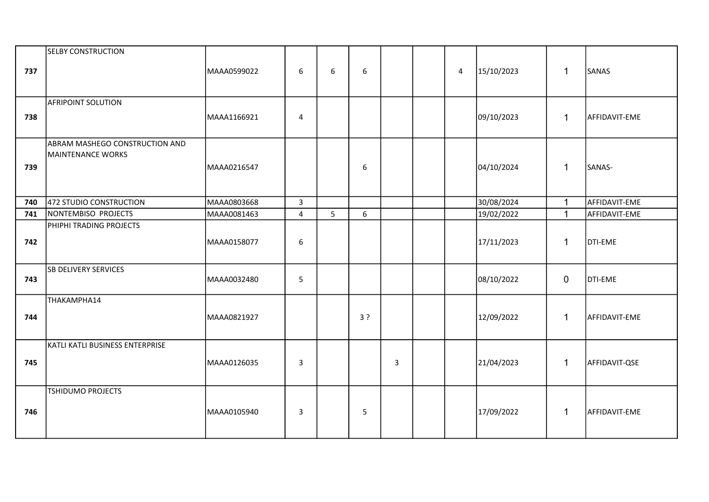| 737 | <b>SELBY CONSTRUCTION</b>                                  | MAAA0599022 | 6                       | 6 | 6  |   | 4 | 15/10/2023 | $\mathbf{1}$   | SANAS         |
|-----|------------------------------------------------------------|-------------|-------------------------|---|----|---|---|------------|----------------|---------------|
| 738 | <b>AFRIPOINT SOLUTION</b>                                  | MAAA1166921 | $\overline{4}$          |   |    |   |   | 09/10/2023 | $\mathbf{1}$   | AFFIDAVIT-EME |
| 739 | ABRAM MASHEGO CONSTRUCTION AND<br><b>MAINTENANCE WORKS</b> | MAAA0216547 |                         |   | 6  |   |   | 04/10/2024 | $\mathbf{1}$   | SANAS-        |
| 740 | 472 STUDIO CONSTRUCTION                                    | MAAA0803668 | $\overline{3}$          |   |    |   |   | 30/08/2024 | $\mathbf{1}$   | AFFIDAVIT-EME |
| 741 | NONTEMBISO PROJECTS                                        | MAAA0081463 | $\overline{\mathbf{4}}$ | 5 | 6  |   |   | 19/02/2022 | $\mathbf{1}$   | AFFIDAVIT-EME |
| 742 | PHIPHI TRADING PROJECTS                                    | MAAA0158077 | 6                       |   |    |   |   | 17/11/2023 | 1              | DTI-EME       |
| 743 | <b>SB DELIVERY SERVICES</b>                                | MAAA0032480 | 5                       |   |    |   |   | 08/10/2022 | $\overline{0}$ | DTI-EME       |
| 744 | THAKAMPHA14                                                | MAAA0821927 |                         |   | 3? |   |   | 12/09/2022 | $\mathbf{1}$   | AFFIDAVIT-EME |
| 745 | KATLI KATLI BUSINESS ENTERPRISE                            | MAAA0126035 | $\mathbf{3}$            |   |    | 3 |   | 21/04/2023 | $\mathbf{1}$   | AFFIDAVIT-QSE |
| 746 | TSHIDUMO PROJECTS                                          | MAAA0105940 | 3                       |   | 5  |   |   | 17/09/2022 | $\mathbf{1}$   | AFFIDAVIT-EME |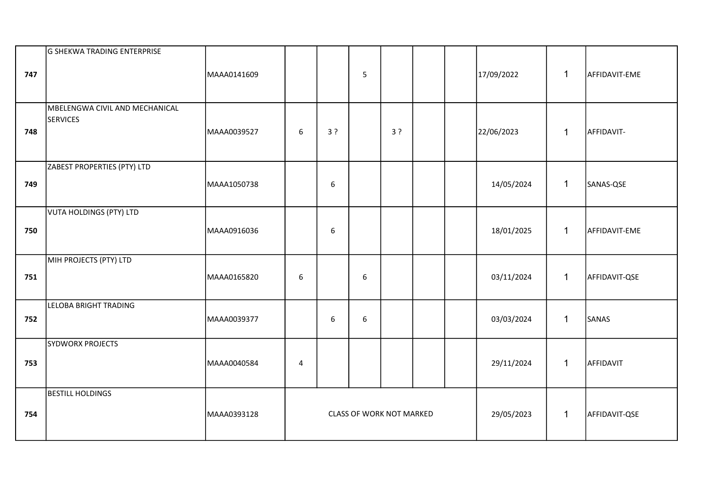| 747 | G SHEKWA TRADING ENTERPRISE                       | MAAA0141609 |                  |    | 5                               |    |  | 17/09/2022 | $\mathbf{1}$ | AFFIDAVIT-EME |
|-----|---------------------------------------------------|-------------|------------------|----|---------------------------------|----|--|------------|--------------|---------------|
| 748 | MBELENGWA CIVIL AND MECHANICAL<br><b>SERVICES</b> | MAAA0039527 | 6                | 3? |                                 | 3? |  | 22/06/2023 | $\mathbf{1}$ | AFFIDAVIT-    |
| 749 | ZABEST PROPERTIES (PTY) LTD                       | MAAA1050738 |                  | 6  |                                 |    |  | 14/05/2024 | $\mathbf 1$  | SANAS-QSE     |
| 750 | VUTA HOLDINGS (PTY) LTD                           | MAAA0916036 |                  | 6  |                                 |    |  | 18/01/2025 | $\mathbf{1}$ | AFFIDAVIT-EME |
| 751 | MIH PROJECTS (PTY) LTD                            | MAAA0165820 | $\boldsymbol{6}$ |    | 6                               |    |  | 03/11/2024 | $\mathbf{1}$ | AFFIDAVIT-QSE |
| 752 | LELOBA BRIGHT TRADING                             | MAAA0039377 |                  | 6  | $\boldsymbol{6}$                |    |  | 03/03/2024 | $\mathbf 1$  | SANAS         |
| 753 | <b>SYDWORX PROJECTS</b>                           | MAAA0040584 | 4                |    |                                 |    |  | 29/11/2024 | $\mathbf 1$  | AFFIDAVIT     |
| 754 | <b>BESTILL HOLDINGS</b>                           | MAAA0393128 |                  |    | <b>CLASS OF WORK NOT MARKED</b> |    |  | 29/05/2023 | $\mathbf{1}$ | AFFIDAVIT-QSE |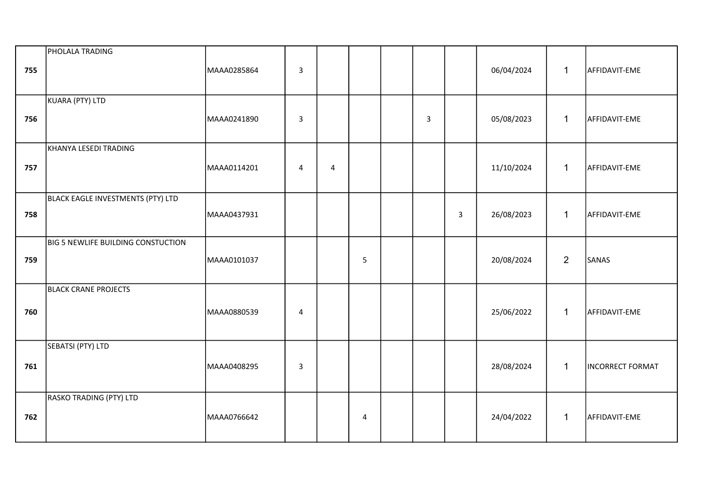| 755 | PHOLALA TRADING                           | MAAA0285864 | $\overline{\mathbf{3}}$ |   |                |   |              | 06/04/2024 | $\mathbf{1}$   | AFFIDAVIT-EME           |
|-----|-------------------------------------------|-------------|-------------------------|---|----------------|---|--------------|------------|----------------|-------------------------|
| 756 | KUARA (PTY) LTD                           | MAAA0241890 | $\mathbf{3}$            |   |                | 3 |              | 05/08/2023 | $\mathbf{1}$   | AFFIDAVIT-EME           |
| 757 | KHANYA LESEDI TRADING                     | MAAA0114201 | $\overline{4}$          | 4 |                |   |              | 11/10/2024 | $\mathbf{1}$   | AFFIDAVIT-EME           |
| 758 | BLACK EAGLE INVESTMENTS (PTY) LTD         | MAAA0437931 |                         |   |                |   | $\mathbf{3}$ | 26/08/2023 | $\mathbf{1}$   | AFFIDAVIT-EME           |
| 759 | <b>BIG 5 NEWLIFE BUILDING CONSTUCTION</b> | MAAA0101037 |                         |   | 5              |   |              | 20/08/2024 | $\overline{2}$ | SANAS                   |
| 760 | <b>BLACK CRANE PROJECTS</b>               | MAAA0880539 | 4                       |   |                |   |              | 25/06/2022 | $\mathbf{1}$   | AFFIDAVIT-EME           |
| 761 | SEBATSI (PTY) LTD                         | MAAA0408295 | $\overline{\mathbf{3}}$ |   |                |   |              | 28/08/2024 | $\mathbf{1}$   | <b>INCORRECT FORMAT</b> |
| 762 | RASKO TRADING (PTY) LTD                   | MAAA0766642 |                         |   | $\overline{4}$ |   |              | 24/04/2022 | $\mathbf{1}$   | AFFIDAVIT-EME           |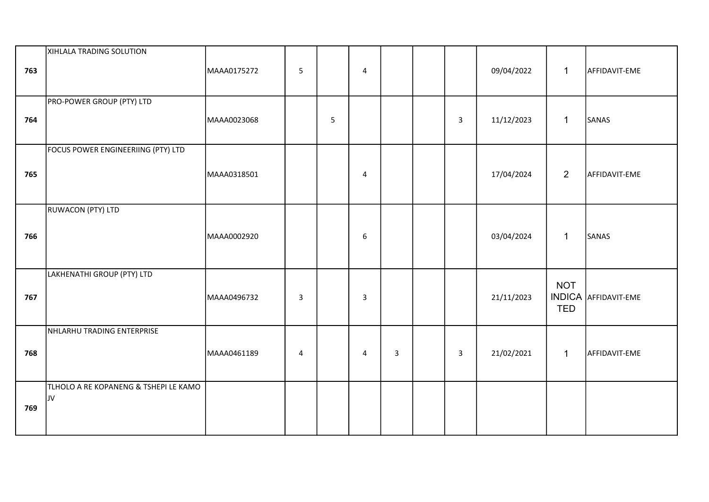| 763 | XIHLALA TRADING SOLUTION                    | MAAA0175272 | 5              |   | 4              |   |                | 09/04/2022 | $\mathbf{1}$             | AFFIDAVIT-EME               |
|-----|---------------------------------------------|-------------|----------------|---|----------------|---|----------------|------------|--------------------------|-----------------------------|
| 764 | PRO-POWER GROUP (PTY) LTD                   | MAAA0023068 |                | 5 |                |   | $\mathsf{3}$   | 11/12/2023 | $\mathbf{1}$             | SANAS                       |
| 765 | FOCUS POWER ENGINEERIING (PTY) LTD          | MAAA0318501 |                |   | $\overline{4}$ |   |                | 17/04/2024 | $\overline{2}$           | AFFIDAVIT-EME               |
| 766 | RUWACON (PTY) LTD                           | MAAA0002920 |                |   | $6\phantom{1}$ |   |                | 03/04/2024 | $\mathbf{1}$             | SANAS                       |
| 767 | LAKHENATHI GROUP (PTY) LTD                  | MAAA0496732 | $\overline{3}$ |   | $\overline{3}$ |   |                | 21/11/2023 | <b>NOT</b><br><b>TED</b> | <b>INDICA AFFIDAVIT-EME</b> |
| 768 | NHLARHU TRADING ENTERPRISE                  | MAAA0461189 | $\overline{4}$ |   | $\overline{4}$ | 3 | $\overline{3}$ | 21/02/2021 | $\mathbf{1}$             | AFFIDAVIT-EME               |
| 769 | TLHOLO A RE KOPANENG & TSHEPI LE KAMO<br>JV |             |                |   |                |   |                |            |                          |                             |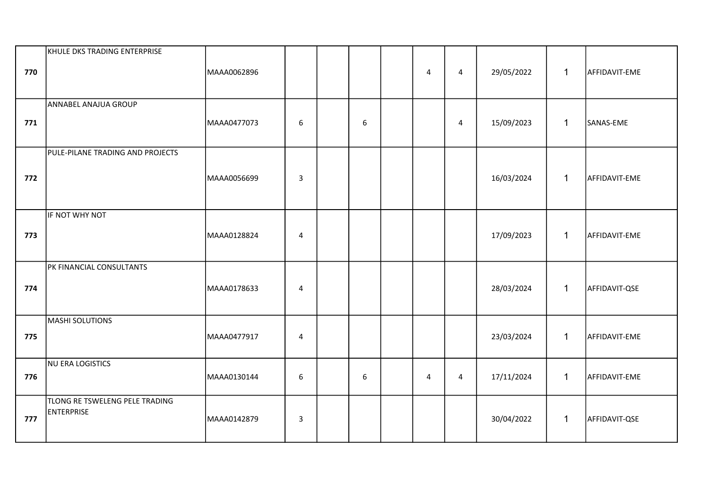| 770 | KHULE DKS TRADING ENTERPRISE                        | MAAA0062896 |                |                | $\overline{4}$ | $\overline{4}$ | 29/05/2022 | $\mathbf{1}$ | AFFIDAVIT-EME |
|-----|-----------------------------------------------------|-------------|----------------|----------------|----------------|----------------|------------|--------------|---------------|
| 771 | ANNABEL ANAJUA GROUP                                | MAAA0477073 | 6              | $6\phantom{1}$ |                | $\overline{4}$ | 15/09/2023 | $\mathbf{1}$ | SANAS-EME     |
| 772 | PULE-PILANE TRADING AND PROJECTS                    | MAAA0056699 | $\mathsf 3$    |                |                |                | 16/03/2024 | $\mathbf{1}$ | AFFIDAVIT-EME |
| 773 | IF NOT WHY NOT                                      | MAAA0128824 | $\overline{4}$ |                |                |                | 17/09/2023 | $\mathbf{1}$ | AFFIDAVIT-EME |
| 774 | PK FINANCIAL CONSULTANTS                            | MAAA0178633 | 4              |                |                |                | 28/03/2024 | $\mathbf{1}$ | AFFIDAVIT-QSE |
| 775 | <b>MASHI SOLUTIONS</b>                              | MAAA0477917 | $\overline{4}$ |                |                |                | 23/03/2024 | $\mathbf{1}$ | AFFIDAVIT-EME |
| 776 | NU ERA LOGISTICS                                    | MAAA0130144 | 6              | 6              | $\overline{4}$ | $\overline{4}$ | 17/11/2024 | $\mathbf{1}$ | AFFIDAVIT-EME |
| 777 | TLONG RE TSWELENG PELE TRADING<br><b>ENTERPRISE</b> | MAAA0142879 | $\overline{3}$ |                |                |                | 30/04/2022 | $\mathbf{1}$ | AFFIDAVIT-QSE |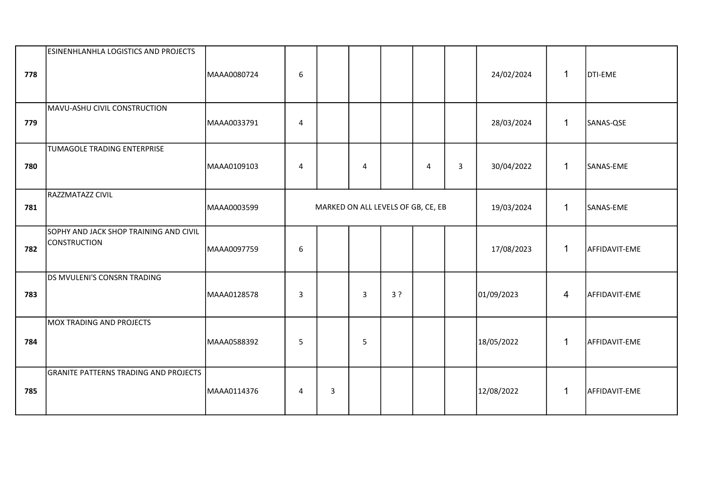|     | <b>ESINENHLANHLA LOGISTICS AND PROJECTS</b>                   |             |                  |                                    |                |    |                |                |            |                |               |
|-----|---------------------------------------------------------------|-------------|------------------|------------------------------------|----------------|----|----------------|----------------|------------|----------------|---------------|
| 778 |                                                               | MAAA0080724 | 6                |                                    |                |    |                |                | 24/02/2024 | $\mathbf{1}$   | DTI-EME       |
| 779 | MAVU-ASHU CIVIL CONSTRUCTION                                  | MAAA0033791 | 4                |                                    |                |    |                |                | 28/03/2024 | $\mathbf{1}$   | SANAS-QSE     |
| 780 | TUMAGOLE TRADING ENTERPRISE                                   | MAAA0109103 | $\overline{4}$   |                                    | $\overline{4}$ |    | $\overline{4}$ | $\overline{3}$ | 30/04/2022 | $\mathbf{1}$   | SANAS-EME     |
| 781 | RAZZMATAZZ CIVIL                                              | MAAA0003599 |                  | MARKED ON ALL LEVELS OF GB, CE, EB |                |    |                |                | 19/03/2024 | $\mathbf{1}$   | SANAS-EME     |
| 782 | SOPHY AND JACK SHOP TRAINING AND CIVIL<br><b>CONSTRUCTION</b> | MAAA0097759 | $\boldsymbol{6}$ |                                    |                |    |                |                | 17/08/2023 | $\mathbf{1}$   | AFFIDAVIT-EME |
| 783 | DS MVULENI'S CONSRN TRADING                                   | MAAA0128578 | $\mathbf{3}$     |                                    | 3              | 3? |                |                | 01/09/2023 | $\overline{4}$ | AFFIDAVIT-EME |
| 784 | MOX TRADING AND PROJECTS                                      | MAAA0588392 | 5                |                                    | 5              |    |                |                | 18/05/2022 | $\mathbf{1}$   | AFFIDAVIT-EME |
| 785 | <b>GRANITE PATTERNS TRADING AND PROJECTS</b>                  | MAAA0114376 | $\overline{4}$   | 3                                  |                |    |                |                | 12/08/2022 | $\mathbf{1}$   | AFFIDAVIT-EME |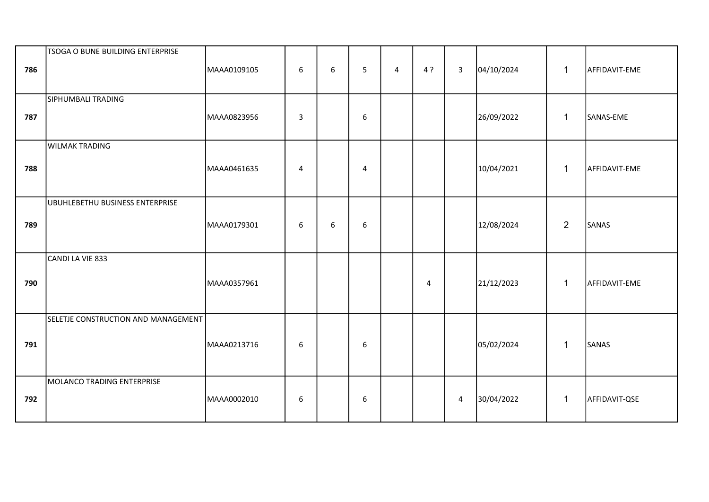| 786 | <b>TSOGA O BUNE BUILDING ENTERPRISE</b> | MAAA0109105 | $\boldsymbol{6}$ | 6 | 5                | $\overline{4}$ | 4 ?            | $\mathbf{3}$ | 04/10/2024 | $\mathbf{1}$   | AFFIDAVIT-EME |
|-----|-----------------------------------------|-------------|------------------|---|------------------|----------------|----------------|--------------|------------|----------------|---------------|
| 787 | SIPHUMBALI TRADING                      | MAAA0823956 | 3                |   | 6                |                |                |              | 26/09/2022 | $\mathbf{1}$   | SANAS-EME     |
| 788 | <b>WILMAK TRADING</b>                   | MAAA0461635 | 4                |   | $\overline{4}$   |                |                |              | 10/04/2021 | $\mathbf{1}$   | AFFIDAVIT-EME |
| 789 | UBUHLEBETHU BUSINESS ENTERPRISE         | MAAA0179301 | 6                | 6 | $\boldsymbol{6}$ |                |                |              | 12/08/2024 | $\overline{2}$ | SANAS         |
| 790 | CANDI LA VIE 833                        | MAAA0357961 |                  |   |                  |                | $\overline{4}$ |              | 21/12/2023 | $\mathbf{1}$   | AFFIDAVIT-EME |
| 791 | SELETJE CONSTRUCTION AND MANAGEMENT     | MAAA0213716 | 6                |   | 6                |                |                |              | 05/02/2024 | $\mathbf{1}$   | SANAS         |
| 792 | MOLANCO TRADING ENTERPRISE              | MAAA0002010 | 6                |   | $\boldsymbol{6}$ |                |                | $\pmb{4}$    | 30/04/2022 | $\mathbf{1}$   | AFFIDAVIT-QSE |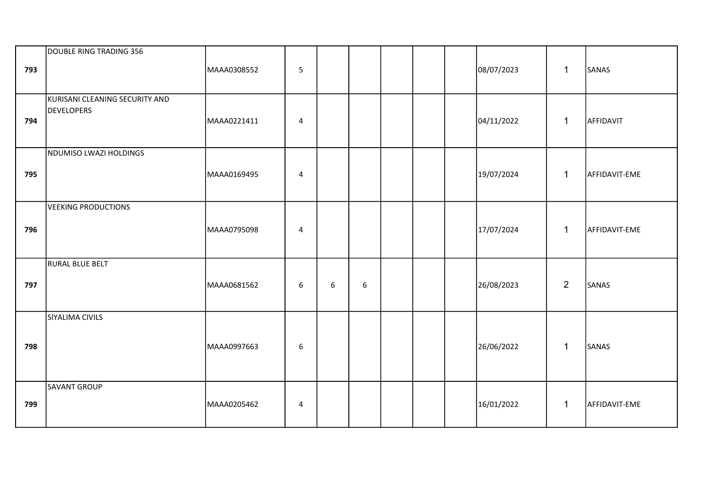| 793 | DOUBLE RING TRADING 356                      | MAAA0308552 | 5              |   |   |  | 08/07/2023 | $\mathbf{1}$   | SANAS         |
|-----|----------------------------------------------|-------------|----------------|---|---|--|------------|----------------|---------------|
| 794 | KURISANI CLEANING SECURITY AND<br>DEVELOPERS | MAAA0221411 | 4              |   |   |  | 04/11/2022 | $\mathbf{1}$   | AFFIDAVIT     |
| 795 | NDUMISO LWAZI HOLDINGS                       | MAAA0169495 | 4              |   |   |  | 19/07/2024 | $\mathbf{1}$   | AFFIDAVIT-EME |
| 796 | VEEKING PRODUCTIONS                          | MAAA0795098 | $\overline{4}$ |   |   |  | 17/07/2024 | $\mathbf{1}$   | AFFIDAVIT-EME |
| 797 | RURAL BLUE BELT                              | MAAA0681562 | 6              | 6 | 6 |  | 26/08/2023 | $\overline{2}$ | SANAS         |
| 798 | SIYALIMA CIVILS                              | MAAA0997663 | 6              |   |   |  | 26/06/2022 | $\mathbf{1}$   | SANAS         |
| 799 | SAVANT GROUP                                 | MAAA0205462 | 4              |   |   |  | 16/01/2022 | $\mathbf{1}$   | AFFIDAVIT-EME |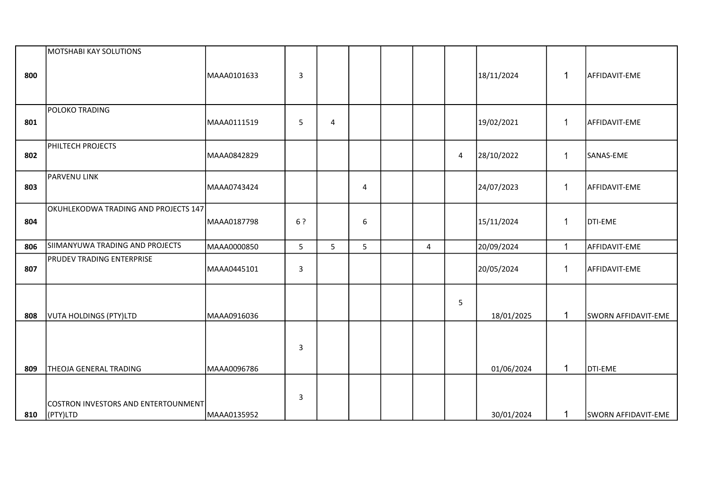| 800 | MOTSHABI KAY SOLUTIONS                          | MAAA0101633 | $\mathbf{3}$   |   |                |                |   | 18/11/2024 | 1            | AFFIDAVIT-EME              |
|-----|-------------------------------------------------|-------------|----------------|---|----------------|----------------|---|------------|--------------|----------------------------|
| 801 | POLOKO TRADING                                  | MAAA0111519 | 5              | 4 |                |                |   | 19/02/2021 | $\mathbf{1}$ | AFFIDAVIT-EME              |
| 802 | PHILTECH PROJECTS                               | MAAA0842829 |                |   |                |                | 4 | 28/10/2022 | $\mathbf{1}$ | SANAS-EME                  |
| 803 | PARVENU LINK                                    | MAAA0743424 |                |   | $\overline{4}$ |                |   | 24/07/2023 | $\mathbf{1}$ | AFFIDAVIT-EME              |
| 804 | OKUHLEKODWA TRADING AND PROJECTS 147            | MAAA0187798 | 6?             |   | 6              |                |   | 15/11/2024 | $\mathbf 1$  | <b>DTI-EME</b>             |
| 806 | SIIMANYUWA TRADING AND PROJECTS                 | MAAA0000850 | 5 <sub>1</sub> | 5 | 5              | $\overline{4}$ |   | 20/09/2024 | $\mathbf{1}$ | AFFIDAVIT-EME              |
| 807 | <b>PRUDEV TRADING ENTERPRISE</b>                | MAAA0445101 | $\mathsf{3}$   |   |                |                |   | 20/05/2024 | $\mathbf{1}$ | AFFIDAVIT-EME              |
| 808 | VUTA HOLDINGS (PTY)LTD                          | MAAA0916036 |                |   |                |                | 5 | 18/01/2025 | $\mathbf{1}$ | SWORN AFFIDAVIT-EME        |
|     |                                                 |             | $\mathbf{3}$   |   |                |                |   |            |              |                            |
| 809 | THEOJA GENERAL TRADING                          | MAAA0096786 |                |   |                |                |   | 01/06/2024 | $\mathbf{1}$ | DTI-EME                    |
| 810 | COSTRON INVESTORS AND ENTERTOUNMENT<br>(PTY)LTD | MAAA0135952 | 3              |   |                |                |   | 30/01/2024 | $\mathbf{1}$ | <b>SWORN AFFIDAVIT-EME</b> |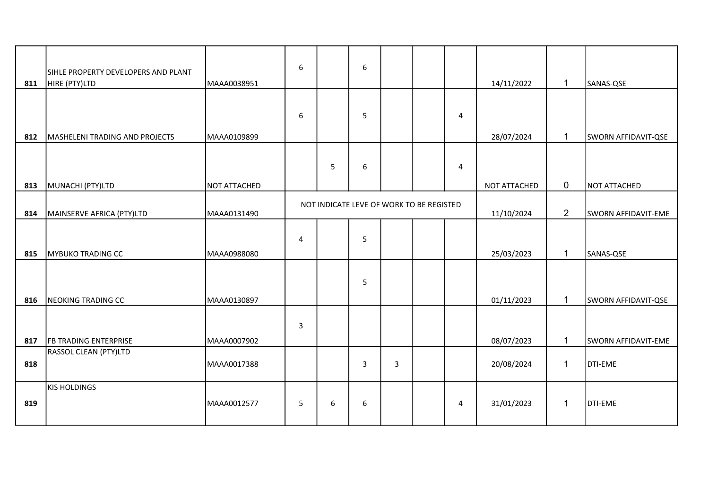| 811 | SIHLE PROPERTY DEVELOPERS AND PLANT<br>HIRE (PTY)LTD | MAAA0038951  | 6              |   | 6                                        |   |                | 14/11/2022   | $\mathbf{1}$   | SANAS-QSE           |
|-----|------------------------------------------------------|--------------|----------------|---|------------------------------------------|---|----------------|--------------|----------------|---------------------|
|     |                                                      |              |                |   |                                          |   |                |              |                |                     |
|     |                                                      |              | 6              |   | 5                                        |   | $\overline{4}$ |              |                |                     |
| 812 | MASHELENI TRADING AND PROJECTS                       | MAAA0109899  |                |   |                                          |   |                | 28/07/2024   | $\mathbf 1$    | SWORN AFFIDAVIT-QSE |
| 813 | MUNACHI (PTY)LTD                                     | NOT ATTACHED |                | 5 | 6                                        |   | 4              | NOT ATTACHED | $\overline{0}$ | NOT ATTACHED        |
|     |                                                      |              |                |   |                                          |   |                |              |                |                     |
| 814 | MAINSERVE AFRICA (PTY)LTD                            | MAAA0131490  |                |   | NOT INDICATE LEVE OF WORK TO BE REGISTED |   |                | 11/10/2024   | $\overline{2}$ | SWORN AFFIDAVIT-EME |
|     |                                                      |              |                |   |                                          |   |                |              |                |                     |
|     |                                                      |              | $\overline{4}$ |   | 5                                        |   |                |              |                |                     |
|     |                                                      |              |                |   |                                          |   |                |              |                |                     |
| 815 | <b>MYBUKO TRADING CC</b>                             | MAAA0988080  |                |   |                                          |   |                | 25/03/2023   | $\mathbf{1}$   | SANAS-QSE           |
|     |                                                      |              |                |   |                                          |   |                |              |                |                     |
|     |                                                      |              |                |   | 5                                        |   |                |              |                |                     |
|     |                                                      |              |                |   |                                          |   |                |              |                |                     |
| 816 | NEOKING TRADING CC                                   | MAAA0130897  |                |   |                                          |   |                | 01/11/2023   | $\mathbf{1}$   | SWORN AFFIDAVIT-QSE |
|     |                                                      |              |                |   |                                          |   |                |              |                |                     |
|     |                                                      |              | $\mathbf{3}$   |   |                                          |   |                |              |                |                     |
| 817 | <b>FB TRADING ENTERPRISE</b>                         | MAAA0007902  |                |   |                                          |   |                | 08/07/2023   | $\mathbf{1}$   | SWORN AFFIDAVIT-EME |
|     | RASSOL CLEAN (PTY)LTD                                |              |                |   |                                          |   |                |              |                |                     |
| 818 |                                                      | MAAA0017388  |                |   | 3                                        | 3 |                | 20/08/2024   | $\mathbf 1$    | DTI-EME             |
|     |                                                      |              |                |   |                                          |   |                |              |                |                     |
|     | <b>KIS HOLDINGS</b>                                  |              |                |   |                                          |   |                |              |                |                     |
| 819 |                                                      | MAAA0012577  | 5              | 6 | 6                                        |   | 4              | 31/01/2023   | 1              | DTI-EME             |
|     |                                                      |              |                |   |                                          |   |                |              |                |                     |
|     |                                                      |              |                |   |                                          |   |                |              |                |                     |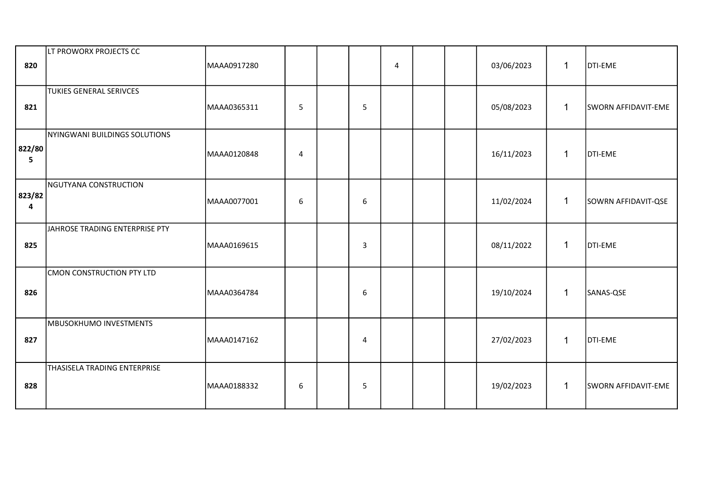| 820         | LT PROWORX PROJECTS CC         | MAAA0917280 |                         |                | 4 |  | 03/06/2023 | $\mathbf{1}$ | <b>DTI-EME</b>      |
|-------------|--------------------------------|-------------|-------------------------|----------------|---|--|------------|--------------|---------------------|
| 821         | <b>TUKIES GENERAL SERIVCES</b> | MAAA0365311 | 5                       | 5              |   |  | 05/08/2023 | $\mathbf{1}$ | SWORN AFFIDAVIT-EME |
| 822/80<br>5 | NYINGWANI BUILDINGS SOLUTIONS  | MAAA0120848 | $\overline{\mathbf{4}}$ |                |   |  | 16/11/2023 | $\mathbf{1}$ | <b>DTI-EME</b>      |
| 823/82<br>4 | NGUTYANA CONSTRUCTION          | MAAA0077001 | 6                       | 6              |   |  | 11/02/2024 | $\mathbf{1}$ | SOWRN AFFIDAVIT-QSE |
| 825         | JAHROSE TRADING ENTERPRISE PTY | MAAA0169615 |                         | 3              |   |  | 08/11/2022 | $\mathbf{1}$ | <b>DTI-EME</b>      |
| 826         | CMON CONSTRUCTION PTY LTD      | MAAA0364784 |                         | 6              |   |  | 19/10/2024 | $\mathbf{1}$ | SANAS-QSE           |
| 827         | MBUSOKHUMO INVESTMENTS         | MAAA0147162 |                         | $\overline{4}$ |   |  | 27/02/2023 | $\mathbf{1}$ | <b>DTI-EME</b>      |
| 828         | THASISELA TRADING ENTERPRISE   | MAAA0188332 | 6                       | 5              |   |  | 19/02/2023 | $\mathbf{1}$ | SWORN AFFIDAVIT-EME |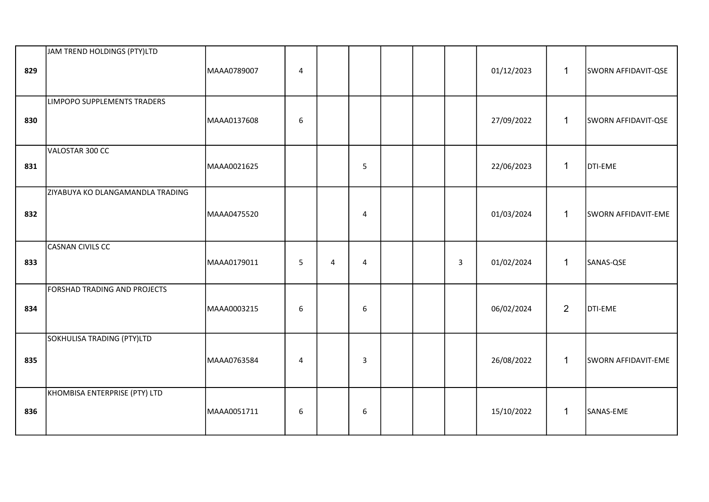| 829 | JAM TREND HOLDINGS (PTY)LTD        | MAAA0789007 | 4                |   |                |  |                         | 01/12/2023 | $\mathbf{1}$   | SWORN AFFIDAVIT-QSE |
|-----|------------------------------------|-------------|------------------|---|----------------|--|-------------------------|------------|----------------|---------------------|
| 830 | <b>LIMPOPO SUPPLEMENTS TRADERS</b> | MAAA0137608 | 6                |   |                |  |                         | 27/09/2022 | $\mathbf{1}$   | SWORN AFFIDAVIT-QSE |
| 831 | VALOSTAR 300 CC                    | MAAA0021625 |                  |   | 5              |  |                         | 22/06/2023 | $\mathbf{1}$   | DTI-EME             |
| 832 | ZIYABUYA KO DLANGAMANDLA TRADING   | MAAA0475520 |                  |   | $\overline{4}$ |  |                         | 01/03/2024 | $\mathbf{1}$   | SWORN AFFIDAVIT-EME |
| 833 | CASNAN CIVILS CC                   | MAAA0179011 | 5                | 4 | $\overline{4}$ |  | $\overline{\mathbf{3}}$ | 01/02/2024 | $\mathbf{1}$   | SANAS-QSE           |
| 834 | FORSHAD TRADING AND PROJECTS       | MAAA0003215 | $\boldsymbol{6}$ |   | 6              |  |                         | 06/02/2024 | $\overline{2}$ | DTI-EME             |
| 835 | SOKHULISA TRADING (PTY)LTD         | MAAA0763584 | $\overline{4}$   |   | $\overline{3}$ |  |                         | 26/08/2022 | $\mathbf{1}$   | SWORN AFFIDAVIT-EME |
| 836 | KHOMBISA ENTERPRISE (PTY) LTD      | MAAA0051711 | 6                |   | 6              |  |                         | 15/10/2022 | $\mathbf{1}$   | SANAS-EME           |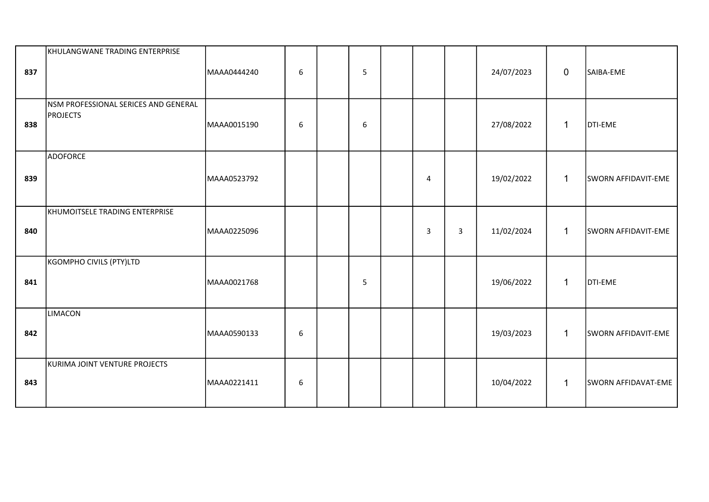| 837 | KHULANGWANE TRADING ENTERPRISE                          | MAAA0444240 | $\boldsymbol{6}$ | 5 |                |                | 24/07/2023 | $\mathbf 0$  | SAIBA-EME           |
|-----|---------------------------------------------------------|-------------|------------------|---|----------------|----------------|------------|--------------|---------------------|
| 838 | NSM PROFESSIONAL SERICES AND GENERAL<br><b>PROJECTS</b> | MAAA0015190 | 6                | 6 |                |                | 27/08/2022 | $\mathbf{1}$ | DTI-EME             |
| 839 | <b>ADOFORCE</b>                                         | MAAA0523792 |                  |   | $\overline{4}$ |                | 19/02/2022 | $\mathbf{1}$ | SWORN AFFIDAVIT-EME |
| 840 | KHUMOITSELE TRADING ENTERPRISE                          | MAAA0225096 |                  |   | 3              | $\overline{3}$ | 11/02/2024 | $\mathbf{1}$ | SWORN AFFIDAVIT-EME |
| 841 | KGOMPHO CIVILS (PTY)LTD                                 | MAAA0021768 |                  | 5 |                |                | 19/06/2022 | $\mathbf{1}$ | DTI-EME             |
| 842 | LIMACON                                                 | MAAA0590133 | $\boldsymbol{6}$ |   |                |                | 19/03/2023 | $\mathbf{1}$ | SWORN AFFIDAVIT-EME |
| 843 | KURIMA JOINT VENTURE PROJECTS                           | MAAA0221411 | 6                |   |                |                | 10/04/2022 | $\mathbf{1}$ | SWORN AFFIDAVAT-EME |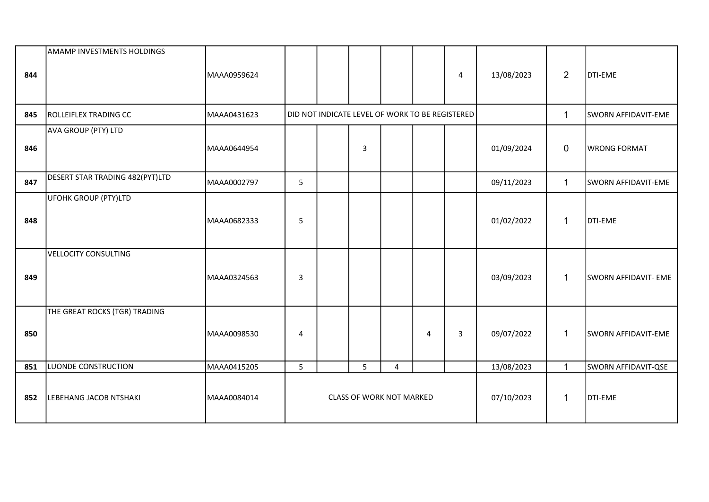| 844 | <b>AMAMP INVESTMENTS HOLDINGS</b> | MAAA0959624 |                                               |  |   |                                                 |   | 4 | 13/08/2023 | $\overline{2}$ | <b>DTI-EME</b>             |
|-----|-----------------------------------|-------------|-----------------------------------------------|--|---|-------------------------------------------------|---|---|------------|----------------|----------------------------|
|     |                                   |             |                                               |  |   |                                                 |   |   |            |                |                            |
| 845 | <b>ROLLEIFLEX TRADING CC</b>      | MAAA0431623 |                                               |  |   | DID NOT INDICATE LEVEL OF WORK TO BE REGISTERED |   |   |            | $\mathbf{1}$   | SWORN AFFIDAVIT-EME        |
| 846 | AVA GROUP (PTY) LTD               | MAAA0644954 |                                               |  | 3 |                                                 |   |   | 01/09/2024 | $\mathbf 0$    | <b>WRONG FORMAT</b>        |
| 847 | DESERT STAR TRADING 482(PYT)LTD   | MAAA0002797 | 5                                             |  |   |                                                 |   |   | 09/11/2023 | $\mathbf{1}$   | <b>SWORN AFFIDAVIT-EME</b> |
| 848 | UFOHK GROUP (PTY)LTD              | MAAA0682333 | 5                                             |  |   |                                                 |   |   | 01/02/2022 | 1              | <b>DTI-EME</b>             |
| 849 | VELLOCITY CONSULTING              | MAAA0324563 | 3                                             |  |   |                                                 |   |   | 03/09/2023 | $\mathbf 1$    | SWORN AFFIDAVIT- EME       |
| 850 | THE GREAT ROCKS (TGR) TRADING     | MAAA0098530 | 4                                             |  |   |                                                 | 4 | 3 | 09/07/2022 | 1              | SWORN AFFIDAVIT-EME        |
| 851 | LUONDE CONSTRUCTION               | MAAA0415205 | 5                                             |  | 5 | $\overline{4}$                                  |   |   | 13/08/2023 | $\mathbf{1}$   | SWORN AFFIDAVIT-QSE        |
| 852 | LEBEHANG JACOB NTSHAKI            | MAAA0084014 | 07/10/2023<br><b>CLASS OF WORK NOT MARKED</b> |  |   |                                                 |   |   |            | 1              | <b>DTI-EME</b>             |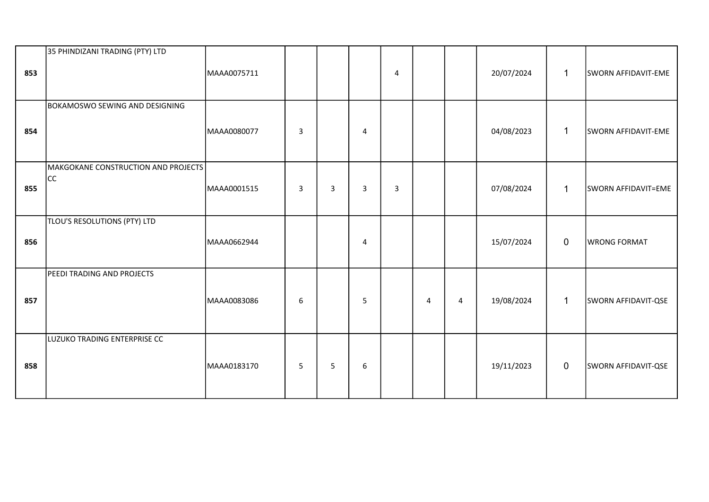| 853 | 35 PHINDIZANI TRADING (PTY) LTD           | MAAA0075711 |                |   |                | 4 |                |   | 20/07/2024 | $\mathbf{1}$ | SWORN AFFIDAVIT-EME |
|-----|-------------------------------------------|-------------|----------------|---|----------------|---|----------------|---|------------|--------------|---------------------|
| 854 | <b>BOKAMOSWO SEWING AND DESIGNING</b>     | MAAA0080077 | $\overline{3}$ |   | $\overline{4}$ |   |                |   | 04/08/2023 | $\mathbf 1$  | SWORN AFFIDAVIT-EME |
| 855 | MAKGOKANE CONSTRUCTION AND PROJECTS<br>cc | MAAA0001515 | $\overline{3}$ | 3 | 3              | 3 |                |   | 07/08/2024 | $\mathbf{1}$ | SWORN AFFIDAVIT=EME |
| 856 | TLOU'S RESOLUTIONS (PTY) LTD              | MAAA0662944 |                |   | $\overline{4}$ |   |                |   | 15/07/2024 | $\mathbf 0$  | <b>WRONG FORMAT</b> |
| 857 | PEEDI TRADING AND PROJECTS                | MAAA0083086 | 6              |   | 5              |   | $\overline{4}$ | 4 | 19/08/2024 | $\mathbf{1}$ | SWORN AFFIDAVIT-QSE |
| 858 | LUZUKO TRADING ENTERPRISE CC              | MAAA0183170 | 5              | 5 | $6\phantom{1}$ |   |                |   | 19/11/2023 | $\mathbf 0$  | SWORN AFFIDAVIT-QSE |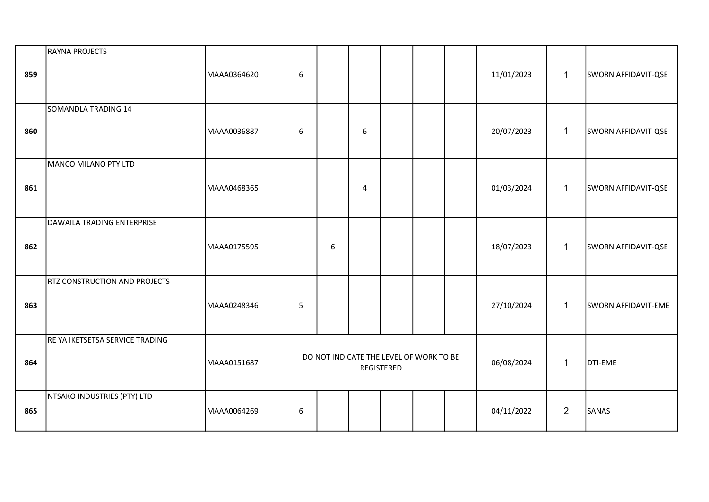| 859 | RAYNA PROJECTS                       | MAAA0364620 | 6 |                                                              |                |  |  |  | 11/01/2023 | $\mathbf{1}$   | SWORN AFFIDAVIT-QSE |
|-----|--------------------------------------|-------------|---|--------------------------------------------------------------|----------------|--|--|--|------------|----------------|---------------------|
| 860 | SOMANDLA TRADING 14                  | MAAA0036887 | 6 |                                                              | 6              |  |  |  | 20/07/2023 | $\mathbf{1}$   | SWORN AFFIDAVIT-QSE |
| 861 | MANCO MILANO PTY LTD                 | MAAA0468365 |   |                                                              | $\overline{4}$ |  |  |  | 01/03/2024 | $\mathbf{1}$   | SWORN AFFIDAVIT-QSE |
| 862 | DAWAILA TRADING ENTERPRISE           | MAAA0175595 |   | 6                                                            |                |  |  |  | 18/07/2023 | $\mathbf{1}$   | SWORN AFFIDAVIT-QSE |
| 863 | <b>RTZ CONSTRUCTION AND PROJECTS</b> | MAAA0248346 | 5 |                                                              |                |  |  |  | 27/10/2024 | $\mathbf{1}$   | SWORN AFFIDAVIT-EME |
| 864 | RE YA IKETSETSA SERVICE TRADING      | MAAA0151687 |   | DO NOT INDICATE THE LEVEL OF WORK TO BE<br><b>REGISTERED</b> |                |  |  |  | 06/08/2024 | $\mathbf{1}$   | DTI-EME             |
| 865 | NTSAKO INDUSTRIES (PTY) LTD          | MAAA0064269 | 6 |                                                              |                |  |  |  | 04/11/2022 | $\overline{2}$ | SANAS               |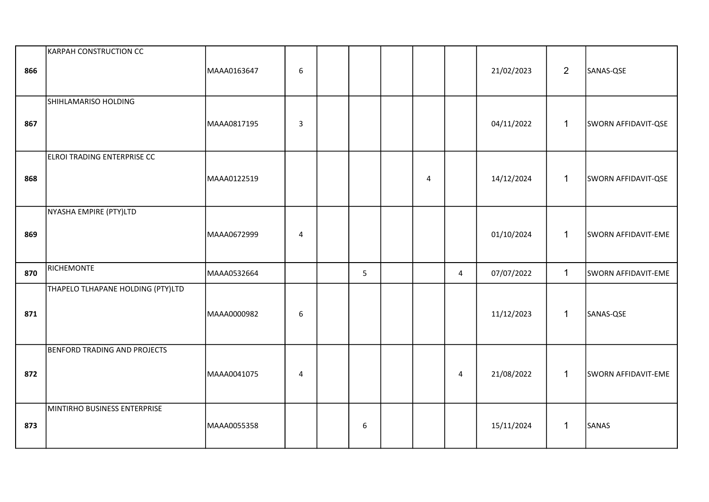| 866 | KARPAH CONSTRUCTION CC              | MAAA0163647 | 6              |   |                |                | 21/02/2023 | $\overline{2}$ | SANAS-QSE           |
|-----|-------------------------------------|-------------|----------------|---|----------------|----------------|------------|----------------|---------------------|
| 867 | SHIHLAMARISO HOLDING                | MAAA0817195 | $\overline{3}$ |   |                |                | 04/11/2022 | $\mathbf{1}$   | SWORN AFFIDAVIT-QSE |
| 868 | ELROI TRADING ENTERPRISE CC         | MAAA0122519 |                |   | $\overline{4}$ |                | 14/12/2024 | $\mathbf{1}$   | SWORN AFFIDAVIT-QSE |
| 869 | NYASHA EMPIRE (PTY)LTD              | MAAA0672999 | 4              |   |                |                | 01/10/2024 | $\mathbf{1}$   | SWORN AFFIDAVIT-EME |
| 870 | RICHEMONTE                          | MAAA0532664 |                | 5 |                | $\overline{4}$ | 07/07/2022 | $\mathbf{1}$   | SWORN AFFIDAVIT-EME |
| 871 | THAPELO TLHAPANE HOLDING (PTY)LTD   | MAAA0000982 | 6              |   |                |                | 11/12/2023 | $\mathbf{1}$   | SANAS-QSE           |
| 872 | <b>BENFORD TRADING AND PROJECTS</b> | MAAA0041075 | 4              |   |                | 4              | 21/08/2022 | $\mathbf 1$    | SWORN AFFIDAVIT-EME |
| 873 | MINTIRHO BUSINESS ENTERPRISE        | MAAA0055358 |                | 6 |                |                | 15/11/2024 | $\mathbf{1}$   | SANAS               |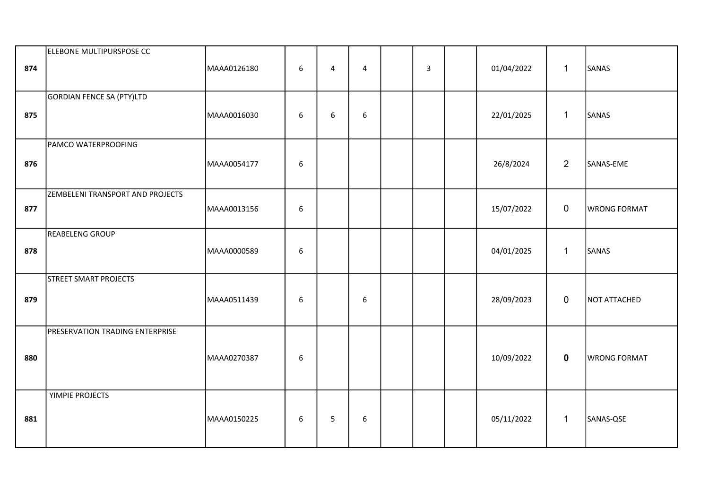| 874 | ELEBONE MULTIPURSPOSE CC               | MAAA0126180 | 6          | 4 | $\overline{4}$   | $\overline{3}$ | 01/04/2022 | $\mathbf{1}$ | SANAS               |
|-----|----------------------------------------|-------------|------------|---|------------------|----------------|------------|--------------|---------------------|
| 875 | GORDIAN FENCE SA (PTY)LTD              | MAAA0016030 | 6          | 6 | $\boldsymbol{6}$ |                | 22/01/2025 | $\mathbf{1}$ | SANAS               |
| 876 | PAMCO WATERPROOFING                    | MAAA0054177 | 6          |   |                  |                | 26/8/2024  | 2            | SANAS-EME           |
| 877 | ZEMBELENI TRANSPORT AND PROJECTS       | MAAA0013156 | $\sqrt{6}$ |   |                  |                | 15/07/2022 | $\mathbf 0$  | <b>WRONG FORMAT</b> |
| 878 | REABELENG GROUP                        | MAAA0000589 | 6          |   |                  |                | 04/01/2025 | $\mathbf{1}$ | SANAS               |
| 879 | <b>STREET SMART PROJECTS</b>           | MAAA0511439 | $\sqrt{6}$ |   | 6                |                | 28/09/2023 | $\mathbf 0$  | NOT ATTACHED        |
| 880 | <b>PRESERVATION TRADING ENTERPRISE</b> | MAAA0270387 | 6          |   |                  |                | 10/09/2022 | $\mathbf 0$  | <b>WRONG FORMAT</b> |
| 881 | YIMPIE PROJECTS                        | MAAA0150225 | 6          | 5 | 6                |                | 05/11/2022 | $\mathbf{1}$ | SANAS-QSE           |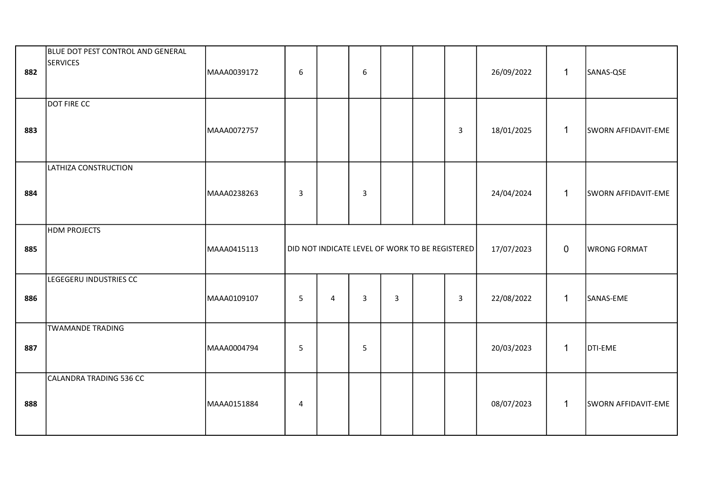| 882 | BLUE DOT PEST CONTROL AND GENERAL<br><b>SERVICES</b> | MAAA0039172 | 6               |   | $6\phantom{1}$ |                |                                                 |                | 26/09/2022 | $\mathbf{1}$ | SANAS-QSE           |
|-----|------------------------------------------------------|-------------|-----------------|---|----------------|----------------|-------------------------------------------------|----------------|------------|--------------|---------------------|
| 883 | <b>DOT FIRE CC</b>                                   | MAAA0072757 |                 |   |                |                |                                                 | $\mathbf{3}$   | 18/01/2025 | $\mathbf 1$  | SWORN AFFIDAVIT-EME |
| 884 | LATHIZA CONSTRUCTION                                 | MAAA0238263 | $\mathsf 3$     |   | 3              |                |                                                 |                | 24/04/2024 | $\mathbf{1}$ | SWORN AFFIDAVIT-EME |
| 885 | <b>HDM PROJECTS</b>                                  | MAAA0415113 |                 |   |                |                | DID NOT INDICATE LEVEL OF WORK TO BE REGISTERED |                | 17/07/2023 | $\mathbf 0$  | <b>WRONG FORMAT</b> |
| 886 | LEGEGERU INDUSTRIES CC                               | MAAA0109107 | $5\phantom{.0}$ | 4 | $\mathbf{3}$   | $\overline{3}$ |                                                 | $\overline{3}$ | 22/08/2022 | $\mathbf{1}$ | SANAS-EME           |
| 887 | <b>TWAMANDE TRADING</b>                              | MAAA0004794 | 5               |   | 5              |                |                                                 |                | 20/03/2023 | $\mathbf{1}$ | <b>DTI-EME</b>      |
| 888 | CALANDRA TRADING 536 CC                              | MAAA0151884 | $\overline{4}$  |   |                |                |                                                 |                | 08/07/2023 | $\mathbf{1}$ | SWORN AFFIDAVIT-EME |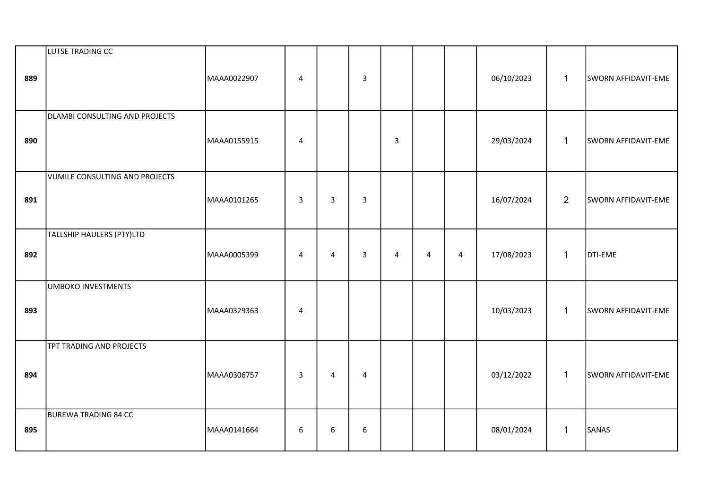| 889 | LUTSE TRADING CC               | MAAA0022907 | 4 |                | $\mathbf{3}$   |                |                |                | 06/10/2023 | $\mathbf{1}$   | SWORN AFFIDAVIT-EME |
|-----|--------------------------------|-------------|---|----------------|----------------|----------------|----------------|----------------|------------|----------------|---------------------|
| 890 | DLAMBI CONSULTING AND PROJECTS | MAAA0155915 | 4 |                |                | $\overline{3}$ |                |                | 29/03/2024 | $\mathbf{1}$   | SWORN AFFIDAVIT-EME |
| 891 | VUMILE CONSULTING AND PROJECTS | MAAA0101265 | 3 | $\overline{3}$ | $\overline{3}$ |                |                |                | 16/07/2024 | $\overline{2}$ | SWORN AFFIDAVIT-EME |
| 892 | TALLSHIP HAULERS (PTY)LTD      | MAAA0005399 | 4 | $\overline{4}$ | $\overline{3}$ | $\overline{4}$ | $\overline{4}$ | $\overline{4}$ | 17/08/2023 | $\mathbf{1}$   | DTI-EME             |
| 893 | <b>UMBOKO INVESTMENTS</b>      | MAAA0329363 | 4 |                |                |                |                |                | 10/03/2023 | $\mathbf{1}$   | SWORN AFFIDAVIT-EME |
| 894 | TPT TRADING AND PROJECTS       | MAAA0306757 | 3 | $\overline{4}$ | $\overline{4}$ |                |                |                | 03/12/2022 | $\mathbf{1}$   | SWORN AFFIDAVIT-EME |
| 895 | <b>BUREWA TRADING 84 CC</b>    | MAAA0141664 | 6 | 6              | 6              |                |                |                | 08/01/2024 | $\mathbf{1}$   | SANAS               |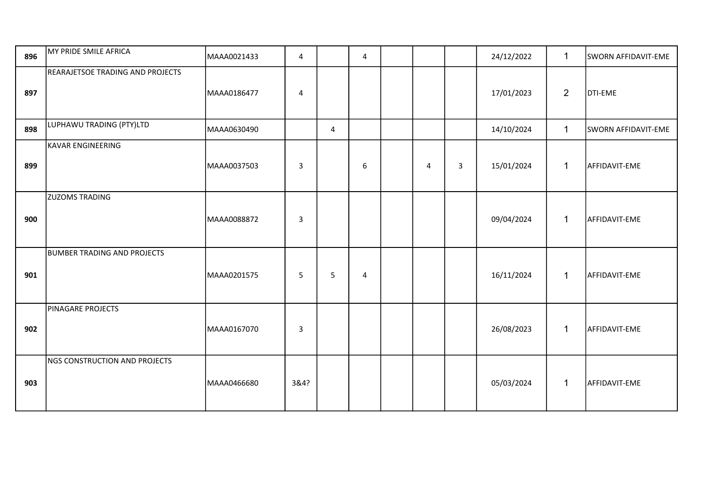| 896 | MY PRIDE SMILE AFRICA              | MAAA0021433 | 4            |                | 4 |   |                         | 24/12/2022 | $\mathbf{1}$   | SWORN AFFIDAVIT-EME |
|-----|------------------------------------|-------------|--------------|----------------|---|---|-------------------------|------------|----------------|---------------------|
| 897 | REARAJETSOE TRADING AND PROJECTS   | MAAA0186477 | 4            |                |   |   |                         | 17/01/2023 | $\overline{2}$ | <b>DTI-EME</b>      |
| 898 | LUPHAWU TRADING (PTY)LTD           | MAAA0630490 |              | $\overline{4}$ |   |   |                         | 14/10/2024 | $\mathbf{1}$   | SWORN AFFIDAVIT-EME |
| 899 | <b>KAVAR ENGINEERING</b>           | MAAA0037503 | $\mathbf{3}$ |                | 6 | 4 | $\overline{\mathbf{3}}$ | 15/01/2024 | $\mathbf{1}$   | AFFIDAVIT-EME       |
| 900 | <b>ZUZOMS TRADING</b>              | MAAA0088872 | 3            |                |   |   |                         | 09/04/2024 | $\mathbf{1}$   | AFFIDAVIT-EME       |
| 901 | <b>BUMBER TRADING AND PROJECTS</b> | MAAA0201575 | 5            | 5              | 4 |   |                         | 16/11/2024 | $\mathbf{1}$   | AFFIDAVIT-EME       |
| 902 | PINAGARE PROJECTS                  | MAAA0167070 | 3            |                |   |   |                         | 26/08/2023 | $\mathbf{1}$   | AFFIDAVIT-EME       |
| 903 | NGS CONSTRUCTION AND PROJECTS      | MAAA0466680 | 3&4?         |                |   |   |                         | 05/03/2024 | $\mathbf{1}$   | AFFIDAVIT-EME       |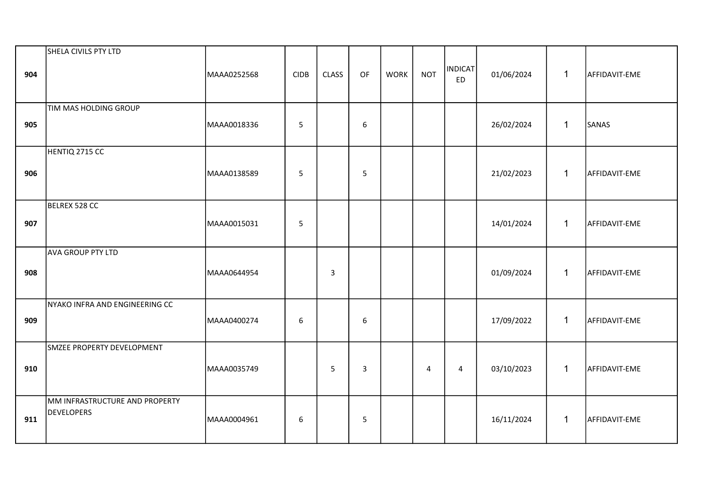| 904 | SHELA CIVILS PTY LTD                                | MAAA0252568 | <b>CIDB</b>    | <b>CLASS</b> | OF | <b>WORK</b> | <b>NOT</b>     | <b>INDICAT</b><br><b>ED</b> | 01/06/2024 | $\mathbf{1}$ | AFFIDAVIT-EME |
|-----|-----------------------------------------------------|-------------|----------------|--------------|----|-------------|----------------|-----------------------------|------------|--------------|---------------|
| 905 | TIM MAS HOLDING GROUP                               | MAAA0018336 | $\overline{5}$ |              | 6  |             |                |                             | 26/02/2024 | $\mathbf{1}$ | SANAS         |
| 906 | HENTIQ 2715 CC                                      | MAAA0138589 | 5              |              | 5  |             |                |                             | 21/02/2023 | $\mathbf{1}$ | AFFIDAVIT-EME |
| 907 | BELREX 528 CC                                       | MAAA0015031 | $5\phantom{.}$ |              |    |             |                |                             | 14/01/2024 | $\mathbf{1}$ | AFFIDAVIT-EME |
| 908 | AVA GROUP PTY LTD                                   | MAAA0644954 |                | 3            |    |             |                |                             | 01/09/2024 | $\mathbf{1}$ | AFFIDAVIT-EME |
| 909 | NYAKO INFRA AND ENGINEERING CC                      | MAAA0400274 | 6              |              | 6  |             |                |                             | 17/09/2022 | $\mathbf{1}$ | AFFIDAVIT-EME |
| 910 | SMZEE PROPERTY DEVELOPMENT                          | MAAA0035749 |                | 5            | 3  |             | $\overline{4}$ | $\overline{4}$              | 03/10/2023 | $\mathbf{1}$ | AFFIDAVIT-EME |
| 911 | MM INFRASTRUCTURE AND PROPERTY<br><b>DEVELOPERS</b> | MAAA0004961 | 6              |              | 5  |             |                |                             | 16/11/2024 | $\mathbf{1}$ | AFFIDAVIT-EME |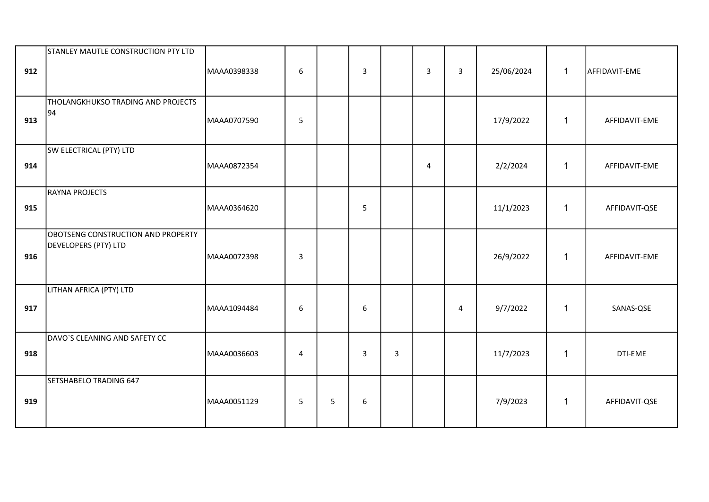| 912 | STANLEY MAUTLE CONSTRUCTION PTY LTD                        | MAAA0398338 | 6              |   | $\overline{3}$ |   | $\overline{3}$ | $\overline{\mathbf{3}}$ | 25/06/2024 | $\mathbf{1}$ | AFFIDAVIT-EME |
|-----|------------------------------------------------------------|-------------|----------------|---|----------------|---|----------------|-------------------------|------------|--------------|---------------|
| 913 | THOLANGKHUKSO TRADING AND PROJECTS<br>94                   | MAAA0707590 | 5              |   |                |   |                |                         | 17/9/2022  | $\mathbf{1}$ | AFFIDAVIT-EME |
| 914 | SW ELECTRICAL (PTY) LTD                                    | MAAA0872354 |                |   |                |   | 4              |                         | 2/2/2024   | $\mathbf{1}$ | AFFIDAVIT-EME |
| 915 | RAYNA PROJECTS                                             | MAAA0364620 |                |   | 5              |   |                |                         | 11/1/2023  | $\mathbf{1}$ | AFFIDAVIT-QSE |
| 916 | OBOTSENG CONSTRUCTION AND PROPERTY<br>DEVELOPERS (PTY) LTD | MAAA0072398 | $\overline{3}$ |   |                |   |                |                         | 26/9/2022  | $\mathbf{1}$ | AFFIDAVIT-EME |
| 917 | LITHAN AFRICA (PTY) LTD                                    | MAAA1094484 | 6              |   | 6              |   |                | 4                       | 9/7/2022   | $\mathbf{1}$ | SANAS-QSE     |
| 918 | DAVO'S CLEANING AND SAFETY CC                              | MAAA0036603 | 4              |   | $\mathbf{3}$   | 3 |                |                         | 11/7/2023  | 1            | DTI-EME       |
| 919 | SETSHABELO TRADING 647                                     | MAAA0051129 | 5              | 5 | 6              |   |                |                         | 7/9/2023   | $\mathbf{1}$ | AFFIDAVIT-QSE |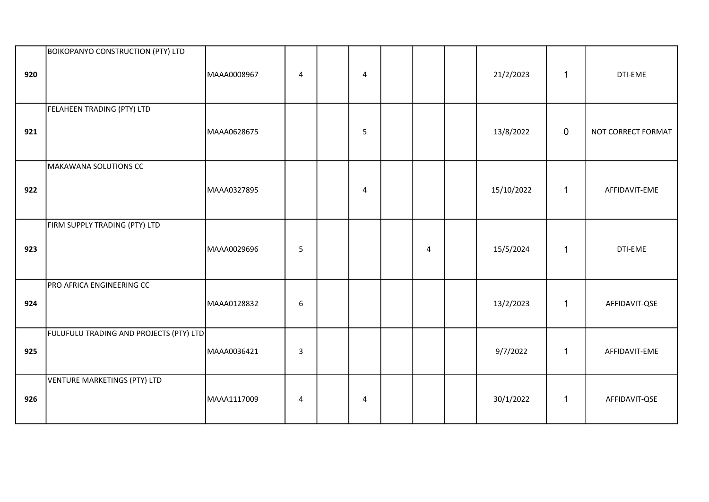| 920 | <b>BOIKOPANYO CONSTRUCTION (PTY) LTD</b> | MAAA0008967 | $\overline{4}$   | 4              |   | 21/2/2023  | $\mathbf{1}$ | DTI-EME            |
|-----|------------------------------------------|-------------|------------------|----------------|---|------------|--------------|--------------------|
| 921 | FELAHEEN TRADING (PTY) LTD               | MAAA0628675 |                  | 5              |   | 13/8/2022  | $\mathbf 0$  | NOT CORRECT FORMAT |
| 922 | MAKAWANA SOLUTIONS CC                    | MAAA0327895 |                  | $\overline{4}$ |   | 15/10/2022 | $\mathbf{1}$ | AFFIDAVIT-EME      |
| 923 | FIRM SUPPLY TRADING (PTY) LTD            | MAAA0029696 | 5                |                | 4 | 15/5/2024  | $\mathbf{1}$ | DTI-EME            |
| 924 | PRO AFRICA ENGINEERING CC                | MAAA0128832 | $\boldsymbol{6}$ |                |   | 13/2/2023  | $\mathbf{1}$ | AFFIDAVIT-QSE      |
| 925 | FULUFULU TRADING AND PROJECTS (PTY) LTD  | MAAA0036421 | $\overline{3}$   |                |   | 9/7/2022   | $\mathbf{1}$ | AFFIDAVIT-EME      |
| 926 | VENTURE MARKETINGS (PTY) LTD             | MAAA1117009 | 4                | 4              |   | 30/1/2022  | $\mathbf{1}$ | AFFIDAVIT-QSE      |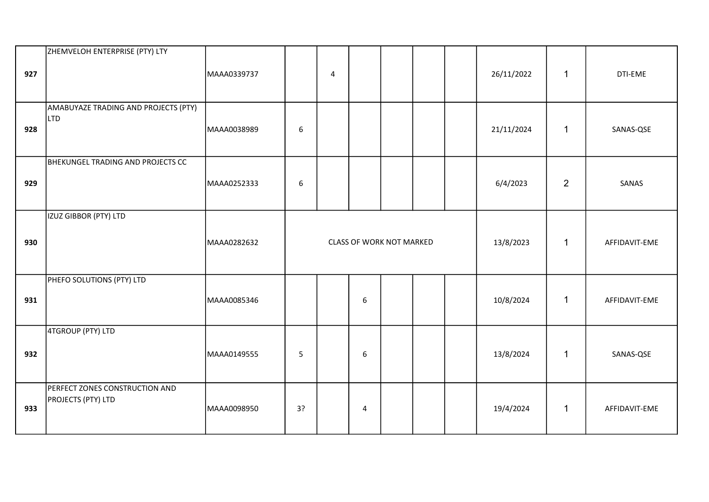| 927 | ZHEMVELOH ENTERPRISE (PTY) LTY                              | MAAA0339737 |                          | $\overline{4}$ |   |  |  |  | 26/11/2022 | $\mathbf{1}$   | DTI-EME       |
|-----|-------------------------------------------------------------|-------------|--------------------------|----------------|---|--|--|--|------------|----------------|---------------|
| 928 | AMABUYAZE TRADING AND PROJECTS (PTY)<br>L <sub>TD</sub>     | MAAA0038989 | $\boldsymbol{6}$         |                |   |  |  |  | 21/11/2024 | $\mathbf{1}$   | SANAS-QSE     |
| 929 | BHEKUNGEL TRADING AND PROJECTS CC                           | MAAA0252333 | 6                        |                |   |  |  |  | 6/4/2023   | $\overline{2}$ | SANAS         |
| 930 | IZUZ GIBBOR (PTY) LTD                                       | MAAA0282632 | CLASS OF WORK NOT MARKED |                |   |  |  |  | 13/8/2023  | $\mathbf{1}$   | AFFIDAVIT-EME |
| 931 | PHEFO SOLUTIONS (PTY) LTD                                   | MAAA0085346 |                          |                | 6 |  |  |  | 10/8/2024  | $\mathbf{1}$   | AFFIDAVIT-EME |
| 932 | 4TGROUP (PTY) LTD                                           | MAAA0149555 | 5                        |                | 6 |  |  |  | 13/8/2024  | 1              | SANAS-QSE     |
| 933 | PERFECT ZONES CONSTRUCTION AND<br><b>PROJECTS (PTY) LTD</b> | MAAA0098950 | 3?                       |                | 4 |  |  |  | 19/4/2024  | 1              | AFFIDAVIT-EME |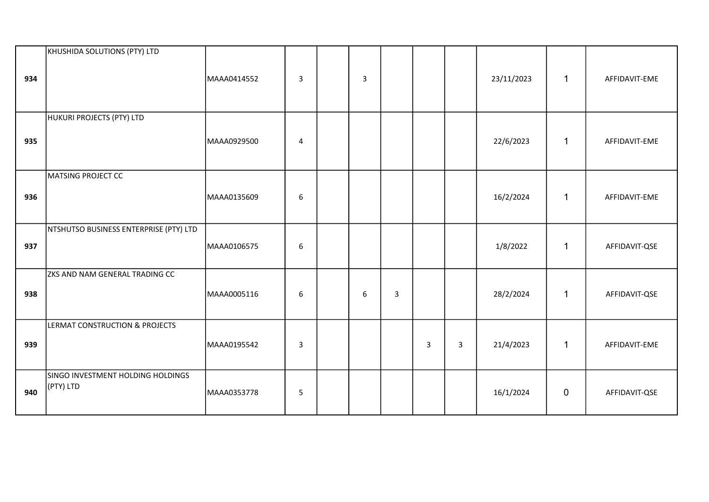|     | KHUSHIDA SOLUTIONS (PTY) LTD                   |             |   |                |   |   |   |            |                |               |
|-----|------------------------------------------------|-------------|---|----------------|---|---|---|------------|----------------|---------------|
| 934 |                                                | MAAA0414552 | 3 | $\overline{3}$ |   |   |   | 23/11/2023 | $\mathbf{1}$   | AFFIDAVIT-EME |
| 935 | HUKURI PROJECTS (PTY) LTD                      | MAAA0929500 | 4 |                |   |   |   | 22/6/2023  | $\mathbf{1}$   | AFFIDAVIT-EME |
| 936 | MATSING PROJECT CC                             | MAAA0135609 | 6 |                |   |   |   | 16/2/2024  | $\mathbf{1}$   | AFFIDAVIT-EME |
| 937 | NTSHUTSO BUSINESS ENTERPRISE (PTY) LTD         | MAAA0106575 | 6 |                |   |   |   | 1/8/2022   | $\mathbf{1}$   | AFFIDAVIT-QSE |
| 938 | ZKS AND NAM GENERAL TRADING CC                 | MAAA0005116 | 6 | 6              | 3 |   |   | 28/2/2024  | $\mathbf{1}$   | AFFIDAVIT-QSE |
| 939 | LERMAT CONSTRUCTION & PROJECTS                 | MAAA0195542 | 3 |                |   | 3 | 3 | 21/4/2023  | $\mathbf{1}$   | AFFIDAVIT-EME |
| 940 | SINGO INVESTMENT HOLDING HOLDINGS<br>(PTY) LTD | MAAA0353778 | 5 |                |   |   |   | 16/1/2024  | $\overline{0}$ | AFFIDAVIT-QSE |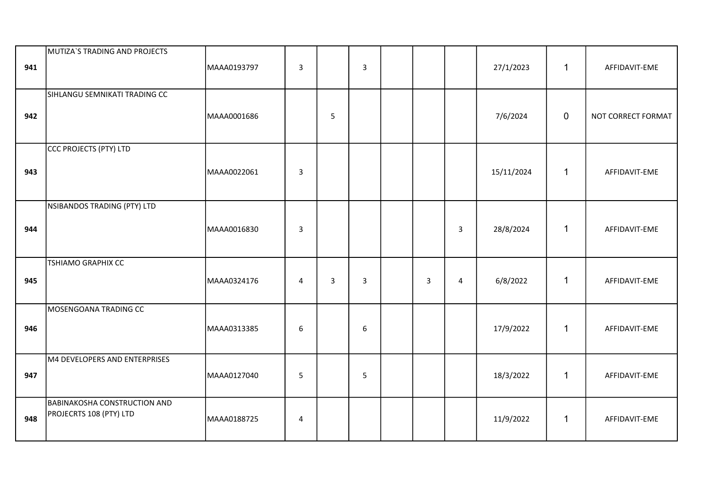| 941 | MUTIZA'S TRADING AND PROJECTS                                  | MAAA0193797 | 3                |                | 3 |                |                | 27/1/2023  | $\mathbf{1}$ | AFFIDAVIT-EME      |
|-----|----------------------------------------------------------------|-------------|------------------|----------------|---|----------------|----------------|------------|--------------|--------------------|
| 942 | SIHLANGU SEMNIKATI TRADING CC                                  | MAAA0001686 |                  | 5              |   |                |                | 7/6/2024   | $\mathbf 0$  | NOT CORRECT FORMAT |
| 943 | CCC PROJECTS (PTY) LTD                                         | MAAA0022061 | $\overline{3}$   |                |   |                |                | 15/11/2024 | $\mathbf{1}$ | AFFIDAVIT-EME      |
| 944 | NSIBANDOS TRADING (PTY) LTD                                    | MAAA0016830 | $\overline{3}$   |                |   |                | $\mathbf{3}$   | 28/8/2024  | $\mathbf{1}$ | AFFIDAVIT-EME      |
| 945 | TSHIAMO GRAPHIX CC                                             | MAAA0324176 | $\overline{4}$   | $\overline{3}$ | 3 | $\overline{3}$ | $\overline{4}$ | 6/8/2022   | $\mathbf{1}$ | AFFIDAVIT-EME      |
| 946 | MOSENGOANA TRADING CC                                          | MAAA0313385 | $\boldsymbol{6}$ |                | 6 |                |                | 17/9/2022  | $\mathbf{1}$ | AFFIDAVIT-EME      |
| 947 | M4 DEVELOPERS AND ENTERPRISES                                  | MAAA0127040 | 5                |                | 5 |                |                | 18/3/2022  | 1            | AFFIDAVIT-EME      |
| 948 | <b>BABINAKOSHA CONSTRUCTION AND</b><br>PROJECRTS 108 (PTY) LTD | MAAA0188725 | 4                |                |   |                |                | 11/9/2022  | $\mathbf{1}$ | AFFIDAVIT-EME      |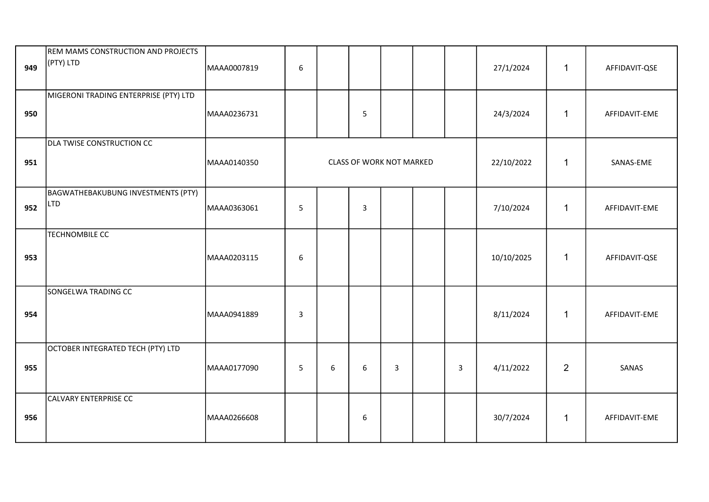| 949 | REM MAMS CONSTRUCTION AND PROJECTS<br>(PTY) LTD | MAAA0007819 | $\sqrt{6}$       |   |                                 |                |              | 27/1/2024  | $\mathbf{1}$   | AFFIDAVIT-QSE |
|-----|-------------------------------------------------|-------------|------------------|---|---------------------------------|----------------|--------------|------------|----------------|---------------|
| 950 | MIGERONI TRADING ENTERPRISE (PTY) LTD           | MAAA0236731 |                  |   | 5                               |                |              | 24/3/2024  | $\mathbf{1}$   | AFFIDAVIT-EME |
| 951 | <b>DLA TWISE CONSTRUCTION CC</b>                | MAAA0140350 |                  |   | <b>CLASS OF WORK NOT MARKED</b> |                |              | 22/10/2022 | $\mathbf{1}$   | SANAS-EME     |
| 952 | BAGWATHEBAKUBUNG INVESTMENTS (PTY)<br>LTD       | MAAA0363061 | 5                |   | 3                               |                |              | 7/10/2024  | $\mathbf{1}$   | AFFIDAVIT-EME |
| 953 | <b>TECHNOMBILE CC</b>                           | MAAA0203115 | $\boldsymbol{6}$ |   |                                 |                |              | 10/10/2025 | $\mathbf{1}$   | AFFIDAVIT-QSE |
| 954 | SONGELWA TRADING CC                             | MAAA0941889 | $\overline{3}$   |   |                                 |                |              | 8/11/2024  | $\mathbf{1}$   | AFFIDAVIT-EME |
| 955 | OCTOBER INTEGRATED TECH (PTY) LTD               | MAAA0177090 | 5                | 6 | 6                               | $\overline{3}$ | $\mathbf{3}$ | 4/11/2022  | $\overline{2}$ | SANAS         |
| 956 | CALVARY ENTERPRISE CC                           | MAAA0266608 |                  |   | 6                               |                |              | 30/7/2024  | $\mathbf{1}$   | AFFIDAVIT-EME |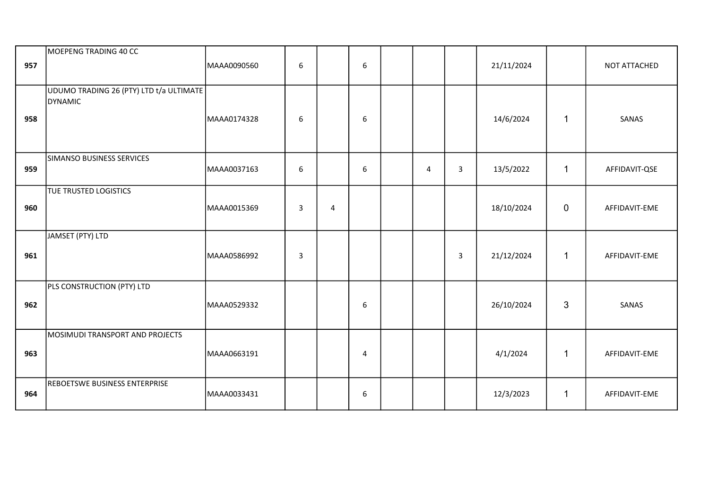| 957 | MOEPENG TRADING 40 CC                                     | MAAA0090560 | 6                       |   | 6                |           |                         | 21/11/2024 |              | NOT ATTACHED  |
|-----|-----------------------------------------------------------|-------------|-------------------------|---|------------------|-----------|-------------------------|------------|--------------|---------------|
| 958 | UDUMO TRADING 26 (PTY) LTD t/a ULTIMATE<br><b>DYNAMIC</b> | MAAA0174328 | 6                       |   | 6                |           |                         | 14/6/2024  | 1            | SANAS         |
| 959 | SIMANSO BUSINESS SERVICES                                 | MAAA0037163 | 6                       |   | $\boldsymbol{6}$ | $\pmb{4}$ | $\overline{3}$          | 13/5/2022  | $\mathbf{1}$ | AFFIDAVIT-QSE |
| 960 | TUE TRUSTED LOGISTICS                                     | MAAA0015369 | $\overline{3}$          | 4 |                  |           |                         | 18/10/2024 | $\mathbf 0$  | AFFIDAVIT-EME |
| 961 | JAMSET (PTY) LTD                                          | MAAA0586992 | $\overline{\mathbf{3}}$ |   |                  |           | $\overline{\mathbf{3}}$ | 21/12/2024 | $\mathbf{1}$ | AFFIDAVIT-EME |
| 962 | PLS CONSTRUCTION (PTY) LTD                                | MAAA0529332 |                         |   | $\boldsymbol{6}$ |           |                         | 26/10/2024 | 3            | SANAS         |
| 963 | MOSIMUDI TRANSPORT AND PROJECTS                           | MAAA0663191 |                         |   | $\overline{4}$   |           |                         | 4/1/2024   | 1            | AFFIDAVIT-EME |
| 964 | REBOETSWE BUSINESS ENTERPRISE                             | MAAA0033431 |                         |   | 6                |           |                         | 12/3/2023  | $\mathbf{1}$ | AFFIDAVIT-EME |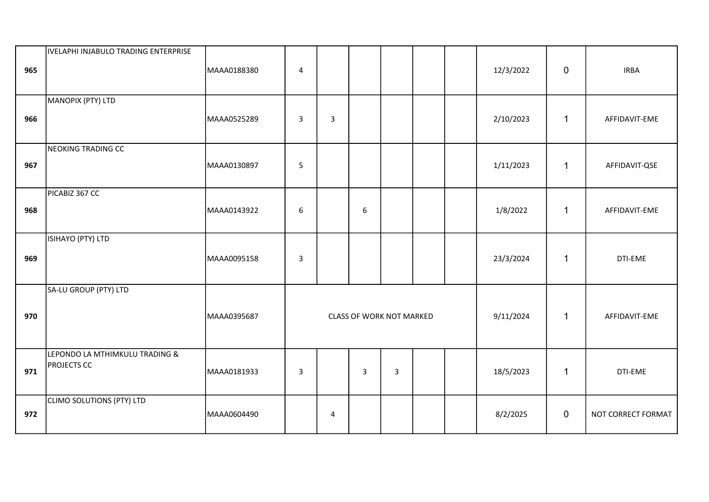| 965 | IVELAPHI INJABULO TRADING ENTERPRISE                 | MAAA0188380 | 4            |                |                |                                 |  | 12/3/2022 | $\mathbf 0$    | <b>IRBA</b>        |
|-----|------------------------------------------------------|-------------|--------------|----------------|----------------|---------------------------------|--|-----------|----------------|--------------------|
| 966 | MANOPIX (PTY) LTD                                    | MAAA0525289 | $\mathsf{3}$ | $\overline{3}$ |                |                                 |  | 2/10/2023 | $\mathbf{1}$   | AFFIDAVIT-EME      |
| 967 | NEOKING TRADING CC                                   | MAAA0130897 | 5            |                |                |                                 |  | 1/11/2023 | $\mathbf{1}$   | AFFIDAVIT-QSE      |
| 968 | PICABIZ 367 CC                                       | MAAA0143922 | 6            |                | 6              |                                 |  | 1/8/2022  | $\mathbf{1}$   | AFFIDAVIT-EME      |
| 969 | ISIHAYO (PTY) LTD                                    | MAAA0095158 | $\mathsf{3}$ |                |                |                                 |  | 23/3/2024 | $\mathbf{1}$   | DTI-EME            |
| 970 | SA-LU GROUP (PTY) LTD                                | MAAA0395687 |              |                |                | <b>CLASS OF WORK NOT MARKED</b> |  | 9/11/2024 | $\mathbf{1}$   | AFFIDAVIT-EME      |
| 971 | LEPONDO LA MTHIMKULU TRADING &<br><b>PROJECTS CC</b> | MAAA0181933 | $\mathsf{3}$ |                | $\overline{3}$ | $\overline{3}$                  |  | 18/5/2023 | $\mathbf{1}$   | DTI-EME            |
| 972 | CLIMO SOLUTIONS (PTY) LTD                            | MAAA0604490 |              | 4              |                |                                 |  | 8/2/2025  | $\overline{0}$ | NOT CORRECT FORMAT |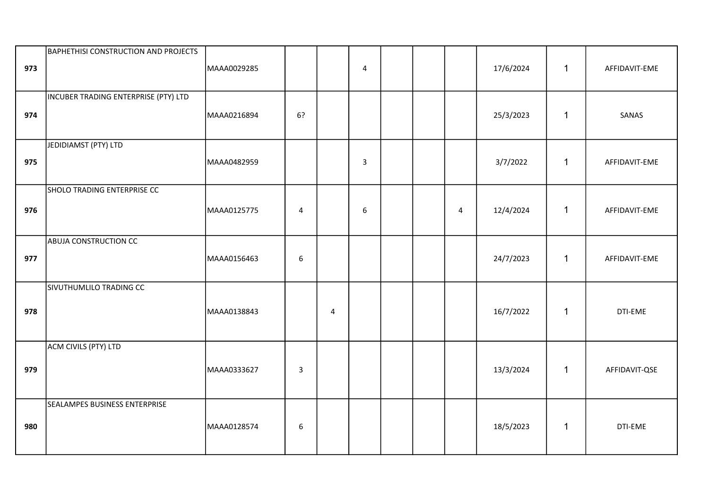| 973 | <b>BAPHETHISI CONSTRUCTION AND PROJECTS</b> | MAAA0029285 |                  |   | $\overline{4}$ |  |                | 17/6/2024 | $\mathbf{1}$ | AFFIDAVIT-EME |
|-----|---------------------------------------------|-------------|------------------|---|----------------|--|----------------|-----------|--------------|---------------|
| 974 | INCUBER TRADING ENTERPRISE (PTY) LTD        | MAAA0216894 | 6?               |   |                |  |                | 25/3/2023 | $\mathbf{1}$ | SANAS         |
| 975 | JEDIDIAMST (PTY) LTD                        | MAAA0482959 |                  |   | $\mathbf{3}$   |  |                | 3/7/2022  | $\mathbf{1}$ | AFFIDAVIT-EME |
| 976 | SHOLO TRADING ENTERPRISE CC                 | MAAA0125775 | $\overline{4}$   |   | 6              |  | $\overline{4}$ | 12/4/2024 | $\mathbf{1}$ | AFFIDAVIT-EME |
| 977 | <b>ABUJA CONSTRUCTION CC</b>                | MAAA0156463 | $\boldsymbol{6}$ |   |                |  |                | 24/7/2023 | $\mathbf{1}$ | AFFIDAVIT-EME |
| 978 | SIVUTHUMLILO TRADING CC                     | MAAA0138843 |                  | 4 |                |  |                | 16/7/2022 | $\mathbf 1$  | DTI-EME       |
| 979 | ACM CIVILS (PTY) LTD                        | MAAA0333627 | $\mathsf 3$      |   |                |  |                | 13/3/2024 | $\mathbf 1$  | AFFIDAVIT-QSE |
| 980 | SEALAMPES BUSINESS ENTERPRISE               | MAAA0128574 | $\boldsymbol{6}$ |   |                |  |                | 18/5/2023 | $\mathbf{1}$ | DTI-EME       |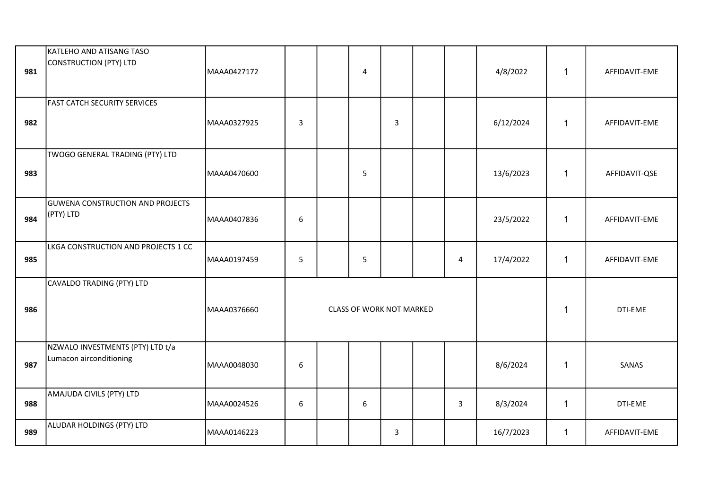| 981 | KATLEHO AND ATISANG TASO<br>CONSTRUCTION (PTY) LTD          | MAAA0427172 |             | 4                        |   |              | 4/8/2022  | 1           | AFFIDAVIT-EME |
|-----|-------------------------------------------------------------|-------------|-------------|--------------------------|---|--------------|-----------|-------------|---------------|
| 982 | <b>FAST CATCH SECURITY SERVICES</b>                         | MAAA0327925 | $\mathsf 3$ |                          | 3 |              | 6/12/2024 | 1           | AFFIDAVIT-EME |
| 983 | TWOGO GENERAL TRADING (PTY) LTD                             | MAAA0470600 |             | 5                        |   |              | 13/6/2023 | 1           | AFFIDAVIT-QSE |
| 984 | <b>GUWENA CONSTRUCTION AND PROJECTS</b><br>(PTY) LTD        | MAAA0407836 | 6           |                          |   |              | 23/5/2022 | 1           | AFFIDAVIT-EME |
| 985 | LKGA CONSTRUCTION AND PROJECTS 1 CC                         | MAAA0197459 | 5           | 5                        |   | 4            | 17/4/2022 | 1           | AFFIDAVIT-EME |
| 986 | CAVALDO TRADING (PTY) LTD                                   | MAAA0376660 |             | CLASS OF WORK NOT MARKED |   |              |           | 1           | DTI-EME       |
| 987 | NZWALO INVESTMENTS (PTY) LTD t/a<br>Lumacon airconditioning | MAAA0048030 | 6           |                          |   |              | 8/6/2024  | 1           | SANAS         |
| 988 | AMAJUDA CIVILS (PTY) LTD                                    | MAAA0024526 | 6           | 6                        |   | $\mathbf{3}$ | 8/3/2024  | 1           | DTI-EME       |
| 989 | ALUDAR HOLDINGS (PTY) LTD                                   | MAAA0146223 |             |                          | 3 |              | 16/7/2023 | $\mathbf 1$ | AFFIDAVIT-EME |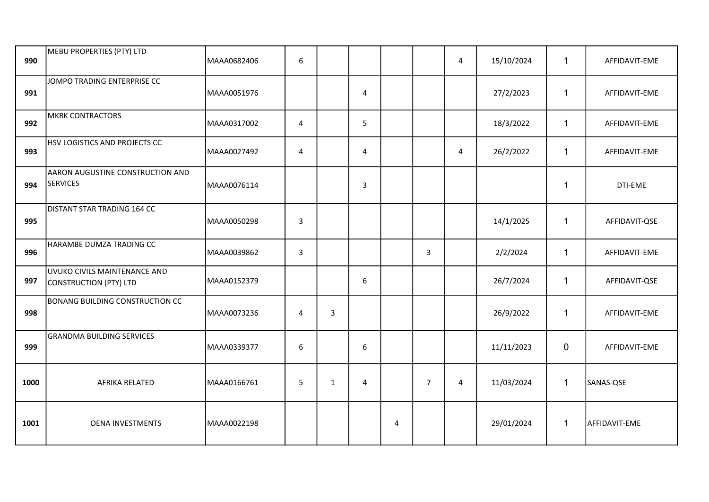| 990  | MEBU PROPERTIES (PTY) LTD                                     | MAAA0682406 | $\boldsymbol{6}$ |              |   |                |                | $\overline{4}$ | 15/10/2024 | 1            | AFFIDAVIT-EME |
|------|---------------------------------------------------------------|-------------|------------------|--------------|---|----------------|----------------|----------------|------------|--------------|---------------|
| 991  | JOMPO TRADING ENTERPRISE CC                                   | MAAA0051976 |                  |              | 4 |                |                |                | 27/2/2023  | $\mathbf{1}$ | AFFIDAVIT-EME |
| 992  | <b>MKRK CONTRACTORS</b>                                       | MAAA0317002 | $\overline{4}$   |              | 5 |                |                |                | 18/3/2022  | $\mathbf{1}$ | AFFIDAVIT-EME |
| 993  | HSV LOGISTICS AND PROJECTS CC                                 | MAAA0027492 | $\overline{4}$   |              | 4 |                |                | $\overline{4}$ | 26/2/2022  | $\mathbf{1}$ | AFFIDAVIT-EME |
| 994  | AARON AUGUSTINE CONSTRUCTION AND<br><b>SERVICES</b>           | MAAA0076114 |                  |              | 3 |                |                |                |            | $\mathbf{1}$ | DTI-EME       |
| 995  | DISTANT STAR TRADING 164 CC                                   | MAAA0050298 | $\mathbf{3}$     |              |   |                |                |                | 14/1/2025  | 1            | AFFIDAVIT-QSE |
| 996  | HARAMBE DUMZA TRADING CC                                      | MAAA0039862 | 3                |              |   |                | 3              |                | 2/2/2024   | $\mathbf{1}$ | AFFIDAVIT-EME |
| 997  | UVUKO CIVILS MAINTENANCE AND<br><b>CONSTRUCTION (PTY) LTD</b> | MAAA0152379 |                  |              | 6 |                |                |                | 26/7/2024  | $\mathbf{1}$ | AFFIDAVIT-QSE |
| 998  | BONANG BUILDING CONSTRUCTION CC                               | MAAA0073236 | $\overline{4}$   | 3            |   |                |                |                | 26/9/2022  | $\mathbf{1}$ | AFFIDAVIT-EME |
| 999  | <b>GRANDMA BUILDING SERVICES</b>                              | MAAA0339377 | 6                |              | 6 |                |                |                | 11/11/2023 | $\mathbf 0$  | AFFIDAVIT-EME |
| 1000 | AFRIKA RELATED                                                | MAAA0166761 | 5                | $\mathbf{1}$ | 4 |                | $\overline{7}$ | 4              | 11/03/2024 | $\mathbf{1}$ | SANAS-QSE     |
| 1001 | <b>OENA INVESTMENTS</b>                                       | MAAA0022198 |                  |              |   | $\overline{4}$ |                |                | 29/01/2024 | $\mathbf{1}$ | AFFIDAVIT-EME |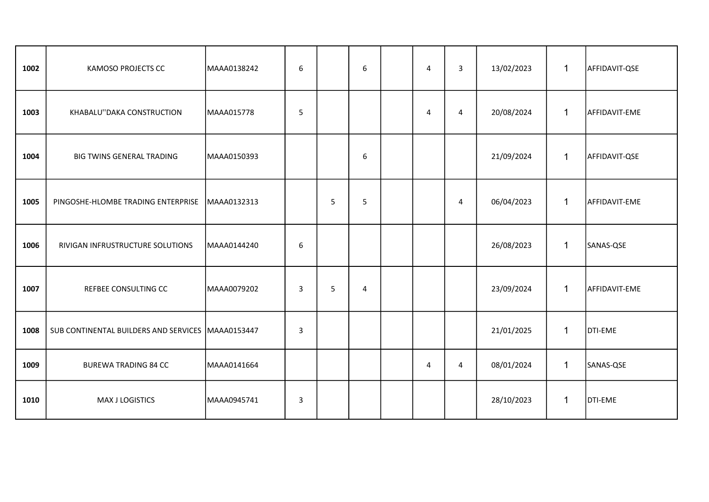| 1002 | <b>KAMOSO PROJECTS CC</b>                           | MAAA0138242 | 6            |   | 6 | 4 | 3              | 13/02/2023 | $\mathbf{1}$ | AFFIDAVIT-QSE |
|------|-----------------------------------------------------|-------------|--------------|---|---|---|----------------|------------|--------------|---------------|
| 1003 | KHABALU"DAKA CONSTRUCTION                           | MAAA015778  | 5            |   |   | 4 | $\overline{4}$ | 20/08/2024 | $\mathbf{1}$ | AFFIDAVIT-EME |
| 1004 | BIG TWINS GENERAL TRADING                           | MAAA0150393 |              |   | 6 |   |                | 21/09/2024 | $\mathbf{1}$ | AFFIDAVIT-QSE |
| 1005 | PINGOSHE-HLOMBE TRADING ENTERPRISE                  | MAAA0132313 |              | 5 | 5 |   | 4              | 06/04/2023 | $\mathbf{1}$ | AFFIDAVIT-EME |
| 1006 | RIVIGAN INFRUSTRUCTURE SOLUTIONS                    | MAAA0144240 | 6            |   |   |   |                | 26/08/2023 | 1            | SANAS-QSE     |
| 1007 | REFBEE CONSULTING CC                                | MAAA0079202 | 3            | 5 | 4 |   |                | 23/09/2024 | $\mathbf{1}$ | AFFIDAVIT-EME |
| 1008 | SUB CONTINENTAL BUILDERS AND SERVICES   MAAA0153447 |             | 3            |   |   |   |                | 21/01/2025 | 1            | DTI-EME       |
| 1009 | <b>BUREWA TRADING 84 CC</b>                         | MAAA0141664 |              |   |   | 4 | $\overline{4}$ | 08/01/2024 | $\mathbf 1$  | SANAS-QSE     |
| 1010 | MAX J LOGISTICS                                     | MAAA0945741 | $\mathbf{3}$ |   |   |   |                | 28/10/2023 | $\mathbf{1}$ | DTI-EME       |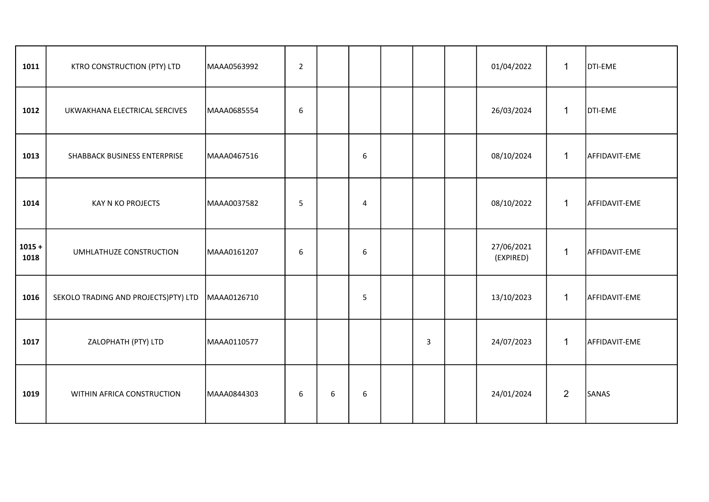| 1011             | KTRO CONSTRUCTION (PTY) LTD          | MAAA0563992 | $\overline{2}$   |   |   |   | 01/04/2022              | $\mathbf{1}$   | <b>DTI-EME</b> |
|------------------|--------------------------------------|-------------|------------------|---|---|---|-------------------------|----------------|----------------|
| 1012             | UKWAKHANA ELECTRICAL SERCIVES        | MAAA0685554 | $\boldsymbol{6}$ |   |   |   | 26/03/2024              | $\mathbf 1$    | DTI-EME        |
| 1013             | SHABBACK BUSINESS ENTERPRISE         | MAAA0467516 |                  |   | 6 |   | 08/10/2024              | $\mathbf{1}$   | AFFIDAVIT-EME  |
| 1014             | KAY N KO PROJECTS                    | MAAA0037582 | 5                |   | 4 |   | 08/10/2022              | $\mathbf{1}$   | AFFIDAVIT-EME  |
| $1015 +$<br>1018 | UMHLATHUZE CONSTRUCTION              | MAAA0161207 | 6                |   | 6 |   | 27/06/2021<br>(EXPIRED) | $\mathbf 1$    | AFFIDAVIT-EME  |
| 1016             | SEKOLO TRADING AND PROJECTS)PTY) LTD | MAAA0126710 |                  |   | 5 |   | 13/10/2023              | $\mathbf{1}$   | AFFIDAVIT-EME  |
| 1017             | ZALOPHATH (PTY) LTD                  | MAAA0110577 |                  |   |   | 3 | 24/07/2023              | $\mathbf{1}$   | AFFIDAVIT-EME  |
| 1019             | WITHIN AFRICA CONSTRUCTION           | MAAA0844303 | 6                | 6 | 6 |   | 24/01/2024              | $\overline{2}$ | SANAS          |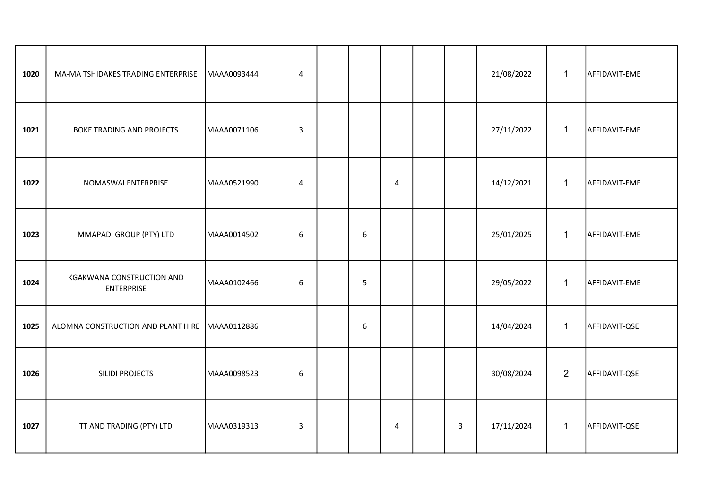| 1020 | MA-MA TSHIDAKES TRADING ENTERPRISE             | MAAA0093444 | $\overline{4}$   |   |   |                | 21/08/2022 | $\mathbf 1$    | AFFIDAVIT-EME |
|------|------------------------------------------------|-------------|------------------|---|---|----------------|------------|----------------|---------------|
| 1021 | BOKE TRADING AND PROJECTS                      | MAAA0071106 | $\mathbf{3}$     |   |   |                | 27/11/2022 | $\mathbf{1}$   | AFFIDAVIT-EME |
| 1022 | NOMASWAI ENTERPRISE                            | MAAA0521990 | $\overline{4}$   |   | 4 |                | 14/12/2021 | $\mathbf{1}$   | AFFIDAVIT-EME |
| 1023 | MMAPADI GROUP (PTY) LTD                        | MAAA0014502 | 6                | 6 |   |                | 25/01/2025 | $\mathbf{1}$   | AFFIDAVIT-EME |
| 1024 | KGAKWANA CONSTRUCTION AND<br><b>ENTERPRISE</b> | MAAA0102466 | 6                | 5 |   |                | 29/05/2022 | $\mathbf{1}$   | AFFIDAVIT-EME |
| 1025 | ALOMNA CONSTRUCTION AND PLANT HIRE MAAA0112886 |             |                  | 6 |   |                | 14/04/2024 | $\mathbf{1}$   | AFFIDAVIT-QSE |
| 1026 | <b>SILIDI PROJECTS</b>                         | MAAA0098523 | $\boldsymbol{6}$ |   |   |                | 30/08/2024 | $\overline{2}$ | AFFIDAVIT-QSE |
| 1027 | TT AND TRADING (PTY) LTD                       | MAAA0319313 | 3                |   | 4 | $\overline{3}$ | 17/11/2024 | $\mathbf{1}$   | AFFIDAVIT-QSE |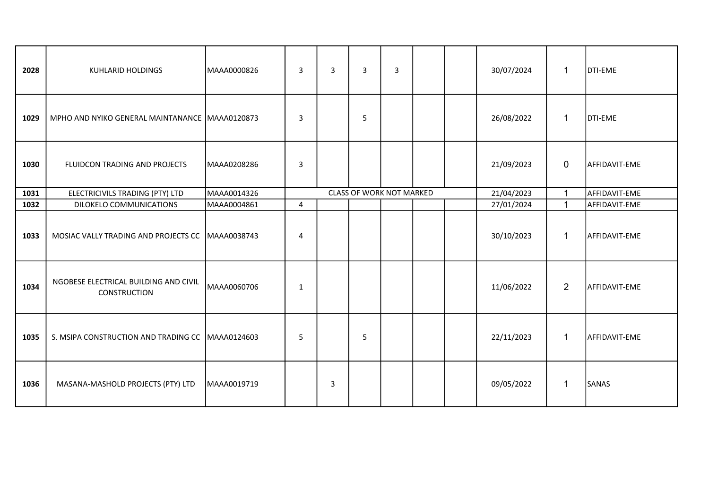| 2028 | <b>KUHLARID HOLDINGS</b>                              | MAAA0000826 | 3              | 3 | $\overline{3}$           | 3 |  | 30/07/2024 | 1              | DTI-EME       |
|------|-------------------------------------------------------|-------------|----------------|---|--------------------------|---|--|------------|----------------|---------------|
| 1029 | MPHO AND NYIKO GENERAL MAINTANANCE MAAA0120873        |             | 3              |   | 5                        |   |  | 26/08/2022 | $\mathbf{1}$   | DTI-EME       |
| 1030 | FLUIDCON TRADING AND PROJECTS                         | MAAA0208286 | 3              |   |                          |   |  | 21/09/2023 | $\mathbf 0$    | AFFIDAVIT-EME |
| 1031 | ELECTRICIVILS TRADING (PTY) LTD                       | MAAA0014326 |                |   | CLASS OF WORK NOT MARKED |   |  | 21/04/2023 | $\mathbf{1}$   | AFFIDAVIT-EME |
| 1032 | DILOKELO COMMUNICATIONS                               | MAAA0004861 | $\overline{4}$ |   |                          |   |  | 27/01/2024 | $\mathbf{1}$   | AFFIDAVIT-EME |
| 1033 | MOSIAC VALLY TRADING AND PROJECTS CC MAAA0038743      |             | $\overline{4}$ |   |                          |   |  | 30/10/2023 | $\mathbf{1}$   | AFFIDAVIT-EME |
| 1034 | NGOBESE ELECTRICAL BUILDING AND CIVIL<br>CONSTRUCTION | MAAA0060706 | 1              |   |                          |   |  | 11/06/2022 | $\overline{2}$ | AFFIDAVIT-EME |
| 1035 | S. MSIPA CONSTRUCTION AND TRADING CC   MAAA0124603    |             | 5              |   | 5                        |   |  | 22/11/2023 | $\mathbf{1}$   | AFFIDAVIT-EME |
| 1036 | MASANA-MASHOLD PROJECTS (PTY) LTD                     | MAAA0019719 |                | 3 |                          |   |  | 09/05/2022 | $\mathbf{1}$   | SANAS         |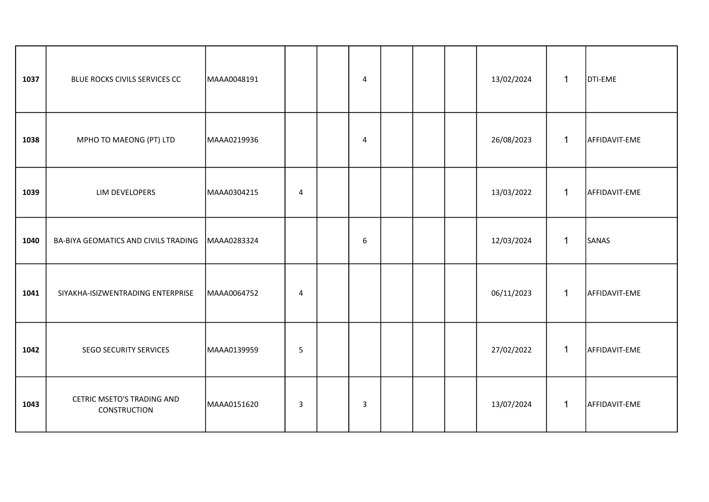| 1037 | BLUE ROCKS CIVILS SERVICES CC                     | MAAA0048191 |                | $\overline{4}$   |  | 13/02/2024 | $\mathbf 1$  | <b>DTI-EME</b> |
|------|---------------------------------------------------|-------------|----------------|------------------|--|------------|--------------|----------------|
| 1038 | MPHO TO MAEONG (PT) LTD                           | MAAA0219936 |                | $\overline{4}$   |  | 26/08/2023 | $\mathbf{1}$ | AFFIDAVIT-EME  |
| 1039 | LIM DEVELOPERS                                    | MAAA0304215 | $\overline{4}$ |                  |  | 13/03/2022 | $\mathbf{1}$ | AFFIDAVIT-EME  |
| 1040 | BA-BIYA GEOMATICS AND CIVILS TRADING              | MAAA0283324 |                | $\boldsymbol{6}$ |  | 12/03/2024 | $\mathbf 1$  | SANAS          |
| 1041 | SIYAKHA-ISIZWENTRADING ENTERPRISE                 | MAAA0064752 | 4              |                  |  | 06/11/2023 | $\mathbf{1}$ | AFFIDAVIT-EME  |
| 1042 | SEGO SECURITY SERVICES                            | MAAA0139959 | 5              |                  |  | 27/02/2022 | $\mathbf 1$  | AFFIDAVIT-EME  |
| 1043 | CETRIC MSETO'S TRADING AND<br><b>CONSTRUCTION</b> | MAAA0151620 | $\mathbf{3}$   | 3                |  | 13/07/2024 | 1            | AFFIDAVIT-EME  |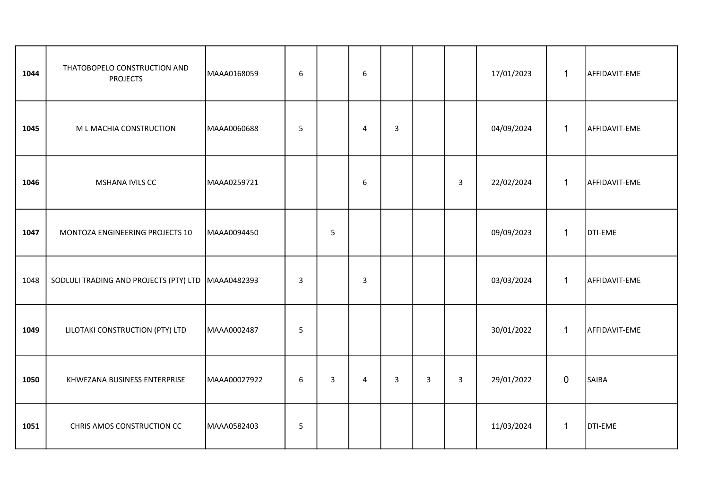| 1044 | THATOBOPELO CONSTRUCTION AND<br><b>PROJECTS</b>    | MAAA0168059  | $\boldsymbol{6}$ |                | 6              |                |   |                | 17/01/2023 | $\mathbf{1}$   | AFFIDAVIT-EME |
|------|----------------------------------------------------|--------------|------------------|----------------|----------------|----------------|---|----------------|------------|----------------|---------------|
| 1045 | M L MACHIA CONSTRUCTION                            | MAAA0060688  | 5                |                | 4              | $\overline{3}$ |   |                | 04/09/2024 | $\mathbf{1}$   | AFFIDAVIT-EME |
| 1046 | MSHANA IVILS CC                                    | MAAA0259721  |                  |                | 6              |                |   | $\mathbf{3}$   | 22/02/2024 | $\mathbf{1}$   | AFFIDAVIT-EME |
| 1047 | MONTOZA ENGINEERING PROJECTS 10                    | MAAA0094450  |                  | 5              |                |                |   |                | 09/09/2023 | $\mathbf{1}$   | DTI-EME       |
| 1048 | SODLULI TRADING AND PROJECTS (PTY) LTD MAAA0482393 |              | $\overline{3}$   |                | $\overline{3}$ |                |   |                | 03/03/2024 | $\mathbf{1}$   | AFFIDAVIT-EME |
| 1049 | LILOTAKI CONSTRUCTION (PTY) LTD                    | MAAA0002487  | 5                |                |                |                |   |                | 30/01/2022 | $\mathbf{1}$   | AFFIDAVIT-EME |
| 1050 | KHWEZANA BUSINESS ENTERPRISE                       | MAAA00027922 | 6                | $\overline{3}$ | $\overline{4}$ | 3              | 3 | $\overline{3}$ | 29/01/2022 | $\overline{0}$ | SAIBA         |
| 1051 | CHRIS AMOS CONSTRUCTION CC                         | MAAA0582403  | $\sqrt{5}$       |                |                |                |   |                | 11/03/2024 | $\mathbf{1}$   | DTI-EME       |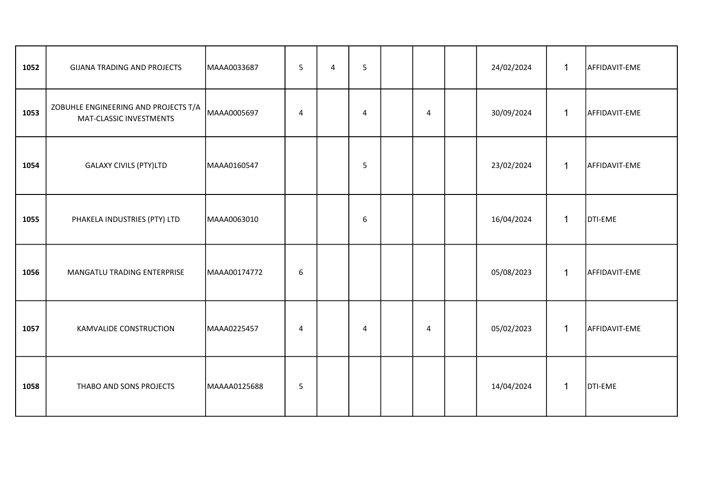| 1052 | GIJANA TRADING AND PROJECTS                                     | MAAA0033687  | 5              | 4 | 5 |   | 24/02/2024 | $\mathbf{1}$ | AFFIDAVIT-EME |
|------|-----------------------------------------------------------------|--------------|----------------|---|---|---|------------|--------------|---------------|
| 1053 | ZOBUHLE ENGINEERING AND PROJECTS T/A<br>MAT-CLASSIC INVESTMENTS | MAAA0005697  | $\overline{4}$ |   | 4 | 4 | 30/09/2024 | $\mathbf{1}$ | AFFIDAVIT-EME |
| 1054 | <b>GALAXY CIVILS (PTY)LTD</b>                                   | MAAA0160547  |                |   | 5 |   | 23/02/2024 | $\mathbf{1}$ | AFFIDAVIT-EME |
| 1055 | PHAKELA INDUSTRIES (PTY) LTD                                    | MAAA0063010  |                |   | 6 |   | 16/04/2024 | 1            | DTI-EME       |
| 1056 | MANGATLU TRADING ENTERPRISE                                     | MAAA00174772 | 6              |   |   |   | 05/08/2023 | $\mathbf{1}$ | AFFIDAVIT-EME |
| 1057 | KAMVALIDE CONSTRUCTION                                          | MAAA0225457  | $\overline{4}$ |   | 4 | 4 | 05/02/2023 | $\mathbf{1}$ | AFFIDAVIT-EME |
| 1058 | THABO AND SONS PROJECTS                                         | MAAAA0125688 | 5              |   |   |   | 14/04/2024 | 1            | DTI-EME       |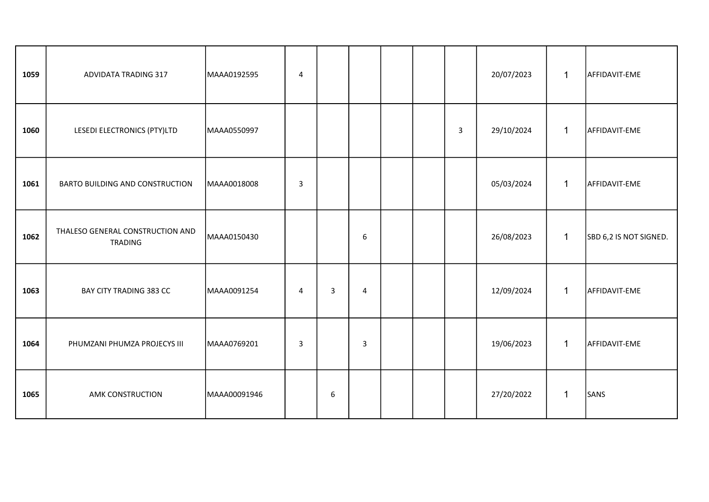| 1059 | <b>ADVIDATA TRADING 317</b>                        | MAAA0192595  | $\overline{4}$ |   |                  |  |                | 20/07/2023 | $\mathbf{1}$ | AFFIDAVIT-EME          |
|------|----------------------------------------------------|--------------|----------------|---|------------------|--|----------------|------------|--------------|------------------------|
| 1060 | LESEDI ELECTRONICS (PTY)LTD                        | MAAA0550997  |                |   |                  |  | $\overline{3}$ | 29/10/2024 | $\mathbf{1}$ | AFFIDAVIT-EME          |
| 1061 | BARTO BUILDING AND CONSTRUCTION                    | MAAA0018008  | 3              |   |                  |  |                | 05/03/2024 | $\mathbf{1}$ | AFFIDAVIT-EME          |
| 1062 | THALESO GENERAL CONSTRUCTION AND<br><b>TRADING</b> | MAAA0150430  |                |   | $\boldsymbol{6}$ |  |                | 26/08/2023 | $\mathbf{1}$ | SBD 6,2 IS NOT SIGNED. |
| 1063 | BAY CITY TRADING 383 CC                            | MAAA0091254  | 4              | 3 | $\overline{4}$   |  |                | 12/09/2024 | $\mathbf{1}$ | AFFIDAVIT-EME          |
| 1064 | PHUMZANI PHUMZA PROJECYS III                       | MAAA0769201  | 3              |   | $\mathsf{3}$     |  |                | 19/06/2023 | $\mathbf{1}$ | AFFIDAVIT-EME          |
| 1065 | AMK CONSTRUCTION                                   | MAAA00091946 |                | 6 |                  |  |                | 27/20/2022 | $\mathbf{1}$ | SANS                   |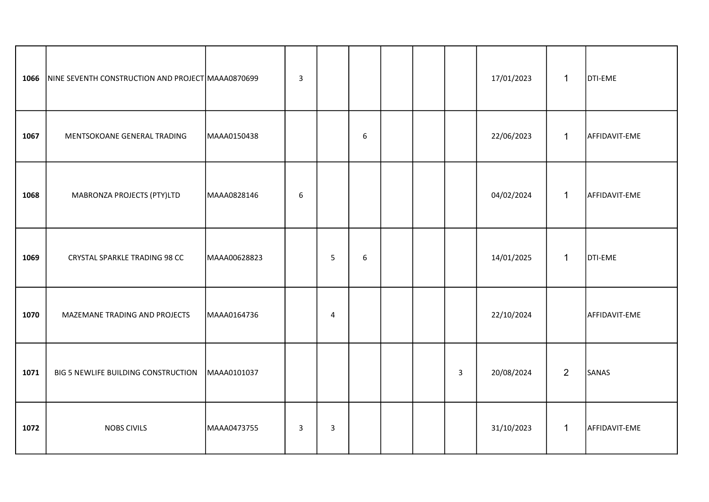| 1066 | NINE SEVENTH CONSTRUCTION AND PROJECT MAAA0870699 |              | $\overline{3}$   |                |   |  |              | 17/01/2023 | $\mathbf{1}$   | DTI-EME       |
|------|---------------------------------------------------|--------------|------------------|----------------|---|--|--------------|------------|----------------|---------------|
| 1067 | MENTSOKOANE GENERAL TRADING                       | MAAA0150438  |                  |                | 6 |  |              | 22/06/2023 | $\mathbf{1}$   | AFFIDAVIT-EME |
| 1068 | MABRONZA PROJECTS (PTY)LTD                        | MAAA0828146  | $\boldsymbol{6}$ |                |   |  |              | 04/02/2024 | $\mathbf{1}$   | AFFIDAVIT-EME |
| 1069 | CRYSTAL SPARKLE TRADING 98 CC                     | MAAA00628823 |                  | 5              | 6 |  |              | 14/01/2025 | $\mathbf{1}$   | DTI-EME       |
| 1070 | MAZEMANE TRADING AND PROJECTS                     | MAAA0164736  |                  | $\overline{4}$ |   |  |              | 22/10/2024 |                | AFFIDAVIT-EME |
| 1071 | BIG 5 NEWLIFE BUILDING CONSTRUCTION               | MAAA0101037  |                  |                |   |  | $\mathbf{3}$ | 20/08/2024 | $\overline{2}$ | SANAS         |
| 1072 | <b>NOBS CIVILS</b>                                | MAAA0473755  | $\mathbf{3}$     | $\mathbf{3}$   |   |  |              | 31/10/2023 | $\mathbf{1}$   | AFFIDAVIT-EME |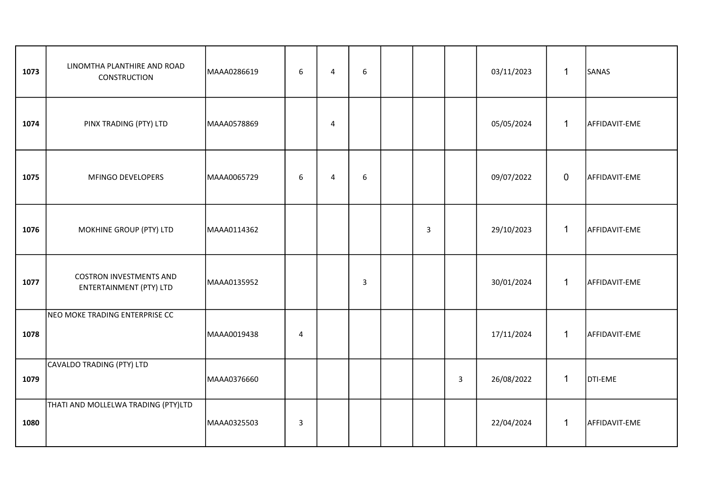| 1073 | LINOMTHA PLANTHIRE AND ROAD<br><b>CONSTRUCTION</b>               | MAAA0286619 | 6 | 4              | 6              |              |                | 03/11/2023 | $\mathbf 1$  | SANAS         |
|------|------------------------------------------------------------------|-------------|---|----------------|----------------|--------------|----------------|------------|--------------|---------------|
| 1074 | PINX TRADING (PTY) LTD                                           | MAAA0578869 |   | 4              |                |              |                | 05/05/2024 | $\mathbf{1}$ | AFFIDAVIT-EME |
| 1075 | MFINGO DEVELOPERS                                                | MAAA0065729 | 6 | $\overline{4}$ | $6\phantom{1}$ |              |                | 09/07/2022 | $\mathbf 0$  | AFFIDAVIT-EME |
| 1076 | MOKHINE GROUP (PTY) LTD                                          | MAAA0114362 |   |                |                | $\mathbf{3}$ |                | 29/10/2023 | $\mathbf 1$  | AFFIDAVIT-EME |
| 1077 | <b>COSTRON INVESTMENTS AND</b><br><b>ENTERTAINMENT (PTY) LTD</b> | MAAA0135952 |   |                | 3              |              |                | 30/01/2024 | $\mathbf{1}$ | AFFIDAVIT-EME |
| 1078 | NEO MOKE TRADING ENTERPRISE CC                                   | MAAA0019438 | 4 |                |                |              |                | 17/11/2024 | $\mathbf{1}$ | AFFIDAVIT-EME |
| 1079 | CAVALDO TRADING (PTY) LTD                                        | MAAA0376660 |   |                |                |              | $\overline{3}$ | 26/08/2022 | $\mathbf{1}$ | DTI-EME       |
| 1080 | THATI AND MOLLELWA TRADING (PTY)LTD                              | MAAA0325503 | 3 |                |                |              |                | 22/04/2024 | $\mathbf{1}$ | AFFIDAVIT-EME |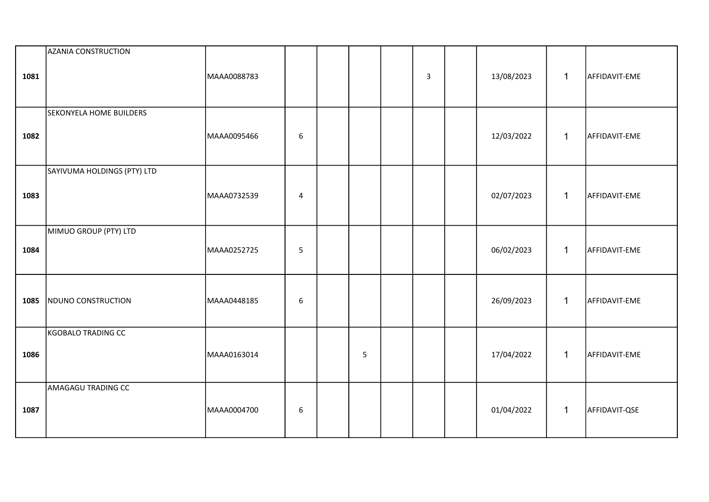| 1081 | AZANIA CONSTRUCTION         | MAAA0088783 |                  |   | $\overline{3}$ | 13/08/2023 | $\mathbf{1}$ | AFFIDAVIT-EME |
|------|-----------------------------|-------------|------------------|---|----------------|------------|--------------|---------------|
|      |                             |             |                  |   |                |            |              |               |
| 1082 | SEKONYELA HOME BUILDERS     | MAAA0095466 | $\boldsymbol{6}$ |   |                | 12/03/2022 | $\mathbf{1}$ | AFFIDAVIT-EME |
|      |                             |             |                  |   |                |            |              |               |
|      | SAYIVUMA HOLDINGS (PTY) LTD |             |                  |   |                |            |              |               |
| 1083 |                             | MAAA0732539 | 4                |   |                | 02/07/2023 | $\mathbf{1}$ | AFFIDAVIT-EME |
|      | MIMUO GROUP (PTY) LTD       |             |                  |   |                |            |              |               |
| 1084 |                             | MAAA0252725 | 5                |   |                | 06/02/2023 | $\mathbf{1}$ | AFFIDAVIT-EME |
|      |                             |             |                  |   |                |            |              |               |
| 1085 | NDUNO CONSTRUCTION          | MAAA0448185 | $\boldsymbol{6}$ |   |                | 26/09/2023 | $\mathbf{1}$ | AFFIDAVIT-EME |
|      | KGOBALO TRADING CC          |             |                  |   |                |            |              |               |
| 1086 |                             | MAAA0163014 |                  | 5 |                | 17/04/2022 | $\mathbf{1}$ | AFFIDAVIT-EME |
|      | AMAGAGU TRADING CC          |             |                  |   |                |            |              |               |
| 1087 |                             | MAAA0004700 | $\boldsymbol{6}$ |   |                | 01/04/2022 | $\mathbf{1}$ | AFFIDAVIT-QSE |
|      |                             |             |                  |   |                |            |              |               |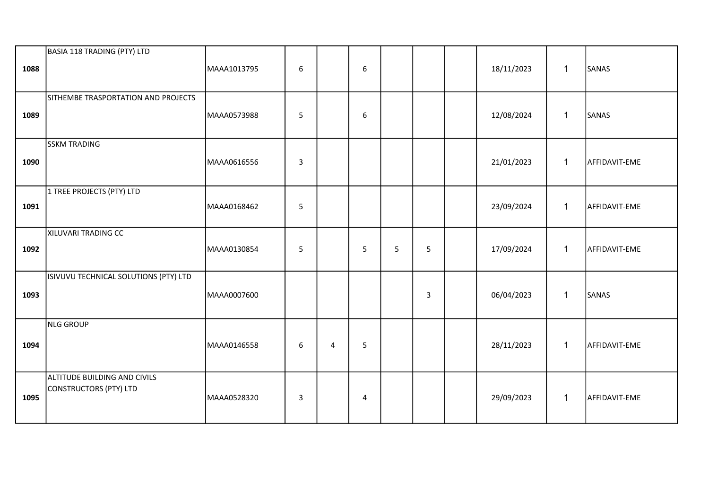| 1088 | BASIA 118 TRADING (PTY) LTD                            | MAAA1013795 | 6            |   | $\boldsymbol{6}$ |   |             | 18/11/2023 | $\mathbf{1}$ | SANAS         |
|------|--------------------------------------------------------|-------------|--------------|---|------------------|---|-------------|------------|--------------|---------------|
| 1089 | SITHEMBE TRASPORTATION AND PROJECTS                    | MAAA0573988 | 5            |   | 6                |   |             | 12/08/2024 | $\mathbf{1}$ | SANAS         |
| 1090 | <b>SSKM TRADING</b>                                    | MAAA0616556 | $\mathbf{3}$ |   |                  |   |             | 21/01/2023 | $\mathbf{1}$ | AFFIDAVIT-EME |
| 1091 | 1 TREE PROJECTS (PTY) LTD                              | MAAA0168462 | $\mathsf S$  |   |                  |   |             | 23/09/2024 | $\mathbf{1}$ | AFFIDAVIT-EME |
| 1092 | XILUVARI TRADING CC                                    | MAAA0130854 | 5            |   | 5                | 5 | 5           | 17/09/2024 | $\mathbf{1}$ | AFFIDAVIT-EME |
| 1093 | ISIVUVU TECHNICAL SOLUTIONS (PTY) LTD                  | MAAA0007600 |              |   |                  |   | $\mathsf 3$ | 06/04/2023 | $\mathbf{1}$ | SANAS         |
| 1094 | NLG GROUP                                              | MAAA0146558 | 6            | 4 | 5                |   |             | 28/11/2023 | $\mathbf{1}$ | AFFIDAVIT-EME |
| 1095 | ALTITUDE BUILDING AND CIVILS<br>CONSTRUCTORS (PTY) LTD | MAAA0528320 | 3            |   | $\overline{4}$   |   |             | 29/09/2023 | $\mathbf{1}$ | AFFIDAVIT-EME |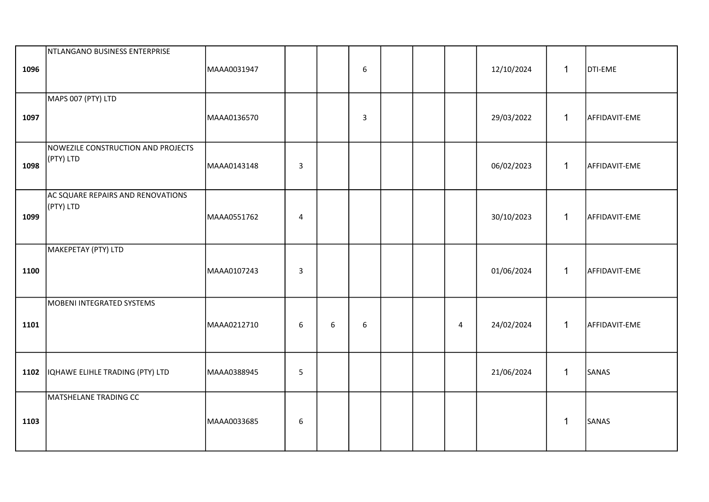| 1096 | NTLANGANO BUSINESS ENTERPRISE                   | MAAA0031947 |                |   | $\boldsymbol{6}$ |  |                | 12/10/2024 | $\mathbf{1}$ | DTI-EME       |
|------|-------------------------------------------------|-------------|----------------|---|------------------|--|----------------|------------|--------------|---------------|
| 1097 | MAPS 007 (PTY) LTD                              | MAAA0136570 |                |   | $\overline{3}$   |  |                | 29/03/2022 | $\mathbf{1}$ | AFFIDAVIT-EME |
| 1098 | NOWEZILE CONSTRUCTION AND PROJECTS<br>(PTY) LTD | MAAA0143148 | $\overline{3}$ |   |                  |  |                | 06/02/2023 | $\mathbf{1}$ | AFFIDAVIT-EME |
| 1099 | AC SQUARE REPAIRS AND RENOVATIONS<br>(PTY) LTD  | MAAA0551762 | 4              |   |                  |  |                | 30/10/2023 | $\mathbf{1}$ | AFFIDAVIT-EME |
| 1100 | MAKEPETAY (PTY) LTD                             | MAAA0107243 | $\overline{3}$ |   |                  |  |                | 01/06/2024 | $\mathbf{1}$ | AFFIDAVIT-EME |
| 1101 | MOBENI INTEGRATED SYSTEMS                       | MAAA0212710 | 6              | 6 | $6\,$            |  | $\overline{4}$ | 24/02/2024 | $\mathbf{1}$ | AFFIDAVIT-EME |
| 1102 | IQHAWE ELIHLE TRADING (PTY) LTD                 | MAAA0388945 | 5              |   |                  |  |                | 21/06/2024 | $\mathbf{1}$ | SANAS         |
| 1103 | MATSHELANE TRADING CC                           | MAAA0033685 | 6              |   |                  |  |                |            | $\mathbf{1}$ | SANAS         |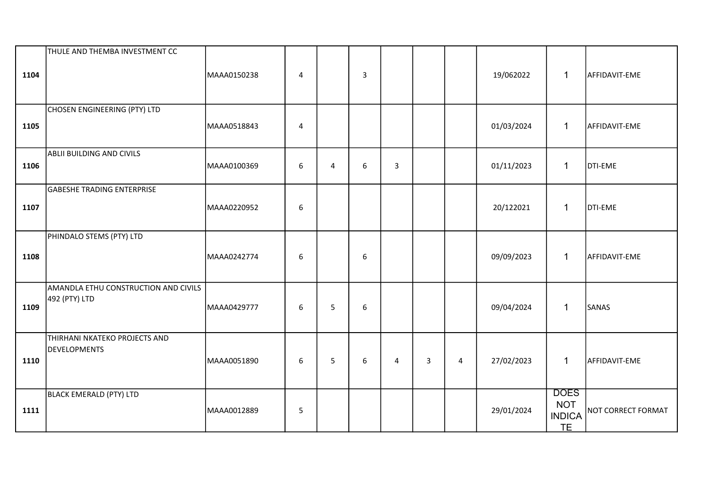| 1104 | THULE AND THEMBA INVESTMENT CC                        | MAAA0150238 | $\overline{4}$   |   | 3 |   |              |                | 19/062022  | $\mathbf{1}$                                            | AFFIDAVIT-EME             |
|------|-------------------------------------------------------|-------------|------------------|---|---|---|--------------|----------------|------------|---------------------------------------------------------|---------------------------|
| 1105 | CHOSEN ENGINEERING (PTY) LTD                          | MAAA0518843 | 4                |   |   |   |              |                | 01/03/2024 | $\mathbf 1$                                             | AFFIDAVIT-EME             |
| 1106 | ABLII BUILDING AND CIVILS                             | MAAA0100369 | $\boldsymbol{6}$ | 4 | 6 | 3 |              |                | 01/11/2023 | $\mathbf{1}$                                            | DTI-EME                   |
| 1107 | <b>GABESHE TRADING ENTERPRISE</b>                     | MAAA0220952 | 6                |   |   |   |              |                | 20/122021  | $\mathbf{1}$                                            | DTI-EME                   |
| 1108 | PHINDALO STEMS (PTY) LTD                              | MAAA0242774 | 6                |   | 6 |   |              |                | 09/09/2023 | $\mathbf{1}$                                            | AFFIDAVIT-EME             |
| 1109 | AMANDLA ETHU CONSTRUCTION AND CIVILS<br>492 (PTY) LTD | MAAA0429777 | 6                | 5 | 6 |   |              |                | 09/04/2024 | $\mathbf{1}$                                            | SANAS                     |
| 1110 | THIRHANI NKATEKO PROJECTS AND<br>DEVELOPMENTS         | MAAA0051890 | $\boldsymbol{6}$ | 5 | 6 | 4 | $\mathbf{3}$ | $\overline{4}$ | 27/02/2023 | $\mathbf{1}$                                            | AFFIDAVIT-EME             |
| 1111 | BLACK EMERALD (PTY) LTD                               | MAAA0012889 | $\overline{5}$   |   |   |   |              |                | 29/01/2024 | <b>DOES</b><br><b>NOT</b><br><b>INDICA</b><br><b>TE</b> | <b>NOT CORRECT FORMAT</b> |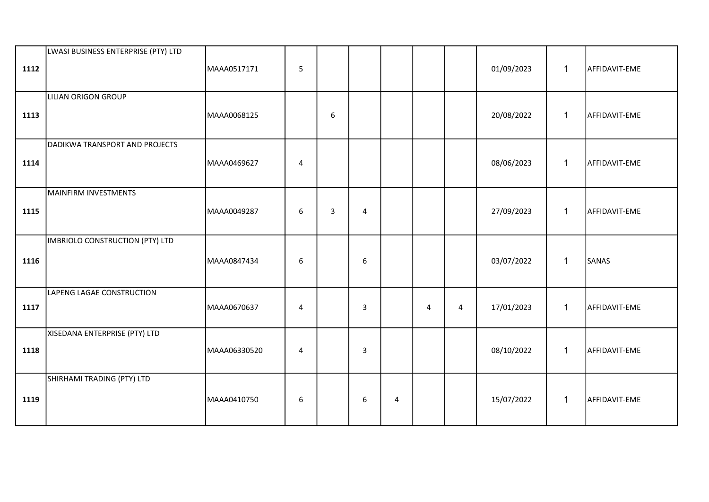| 1112 | LWASI BUSINESS ENTERPRISE (PTY) LTD | MAAA0517171  | 5              |   |                |                |   |   | 01/09/2023 | $\mathbf{1}$ | AFFIDAVIT-EME |
|------|-------------------------------------|--------------|----------------|---|----------------|----------------|---|---|------------|--------------|---------------|
| 1113 | LILIAN ORIGON GROUP                 | MAAA0068125  |                | 6 |                |                |   |   | 20/08/2022 | $\mathbf{1}$ | AFFIDAVIT-EME |
| 1114 | DADIKWA TRANSPORT AND PROJECTS      | MAAA0469627  | $\overline{4}$ |   |                |                |   |   | 08/06/2023 | $\mathbf{1}$ | AFFIDAVIT-EME |
| 1115 | MAINFIRM INVESTMENTS                | MAAA0049287  | 6              | 3 | $\overline{4}$ |                |   |   | 27/09/2023 | $\mathbf{1}$ | AFFIDAVIT-EME |
| 1116 | IMBRIOLO CONSTRUCTION (PTY) LTD     | MAAA0847434  | 6              |   | 6              |                |   |   | 03/07/2022 | $\mathbf{1}$ | SANAS         |
| 1117 | <b>LAPENG LAGAE CONSTRUCTION</b>    | MAAA0670637  | $\overline{4}$ |   | $\mathbf{3}$   |                | 4 | 4 | 17/01/2023 | $\mathbf{1}$ | AFFIDAVIT-EME |
| 1118 | XISEDANA ENTERPRISE (PTY) LTD       | MAAA06330520 | $\overline{4}$ |   | 3              |                |   |   | 08/10/2022 | $\mathbf{1}$ | AFFIDAVIT-EME |
| 1119 | SHIRHAMI TRADING (PTY) LTD          | MAAA0410750  | 6              |   | 6              | $\overline{4}$ |   |   | 15/07/2022 | $\mathbf{1}$ | AFFIDAVIT-EME |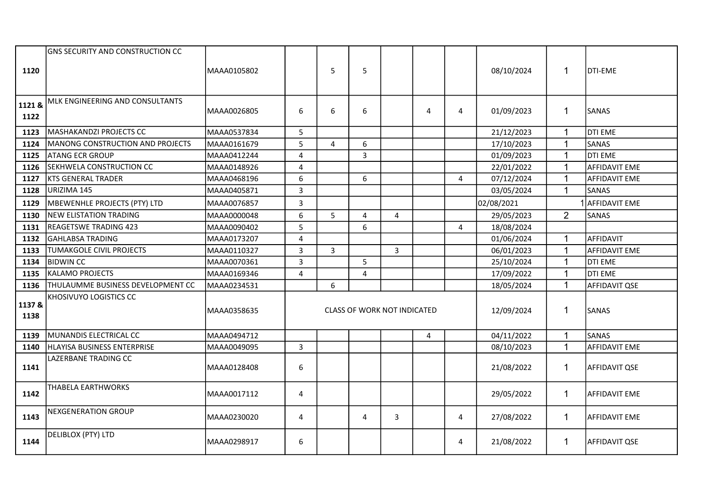| 1120           | <b>GNS SECURITY AND CONSTRUCTION CC</b> | MAAA0105802 |                | 5 | 5                                  |                |   |                | 08/10/2024 | $\mathbf{1}$   | DTI-EME              |
|----------------|-----------------------------------------|-------------|----------------|---|------------------------------------|----------------|---|----------------|------------|----------------|----------------------|
| 1121&<br>1122  | MLK ENGINEERING AND CONSULTANTS         | MAAA0026805 | 6              | 6 | 6                                  |                | 4 | 4              | 01/09/2023 | $\mathbf{1}$   | <b>SANAS</b>         |
| 1123           | MASHAKANDZI PROJECTS CC                 | MAAA0537834 | 5              |   |                                    |                |   |                | 21/12/2023 | $\mathbf{1}$   | DTI EME              |
| 1124           | <b>MANONG CONSTRUCTION AND PROJECTS</b> | MAAA0161679 | 5              | 4 | 6                                  |                |   |                | 17/10/2023 | $\mathbf{1}$   | SANAS                |
| 1125           | <b>ATANG ECR GROUP</b>                  | MAAA0412244 | $\overline{4}$ |   | $\overline{3}$                     |                |   |                | 01/09/2023 | $\mathbf{1}$   | <b>DTI EME</b>       |
| 1126           | <b>SEKHWELA CONSTRUCTION CC</b>         | MAAA0148926 | $\overline{4}$ |   |                                    |                |   |                | 22/01/2022 | $\mathbf{1}$   | <b>AFFIDAVIT EME</b> |
| 1127           | <b>KTS GENERAL TRADER</b>               | MAAA0468196 | 6              |   | 6                                  |                |   | $\overline{4}$ | 07/12/2024 | $\mathbf{1}$   | <b>AFFIDAVIT EME</b> |
| 1128           | URIZIMA 145                             | MAAA0405871 | $\overline{3}$ |   |                                    |                |   |                | 03/05/2024 | $\mathbf{1}$   | SANAS                |
| 1129           | MBEWENHLE PROJECTS (PTY) LTD            | MAAA0076857 | 3              |   |                                    |                |   |                | 02/08/2021 |                | <b>AFFIDAVIT EME</b> |
| 1130           | NEW ELISTATION TRADING                  | MAAA0000048 | 6              | 5 | 4                                  | 4              |   |                | 29/05/2023 | $\overline{2}$ | SANAS                |
| 1131           | <b>REAGETSWE TRADING 423</b>            | MAAA0090402 | 5              |   | 6                                  |                |   | 4              | 18/08/2024 |                |                      |
| 1132           | <b>GAHLABSA TRADING</b>                 | MAAA0173207 | $\overline{4}$ |   |                                    |                |   |                | 01/06/2024 | 1              | AFFIDAVIT            |
| 1133           | <b>TUMAKGOLE CIVIL PROJECTS</b>         | MAAA0110327 | $\overline{3}$ | 3 |                                    | $\overline{3}$ |   |                | 06/01/2023 | $\mathbf{1}$   | <b>AFFIDAVIT EME</b> |
| 1134           | <b>BIDWIN CC</b>                        | MAAA0070361 | $\overline{3}$ |   | 5                                  |                |   |                | 25/10/2024 | $\mathbf{1}$   | DTI EME              |
| 1135           | <b>KALAMO PROJECTS</b>                  | MAAA0169346 | 4              |   | 4                                  |                |   |                | 17/09/2022 | $\mathbf{1}$   | <b>DTI EME</b>       |
| 1136           | THULAUMME BUSINESS DEVELOPMENT CC       | MAAA0234531 |                | 6 |                                    |                |   |                | 18/05/2024 | $\mathbf{1}$   | <b>AFFIDAVIT QSE</b> |
| 1137 &<br>1138 | <b>KHOSIVUYO LOGISTICS CC</b>           | MAAA0358635 |                |   | <b>CLASS OF WORK NOT INDICATED</b> |                |   |                | 12/09/2024 | 1              | <b>SANAS</b>         |
| 1139           | MUNANDIS ELECTRICAL CC                  | MAAA0494712 |                |   |                                    |                | 4 |                | 04/11/2022 | $\mathbf{1}$   | SANAS                |
| 1140           | IHLAYISA BUSINESS ENTERPRISE            | MAAA0049095 | $\mathbf{3}$   |   |                                    |                |   |                | 08/10/2023 | $\mathbf{1}$   | <b>AFFIDAVIT EME</b> |
| 1141           | LAZERBANE TRADING CC                    | MAAA0128408 | 6              |   |                                    |                |   |                | 21/08/2022 | $\mathbf{1}$   | AFFIDAVIT QSE        |
| 1142           | THABELA EARTHWORKS                      | MAAA0017112 | 4              |   |                                    |                |   |                | 29/05/2022 | $\mathbf{1}$   | <b>AFFIDAVIT EME</b> |
| 1143           | <b>NEXGENERATION GROUP</b>              | MAAA0230020 | 4              |   | 4                                  | 3              |   | 4              | 27/08/2022 | $\mathbf{1}$   | AFFIDAVIT EME        |
| 1144           | DELIBLOX (PTY) LTD                      | MAAA0298917 | 6              |   |                                    |                |   | 4              | 21/08/2022 | $\mathbf{1}$   | <b>AFFIDAVIT QSE</b> |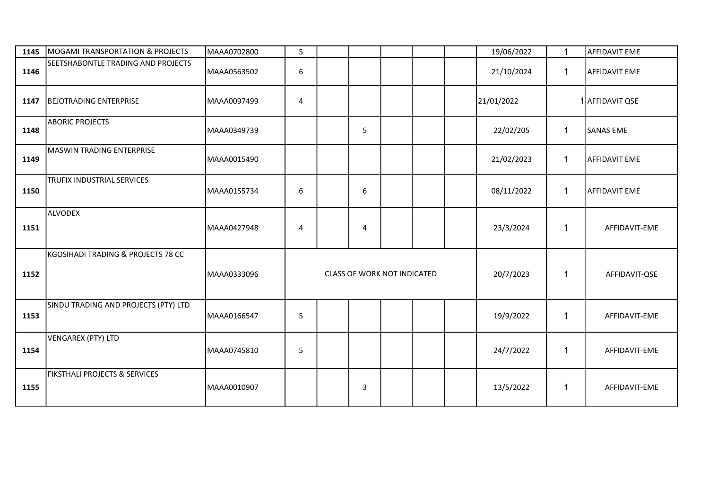| 1145 | MOGAMI TRANSPORTATION & PROJECTS         | MAAA0702800 | 5 |   |                             |  | 19/06/2022 | $\mathbf 1$  | <b>AFFIDAVIT EME</b> |
|------|------------------------------------------|-------------|---|---|-----------------------------|--|------------|--------------|----------------------|
| 1146 | SEETSHABONTLE TRADING AND PROJECTS       | MAAA0563502 | 6 |   |                             |  | 21/10/2024 | $\mathbf 1$  | <b>AFFIDAVIT EME</b> |
| 1147 | <b>BEJOTRADING ENTERPRISE</b>            | MAAA0097499 | 4 |   |                             |  | 21/01/2022 |              | 1 AFFIDAVIT QSE      |
| 1148 | <b>ABORIC PROJECTS</b>                   | MAAA0349739 |   | 5 |                             |  | 22/02/205  | $\mathbf{1}$ | <b>SANAS EME</b>     |
| 1149 | MASWIN TRADING ENTERPRISE                | MAAA0015490 |   |   |                             |  | 21/02/2023 | $\mathbf{1}$ | <b>AFFIDAVIT EME</b> |
| 1150 | TRUFIX INDUSTRIAL SERVICES               | MAAA0155734 | 6 | 6 |                             |  | 08/11/2022 | $\mathbf{1}$ | <b>AFFIDAVIT EME</b> |
| 1151 | ALVODEX                                  | MAAA0427948 | 4 | 4 |                             |  | 23/3/2024  | 1            | AFFIDAVIT-EME        |
| 1152 | KGOSIHADI TRADING & PROJECTS 78 CC       | MAAA0333096 |   |   | CLASS OF WORK NOT INDICATED |  | 20/7/2023  | 1            | AFFIDAVIT-QSE        |
| 1153 | SINDU TRADING AND PROJECTS (PTY) LTD     | MAAA0166547 | 5 |   |                             |  | 19/9/2022  | $\mathbf{1}$ | AFFIDAVIT-EME        |
| 1154 | VENGAREX (PTY) LTD                       | MAAA0745810 | 5 |   |                             |  | 24/7/2022  | 1            | AFFIDAVIT-EME        |
| 1155 | <b>FIKSTHALI PROJECTS &amp; SERVICES</b> | MAAA0010907 |   | 3 |                             |  | 13/5/2022  | $\mathbf{1}$ | AFFIDAVIT-EME        |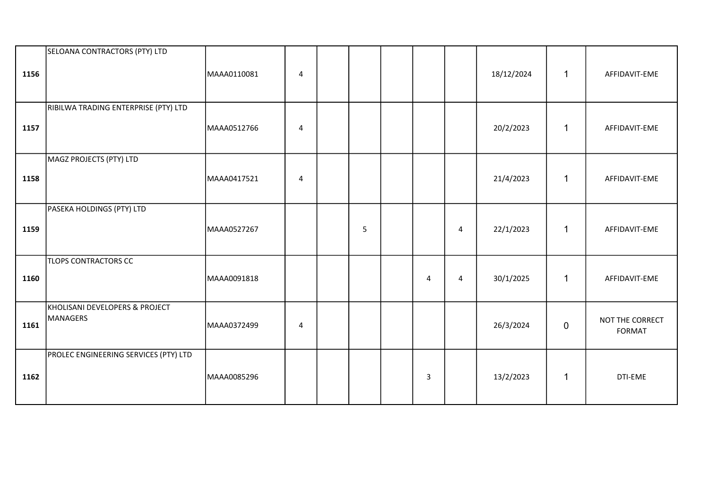| 1156 | SELOANA CONTRACTORS (PTY) LTD              | MAAA0110081 | 4                       |   |                |                | 18/12/2024 | $\mathbf{1}$ | AFFIDAVIT-EME                    |
|------|--------------------------------------------|-------------|-------------------------|---|----------------|----------------|------------|--------------|----------------------------------|
| 1157 | RIBILWA TRADING ENTERPRISE (PTY) LTD       | MAAA0512766 | $\overline{\mathbf{4}}$ |   |                |                | 20/2/2023  | $\mathbf{1}$ | AFFIDAVIT-EME                    |
| 1158 | MAGZ PROJECTS (PTY) LTD                    | MAAA0417521 | 4                       |   |                |                | 21/4/2023  | $\mathbf{1}$ | AFFIDAVIT-EME                    |
| 1159 | PASEKA HOLDINGS (PTY) LTD                  | MAAA0527267 |                         | 5 |                | $\overline{a}$ | 22/1/2023  | $\mathbf{1}$ | AFFIDAVIT-EME                    |
| 1160 | <b>TLOPS CONTRACTORS CC</b>                | MAAA0091818 |                         |   | $\overline{4}$ | 4              | 30/1/2025  | $\mathbf{1}$ | AFFIDAVIT-EME                    |
| 1161 | KHOLISANI DEVELOPERS & PROJECT<br>MANAGERS | MAAA0372499 | 4                       |   |                |                | 26/3/2024  | 0            | NOT THE CORRECT<br><b>FORMAT</b> |
| 1162 | PROLEC ENGINEERING SERVICES (PTY) LTD      | MAAA0085296 |                         |   | $\mathbf{3}$   |                | 13/2/2023  | $\mathbf 1$  | DTI-EME                          |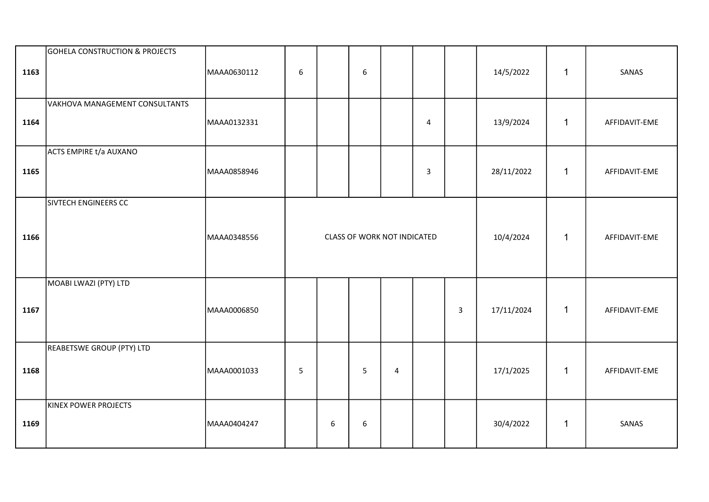| 1163 | <b>GOHELA CONSTRUCTION &amp; PROJECTS</b> | MAAA0630112 | 6           |                  | 6                           |  |                |              | 14/5/2022  | $\mathbf{1}$ | SANAS         |
|------|-------------------------------------------|-------------|-------------|------------------|-----------------------------|--|----------------|--------------|------------|--------------|---------------|
| 1164 | VAKHOVA MANAGEMENT CONSULTANTS            | MAAA0132331 |             |                  |                             |  | $\overline{4}$ |              | 13/9/2024  | $\mathbf{1}$ | AFFIDAVIT-EME |
| 1165 | <b>ACTS EMPIRE t/a AUXANO</b>             | MAAA0858946 |             |                  |                             |  | $\mathsf{3}$   |              | 28/11/2022 | $\mathbf{1}$ | AFFIDAVIT-EME |
| 1166 | SIVTECH ENGINEERS CC                      | MAAA0348556 |             |                  | CLASS OF WORK NOT INDICATED |  |                |              | 10/4/2024  | $\mathbf{1}$ | AFFIDAVIT-EME |
| 1167 | MOABI LWAZI (PTY) LTD                     | MAAA0006850 |             |                  |                             |  |                | $\mathbf{3}$ | 17/11/2024 | $\mathbf{1}$ | AFFIDAVIT-EME |
| 1168 | REABETSWE GROUP (PTY) LTD                 | MAAA0001033 | 5<br>5<br>4 |                  |                             |  |                |              | 17/1/2025  | $\mathbf{1}$ | AFFIDAVIT-EME |
| 1169 | KINEX POWER PROJECTS                      | MAAA0404247 |             | $\boldsymbol{6}$ | 6                           |  |                |              | 30/4/2022  | $\mathbf{1}$ | SANAS         |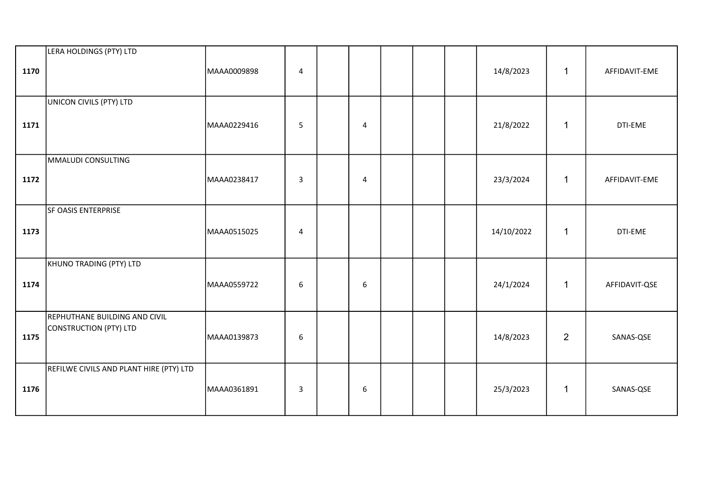| 1170 | LERA HOLDINGS (PTY) LTD                                 | MAAA0009898 | $\overline{4}$ |                |  | 14/8/2023  | $\mathbf{1}$   | AFFIDAVIT-EME |
|------|---------------------------------------------------------|-------------|----------------|----------------|--|------------|----------------|---------------|
| 1171 | UNICON CIVILS (PTY) LTD                                 | MAAA0229416 | 5              | $\overline{4}$ |  | 21/8/2022  | $\mathbf{1}$   | DTI-EME       |
| 1172 | MMALUDI CONSULTING                                      | MAAA0238417 | $\mathbf{3}$   | $\overline{4}$ |  | 23/3/2024  | $\mathbf{1}$   | AFFIDAVIT-EME |
| 1173 | SF OASIS ENTERPRISE                                     | MAAA0515025 | $\overline{4}$ |                |  | 14/10/2022 | $\mathbf{1}$   | DTI-EME       |
| 1174 | KHUNO TRADING (PTY) LTD                                 | MAAA0559722 | 6              | 6              |  | 24/1/2024  | $\mathbf{1}$   | AFFIDAVIT-QSE |
| 1175 | REPHUTHANE BUILDING AND CIVIL<br>CONSTRUCTION (PTY) LTD | MAAA0139873 | 6              |                |  | 14/8/2023  | $\overline{2}$ | SANAS-QSE     |
| 1176 | REFILWE CIVILS AND PLANT HIRE (PTY) LTD                 | MAAA0361891 | $\overline{3}$ | 6              |  | 25/3/2023  | $\mathbf{1}$   | SANAS-QSE     |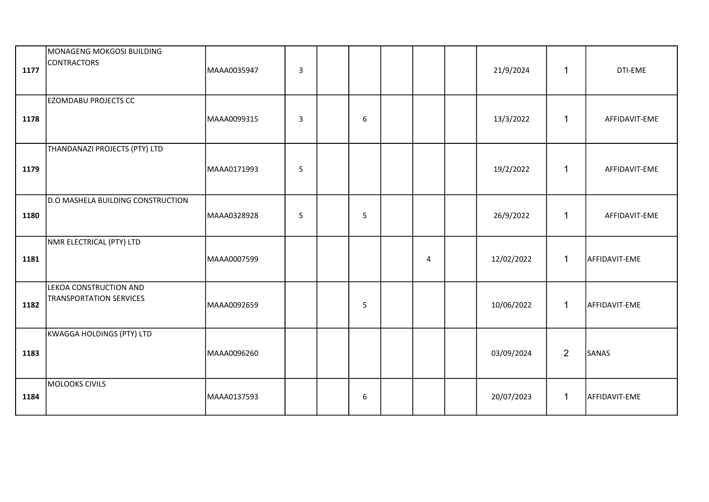| 1177 | MONAGENG MOKGOSI BUILDING<br>CONTRACTORS                 | MAAA0035947 | $\overline{3}$          |                |   | 21/9/2024  | $\mathbf{1}$   | DTI-EME       |
|------|----------------------------------------------------------|-------------|-------------------------|----------------|---|------------|----------------|---------------|
| 1178 | <b>EZOMDABU PROJECTS CC</b>                              | MAAA0099315 | $\overline{3}$          | $6\phantom{1}$ |   | 13/3/2022  | $\mathbf{1}$   | AFFIDAVIT-EME |
| 1179 | THANDANAZI PROJECTS (PTY) LTD                            | MAAA0171993 | $\overline{\mathbf{5}}$ |                |   | 19/2/2022  | 1              | AFFIDAVIT-EME |
| 1180 | D.O MASHELA BUILDING CONSTRUCTION                        | MAAA0328928 | 5                       | 5              |   | 26/9/2022  | $\mathbf{1}$   | AFFIDAVIT-EME |
| 1181 | NMR ELECTRICAL (PTY) LTD                                 | MAAA0007599 |                         |                | 4 | 12/02/2022 | $\mathbf{1}$   | AFFIDAVIT-EME |
| 1182 | LEKOA CONSTRUCTION AND<br><b>TRANSPORTATION SERVICES</b> | MAAA0092659 |                         | 5              |   | 10/06/2022 | $\mathbf{1}$   | AFFIDAVIT-EME |
| 1183 | KWAGGA HOLDINGS (PTY) LTD                                | MAAA0096260 |                         |                |   | 03/09/2024 | $\overline{2}$ | SANAS         |
| 1184 | MOLOOKS CIVILS                                           | MAAA0137593 |                         | 6              |   | 20/07/2023 | $\mathbf{1}$   | AFFIDAVIT-EME |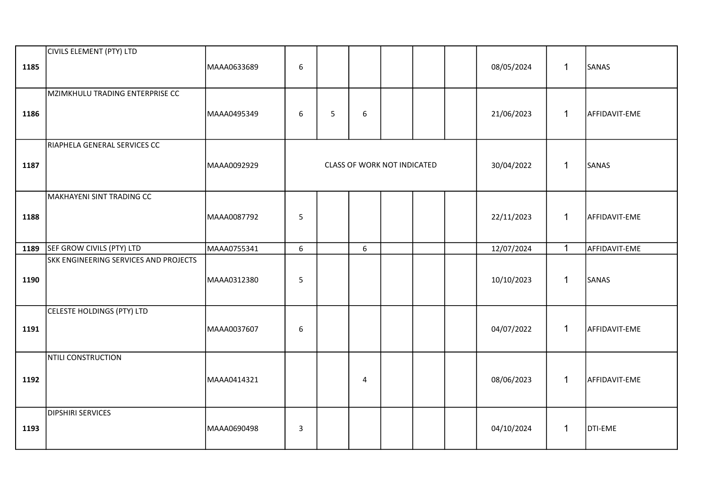| 1185 | CIVILS ELEMENT (PTY) LTD              | MAAA0633689 | 6 |   |                             |  | 08/05/2024 | $\mathbf{1}$ | SANAS         |
|------|---------------------------------------|-------------|---|---|-----------------------------|--|------------|--------------|---------------|
| 1186 | MZIMKHULU TRADING ENTERPRISE CC       | MAAA0495349 | 6 | 5 | 6                           |  | 21/06/2023 | $\mathbf{1}$ | AFFIDAVIT-EME |
| 1187 | RIAPHELA GENERAL SERVICES CC          | MAAA0092929 |   |   | CLASS OF WORK NOT INDICATED |  | 30/04/2022 | $\mathbf{1}$ | SANAS         |
| 1188 | MAKHAYENI SINT TRADING CC             | MAAA0087792 | 5 |   |                             |  | 22/11/2023 | $\mathbf{1}$ | AFFIDAVIT-EME |
| 1189 | SEF GROW CIVILS (PTY) LTD             | MAAA0755341 | 6 |   | 6                           |  | 12/07/2024 | $\mathbf{1}$ | AFFIDAVIT-EME |
| 1190 | SKK ENGINEERING SERVICES AND PROJECTS | MAAA0312380 | 5 |   |                             |  | 10/10/2023 | $\mathbf{1}$ | SANAS         |
| 1191 | CELESTE HOLDINGS (PTY) LTD            | MAAA0037607 | 6 |   |                             |  | 04/07/2022 | $\mathbf{1}$ | AFFIDAVIT-EME |
| 1192 | NTILI CONSTRUCTION                    | MAAA0414321 |   |   | 4                           |  | 08/06/2023 | $\mathbf{1}$ | AFFIDAVIT-EME |
| 1193 | <b>DIPSHIRI SERVICES</b>              | MAAA0690498 | 3 |   |                             |  | 04/10/2024 | $\mathbf{1}$ | DTI-EME       |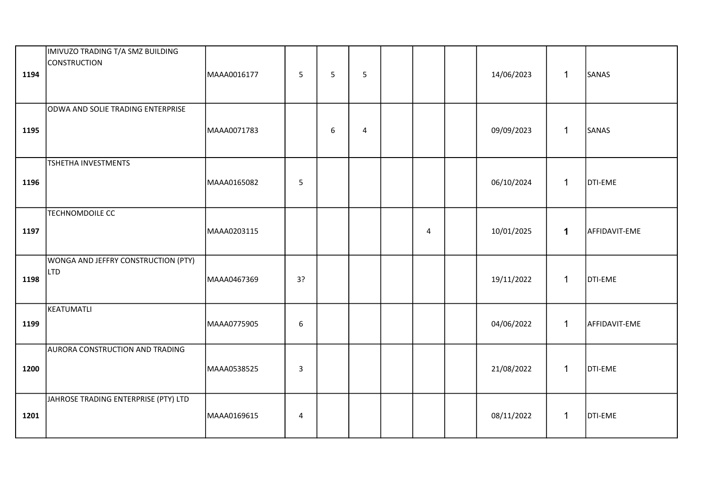| 1194 | IMIVUZO TRADING T/A SMZ BUILDING<br>CONSTRUCTION  | MAAA0016177 | 5  | 5 | 5              |                | 14/06/2023 | $\mathbf{1}$ | SANAS         |
|------|---------------------------------------------------|-------------|----|---|----------------|----------------|------------|--------------|---------------|
| 1195 | ODWA AND SOLIE TRADING ENTERPRISE                 | MAAA0071783 |    | 6 | $\overline{4}$ |                | 09/09/2023 | $\mathbf{1}$ | SANAS         |
| 1196 | TSHETHA INVESTMENTS                               | MAAA0165082 | 5  |   |                |                | 06/10/2024 | $\mathbf{1}$ | DTI-EME       |
| 1197 | <b>TECHNOMDOILE CC</b>                            | MAAA0203115 |    |   |                | $\overline{4}$ | 10/01/2025 | $\mathbf 1$  | AFFIDAVIT-EME |
| 1198 | WONGA AND JEFFRY CONSTRUCTION (PTY)<br><b>LTD</b> | MAAA0467369 | 3? |   |                |                | 19/11/2022 | $\mathbf{1}$ | DTI-EME       |
| 1199 | KEATUMATLI                                        | MAAA0775905 | 6  |   |                |                | 04/06/2022 | $\mathbf 1$  | AFFIDAVIT-EME |
| 1200 | <b>AURORA CONSTRUCTION AND TRADING</b>            | MAAA0538525 | 3  |   |                |                | 21/08/2022 | $\mathbf{1}$ | DTI-EME       |
| 1201 | JAHROSE TRADING ENTERPRISE (PTY) LTD              | MAAA0169615 | 4  |   |                |                | 08/11/2022 | $\mathbf{1}$ | DTI-EME       |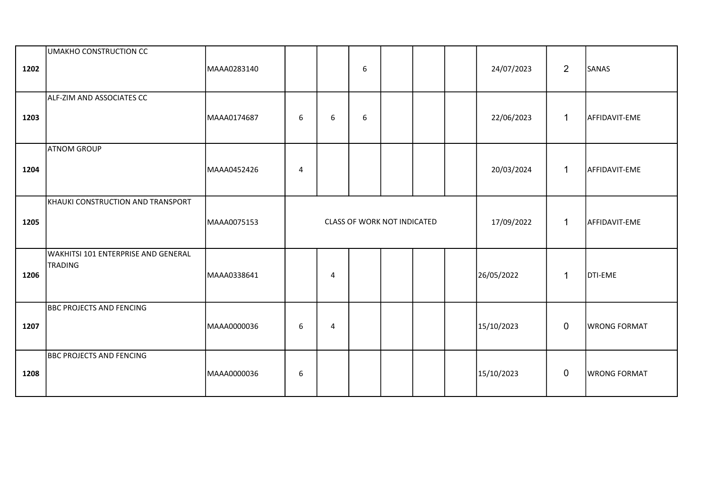| 1202 | UMAKHO CONSTRUCTION CC                                | MAAA0283140 |   |   | 6 |                                    |  | 24/07/2023 | $\overline{2}$ | SANAS               |
|------|-------------------------------------------------------|-------------|---|---|---|------------------------------------|--|------------|----------------|---------------------|
| 1203 | ALF-ZIM AND ASSOCIATES CC                             | MAAA0174687 | 6 | 6 | 6 |                                    |  | 22/06/2023 | $\mathbf{1}$   | AFFIDAVIT-EME       |
| 1204 | <b>ATNOM GROUP</b>                                    | MAAA0452426 | 4 |   |   |                                    |  | 20/03/2024 | $\mathbf{1}$   | AFFIDAVIT-EME       |
| 1205 | KHAUKI CONSTRUCTION AND TRANSPORT                     | MAAA0075153 |   |   |   | <b>CLASS OF WORK NOT INDICATED</b> |  | 17/09/2022 | $\mathbf{1}$   | AFFIDAVIT-EME       |
| 1206 | WAKHITSI 101 ENTERPRISE AND GENERAL<br><b>TRADING</b> | MAAA0338641 |   | 4 |   |                                    |  | 26/05/2022 | $\mathbf 1$    | DTI-EME             |
| 1207 | <b>BBC PROJECTS AND FENCING</b>                       | MAAA0000036 | 6 | 4 |   |                                    |  | 15/10/2023 | $\mathbf 0$    | <b>WRONG FORMAT</b> |
| 1208 | <b>BBC PROJECTS AND FENCING</b>                       | MAAA0000036 | 6 |   |   |                                    |  | 15/10/2023 | $\mathbf 0$    | <b>WRONG FORMAT</b> |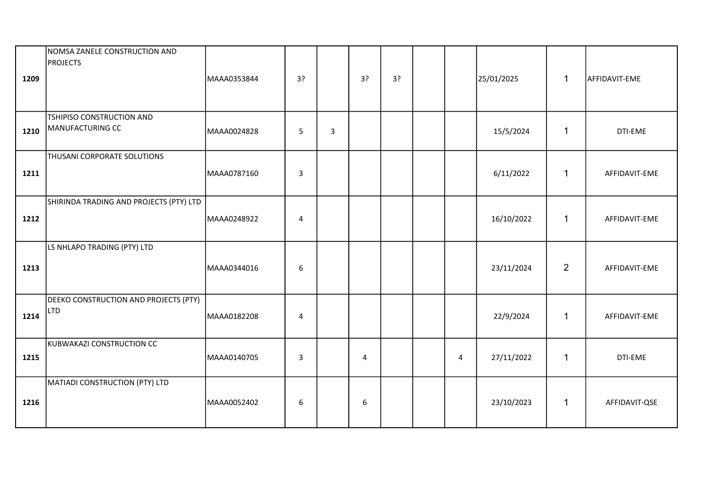| 1209 | NOMSA ZANELE CONSTRUCTION AND<br><b>PROJECTS</b>    | MAAA0353844 | 3?               |                | 3?             | 3? |                | 25/01/2025 | $\mathbf{1}$   | AFFIDAVIT-EME |
|------|-----------------------------------------------------|-------------|------------------|----------------|----------------|----|----------------|------------|----------------|---------------|
| 1210 | TSHIPISO CONSTRUCTION AND<br>MANUFACTURING CC       | MAAA0024828 | 5                | $\overline{3}$ |                |    |                | 15/5/2024  | $\mathbf{1}$   | DTI-EME       |
| 1211 | THUSANI CORPORATE SOLUTIONS                         | MAAA0787160 | $\overline{3}$   |                |                |    |                | 6/11/2022  | $\mathbf{1}$   | AFFIDAVIT-EME |
| 1212 | SHIRINDA TRADING AND PROJECTS (PTY) LTD             | MAAA0248922 | 4                |                |                |    |                | 16/10/2022 | $\mathbf{1}$   | AFFIDAVIT-EME |
| 1213 | LS NHLAPO TRADING (PTY) LTD                         | MAAA0344016 | $\boldsymbol{6}$ |                |                |    |                | 23/11/2024 | $\overline{2}$ | AFFIDAVIT-EME |
| 1214 | DEEKO CONSTRUCTION AND PROJECTS (PTY)<br><b>LTD</b> | MAAA0182208 | 4                |                |                |    |                | 22/9/2024  | $\mathbf{1}$   | AFFIDAVIT-EME |
| 1215 | KUBWAKAZI CONSTRUCTION CC                           | MAAA0140705 | $\overline{3}$   |                | $\overline{4}$ |    | $\overline{4}$ | 27/11/2022 | $\mathbf 1$    | DTI-EME       |
| 1216 | MATIADI CONSTRUCTION (PTY) LTD                      | MAAA0052402 | 6                |                | 6              |    |                | 23/10/2023 | $\mathbf{1}$   | AFFIDAVIT-QSE |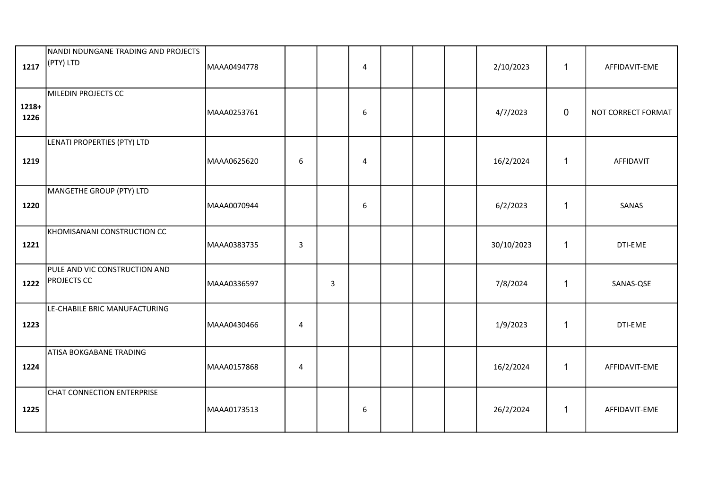| 1217            | NANDI NDUNGANE TRADING AND PROJECTS<br>(PTY) LTD    | MAAA0494778 |                         |   | $\overline{4}$ |  | 2/10/2023  | $\mathbf{1}$ | AFFIDAVIT-EME      |
|-----------------|-----------------------------------------------------|-------------|-------------------------|---|----------------|--|------------|--------------|--------------------|
| $1218+$<br>1226 | MILEDIN PROJECTS CC                                 | MAAA0253761 |                         |   | 6              |  | 4/7/2023   | $\mathbf 0$  | NOT CORRECT FORMAT |
| 1219            | LENATI PROPERTIES (PTY) LTD                         | MAAA0625620 | 6                       |   | 4              |  | 16/2/2024  | $\mathbf{1}$ | AFFIDAVIT          |
| 1220            | MANGETHE GROUP (PTY) LTD                            | MAAA0070944 |                         |   | 6              |  | 6/2/2023   | $\mathbf{1}$ | SANAS              |
| 1221            | KHOMISANANI CONSTRUCTION CC                         | MAAA0383735 | $\mathsf{3}$            |   |                |  | 30/10/2023 | $\mathbf 1$  | DTI-EME            |
| 1222            | PULE AND VIC CONSTRUCTION AND<br><b>PROJECTS CC</b> | MAAA0336597 |                         | 3 |                |  | 7/8/2024   | $\mathbf 1$  | SANAS-QSE          |
| 1223            | LE-CHABILE BRIC MANUFACTURING                       | MAAA0430466 | $\overline{\mathbf{4}}$ |   |                |  | 1/9/2023   | $\mathbf 1$  | DTI-EME            |
| 1224            | ATISA BOKGABANE TRADING                             | MAAA0157868 | 4                       |   |                |  | 16/2/2024  | $\mathbf{1}$ | AFFIDAVIT-EME      |
| 1225            | CHAT CONNECTION ENTERPRISE                          | MAAA0173513 |                         |   | 6              |  | 26/2/2024  | $\mathbf{1}$ | AFFIDAVIT-EME      |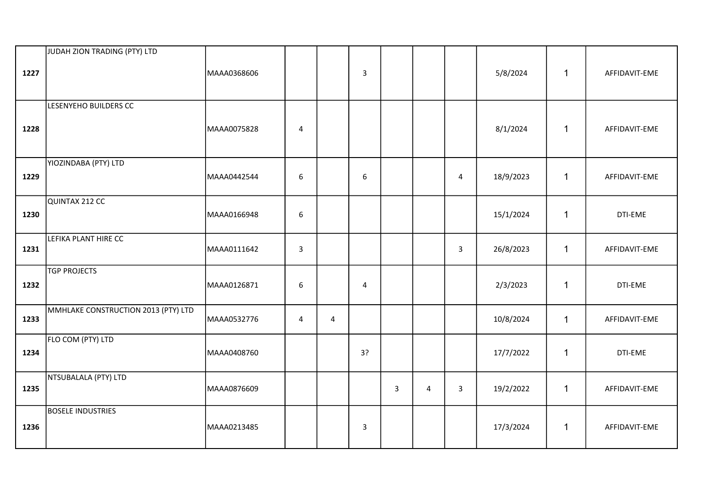| 1227 | JUDAH ZION TRADING (PTY) LTD        | MAAA0368606 |                         |   | $\overline{3}$ |   |   |              | 5/8/2024  | $\mathbf{1}$ | AFFIDAVIT-EME |
|------|-------------------------------------|-------------|-------------------------|---|----------------|---|---|--------------|-----------|--------------|---------------|
| 1228 | LESENYEHO BUILDERS CC               | MAAA0075828 | $\overline{\mathbf{4}}$ |   |                |   |   |              | 8/1/2024  | $\mathbf{1}$ | AFFIDAVIT-EME |
| 1229 | YIOZINDABA (PTY) LTD                | MAAA0442544 | 6                       |   | 6              |   |   | 4            | 18/9/2023 | $\mathbf 1$  | AFFIDAVIT-EME |
| 1230 | QUINTAX 212 CC                      | MAAA0166948 | $\boldsymbol{6}$        |   |                |   |   |              | 15/1/2024 | $\mathbf{1}$ | DTI-EME       |
| 1231 | LEFIKA PLANT HIRE CC                | MAAA0111642 | $\mathsf{3}$            |   |                |   |   | $\mathbf{3}$ | 26/8/2023 | $\mathbf{1}$ | AFFIDAVIT-EME |
| 1232 | <b>TGP PROJECTS</b>                 | MAAA0126871 | $6\phantom{1}$          |   | $\overline{4}$ |   |   |              | 2/3/2023  | $\mathbf{1}$ | DTI-EME       |
| 1233 | MMHLAKE CONSTRUCTION 2013 (PTY) LTD | MAAA0532776 | 4                       | 4 |                |   |   |              | 10/8/2024 | $\mathbf{1}$ | AFFIDAVIT-EME |
| 1234 | FLO COM (PTY) LTD                   | MAAA0408760 |                         |   | 3?             |   |   |              | 17/7/2022 | $\mathbf 1$  | DTI-EME       |
| 1235 | NTSUBALALA (PTY) LTD                | MAAA0876609 |                         |   |                | 3 | 4 | $\mathbf{3}$ | 19/2/2022 | $\mathbf{1}$ | AFFIDAVIT-EME |
| 1236 | <b>BOSELE INDUSTRIES</b>            | MAAA0213485 |                         |   | 3              |   |   |              | 17/3/2024 | $\mathbf{1}$ | AFFIDAVIT-EME |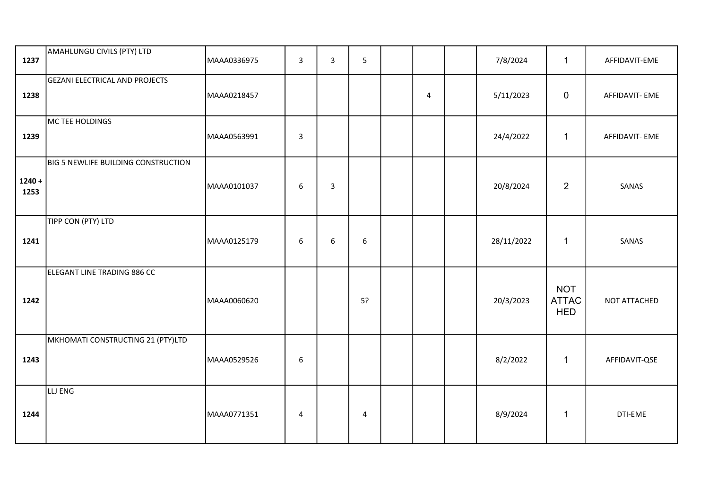| 1237             | AMAHLUNGU CIVILS (PTY) LTD                 | MAAA0336975 | 3                | $\mathbf{3}$     | 5                |                | 7/8/2024   | $\mathbf{1}$                             | AFFIDAVIT-EME  |
|------------------|--------------------------------------------|-------------|------------------|------------------|------------------|----------------|------------|------------------------------------------|----------------|
| 1238             | GEZANI ELECTRICAL AND PROJECTS             | MAAA0218457 |                  |                  |                  | $\overline{4}$ | 5/11/2023  | $\mathbf 0$                              | AFFIDAVIT- EME |
| 1239             | MC TEE HOLDINGS                            | MAAA0563991 | $\overline{3}$   |                  |                  |                | 24/4/2022  | $\mathbf 1$                              | AFFIDAVIT- EME |
| $1240 +$<br>1253 | <b>BIG 5 NEWLIFE BUILDING CONSTRUCTION</b> | MAAA0101037 | $\boldsymbol{6}$ | $\mathbf{3}$     |                  |                | 20/8/2024  | $\overline{2}$                           | SANAS          |
| 1241             | TIPP CON (PTY) LTD                         | MAAA0125179 | 6                | $\boldsymbol{6}$ | $\boldsymbol{6}$ |                | 28/11/2022 | $\mathbf{1}$                             | SANAS          |
| 1242             | ELEGANT LINE TRADING 886 CC                | MAAA0060620 |                  |                  | 5?               |                | 20/3/2023  | <b>NOT</b><br><b>ATTAC</b><br><b>HED</b> | NOT ATTACHED   |
| 1243             | MKHOMATI CONSTRUCTING 21 (PTY)LTD          | MAAA0529526 | $\boldsymbol{6}$ |                  |                  |                | 8/2/2022   | $\mathbf{1}$                             | AFFIDAVIT-QSE  |
| 1244             | LLJ ENG                                    | MAAA0771351 | 4                |                  | 4                |                | 8/9/2024   | $\mathbf{1}$                             | DTI-EME        |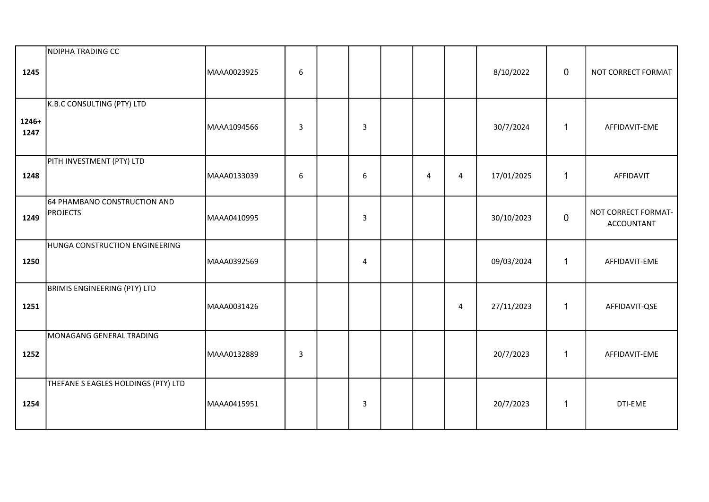| 1245          | NDIPHA TRADING CC                               | MAAA0023925 | $\boldsymbol{6}$ |                  |   |                | 8/10/2022  | $\mathbf 0$  | NOT CORRECT FORMAT                |
|---------------|-------------------------------------------------|-------------|------------------|------------------|---|----------------|------------|--------------|-----------------------------------|
| 1246+<br>1247 | K.B.C CONSULTING (PTY) LTD                      | MAAA1094566 | 3                | 3                |   |                | 30/7/2024  | $\mathbf{1}$ | AFFIDAVIT-EME                     |
| 1248          | PITH INVESTMENT (PTY) LTD                       | MAAA0133039 | 6                | $\boldsymbol{6}$ | 4 | $\overline{4}$ | 17/01/2025 | $\mathbf{1}$ | AFFIDAVIT                         |
| 1249          | 64 PHAMBANO CONSTRUCTION AND<br><b>PROJECTS</b> | MAAA0410995 |                  | $\overline{3}$   |   |                | 30/10/2023 | $\mathbf 0$  | NOT CORRECT FORMAT-<br>ACCOUNTANT |
| 1250          | HUNGA CONSTRUCTION ENGINEERING                  | MAAA0392569 |                  | $\overline{4}$   |   |                | 09/03/2024 | $\mathbf{1}$ | AFFIDAVIT-EME                     |
| 1251          | <b>BRIMIS ENGINEERING (PTY) LTD</b>             | MAAA0031426 |                  |                  |   | $\overline{4}$ | 27/11/2023 | $\mathbf{1}$ | AFFIDAVIT-QSE                     |
| 1252          | MONAGANG GENERAL TRADING                        | MAAA0132889 | $\overline{3}$   |                  |   |                | 20/7/2023  | $\mathbf{1}$ | AFFIDAVIT-EME                     |
| 1254          | THEFANE S EAGLES HOLDINGS (PTY) LTD             | MAAA0415951 |                  | $\overline{3}$   |   |                | 20/7/2023  | $\mathbf{1}$ | DTI-EME                           |